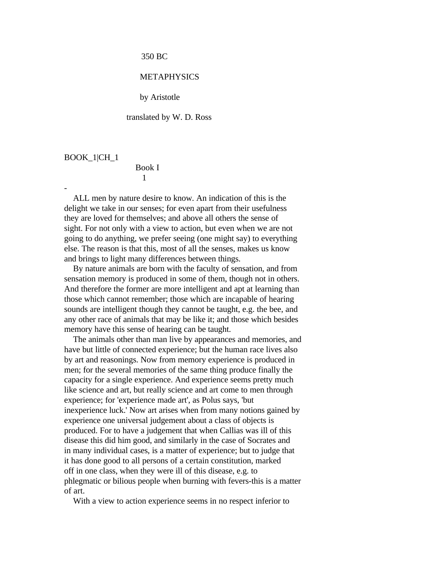350 BC

## **METAPHYSICS**

by Aristotle

### translated by W. D. Ross

# BOOK\_1|CH\_1

-

 Book I 1

 ALL men by nature desire to know. An indication of this is the delight we take in our senses; for even apart from their usefulness they are loved for themselves; and above all others the sense of sight. For not only with a view to action, but even when we are not going to do anything, we prefer seeing (one might say) to everything else. The reason is that this, most of all the senses, makes us know and brings to light many differences between things.

 By nature animals are born with the faculty of sensation, and from sensation memory is produced in some of them, though not in others. And therefore the former are more intelligent and apt at learning than those which cannot remember; those which are incapable of hearing sounds are intelligent though they cannot be taught, e.g. the bee, and any other race of animals that may be like it; and those which besides memory have this sense of hearing can be taught.

 The animals other than man live by appearances and memories, and have but little of connected experience; but the human race lives also by art and reasonings. Now from memory experience is produced in men; for the several memories of the same thing produce finally the capacity for a single experience. And experience seems pretty much like science and art, but really science and art come to men through experience; for 'experience made art', as Polus says, 'but inexperience luck.' Now art arises when from many notions gained by experience one universal judgement about a class of objects is produced. For to have a judgement that when Callias was ill of this disease this did him good, and similarly in the case of Socrates and in many individual cases, is a matter of experience; but to judge that it has done good to all persons of a certain constitution, marked off in one class, when they were ill of this disease, e.g. to phlegmatic or bilious people when burning with fevers-this is a matter of art.

With a view to action experience seems in no respect inferior to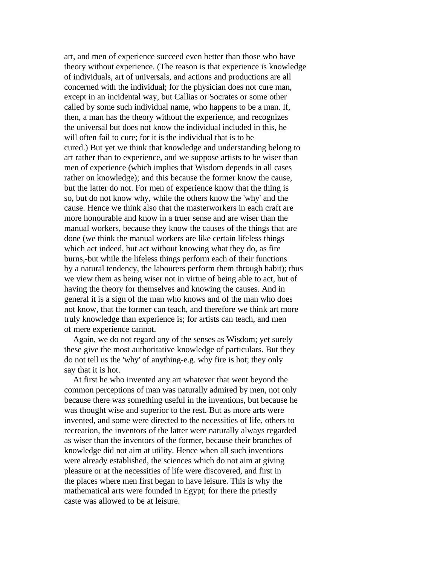art, and men of experience succeed even better than those who have theory without experience. (The reason is that experience is knowledge of individuals, art of universals, and actions and productions are all concerned with the individual; for the physician does not cure man, except in an incidental way, but Callias or Socrates or some other called by some such individual name, who happens to be a man. If, then, a man has the theory without the experience, and recognizes the universal but does not know the individual included in this, he will often fail to cure; for it is the individual that is to be cured.) But yet we think that knowledge and understanding belong to art rather than to experience, and we suppose artists to be wiser than men of experience (which implies that Wisdom depends in all cases rather on knowledge); and this because the former know the cause, but the latter do not. For men of experience know that the thing is so, but do not know why, while the others know the 'why' and the cause. Hence we think also that the masterworkers in each craft are more honourable and know in a truer sense and are wiser than the manual workers, because they know the causes of the things that are done (we think the manual workers are like certain lifeless things which act indeed, but act without knowing what they do, as fire burns,-but while the lifeless things perform each of their functions by a natural tendency, the labourers perform them through habit); thus we view them as being wiser not in virtue of being able to act, but of having the theory for themselves and knowing the causes. And in general it is a sign of the man who knows and of the man who does not know, that the former can teach, and therefore we think art more truly knowledge than experience is; for artists can teach, and men of mere experience cannot.

 Again, we do not regard any of the senses as Wisdom; yet surely these give the most authoritative knowledge of particulars. But they do not tell us the 'why' of anything-e.g. why fire is hot; they only say that it is hot.

 At first he who invented any art whatever that went beyond the common perceptions of man was naturally admired by men, not only because there was something useful in the inventions, but because he was thought wise and superior to the rest. But as more arts were invented, and some were directed to the necessities of life, others to recreation, the inventors of the latter were naturally always regarded as wiser than the inventors of the former, because their branches of knowledge did not aim at utility. Hence when all such inventions were already established, the sciences which do not aim at giving pleasure or at the necessities of life were discovered, and first in the places where men first began to have leisure. This is why the mathematical arts were founded in Egypt; for there the priestly caste was allowed to be at leisure.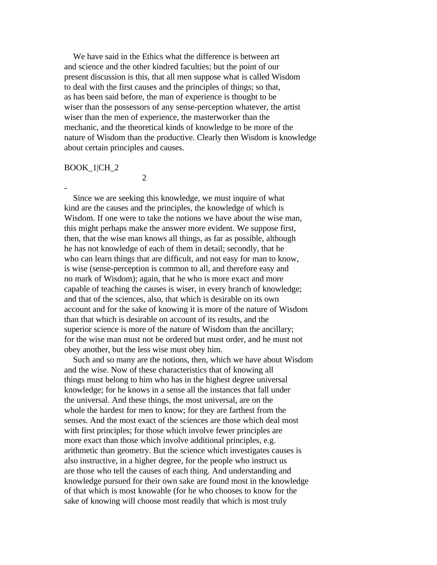We have said in the Ethics what the difference is between art and science and the other kindred faculties; but the point of our present discussion is this, that all men suppose what is called Wisdom to deal with the first causes and the principles of things; so that, as has been said before, the man of experience is thought to be wiser than the possessors of any sense-perception whatever, the artist wiser than the men of experience, the masterworker than the mechanic, and the theoretical kinds of knowledge to be more of the nature of Wisdom than the productive. Clearly then Wisdom is knowledge about certain principles and causes.

### BOOK\_1|CH\_2

2

- Since we are seeking this knowledge, we must inquire of what kind are the causes and the principles, the knowledge of which is Wisdom. If one were to take the notions we have about the wise man, this might perhaps make the answer more evident. We suppose first, then, that the wise man knows all things, as far as possible, although he has not knowledge of each of them in detail; secondly, that he who can learn things that are difficult, and not easy for man to know, is wise (sense-perception is common to all, and therefore easy and no mark of Wisdom); again, that he who is more exact and more capable of teaching the causes is wiser, in every branch of knowledge; and that of the sciences, also, that which is desirable on its own account and for the sake of knowing it is more of the nature of Wisdom than that which is desirable on account of its results, and the superior science is more of the nature of Wisdom than the ancillary; for the wise man must not be ordered but must order, and he must not obey another, but the less wise must obey him.

 Such and so many are the notions, then, which we have about Wisdom and the wise. Now of these characteristics that of knowing all things must belong to him who has in the highest degree universal knowledge; for he knows in a sense all the instances that fall under the universal. And these things, the most universal, are on the whole the hardest for men to know; for they are farthest from the senses. And the most exact of the sciences are those which deal most with first principles; for those which involve fewer principles are more exact than those which involve additional principles, e.g. arithmetic than geometry. But the science which investigates causes is also instructive, in a higher degree, for the people who instruct us are those who tell the causes of each thing. And understanding and knowledge pursued for their own sake are found most in the knowledge of that which is most knowable (for he who chooses to know for the sake of knowing will choose most readily that which is most truly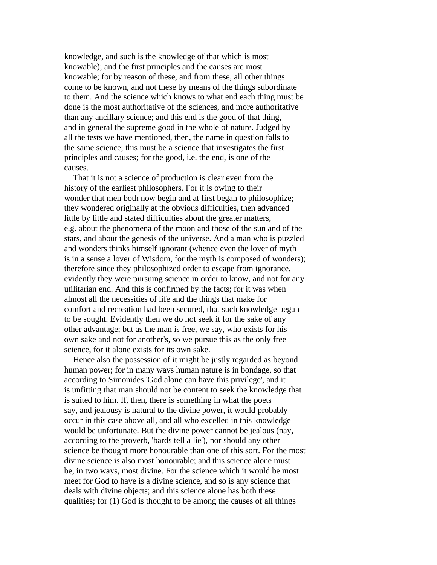knowledge, and such is the knowledge of that which is most knowable); and the first principles and the causes are most knowable; for by reason of these, and from these, all other things come to be known, and not these by means of the things subordinate to them. And the science which knows to what end each thing must be done is the most authoritative of the sciences, and more authoritative than any ancillary science; and this end is the good of that thing, and in general the supreme good in the whole of nature. Judged by all the tests we have mentioned, then, the name in question falls to the same science; this must be a science that investigates the first principles and causes; for the good, i.e. the end, is one of the causes.

 That it is not a science of production is clear even from the history of the earliest philosophers. For it is owing to their wonder that men both now begin and at first began to philosophize; they wondered originally at the obvious difficulties, then advanced little by little and stated difficulties about the greater matters, e.g. about the phenomena of the moon and those of the sun and of the stars, and about the genesis of the universe. And a man who is puzzled and wonders thinks himself ignorant (whence even the lover of myth is in a sense a lover of Wisdom, for the myth is composed of wonders); therefore since they philosophized order to escape from ignorance, evidently they were pursuing science in order to know, and not for any utilitarian end. And this is confirmed by the facts; for it was when almost all the necessities of life and the things that make for comfort and recreation had been secured, that such knowledge began to be sought. Evidently then we do not seek it for the sake of any other advantage; but as the man is free, we say, who exists for his own sake and not for another's, so we pursue this as the only free science, for it alone exists for its own sake.

 Hence also the possession of it might be justly regarded as beyond human power; for in many ways human nature is in bondage, so that according to Simonides 'God alone can have this privilege', and it is unfitting that man should not be content to seek the knowledge that is suited to him. If, then, there is something in what the poets say, and jealousy is natural to the divine power, it would probably occur in this case above all, and all who excelled in this knowledge would be unfortunate. But the divine power cannot be jealous (nay, according to the proverb, 'bards tell a lie'), nor should any other science be thought more honourable than one of this sort. For the most divine science is also most honourable; and this science alone must be, in two ways, most divine. For the science which it would be most meet for God to have is a divine science, and so is any science that deals with divine objects; and this science alone has both these qualities; for (1) God is thought to be among the causes of all things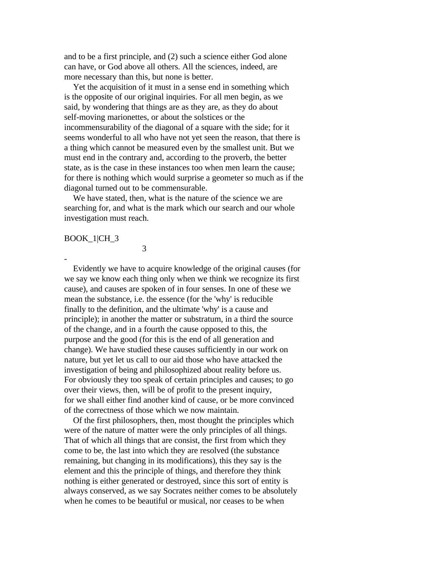and to be a first principle, and (2) such a science either God alone can have, or God above all others. All the sciences, indeed, are more necessary than this, but none is better.

 Yet the acquisition of it must in a sense end in something which is the opposite of our original inquiries. For all men begin, as we said, by wondering that things are as they are, as they do about self-moving marionettes, or about the solstices or the incommensurability of the diagonal of a square with the side; for it seems wonderful to all who have not yet seen the reason, that there is a thing which cannot be measured even by the smallest unit. But we must end in the contrary and, according to the proverb, the better state, as is the case in these instances too when men learn the cause; for there is nothing which would surprise a geometer so much as if the diagonal turned out to be commensurable.

We have stated, then, what is the nature of the science we are searching for, and what is the mark which our search and our whole investigation must reach.

BOOK\_1|CH\_3

3

- Evidently we have to acquire knowledge of the original causes (for we say we know each thing only when we think we recognize its first cause), and causes are spoken of in four senses. In one of these we mean the substance, i.e. the essence (for the 'why' is reducible finally to the definition, and the ultimate 'why' is a cause and principle); in another the matter or substratum, in a third the source of the change, and in a fourth the cause opposed to this, the purpose and the good (for this is the end of all generation and change). We have studied these causes sufficiently in our work on nature, but yet let us call to our aid those who have attacked the investigation of being and philosophized about reality before us. For obviously they too speak of certain principles and causes; to go over their views, then, will be of profit to the present inquiry, for we shall either find another kind of cause, or be more convinced of the correctness of those which we now maintain.

 Of the first philosophers, then, most thought the principles which were of the nature of matter were the only principles of all things. That of which all things that are consist, the first from which they come to be, the last into which they are resolved (the substance remaining, but changing in its modifications), this they say is the element and this the principle of things, and therefore they think nothing is either generated or destroyed, since this sort of entity is always conserved, as we say Socrates neither comes to be absolutely when he comes to be beautiful or musical, nor ceases to be when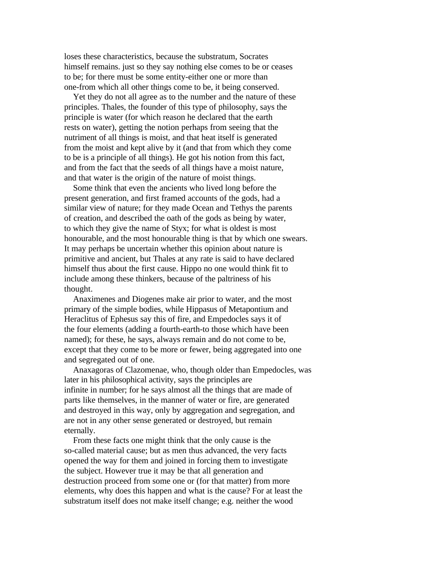loses these characteristics, because the substratum, Socrates himself remains. just so they say nothing else comes to be or ceases to be; for there must be some entity-either one or more than one-from which all other things come to be, it being conserved.

 Yet they do not all agree as to the number and the nature of these principles. Thales, the founder of this type of philosophy, says the principle is water (for which reason he declared that the earth rests on water), getting the notion perhaps from seeing that the nutriment of all things is moist, and that heat itself is generated from the moist and kept alive by it (and that from which they come to be is a principle of all things). He got his notion from this fact, and from the fact that the seeds of all things have a moist nature, and that water is the origin of the nature of moist things.

 Some think that even the ancients who lived long before the present generation, and first framed accounts of the gods, had a similar view of nature; for they made Ocean and Tethys the parents of creation, and described the oath of the gods as being by water, to which they give the name of Styx; for what is oldest is most honourable, and the most honourable thing is that by which one swears. It may perhaps be uncertain whether this opinion about nature is primitive and ancient, but Thales at any rate is said to have declared himself thus about the first cause. Hippo no one would think fit to include among these thinkers, because of the paltriness of his thought.

 Anaximenes and Diogenes make air prior to water, and the most primary of the simple bodies, while Hippasus of Metapontium and Heraclitus of Ephesus say this of fire, and Empedocles says it of the four elements (adding a fourth-earth-to those which have been named); for these, he says, always remain and do not come to be, except that they come to be more or fewer, being aggregated into one and segregated out of one.

 Anaxagoras of Clazomenae, who, though older than Empedocles, was later in his philosophical activity, says the principles are infinite in number; for he says almost all the things that are made of parts like themselves, in the manner of water or fire, are generated and destroyed in this way, only by aggregation and segregation, and are not in any other sense generated or destroyed, but remain eternally.

 From these facts one might think that the only cause is the so-called material cause; but as men thus advanced, the very facts opened the way for them and joined in forcing them to investigate the subject. However true it may be that all generation and destruction proceed from some one or (for that matter) from more elements, why does this happen and what is the cause? For at least the substratum itself does not make itself change; e.g. neither the wood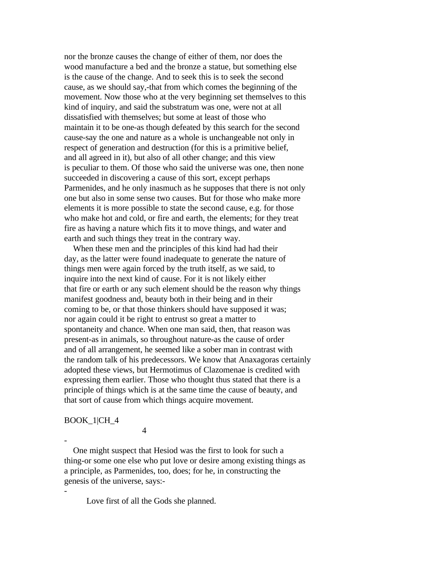nor the bronze causes the change of either of them, nor does the wood manufacture a bed and the bronze a statue, but something else is the cause of the change. And to seek this is to seek the second cause, as we should say,-that from which comes the beginning of the movement. Now those who at the very beginning set themselves to this kind of inquiry, and said the substratum was one, were not at all dissatisfied with themselves; but some at least of those who maintain it to be one-as though defeated by this search for the second cause-say the one and nature as a whole is unchangeable not only in respect of generation and destruction (for this is a primitive belief, and all agreed in it), but also of all other change; and this view is peculiar to them. Of those who said the universe was one, then none succeeded in discovering a cause of this sort, except perhaps Parmenides, and he only inasmuch as he supposes that there is not only one but also in some sense two causes. But for those who make more elements it is more possible to state the second cause, e.g. for those who make hot and cold, or fire and earth, the elements; for they treat fire as having a nature which fits it to move things, and water and earth and such things they treat in the contrary way.

 When these men and the principles of this kind had had their day, as the latter were found inadequate to generate the nature of things men were again forced by the truth itself, as we said, to inquire into the next kind of cause. For it is not likely either that fire or earth or any such element should be the reason why things manifest goodness and, beauty both in their being and in their coming to be, or that those thinkers should have supposed it was; nor again could it be right to entrust so great a matter to spontaneity and chance. When one man said, then, that reason was present-as in animals, so throughout nature-as the cause of order and of all arrangement, he seemed like a sober man in contrast with the random talk of his predecessors. We know that Anaxagoras certainly adopted these views, but Hermotimus of Clazomenae is credited with expressing them earlier. Those who thought thus stated that there is a principle of things which is at the same time the cause of beauty, and that sort of cause from which things acquire movement.

BOOK\_1|CH\_4

-

-

4

 One might suspect that Hesiod was the first to look for such a thing-or some one else who put love or desire among existing things as a principle, as Parmenides, too, does; for he, in constructing the genesis of the universe, says:-

Love first of all the Gods she planned.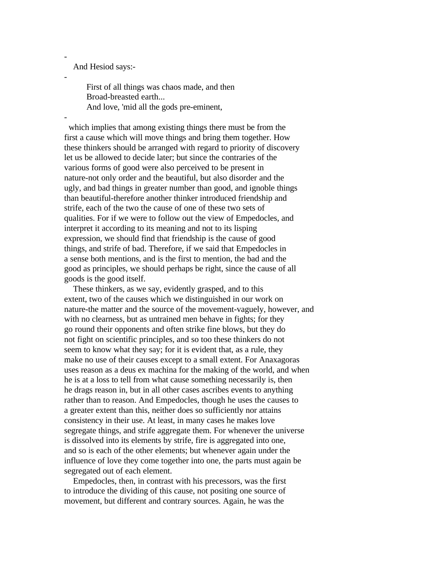And Hesiod says:-

-

-

 First of all things was chaos made, and then Broad-breasted earth... And love, 'mid all the gods pre-eminent,

 which implies that among existing things there must be from the first a cause which will move things and bring them together. How these thinkers should be arranged with regard to priority of discovery let us be allowed to decide later; but since the contraries of the various forms of good were also perceived to be present in nature-not only order and the beautiful, but also disorder and the ugly, and bad things in greater number than good, and ignoble things than beautiful-therefore another thinker introduced friendship and strife, each of the two the cause of one of these two sets of qualities. For if we were to follow out the view of Empedocles, and interpret it according to its meaning and not to its lisping expression, we should find that friendship is the cause of good things, and strife of bad. Therefore, if we said that Empedocles in a sense both mentions, and is the first to mention, the bad and the good as principles, we should perhaps be right, since the cause of all goods is the good itself.

 These thinkers, as we say, evidently grasped, and to this extent, two of the causes which we distinguished in our work on nature-the matter and the source of the movement-vaguely, however, and with no clearness, but as untrained men behave in fights; for they go round their opponents and often strike fine blows, but they do not fight on scientific principles, and so too these thinkers do not seem to know what they say; for it is evident that, as a rule, they make no use of their causes except to a small extent. For Anaxagoras uses reason as a deus ex machina for the making of the world, and when he is at a loss to tell from what cause something necessarily is, then he drags reason in, but in all other cases ascribes events to anything rather than to reason. And Empedocles, though he uses the causes to a greater extent than this, neither does so sufficiently nor attains consistency in their use. At least, in many cases he makes love segregate things, and strife aggregate them. For whenever the universe is dissolved into its elements by strife, fire is aggregated into one, and so is each of the other elements; but whenever again under the influence of love they come together into one, the parts must again be segregated out of each element.

 Empedocles, then, in contrast with his precessors, was the first to introduce the dividing of this cause, not positing one source of movement, but different and contrary sources. Again, he was the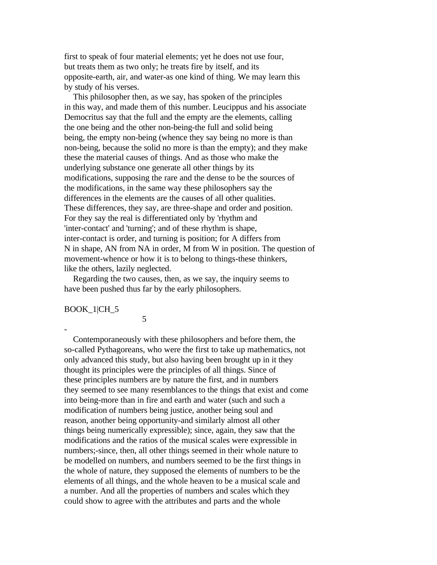first to speak of four material elements; yet he does not use four, but treats them as two only; he treats fire by itself, and its opposite-earth, air, and water-as one kind of thing. We may learn this by study of his verses.

 This philosopher then, as we say, has spoken of the principles in this way, and made them of this number. Leucippus and his associate Democritus say that the full and the empty are the elements, calling the one being and the other non-being-the full and solid being being, the empty non-being (whence they say being no more is than non-being, because the solid no more is than the empty); and they make these the material causes of things. And as those who make the underlying substance one generate all other things by its modifications, supposing the rare and the dense to be the sources of the modifications, in the same way these philosophers say the differences in the elements are the causes of all other qualities. These differences, they say, are three-shape and order and position. For they say the real is differentiated only by 'rhythm and 'inter-contact' and 'turning'; and of these rhythm is shape, inter-contact is order, and turning is position; for A differs from N in shape, AN from NA in order, M from W in position. The question of movement-whence or how it is to belong to things-these thinkers, like the others, lazily neglected.

 Regarding the two causes, then, as we say, the inquiry seems to have been pushed thus far by the early philosophers.

## BOOK\_1|CH\_5

-

5

 Contemporaneously with these philosophers and before them, the so-called Pythagoreans, who were the first to take up mathematics, not only advanced this study, but also having been brought up in it they thought its principles were the principles of all things. Since of these principles numbers are by nature the first, and in numbers they seemed to see many resemblances to the things that exist and come into being-more than in fire and earth and water (such and such a modification of numbers being justice, another being soul and reason, another being opportunity-and similarly almost all other things being numerically expressible); since, again, they saw that the modifications and the ratios of the musical scales were expressible in numbers;-since, then, all other things seemed in their whole nature to be modelled on numbers, and numbers seemed to be the first things in the whole of nature, they supposed the elements of numbers to be the elements of all things, and the whole heaven to be a musical scale and a number. And all the properties of numbers and scales which they could show to agree with the attributes and parts and the whole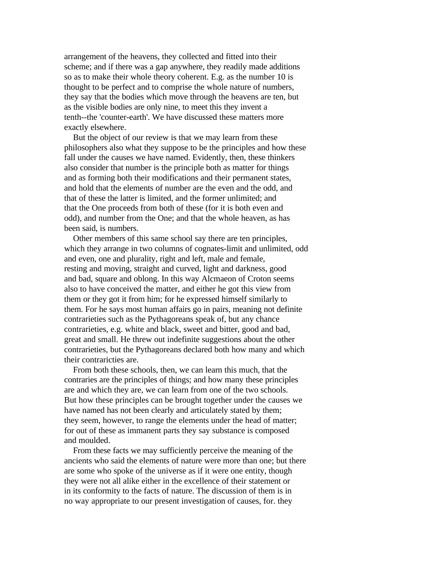arrangement of the heavens, they collected and fitted into their scheme; and if there was a gap anywhere, they readily made additions so as to make their whole theory coherent. E.g. as the number 10 is thought to be perfect and to comprise the whole nature of numbers, they say that the bodies which move through the heavens are ten, but as the visible bodies are only nine, to meet this they invent a tenth--the 'counter-earth'. We have discussed these matters more exactly elsewhere.

 But the object of our review is that we may learn from these philosophers also what they suppose to be the principles and how these fall under the causes we have named. Evidently, then, these thinkers also consider that number is the principle both as matter for things and as forming both their modifications and their permanent states, and hold that the elements of number are the even and the odd, and that of these the latter is limited, and the former unlimited; and that the One proceeds from both of these (for it is both even and odd), and number from the One; and that the whole heaven, as has been said, is numbers.

 Other members of this same school say there are ten principles, which they arrange in two columns of cognates-limit and unlimited, odd and even, one and plurality, right and left, male and female, resting and moving, straight and curved, light and darkness, good and bad, square and oblong. In this way Alcmaeon of Croton seems also to have conceived the matter, and either he got this view from them or they got it from him; for he expressed himself similarly to them. For he says most human affairs go in pairs, meaning not definite contrarieties such as the Pythagoreans speak of, but any chance contrarieties, e.g. white and black, sweet and bitter, good and bad, great and small. He threw out indefinite suggestions about the other contrarieties, but the Pythagoreans declared both how many and which their contraricties are.

 From both these schools, then, we can learn this much, that the contraries are the principles of things; and how many these principles are and which they are, we can learn from one of the two schools. But how these principles can be brought together under the causes we have named has not been clearly and articulately stated by them; they seem, however, to range the elements under the head of matter; for out of these as immanent parts they say substance is composed and moulded.

 From these facts we may sufficiently perceive the meaning of the ancients who said the elements of nature were more than one; but there are some who spoke of the universe as if it were one entity, though they were not all alike either in the excellence of their statement or in its conformity to the facts of nature. The discussion of them is in no way appropriate to our present investigation of causes, for. they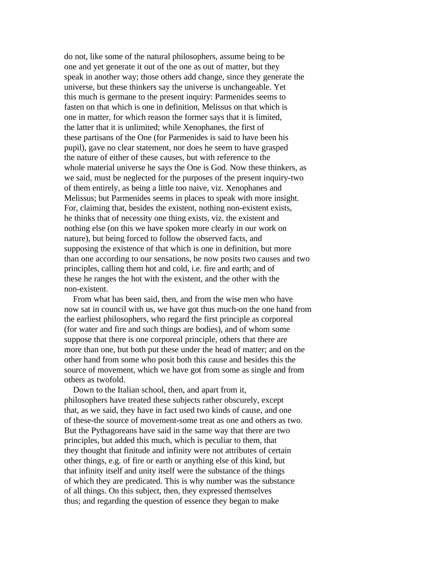do not, like some of the natural philosophers, assume being to be one and yet generate it out of the one as out of matter, but they speak in another way; those others add change, since they generate the universe, but these thinkers say the universe is unchangeable. Yet this much is germane to the present inquiry: Parmenides seems to fasten on that which is one in definition, Melissus on that which is one in matter, for which reason the former says that it is limited, the latter that it is unlimited; while Xenophanes, the first of these partisans of the One (for Parmenides is said to have been his pupil), gave no clear statement, nor does he seem to have grasped the nature of either of these causes, but with reference to the whole material universe he says the One is God. Now these thinkers, as we said, must be neglected for the purposes of the present inquiry-two of them entirely, as being a little too naive, viz. Xenophanes and Melissus; but Parmenides seems in places to speak with more insight. For, claiming that, besides the existent, nothing non-existent exists, he thinks that of necessity one thing exists, viz. the existent and nothing else (on this we have spoken more clearly in our work on nature), but being forced to follow the observed facts, and supposing the existence of that which is one in definition, but more than one according to our sensations, he now posits two causes and two principles, calling them hot and cold, i.e. fire and earth; and of these he ranges the hot with the existent, and the other with the non-existent.

 From what has been said, then, and from the wise men who have now sat in council with us, we have got thus much-on the one hand from the earliest philosophers, who regard the first principle as corporeal (for water and fire and such things are bodies), and of whom some suppose that there is one corporeal principle, others that there are more than one, but both put these under the head of matter; and on the other hand from some who posit both this cause and besides this the source of movement, which we have got from some as single and from others as twofold.

 Down to the Italian school, then, and apart from it, philosophers have treated these subjects rather obscurely, except that, as we said, they have in fact used two kinds of cause, and one of these-the source of movement-some treat as one and others as two. But the Pythagoreans have said in the same way that there are two principles, but added this much, which is peculiar to them, that they thought that finitude and infinity were not attributes of certain other things, e.g. of fire or earth or anything else of this kind, but that infinity itself and unity itself were the substance of the things of which they are predicated. This is why number was the substance of all things. On this subject, then, they expressed themselves thus; and regarding the question of essence they began to make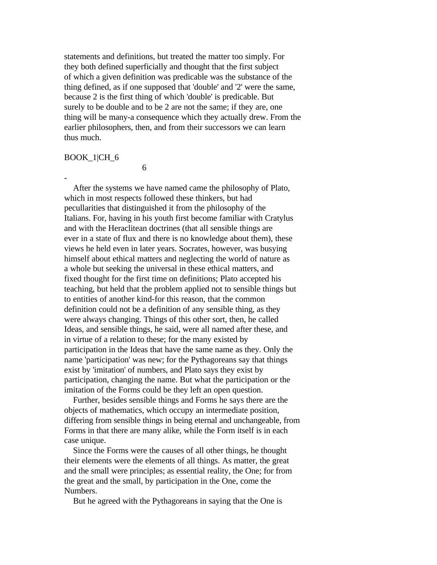statements and definitions, but treated the matter too simply. For they both defined superficially and thought that the first subject of which a given definition was predicable was the substance of the thing defined, as if one supposed that 'double' and '2' were the same, because 2 is the first thing of which 'double' is predicable. But surely to be double and to be 2 are not the same; if they are, one thing will be many-a consequence which they actually drew. From the earlier philosophers, then, and from their successors we can learn thus much.

BOOK 1|CH 6

6

- After the systems we have named came the philosophy of Plato, which in most respects followed these thinkers, but had pecullarities that distinguished it from the philosophy of the Italians. For, having in his youth first become familiar with Cratylus and with the Heraclitean doctrines (that all sensible things are ever in a state of flux and there is no knowledge about them), these views he held even in later years. Socrates, however, was busying himself about ethical matters and neglecting the world of nature as a whole but seeking the universal in these ethical matters, and fixed thought for the first time on definitions; Plato accepted his teaching, but held that the problem applied not to sensible things but to entities of another kind-for this reason, that the common definition could not be a definition of any sensible thing, as they were always changing. Things of this other sort, then, he called Ideas, and sensible things, he said, were all named after these, and in virtue of a relation to these; for the many existed by participation in the Ideas that have the same name as they. Only the name 'participation' was new; for the Pythagoreans say that things exist by 'imitation' of numbers, and Plato says they exist by participation, changing the name. But what the participation or the imitation of the Forms could be they left an open question.

 Further, besides sensible things and Forms he says there are the objects of mathematics, which occupy an intermediate position, differing from sensible things in being eternal and unchangeable, from Forms in that there are many alike, while the Form itself is in each case unique.

 Since the Forms were the causes of all other things, he thought their elements were the elements of all things. As matter, the great and the small were principles; as essential reality, the One; for from the great and the small, by participation in the One, come the Numbers.

But he agreed with the Pythagoreans in saying that the One is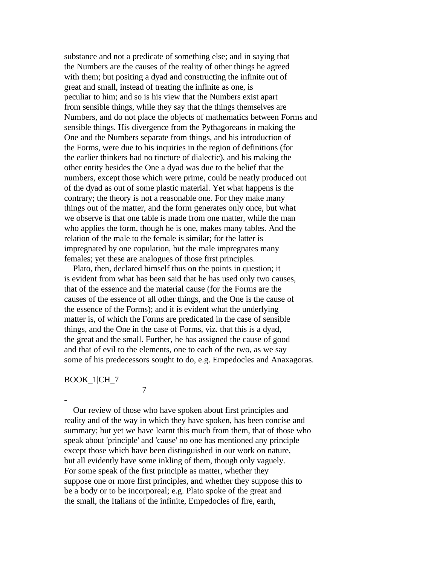substance and not a predicate of something else; and in saying that the Numbers are the causes of the reality of other things he agreed with them; but positing a dyad and constructing the infinite out of great and small, instead of treating the infinite as one, is peculiar to him; and so is his view that the Numbers exist apart from sensible things, while they say that the things themselves are Numbers, and do not place the objects of mathematics between Forms and sensible things. His divergence from the Pythagoreans in making the One and the Numbers separate from things, and his introduction of the Forms, were due to his inquiries in the region of definitions (for the earlier thinkers had no tincture of dialectic), and his making the other entity besides the One a dyad was due to the belief that the numbers, except those which were prime, could be neatly produced out of the dyad as out of some plastic material. Yet what happens is the contrary; the theory is not a reasonable one. For they make many things out of the matter, and the form generates only once, but what we observe is that one table is made from one matter, while the man who applies the form, though he is one, makes many tables. And the relation of the male to the female is similar; for the latter is impregnated by one copulation, but the male impregnates many females; yet these are analogues of those first principles.

 Plato, then, declared himself thus on the points in question; it is evident from what has been said that he has used only two causes, that of the essence and the material cause (for the Forms are the causes of the essence of all other things, and the One is the cause of the essence of the Forms); and it is evident what the underlying matter is, of which the Forms are predicated in the case of sensible things, and the One in the case of Forms, viz. that this is a dyad, the great and the small. Further, he has assigned the cause of good and that of evil to the elements, one to each of the two, as we say some of his predecessors sought to do, e.g. Empedocles and Anaxagoras.

### BOOK\_1|CH\_7

-

7

 Our review of those who have spoken about first principles and reality and of the way in which they have spoken, has been concise and summary; but yet we have learnt this much from them, that of those who speak about 'principle' and 'cause' no one has mentioned any principle except those which have been distinguished in our work on nature, but all evidently have some inkling of them, though only vaguely. For some speak of the first principle as matter, whether they suppose one or more first principles, and whether they suppose this to be a body or to be incorporeal; e.g. Plato spoke of the great and the small, the Italians of the infinite, Empedocles of fire, earth,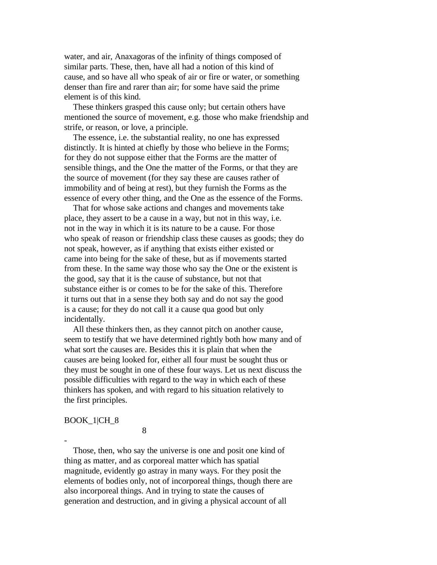water, and air, Anaxagoras of the infinity of things composed of similar parts. These, then, have all had a notion of this kind of cause, and so have all who speak of air or fire or water, or something denser than fire and rarer than air; for some have said the prime element is of this kind.

 These thinkers grasped this cause only; but certain others have mentioned the source of movement, e.g. those who make friendship and strife, or reason, or love, a principle.

 The essence, i.e. the substantial reality, no one has expressed distinctly. It is hinted at chiefly by those who believe in the Forms; for they do not suppose either that the Forms are the matter of sensible things, and the One the matter of the Forms, or that they are the source of movement (for they say these are causes rather of immobility and of being at rest), but they furnish the Forms as the essence of every other thing, and the One as the essence of the Forms.

 That for whose sake actions and changes and movements take place, they assert to be a cause in a way, but not in this way, i.e. not in the way in which it is its nature to be a cause. For those who speak of reason or friendship class these causes as goods; they do not speak, however, as if anything that exists either existed or came into being for the sake of these, but as if movements started from these. In the same way those who say the One or the existent is the good, say that it is the cause of substance, but not that substance either is or comes to be for the sake of this. Therefore it turns out that in a sense they both say and do not say the good is a cause; for they do not call it a cause qua good but only incidentally.

 All these thinkers then, as they cannot pitch on another cause, seem to testify that we have determined rightly both how many and of what sort the causes are. Besides this it is plain that when the causes are being looked for, either all four must be sought thus or they must be sought in one of these four ways. Let us next discuss the possible difficulties with regard to the way in which each of these thinkers has spoken, and with regard to his situation relatively to the first principles.

BOOK\_1|CH\_8

-

8

 Those, then, who say the universe is one and posit one kind of thing as matter, and as corporeal matter which has spatial magnitude, evidently go astray in many ways. For they posit the elements of bodies only, not of incorporeal things, though there are also incorporeal things. And in trying to state the causes of generation and destruction, and in giving a physical account of all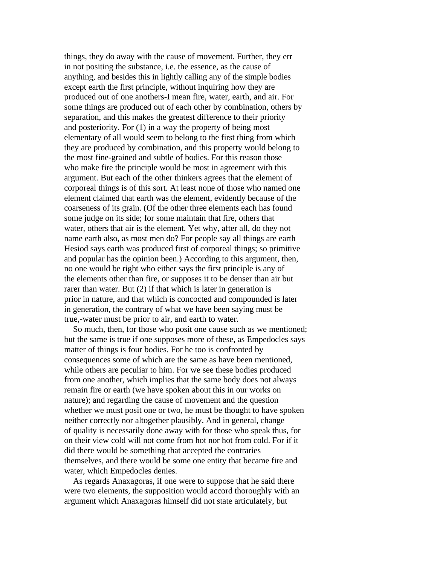things, they do away with the cause of movement. Further, they err in not positing the substance, i.e. the essence, as the cause of anything, and besides this in lightly calling any of the simple bodies except earth the first principle, without inquiring how they are produced out of one anothers-I mean fire, water, earth, and air. For some things are produced out of each other by combination, others by separation, and this makes the greatest difference to their priority and posteriority. For (1) in a way the property of being most elementary of all would seem to belong to the first thing from which they are produced by combination, and this property would belong to the most fine-grained and subtle of bodies. For this reason those who make fire the principle would be most in agreement with this argument. But each of the other thinkers agrees that the element of corporeal things is of this sort. At least none of those who named one element claimed that earth was the element, evidently because of the coarseness of its grain. (Of the other three elements each has found some judge on its side; for some maintain that fire, others that water, others that air is the element. Yet why, after all, do they not name earth also, as most men do? For people say all things are earth Hesiod says earth was produced first of corporeal things; so primitive and popular has the opinion been.) According to this argument, then, no one would be right who either says the first principle is any of the elements other than fire, or supposes it to be denser than air but rarer than water. But (2) if that which is later in generation is prior in nature, and that which is concocted and compounded is later in generation, the contrary of what we have been saying must be true,-water must be prior to air, and earth to water.

 So much, then, for those who posit one cause such as we mentioned; but the same is true if one supposes more of these, as Empedocles says matter of things is four bodies. For he too is confronted by consequences some of which are the same as have been mentioned, while others are peculiar to him. For we see these bodies produced from one another, which implies that the same body does not always remain fire or earth (we have spoken about this in our works on nature); and regarding the cause of movement and the question whether we must posit one or two, he must be thought to have spoken neither correctly nor altogether plausibly. And in general, change of quality is necessarily done away with for those who speak thus, for on their view cold will not come from hot nor hot from cold. For if it did there would be something that accepted the contraries themselves, and there would be some one entity that became fire and water, which Empedocles denies.

 As regards Anaxagoras, if one were to suppose that he said there were two elements, the supposition would accord thoroughly with an argument which Anaxagoras himself did not state articulately, but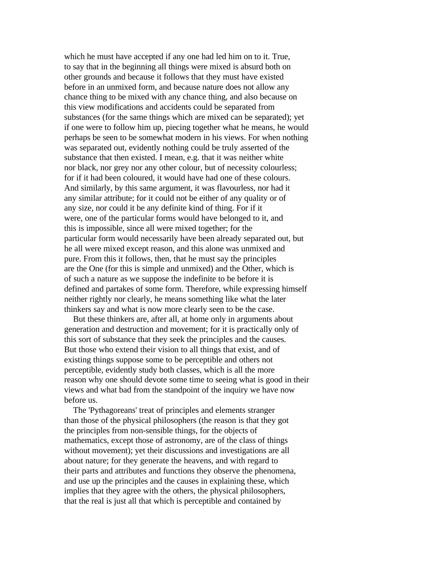which he must have accepted if any one had led him on to it. True, to say that in the beginning all things were mixed is absurd both on other grounds and because it follows that they must have existed before in an unmixed form, and because nature does not allow any chance thing to be mixed with any chance thing, and also because on this view modifications and accidents could be separated from substances (for the same things which are mixed can be separated); yet if one were to follow him up, piecing together what he means, he would perhaps be seen to be somewhat modern in his views. For when nothing was separated out, evidently nothing could be truly asserted of the substance that then existed. I mean, e.g. that it was neither white nor black, nor grey nor any other colour, but of necessity colourless; for if it had been coloured, it would have had one of these colours. And similarly, by this same argument, it was flavourless, nor had it any similar attribute; for it could not be either of any quality or of any size, nor could it be any definite kind of thing. For if it were, one of the particular forms would have belonged to it, and this is impossible, since all were mixed together; for the particular form would necessarily have been already separated out, but he all were mixed except reason, and this alone was unmixed and pure. From this it follows, then, that he must say the principles are the One (for this is simple and unmixed) and the Other, which is of such a nature as we suppose the indefinite to be before it is defined and partakes of some form. Therefore, while expressing himself neither rightly nor clearly, he means something like what the later thinkers say and what is now more clearly seen to be the case.

 But these thinkers are, after all, at home only in arguments about generation and destruction and movement; for it is practically only of this sort of substance that they seek the principles and the causes. But those who extend their vision to all things that exist, and of existing things suppose some to be perceptible and others not perceptible, evidently study both classes, which is all the more reason why one should devote some time to seeing what is good in their views and what bad from the standpoint of the inquiry we have now before us.

 The 'Pythagoreans' treat of principles and elements stranger than those of the physical philosophers (the reason is that they got the principles from non-sensible things, for the objects of mathematics, except those of astronomy, are of the class of things without movement); yet their discussions and investigations are all about nature; for they generate the heavens, and with regard to their parts and attributes and functions they observe the phenomena, and use up the principles and the causes in explaining these, which implies that they agree with the others, the physical philosophers, that the real is just all that which is perceptible and contained by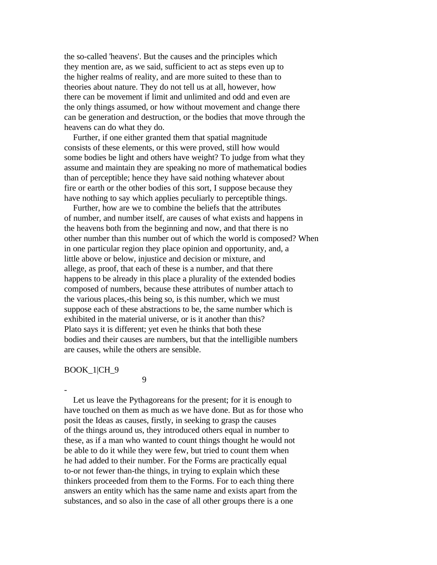the so-called 'heavens'. But the causes and the principles which they mention are, as we said, sufficient to act as steps even up to the higher realms of reality, and are more suited to these than to theories about nature. They do not tell us at all, however, how there can be movement if limit and unlimited and odd and even are the only things assumed, or how without movement and change there can be generation and destruction, or the bodies that move through the heavens can do what they do.

 Further, if one either granted them that spatial magnitude consists of these elements, or this were proved, still how would some bodies be light and others have weight? To judge from what they assume and maintain they are speaking no more of mathematical bodies than of perceptible; hence they have said nothing whatever about fire or earth or the other bodies of this sort, I suppose because they have nothing to say which applies peculiarly to perceptible things.

 Further, how are we to combine the beliefs that the attributes of number, and number itself, are causes of what exists and happens in the heavens both from the beginning and now, and that there is no other number than this number out of which the world is composed? When in one particular region they place opinion and opportunity, and, a little above or below, injustice and decision or mixture, and allege, as proof, that each of these is a number, and that there happens to be already in this place a plurality of the extended bodies composed of numbers, because these attributes of number attach to the various places,-this being so, is this number, which we must suppose each of these abstractions to be, the same number which is exhibited in the material universe, or is it another than this? Plato says it is different; yet even he thinks that both these bodies and their causes are numbers, but that the intelligible numbers are causes, while the others are sensible.

# BOOK 1|CH 9

-

9

 Let us leave the Pythagoreans for the present; for it is enough to have touched on them as much as we have done. But as for those who posit the Ideas as causes, firstly, in seeking to grasp the causes of the things around us, they introduced others equal in number to these, as if a man who wanted to count things thought he would not be able to do it while they were few, but tried to count them when he had added to their number. For the Forms are practically equal to-or not fewer than-the things, in trying to explain which these thinkers proceeded from them to the Forms. For to each thing there answers an entity which has the same name and exists apart from the substances, and so also in the case of all other groups there is a one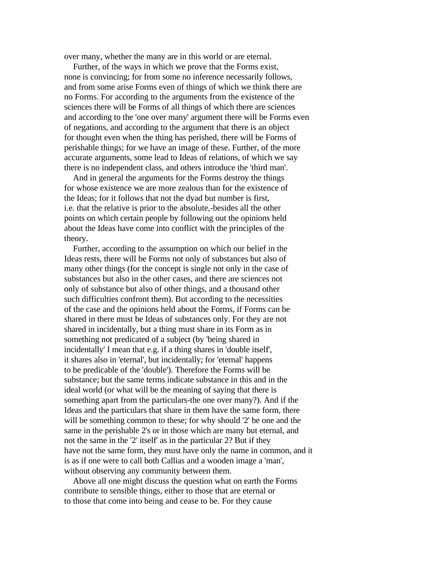over many, whether the many are in this world or are eternal.

 Further, of the ways in which we prove that the Forms exist, none is convincing; for from some no inference necessarily follows, and from some arise Forms even of things of which we think there are no Forms. For according to the arguments from the existence of the sciences there will be Forms of all things of which there are sciences and according to the 'one over many' argument there will be Forms even of negations, and according to the argument that there is an object for thought even when the thing has perished, there will be Forms of perishable things; for we have an image of these. Further, of the more accurate arguments, some lead to Ideas of relations, of which we say there is no independent class, and others introduce the 'third man'.

 And in general the arguments for the Forms destroy the things for whose existence we are more zealous than for the existence of the Ideas; for it follows that not the dyad but number is first, i.e. that the relative is prior to the absolute,-besides all the other points on which certain people by following out the opinions held about the Ideas have come into conflict with the principles of the theory.

 Further, according to the assumption on which our belief in the Ideas rests, there will be Forms not only of substances but also of many other things (for the concept is single not only in the case of substances but also in the other cases, and there are sciences not only of substance but also of other things, and a thousand other such difficulties confront them). But according to the necessities of the case and the opinions held about the Forms, if Forms can be shared in there must be Ideas of substances only. For they are not shared in incidentally, but a thing must share in its Form as in something not predicated of a subject (by 'being shared in incidentally' I mean that e.g. if a thing shares in 'double itself', it shares also in 'eternal', but incidentally; for 'eternal' happens to be predicable of the 'double'). Therefore the Forms will be substance; but the same terms indicate substance in this and in the ideal world (or what will be the meaning of saying that there is something apart from the particulars-the one over many?). And if the Ideas and the particulars that share in them have the same form, there will be something common to these; for why should '2' be one and the same in the perishable 2's or in those which are many but eternal, and not the same in the '2' itself' as in the particular 2? But if they have not the same form, they must have only the name in common, and it is as if one were to call both Callias and a wooden image a 'man', without observing any community between them.

 Above all one might discuss the question what on earth the Forms contribute to sensible things, either to those that are eternal or to those that come into being and cease to be. For they cause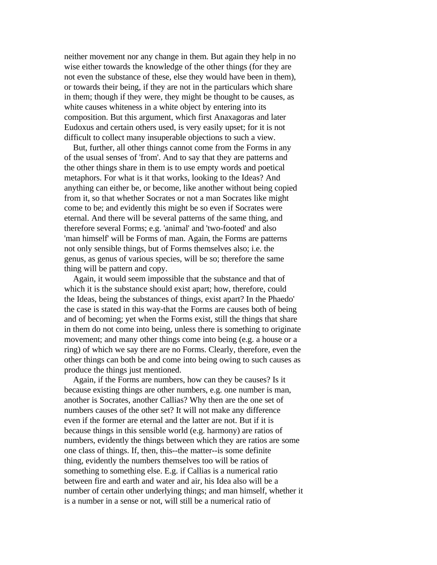neither movement nor any change in them. But again they help in no wise either towards the knowledge of the other things (for they are not even the substance of these, else they would have been in them), or towards their being, if they are not in the particulars which share in them; though if they were, they might be thought to be causes, as white causes whiteness in a white object by entering into its composition. But this argument, which first Anaxagoras and later Eudoxus and certain others used, is very easily upset; for it is not difficult to collect many insuperable objections to such a view.

 But, further, all other things cannot come from the Forms in any of the usual senses of 'from'. And to say that they are patterns and the other things share in them is to use empty words and poetical metaphors. For what is it that works, looking to the Ideas? And anything can either be, or become, like another without being copied from it, so that whether Socrates or not a man Socrates like might come to be; and evidently this might be so even if Socrates were eternal. And there will be several patterns of the same thing, and therefore several Forms; e.g. 'animal' and 'two-footed' and also 'man himself' will be Forms of man. Again, the Forms are patterns not only sensible things, but of Forms themselves also; i.e. the genus, as genus of various species, will be so; therefore the same thing will be pattern and copy.

 Again, it would seem impossible that the substance and that of which it is the substance should exist apart; how, therefore, could the Ideas, being the substances of things, exist apart? In the Phaedo' the case is stated in this way-that the Forms are causes both of being and of becoming; yet when the Forms exist, still the things that share in them do not come into being, unless there is something to originate movement; and many other things come into being (e.g. a house or a ring) of which we say there are no Forms. Clearly, therefore, even the other things can both be and come into being owing to such causes as produce the things just mentioned.

 Again, if the Forms are numbers, how can they be causes? Is it because existing things are other numbers, e.g. one number is man, another is Socrates, another Callias? Why then are the one set of numbers causes of the other set? It will not make any difference even if the former are eternal and the latter are not. But if it is because things in this sensible world (e.g. harmony) are ratios of numbers, evidently the things between which they are ratios are some one class of things. If, then, this--the matter--is some definite thing, evidently the numbers themselves too will be ratios of something to something else. E.g. if Callias is a numerical ratio between fire and earth and water and air, his Idea also will be a number of certain other underlying things; and man himself, whether it is a number in a sense or not, will still be a numerical ratio of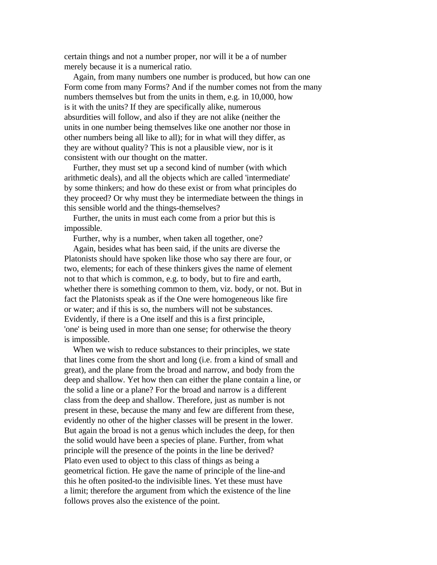certain things and not a number proper, nor will it be a of number merely because it is a numerical ratio.

 Again, from many numbers one number is produced, but how can one Form come from many Forms? And if the number comes not from the many numbers themselves but from the units in them, e.g. in 10,000, how is it with the units? If they are specifically alike, numerous absurdities will follow, and also if they are not alike (neither the units in one number being themselves like one another nor those in other numbers being all like to all); for in what will they differ, as they are without quality? This is not a plausible view, nor is it consistent with our thought on the matter.

 Further, they must set up a second kind of number (with which arithmetic deals), and all the objects which are called 'intermediate' by some thinkers; and how do these exist or from what principles do they proceed? Or why must they be intermediate between the things in this sensible world and the things-themselves?

 Further, the units in must each come from a prior but this is impossible.

Further, why is a number, when taken all together, one?

 Again, besides what has been said, if the units are diverse the Platonists should have spoken like those who say there are four, or two, elements; for each of these thinkers gives the name of element not to that which is common, e.g. to body, but to fire and earth, whether there is something common to them, viz. body, or not. But in fact the Platonists speak as if the One were homogeneous like fire or water; and if this is so, the numbers will not be substances. Evidently, if there is a One itself and this is a first principle, 'one' is being used in more than one sense; for otherwise the theory is impossible.

 When we wish to reduce substances to their principles, we state that lines come from the short and long (i.e. from a kind of small and great), and the plane from the broad and narrow, and body from the deep and shallow. Yet how then can either the plane contain a line, or the solid a line or a plane? For the broad and narrow is a different class from the deep and shallow. Therefore, just as number is not present in these, because the many and few are different from these, evidently no other of the higher classes will be present in the lower. But again the broad is not a genus which includes the deep, for then the solid would have been a species of plane. Further, from what principle will the presence of the points in the line be derived? Plato even used to object to this class of things as being a geometrical fiction. He gave the name of principle of the line-and this he often posited-to the indivisible lines. Yet these must have a limit; therefore the argument from which the existence of the line follows proves also the existence of the point.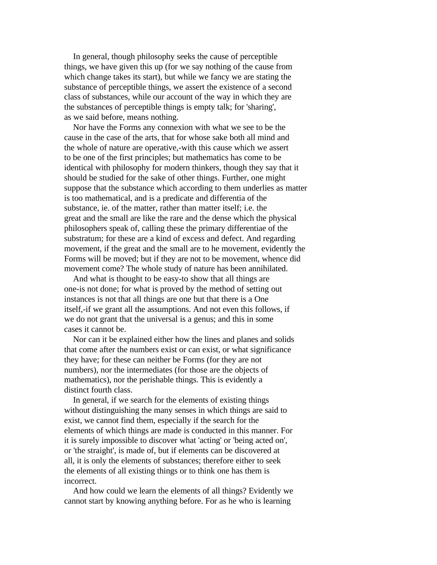In general, though philosophy seeks the cause of perceptible things, we have given this up (for we say nothing of the cause from which change takes its start), but while we fancy we are stating the substance of perceptible things, we assert the existence of a second class of substances, while our account of the way in which they are the substances of perceptible things is empty talk; for 'sharing', as we said before, means nothing.

 Nor have the Forms any connexion with what we see to be the cause in the case of the arts, that for whose sake both all mind and the whole of nature are operative,-with this cause which we assert to be one of the first principles; but mathematics has come to be identical with philosophy for modern thinkers, though they say that it should be studied for the sake of other things. Further, one might suppose that the substance which according to them underlies as matter is too mathematical, and is a predicate and differentia of the substance, ie. of the matter, rather than matter itself; i.e. the great and the small are like the rare and the dense which the physical philosophers speak of, calling these the primary differentiae of the substratum; for these are a kind of excess and defect. And regarding movement, if the great and the small are to he movement, evidently the Forms will be moved; but if they are not to be movement, whence did movement come? The whole study of nature has been annihilated.

 And what is thought to be easy-to show that all things are one-is not done; for what is proved by the method of setting out instances is not that all things are one but that there is a One itself,-if we grant all the assumptions. And not even this follows, if we do not grant that the universal is a genus; and this in some cases it cannot be.

 Nor can it be explained either how the lines and planes and solids that come after the numbers exist or can exist, or what significance they have; for these can neither be Forms (for they are not numbers), nor the intermediates (for those are the objects of mathematics), nor the perishable things. This is evidently a distinct fourth class.

 In general, if we search for the elements of existing things without distinguishing the many senses in which things are said to exist, we cannot find them, especially if the search for the elements of which things are made is conducted in this manner. For it is surely impossible to discover what 'acting' or 'being acted on', or 'the straight', is made of, but if elements can be discovered at all, it is only the elements of substances; therefore either to seek the elements of all existing things or to think one has them is incorrect.

 And how could we learn the elements of all things? Evidently we cannot start by knowing anything before. For as he who is learning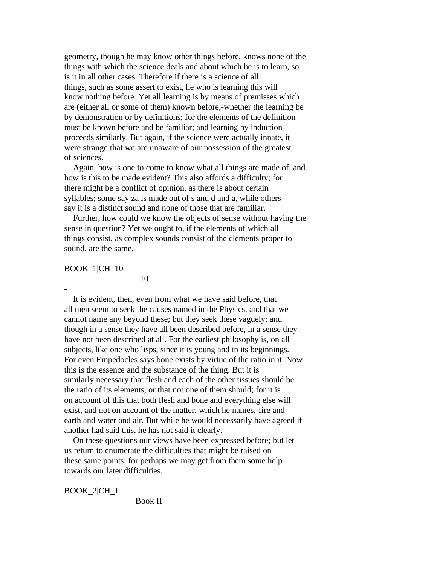geometry, though he may know other things before, knows none of the things with which the science deals and about which he is to learn, so is it in all other cases. Therefore if there is a science of all things, such as some assert to exist, he who is learning this will know nothing before. Yet all learning is by means of premisses which are (either all or some of them) known before,-whether the learning be by demonstration or by definitions; for the elements of the definition must be known before and be familiar; and learning by induction proceeds similarly. But again, if the science were actually innate, it were strange that we are unaware of our possession of the greatest of sciences.

 Again, how is one to come to know what all things are made of, and how is this to be made evident? This also affords a difficulty; for there might be a conflict of opinion, as there is about certain syllables; some say za is made out of s and d and a, while others say it is a distinct sound and none of those that are familiar.

 Further, how could we know the objects of sense without having the sense in question? Yet we ought to, if the elements of which all things consist, as complex sounds consist of the clements proper to sound, are the same.

BOOK\_1|CH\_10

-

10

 It is evident, then, even from what we have said before, that all men seem to seek the causes named in the Physics, and that we cannot name any beyond these; but they seek these vaguely; and though in a sense they have all been described before, in a sense they have not been described at all. For the earliest philosophy is, on all subjects, like one who lisps, since it is young and in its beginnings. For even Empedocles says bone exists by virtue of the ratio in it. Now this is the essence and the substance of the thing. But it is similarly necessary that flesh and each of the other tissues should be the ratio of its elements, or that not one of them should; for it is on account of this that both flesh and bone and everything else will exist, and not on account of the matter, which he names,-fire and earth and water and air. But while he would necessarily have agreed if another had said this, he has not said it clearly.

 On these questions our views have been expressed before; but let us return to enumerate the difficulties that might be raised on these same points; for perhaps we may get from them some help towards our later difficulties.

BOOK\_2|CH\_1

Book II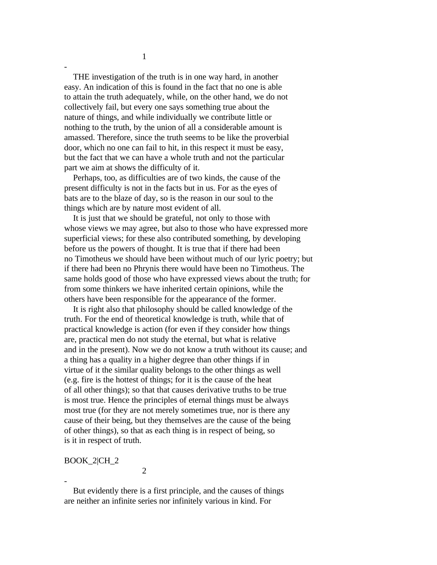THE investigation of the truth is in one way hard, in another easy. An indication of this is found in the fact that no one is able to attain the truth adequately, while, on the other hand, we do not collectively fail, but every one says something true about the nature of things, and while individually we contribute little or nothing to the truth, by the union of all a considerable amount is amassed. Therefore, since the truth seems to be like the proverbial door, which no one can fail to hit, in this respect it must be easy, but the fact that we can have a whole truth and not the particular part we aim at shows the difficulty of it.

 Perhaps, too, as difficulties are of two kinds, the cause of the present difficulty is not in the facts but in us. For as the eyes of bats are to the blaze of day, so is the reason in our soul to the things which are by nature most evident of all.

 It is just that we should be grateful, not only to those with whose views we may agree, but also to those who have expressed more superficial views; for these also contributed something, by developing before us the powers of thought. It is true that if there had been no Timotheus we should have been without much of our lyric poetry; but if there had been no Phrynis there would have been no Timotheus. The same holds good of those who have expressed views about the truth; for from some thinkers we have inherited certain opinions, while the others have been responsible for the appearance of the former.

 It is right also that philosophy should be called knowledge of the truth. For the end of theoretical knowledge is truth, while that of practical knowledge is action (for even if they consider how things are, practical men do not study the eternal, but what is relative and in the present). Now we do not know a truth without its cause; and a thing has a quality in a higher degree than other things if in virtue of it the similar quality belongs to the other things as well (e.g. fire is the hottest of things; for it is the cause of the heat of all other things); so that that causes derivative truths to be true is most true. Hence the principles of eternal things must be always most true (for they are not merely sometimes true, nor is there any cause of their being, but they themselves are the cause of the being of other things), so that as each thing is in respect of being, so is it in respect of truth.

BOOK\_2|CH\_2

-

2

 But evidently there is a first principle, and the causes of things are neither an infinite series nor infinitely various in kind. For

1

-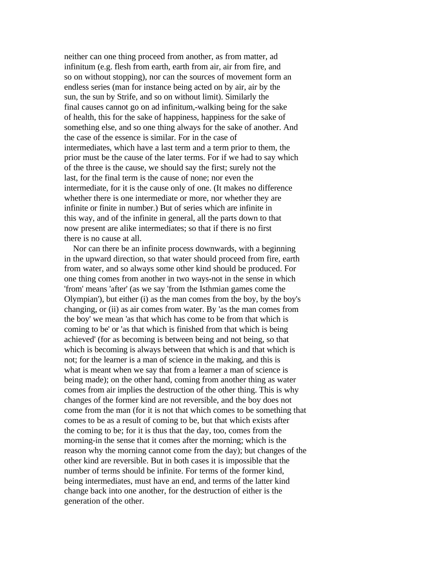neither can one thing proceed from another, as from matter, ad infinitum (e.g. flesh from earth, earth from air, air from fire, and so on without stopping), nor can the sources of movement form an endless series (man for instance being acted on by air, air by the sun, the sun by Strife, and so on without limit). Similarly the final causes cannot go on ad infinitum,-walking being for the sake of health, this for the sake of happiness, happiness for the sake of something else, and so one thing always for the sake of another. And the case of the essence is similar. For in the case of intermediates, which have a last term and a term prior to them, the prior must be the cause of the later terms. For if we had to say which of the three is the cause, we should say the first; surely not the last, for the final term is the cause of none; nor even the intermediate, for it is the cause only of one. (It makes no difference whether there is one intermediate or more, nor whether they are infinite or finite in number.) But of series which are infinite in this way, and of the infinite in general, all the parts down to that now present are alike intermediates; so that if there is no first there is no cause at all.

 Nor can there be an infinite process downwards, with a beginning in the upward direction, so that water should proceed from fire, earth from water, and so always some other kind should be produced. For one thing comes from another in two ways-not in the sense in which 'from' means 'after' (as we say 'from the Isthmian games come the Olympian'), but either (i) as the man comes from the boy, by the boy's changing, or (ii) as air comes from water. By 'as the man comes from the boy' we mean 'as that which has come to be from that which is coming to be' or 'as that which is finished from that which is being achieved' (for as becoming is between being and not being, so that which is becoming is always between that which is and that which is not; for the learner is a man of science in the making, and this is what is meant when we say that from a learner a man of science is being made); on the other hand, coming from another thing as water comes from air implies the destruction of the other thing. This is why changes of the former kind are not reversible, and the boy does not come from the man (for it is not that which comes to be something that comes to be as a result of coming to be, but that which exists after the coming to be; for it is thus that the day, too, comes from the morning-in the sense that it comes after the morning; which is the reason why the morning cannot come from the day); but changes of the other kind are reversible. But in both cases it is impossible that the number of terms should be infinite. For terms of the former kind, being intermediates, must have an end, and terms of the latter kind change back into one another, for the destruction of either is the generation of the other.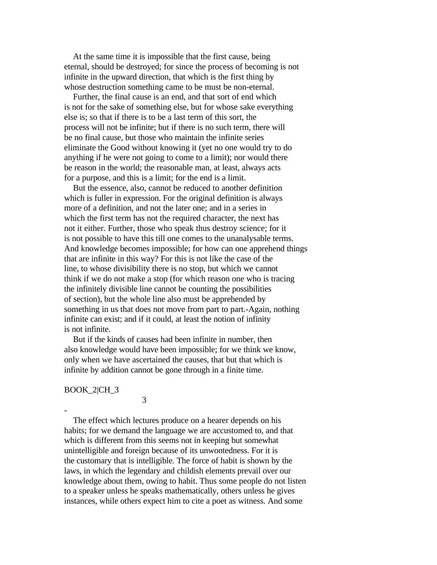At the same time it is impossible that the first cause, being eternal, should be destroyed; for since the process of becoming is not infinite in the upward direction, that which is the first thing by whose destruction something came to be must be non-eternal.

 Further, the final cause is an end, and that sort of end which is not for the sake of something else, but for whose sake everything else is; so that if there is to be a last term of this sort, the process will not be infinite; but if there is no such term, there will be no final cause, but those who maintain the infinite series eliminate the Good without knowing it (yet no one would try to do anything if he were not going to come to a limit); nor would there be reason in the world; the reasonable man, at least, always acts for a purpose, and this is a limit; for the end is a limit.

 But the essence, also, cannot be reduced to another definition which is fuller in expression. For the original definition is always more of a definition, and not the later one; and in a series in which the first term has not the required character, the next has not it either. Further, those who speak thus destroy science; for it is not possible to have this till one comes to the unanalysable terms. And knowledge becomes impossible; for how can one apprehend things that are infinite in this way? For this is not like the case of the line, to whose divisibility there is no stop, but which we cannot think if we do not make a stop (for which reason one who is tracing the infinitely divisible line cannot be counting the possibilities of section), but the whole line also must be apprehended by something in us that does not move from part to part.-Again, nothing infinite can exist; and if it could, at least the notion of infinity is not infinite.

 But if the kinds of causes had been infinite in number, then also knowledge would have been impossible; for we think we know, only when we have ascertained the causes, that but that which is infinite by addition cannot be gone through in a finite time.

### BOOK\_2|CH\_3

-

3

 The effect which lectures produce on a hearer depends on his habits; for we demand the language we are accustomed to, and that which is different from this seems not in keeping but somewhat unintelligible and foreign because of its unwontedness. For it is the customary that is intelligible. The force of habit is shown by the laws, in which the legendary and childish elements prevail over our knowledge about them, owing to habit. Thus some people do not listen to a speaker unless he speaks mathematically, others unless he gives instances, while others expect him to cite a poet as witness. And some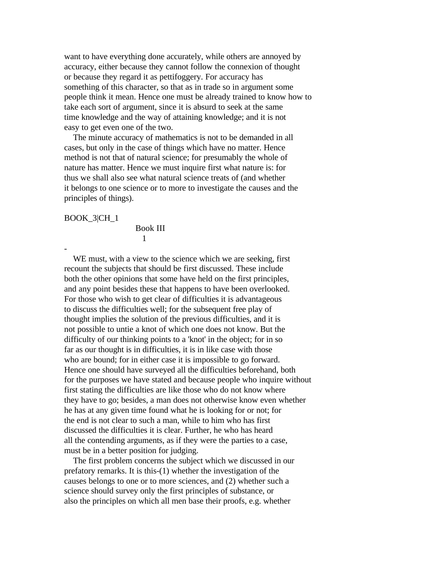want to have everything done accurately, while others are annoyed by accuracy, either because they cannot follow the connexion of thought or because they regard it as pettifoggery. For accuracy has something of this character, so that as in trade so in argument some people think it mean. Hence one must be already trained to know how to take each sort of argument, since it is absurd to seek at the same time knowledge and the way of attaining knowledge; and it is not easy to get even one of the two.

 The minute accuracy of mathematics is not to be demanded in all cases, but only in the case of things which have no matter. Hence method is not that of natural science; for presumably the whole of nature has matter. Hence we must inquire first what nature is: for thus we shall also see what natural science treats of (and whether it belongs to one science or to more to investigate the causes and the principles of things).

#### BOOK\_3|CH\_1

-

 Book III 1

WE must, with a view to the science which we are seeking, first recount the subjects that should be first discussed. These include both the other opinions that some have held on the first principles, and any point besides these that happens to have been overlooked. For those who wish to get clear of difficulties it is advantageous to discuss the difficulties well; for the subsequent free play of thought implies the solution of the previous difficulties, and it is not possible to untie a knot of which one does not know. But the difficulty of our thinking points to a 'knot' in the object; for in so far as our thought is in difficulties, it is in like case with those who are bound; for in either case it is impossible to go forward. Hence one should have surveyed all the difficulties beforehand, both for the purposes we have stated and because people who inquire without first stating the difficulties are like those who do not know where they have to go; besides, a man does not otherwise know even whether he has at any given time found what he is looking for or not; for the end is not clear to such a man, while to him who has first discussed the difficulties it is clear. Further, he who has heard all the contending arguments, as if they were the parties to a case, must be in a better position for judging.

 The first problem concerns the subject which we discussed in our prefatory remarks. It is this-(1) whether the investigation of the causes belongs to one or to more sciences, and (2) whether such a science should survey only the first principles of substance, or also the principles on which all men base their proofs, e.g. whether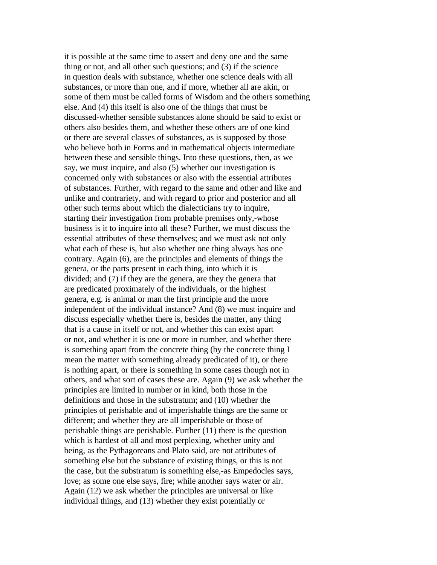it is possible at the same time to assert and deny one and the same thing or not, and all other such questions; and (3) if the science in question deals with substance, whether one science deals with all substances, or more than one, and if more, whether all are akin, or some of them must be called forms of Wisdom and the others something else. And (4) this itself is also one of the things that must be discussed-whether sensible substances alone should be said to exist or others also besides them, and whether these others are of one kind or there are several classes of substances, as is supposed by those who believe both in Forms and in mathematical objects intermediate between these and sensible things. Into these questions, then, as we say, we must inquire, and also (5) whether our investigation is concerned only with substances or also with the essential attributes of substances. Further, with regard to the same and other and like and unlike and contrariety, and with regard to prior and posterior and all other such terms about which the dialecticians try to inquire, starting their investigation from probable premises only,-whose business is it to inquire into all these? Further, we must discuss the essential attributes of these themselves; and we must ask not only what each of these is, but also whether one thing always has one contrary. Again (6), are the principles and elements of things the genera, or the parts present in each thing, into which it is divided; and (7) if they are the genera, are they the genera that are predicated proximately of the individuals, or the highest genera, e.g. is animal or man the first principle and the more independent of the individual instance? And (8) we must inquire and discuss especially whether there is, besides the matter, any thing that is a cause in itself or not, and whether this can exist apart or not, and whether it is one or more in number, and whether there is something apart from the concrete thing (by the concrete thing I mean the matter with something already predicated of it), or there is nothing apart, or there is something in some cases though not in others, and what sort of cases these are. Again (9) we ask whether the principles are limited in number or in kind, both those in the definitions and those in the substratum; and (10) whether the principles of perishable and of imperishable things are the same or different; and whether they are all imperishable or those of perishable things are perishable. Further (11) there is the question which is hardest of all and most perplexing, whether unity and being, as the Pythagoreans and Plato said, are not attributes of something else but the substance of existing things, or this is not the case, but the substratum is something else,-as Empedocles says, love; as some one else says, fire; while another says water or air. Again (12) we ask whether the principles are universal or like individual things, and (13) whether they exist potentially or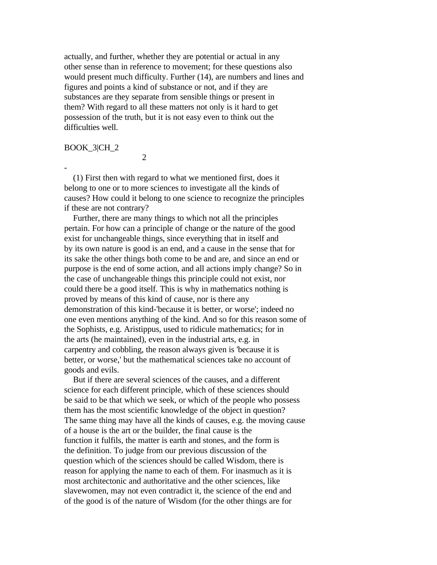actually, and further, whether they are potential or actual in any other sense than in reference to movement; for these questions also would present much difficulty. Further (14), are numbers and lines and figures and points a kind of substance or not, and if they are substances are they separate from sensible things or present in them? With regard to all these matters not only is it hard to get possession of the truth, but it is not easy even to think out the difficulties well.

BOOK 3|CH\_2

-

2

 (1) First then with regard to what we mentioned first, does it belong to one or to more sciences to investigate all the kinds of causes? How could it belong to one science to recognize the principles if these are not contrary?

 Further, there are many things to which not all the principles pertain. For how can a principle of change or the nature of the good exist for unchangeable things, since everything that in itself and by its own nature is good is an end, and a cause in the sense that for its sake the other things both come to be and are, and since an end or purpose is the end of some action, and all actions imply change? So in the case of unchangeable things this principle could not exist, nor could there be a good itself. This is why in mathematics nothing is proved by means of this kind of cause, nor is there any demonstration of this kind-'because it is better, or worse'; indeed no one even mentions anything of the kind. And so for this reason some of the Sophists, e.g. Aristippus, used to ridicule mathematics; for in the arts (he maintained), even in the industrial arts, e.g. in carpentry and cobbling, the reason always given is 'because it is better, or worse,' but the mathematical sciences take no account of goods and evils.

 But if there are several sciences of the causes, and a different science for each different principle, which of these sciences should be said to be that which we seek, or which of the people who possess them has the most scientific knowledge of the object in question? The same thing may have all the kinds of causes, e.g. the moving cause of a house is the art or the builder, the final cause is the function it fulfils, the matter is earth and stones, and the form is the definition. To judge from our previous discussion of the question which of the sciences should be called Wisdom, there is reason for applying the name to each of them. For inasmuch as it is most architectonic and authoritative and the other sciences, like slavewomen, may not even contradict it, the science of the end and of the good is of the nature of Wisdom (for the other things are for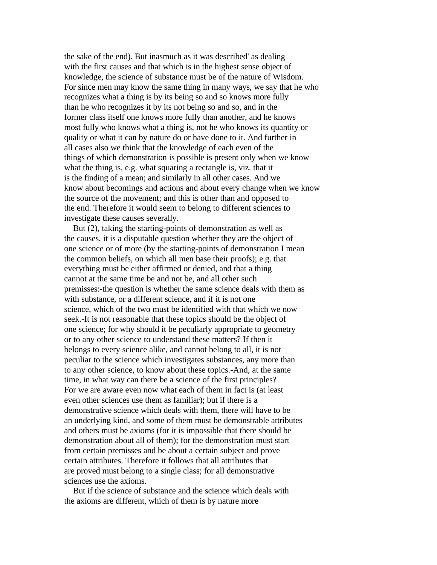the sake of the end). But inasmuch as it was described' as dealing with the first causes and that which is in the highest sense object of knowledge, the science of substance must be of the nature of Wisdom. For since men may know the same thing in many ways, we say that he who recognizes what a thing is by its being so and so knows more fully than he who recognizes it by its not being so and so, and in the former class itself one knows more fully than another, and he knows most fully who knows what a thing is, not he who knows its quantity or quality or what it can by nature do or have done to it. And further in all cases also we think that the knowledge of each even of the things of which demonstration is possible is present only when we know what the thing is, e.g. what squaring a rectangle is, viz. that it is the finding of a mean; and similarly in all other cases. And we know about becomings and actions and about every change when we know the source of the movement; and this is other than and opposed to the end. Therefore it would seem to belong to different sciences to investigate these causes severally.

 But (2), taking the starting-points of demonstration as well as the causes, it is a disputable question whether they are the object of one science or of more (by the starting-points of demonstration I mean the common beliefs, on which all men base their proofs); e.g. that everything must be either affirmed or denied, and that a thing cannot at the same time be and not be, and all other such premisses:-the question is whether the same science deals with them as with substance, or a different science, and if it is not one science, which of the two must be identified with that which we now seek.-It is not reasonable that these topics should be the object of one science; for why should it be peculiarly appropriate to geometry or to any other science to understand these matters? If then it belongs to every science alike, and cannot belong to all, it is not peculiar to the science which investigates substances, any more than to any other science, to know about these topics.-And, at the same time, in what way can there be a science of the first principles? For we are aware even now what each of them in fact is (at least even other sciences use them as familiar); but if there is a demonstrative science which deals with them, there will have to be an underlying kind, and some of them must be demonstrable attributes and others must be axioms (for it is impossible that there should be demonstration about all of them); for the demonstration must start from certain premisses and be about a certain subject and prove certain attributes. Therefore it follows that all attributes that are proved must belong to a single class; for all demonstrative sciences use the axioms.

 But if the science of substance and the science which deals with the axioms are different, which of them is by nature more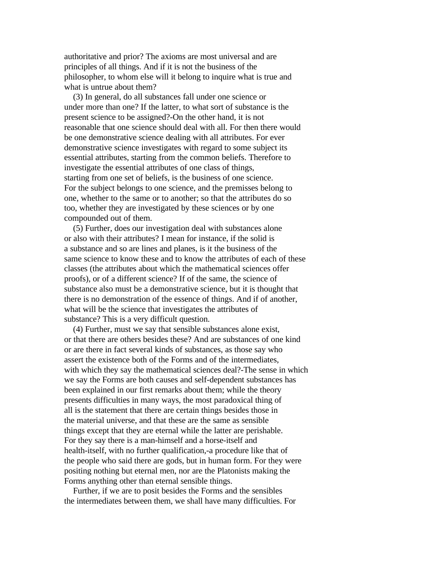authoritative and prior? The axioms are most universal and are principles of all things. And if it is not the business of the philosopher, to whom else will it belong to inquire what is true and what is untrue about them?

 (3) In general, do all substances fall under one science or under more than one? If the latter, to what sort of substance is the present science to be assigned?-On the other hand, it is not reasonable that one science should deal with all. For then there would be one demonstrative science dealing with all attributes. For ever demonstrative science investigates with regard to some subject its essential attributes, starting from the common beliefs. Therefore to investigate the essential attributes of one class of things, starting from one set of beliefs, is the business of one science. For the subject belongs to one science, and the premisses belong to one, whether to the same or to another; so that the attributes do so too, whether they are investigated by these sciences or by one compounded out of them.

 (5) Further, does our investigation deal with substances alone or also with their attributes? I mean for instance, if the solid is a substance and so are lines and planes, is it the business of the same science to know these and to know the attributes of each of these classes (the attributes about which the mathematical sciences offer proofs), or of a different science? If of the same, the science of substance also must be a demonstrative science, but it is thought that there is no demonstration of the essence of things. And if of another, what will be the science that investigates the attributes of substance? This is a very difficult question.

 (4) Further, must we say that sensible substances alone exist, or that there are others besides these? And are substances of one kind or are there in fact several kinds of substances, as those say who assert the existence both of the Forms and of the intermediates, with which they say the mathematical sciences deal?-The sense in which we say the Forms are both causes and self-dependent substances has been explained in our first remarks about them; while the theory presents difficulties in many ways, the most paradoxical thing of all is the statement that there are certain things besides those in the material universe, and that these are the same as sensible things except that they are eternal while the latter are perishable. For they say there is a man-himself and a horse-itself and health-itself, with no further qualification,-a procedure like that of the people who said there are gods, but in human form. For they were positing nothing but eternal men, nor are the Platonists making the Forms anything other than eternal sensible things.

 Further, if we are to posit besides the Forms and the sensibles the intermediates between them, we shall have many difficulties. For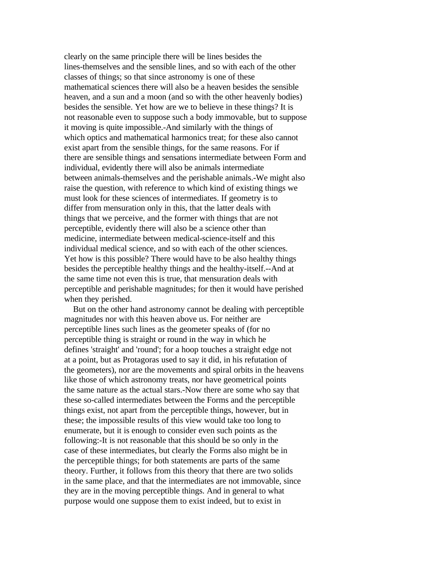clearly on the same principle there will be lines besides the lines-themselves and the sensible lines, and so with each of the other classes of things; so that since astronomy is one of these mathematical sciences there will also be a heaven besides the sensible heaven, and a sun and a moon (and so with the other heavenly bodies) besides the sensible. Yet how are we to believe in these things? It is not reasonable even to suppose such a body immovable, but to suppose it moving is quite impossible.-And similarly with the things of which optics and mathematical harmonics treat; for these also cannot exist apart from the sensible things, for the same reasons. For if there are sensible things and sensations intermediate between Form and individual, evidently there will also be animals intermediate between animals-themselves and the perishable animals.-We might also raise the question, with reference to which kind of existing things we must look for these sciences of intermediates. If geometry is to differ from mensuration only in this, that the latter deals with things that we perceive, and the former with things that are not perceptible, evidently there will also be a science other than medicine, intermediate between medical-science-itself and this individual medical science, and so with each of the other sciences. Yet how is this possible? There would have to be also healthy things besides the perceptible healthy things and the healthy-itself.--And at the same time not even this is true, that mensuration deals with perceptible and perishable magnitudes; for then it would have perished when they perished.

 But on the other hand astronomy cannot be dealing with perceptible magnitudes nor with this heaven above us. For neither are perceptible lines such lines as the geometer speaks of (for no perceptible thing is straight or round in the way in which he defines 'straight' and 'round'; for a hoop touches a straight edge not at a point, but as Protagoras used to say it did, in his refutation of the geometers), nor are the movements and spiral orbits in the heavens like those of which astronomy treats, nor have geometrical points the same nature as the actual stars.-Now there are some who say that these so-called intermediates between the Forms and the perceptible things exist, not apart from the perceptible things, however, but in these; the impossible results of this view would take too long to enumerate, but it is enough to consider even such points as the following:-It is not reasonable that this should be so only in the case of these intermediates, but clearly the Forms also might be in the perceptible things; for both statements are parts of the same theory. Further, it follows from this theory that there are two solids in the same place, and that the intermediates are not immovable, since they are in the moving perceptible things. And in general to what purpose would one suppose them to exist indeed, but to exist in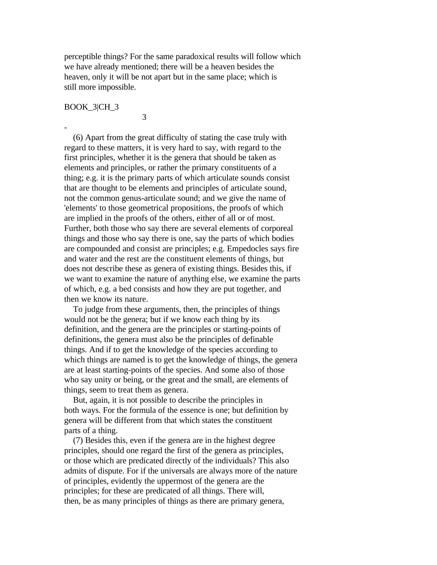perceptible things? For the same paradoxical results will follow which we have already mentioned; there will be a heaven besides the heaven, only it will be not apart but in the same place; which is still more impossible.

# BOOK 3 CH 3

-

3

 (6) Apart from the great difficulty of stating the case truly with regard to these matters, it is very hard to say, with regard to the first principles, whether it is the genera that should be taken as elements and principles, or rather the primary constituents of a thing; e.g. it is the primary parts of which articulate sounds consist that are thought to be elements and principles of articulate sound, not the common genus-articulate sound; and we give the name of 'elements' to those geometrical propositions, the proofs of which are implied in the proofs of the others, either of all or of most. Further, both those who say there are several elements of corporeal things and those who say there is one, say the parts of which bodies are compounded and consist are principles; e.g. Empedocles says fire and water and the rest are the constituent elements of things, but does not describe these as genera of existing things. Besides this, if we want to examine the nature of anything else, we examine the parts of which, e.g. a bed consists and how they are put together, and then we know its nature.

 To judge from these arguments, then, the principles of things would not be the genera; but if we know each thing by its definition, and the genera are the principles or starting-points of definitions, the genera must also be the principles of definable things. And if to get the knowledge of the species according to which things are named is to get the knowledge of things, the genera are at least starting-points of the species. And some also of those who say unity or being, or the great and the small, are elements of things, seem to treat them as genera.

 But, again, it is not possible to describe the principles in both ways. For the formula of the essence is one; but definition by genera will be different from that which states the constituent parts of a thing.

 (7) Besides this, even if the genera are in the highest degree principles, should one regard the first of the genera as principles, or those which are predicated directly of the individuals? This also admits of dispute. For if the universals are always more of the nature of principles, evidently the uppermost of the genera are the principles; for these are predicated of all things. There will, then, be as many principles of things as there are primary genera,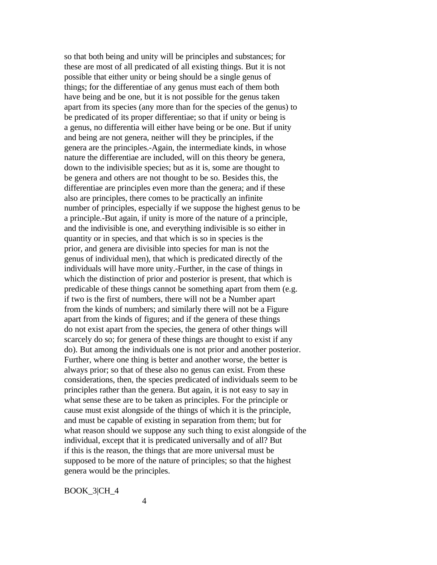so that both being and unity will be principles and substances; for these are most of all predicated of all existing things. But it is not possible that either unity or being should be a single genus of things; for the differentiae of any genus must each of them both have being and be one, but it is not possible for the genus taken apart from its species (any more than for the species of the genus) to be predicated of its proper differentiae; so that if unity or being is a genus, no differentia will either have being or be one. But if unity and being are not genera, neither will they be principles, if the genera are the principles.-Again, the intermediate kinds, in whose nature the differentiae are included, will on this theory be genera, down to the indivisible species; but as it is, some are thought to be genera and others are not thought to be so. Besides this, the differentiae are principles even more than the genera; and if these also are principles, there comes to be practically an infinite number of principles, especially if we suppose the highest genus to be a principle.-But again, if unity is more of the nature of a principle, and the indivisible is one, and everything indivisible is so either in quantity or in species, and that which is so in species is the prior, and genera are divisible into species for man is not the genus of individual men), that which is predicated directly of the individuals will have more unity.-Further, in the case of things in which the distinction of prior and posterior is present, that which is predicable of these things cannot be something apart from them (e.g. if two is the first of numbers, there will not be a Number apart from the kinds of numbers; and similarly there will not be a Figure apart from the kinds of figures; and if the genera of these things do not exist apart from the species, the genera of other things will scarcely do so; for genera of these things are thought to exist if any do). But among the individuals one is not prior and another posterior. Further, where one thing is better and another worse, the better is always prior; so that of these also no genus can exist. From these considerations, then, the species predicated of individuals seem to be principles rather than the genera. But again, it is not easy to say in what sense these are to be taken as principles. For the principle or cause must exist alongside of the things of which it is the principle, and must be capable of existing in separation from them; but for what reason should we suppose any such thing to exist alongside of the individual, except that it is predicated universally and of all? But if this is the reason, the things that are more universal must be supposed to be more of the nature of principles; so that the highest genera would be the principles.

BOOK 3|CH\_4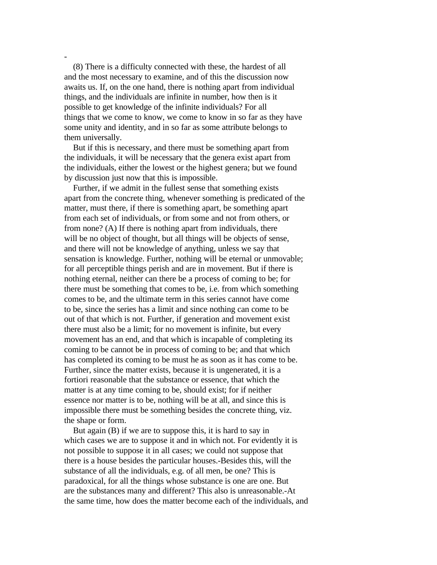(8) There is a difficulty connected with these, the hardest of all and the most necessary to examine, and of this the discussion now awaits us. If, on the one hand, there is nothing apart from individual things, and the individuals are infinite in number, how then is it possible to get knowledge of the infinite individuals? For all things that we come to know, we come to know in so far as they have some unity and identity, and in so far as some attribute belongs to them universally.

-

 But if this is necessary, and there must be something apart from the individuals, it will be necessary that the genera exist apart from the individuals, either the lowest or the highest genera; but we found by discussion just now that this is impossible.

 Further, if we admit in the fullest sense that something exists apart from the concrete thing, whenever something is predicated of the matter, must there, if there is something apart, be something apart from each set of individuals, or from some and not from others, or from none? (A) If there is nothing apart from individuals, there will be no object of thought, but all things will be objects of sense, and there will not be knowledge of anything, unless we say that sensation is knowledge. Further, nothing will be eternal or unmovable; for all perceptible things perish and are in movement. But if there is nothing eternal, neither can there be a process of coming to be; for there must be something that comes to be, i.e. from which something comes to be, and the ultimate term in this series cannot have come to be, since the series has a limit and since nothing can come to be out of that which is not. Further, if generation and movement exist there must also be a limit; for no movement is infinite, but every movement has an end, and that which is incapable of completing its coming to be cannot be in process of coming to be; and that which has completed its coming to be must he as soon as it has come to be. Further, since the matter exists, because it is ungenerated, it is a fortiori reasonable that the substance or essence, that which the matter is at any time coming to be, should exist; for if neither essence nor matter is to be, nothing will be at all, and since this is impossible there must be something besides the concrete thing, viz. the shape or form.

 But again (B) if we are to suppose this, it is hard to say in which cases we are to suppose it and in which not. For evidently it is not possible to suppose it in all cases; we could not suppose that there is a house besides the particular houses.-Besides this, will the substance of all the individuals, e.g. of all men, be one? This is paradoxical, for all the things whose substance is one are one. But are the substances many and different? This also is unreasonable.-At the same time, how does the matter become each of the individuals, and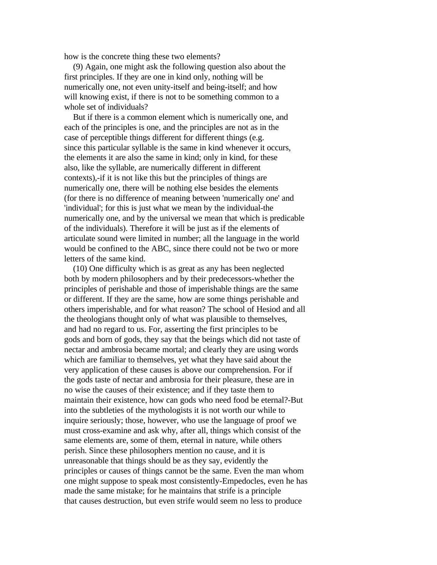how is the concrete thing these two elements?

 (9) Again, one might ask the following question also about the first principles. If they are one in kind only, nothing will be numerically one, not even unity-itself and being-itself; and how will knowing exist, if there is not to be something common to a whole set of individuals?

 But if there is a common element which is numerically one, and each of the principles is one, and the principles are not as in the case of perceptible things different for different things (e.g. since this particular syllable is the same in kind whenever it occurs, the elements it are also the same in kind; only in kind, for these also, like the syllable, are numerically different in different contexts),-if it is not like this but the principles of things are numerically one, there will be nothing else besides the elements (for there is no difference of meaning between 'numerically one' and 'individual'; for this is just what we mean by the individual-the numerically one, and by the universal we mean that which is predicable of the individuals). Therefore it will be just as if the elements of articulate sound were limited in number; all the language in the world would be confined to the ABC, since there could not be two or more letters of the same kind.

 (10) One difficulty which is as great as any has been neglected both by modern philosophers and by their predecessors-whether the principles of perishable and those of imperishable things are the same or different. If they are the same, how are some things perishable and others imperishable, and for what reason? The school of Hesiod and all the theologians thought only of what was plausible to themselves, and had no regard to us. For, asserting the first principles to be gods and born of gods, they say that the beings which did not taste of nectar and ambrosia became mortal; and clearly they are using words which are familiar to themselves, yet what they have said about the very application of these causes is above our comprehension. For if the gods taste of nectar and ambrosia for their pleasure, these are in no wise the causes of their existence; and if they taste them to maintain their existence, how can gods who need food be eternal?-But into the subtleties of the mythologists it is not worth our while to inquire seriously; those, however, who use the language of proof we must cross-examine and ask why, after all, things which consist of the same elements are, some of them, eternal in nature, while others perish. Since these philosophers mention no cause, and it is unreasonable that things should be as they say, evidently the principles or causes of things cannot be the same. Even the man whom one might suppose to speak most consistently-Empedocles, even he has made the same mistake; for he maintains that strife is a principle that causes destruction, but even strife would seem no less to produce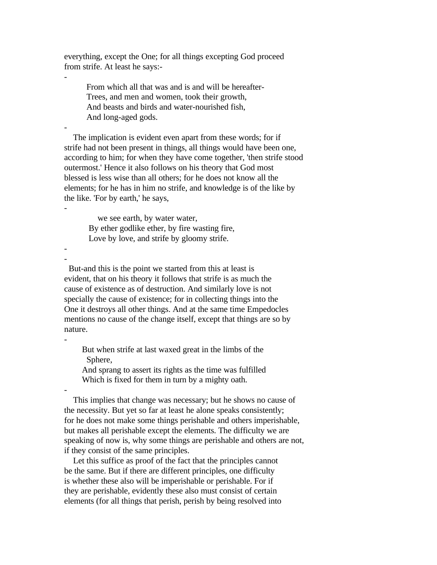everything, except the One; for all things excepting God proceed from strife. At least he says:-

 From which all that was and is and will be hereafter- Trees, and men and women, took their growth, And beasts and birds and water-nourished fish, And long-aged gods.

 The implication is evident even apart from these words; for if strife had not been present in things, all things would have been one, according to him; for when they have come together, 'then strife stood outermost.' Hence it also follows on his theory that God most blessed is less wise than all others; for he does not know all the elements; for he has in him no strife, and knowledge is of the like by the like. 'For by earth,' he says,

 we see earth, by water water, By ether godlike ether, by fire wasting fire, Love by love, and strife by gloomy strife.

- -

-

-

-

 But-and this is the point we started from this at least is evident, that on his theory it follows that strife is as much the cause of existence as of destruction. And similarly love is not specially the cause of existence; for in collecting things into the One it destroys all other things. And at the same time Empedocles mentions no cause of the change itself, except that things are so by nature.

-

-

 But when strife at last waxed great in the limbs of the Sphere,

 And sprang to assert its rights as the time was fulfilled Which is fixed for them in turn by a mighty oath.

 This implies that change was necessary; but he shows no cause of the necessity. But yet so far at least he alone speaks consistently; for he does not make some things perishable and others imperishable, but makes all perishable except the elements. The difficulty we are speaking of now is, why some things are perishable and others are not, if they consist of the same principles.

 Let this suffice as proof of the fact that the principles cannot be the same. But if there are different principles, one difficulty is whether these also will be imperishable or perishable. For if they are perishable, evidently these also must consist of certain elements (for all things that perish, perish by being resolved into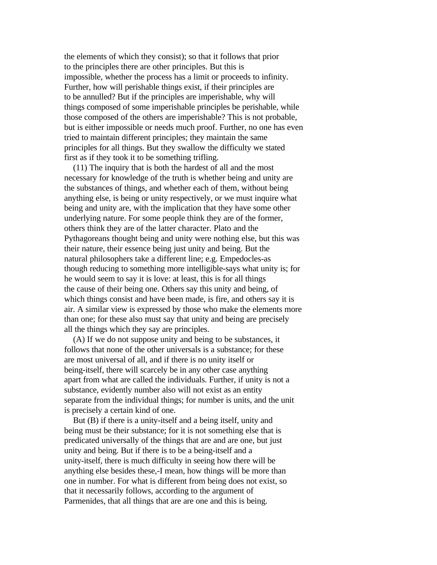the elements of which they consist); so that it follows that prior to the principles there are other principles. But this is impossible, whether the process has a limit or proceeds to infinity. Further, how will perishable things exist, if their principles are to be annulled? But if the principles are imperishable, why will things composed of some imperishable principles be perishable, while those composed of the others are imperishable? This is not probable, but is either impossible or needs much proof. Further, no one has even tried to maintain different principles; they maintain the same principles for all things. But they swallow the difficulty we stated first as if they took it to be something trifling.

 (11) The inquiry that is both the hardest of all and the most necessary for knowledge of the truth is whether being and unity are the substances of things, and whether each of them, without being anything else, is being or unity respectively, or we must inquire what being and unity are, with the implication that they have some other underlying nature. For some people think they are of the former, others think they are of the latter character. Plato and the Pythagoreans thought being and unity were nothing else, but this was their nature, their essence being just unity and being. But the natural philosophers take a different line; e.g. Empedocles-as though reducing to something more intelligible-says what unity is; for he would seem to say it is love: at least, this is for all things the cause of their being one. Others say this unity and being, of which things consist and have been made, is fire, and others say it is air. A similar view is expressed by those who make the elements more than one; for these also must say that unity and being are precisely all the things which they say are principles.

 (A) If we do not suppose unity and being to be substances, it follows that none of the other universals is a substance; for these are most universal of all, and if there is no unity itself or being-itself, there will scarcely be in any other case anything apart from what are called the individuals. Further, if unity is not a substance, evidently number also will not exist as an entity separate from the individual things; for number is units, and the unit is precisely a certain kind of one.

 But (B) if there is a unity-itself and a being itself, unity and being must be their substance; for it is not something else that is predicated universally of the things that are and are one, but just unity and being. But if there is to be a being-itself and a unity-itself, there is much difficulty in seeing how there will be anything else besides these,-I mean, how things will be more than one in number. For what is different from being does not exist, so that it necessarily follows, according to the argument of Parmenides, that all things that are are one and this is being.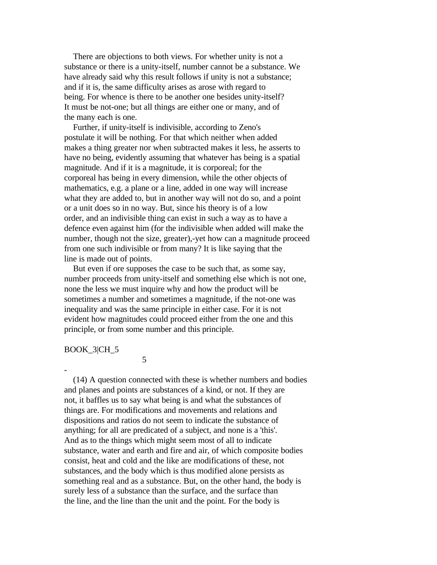There are objections to both views. For whether unity is not a substance or there is a unity-itself, number cannot be a substance. We have already said why this result follows if unity is not a substance; and if it is, the same difficulty arises as arose with regard to being. For whence is there to be another one besides unity-itself? It must be not-one; but all things are either one or many, and of the many each is one.

 Further, if unity-itself is indivisible, according to Zeno's postulate it will be nothing. For that which neither when added makes a thing greater nor when subtracted makes it less, he asserts to have no being, evidently assuming that whatever has being is a spatial magnitude. And if it is a magnitude, it is corporeal; for the corporeal has being in every dimension, while the other objects of mathematics, e.g. a plane or a line, added in one way will increase what they are added to, but in another way will not do so, and a point or a unit does so in no way. But, since his theory is of a low order, and an indivisible thing can exist in such a way as to have a defence even against him (for the indivisible when added will make the number, though not the size, greater),-yet how can a magnitude proceed from one such indivisible or from many? It is like saying that the line is made out of points.

 But even if ore supposes the case to be such that, as some say, number proceeds from unity-itself and something else which is not one, none the less we must inquire why and how the product will be sometimes a number and sometimes a magnitude, if the not-one was inequality and was the same principle in either case. For it is not evident how magnitudes could proceed either from the one and this principle, or from some number and this principle.

BOOK\_3|CH\_5

-

5

 (14) A question connected with these is whether numbers and bodies and planes and points are substances of a kind, or not. If they are not, it baffles us to say what being is and what the substances of things are. For modifications and movements and relations and dispositions and ratios do not seem to indicate the substance of anything; for all are predicated of a subject, and none is a 'this'. And as to the things which might seem most of all to indicate substance, water and earth and fire and air, of which composite bodies consist, heat and cold and the like are modifications of these, not substances, and the body which is thus modified alone persists as something real and as a substance. But, on the other hand, the body is surely less of a substance than the surface, and the surface than the line, and the line than the unit and the point. For the body is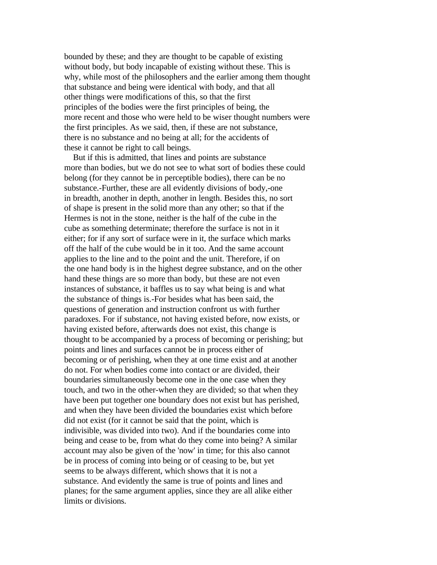bounded by these; and they are thought to be capable of existing without body, but body incapable of existing without these. This is why, while most of the philosophers and the earlier among them thought that substance and being were identical with body, and that all other things were modifications of this, so that the first principles of the bodies were the first principles of being, the more recent and those who were held to be wiser thought numbers were the first principles. As we said, then, if these are not substance, there is no substance and no being at all; for the accidents of these it cannot be right to call beings.

 But if this is admitted, that lines and points are substance more than bodies, but we do not see to what sort of bodies these could belong (for they cannot be in perceptible bodies), there can be no substance.-Further, these are all evidently divisions of body,-one in breadth, another in depth, another in length. Besides this, no sort of shape is present in the solid more than any other; so that if the Hermes is not in the stone, neither is the half of the cube in the cube as something determinate; therefore the surface is not in it either; for if any sort of surface were in it, the surface which marks off the half of the cube would be in it too. And the same account applies to the line and to the point and the unit. Therefore, if on the one hand body is in the highest degree substance, and on the other hand these things are so more than body, but these are not even instances of substance, it baffles us to say what being is and what the substance of things is.-For besides what has been said, the questions of generation and instruction confront us with further paradoxes. For if substance, not having existed before, now exists, or having existed before, afterwards does not exist, this change is thought to be accompanied by a process of becoming or perishing; but points and lines and surfaces cannot be in process either of becoming or of perishing, when they at one time exist and at another do not. For when bodies come into contact or are divided, their boundaries simultaneously become one in the one case when they touch, and two in the other-when they are divided; so that when they have been put together one boundary does not exist but has perished, and when they have been divided the boundaries exist which before did not exist (for it cannot be said that the point, which is indivisible, was divided into two). And if the boundaries come into being and cease to be, from what do they come into being? A similar account may also be given of the 'now' in time; for this also cannot be in process of coming into being or of ceasing to be, but yet seems to be always different, which shows that it is not a substance. And evidently the same is true of points and lines and planes; for the same argument applies, since they are all alike either limits or divisions.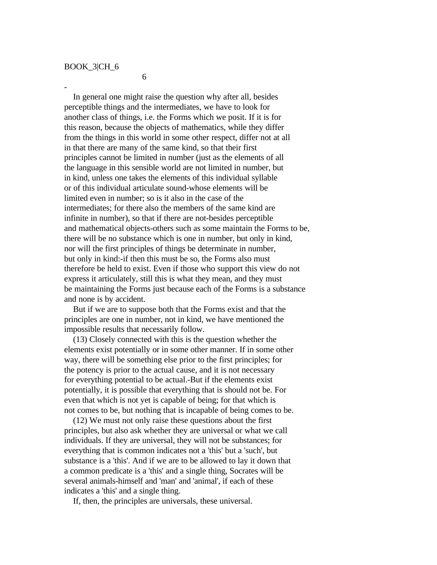-

6

 In general one might raise the question why after all, besides perceptible things and the intermediates, we have to look for another class of things, i.e. the Forms which we posit. If it is for this reason, because the objects of mathematics, while they differ from the things in this world in some other respect, differ not at all in that there are many of the same kind, so that their first principles cannot be limited in number (just as the elements of all the language in this sensible world are not limited in number, but in kind, unless one takes the elements of this individual syllable or of this individual articulate sound-whose elements will be limited even in number; so is it also in the case of the intermediates; for there also the members of the same kind are infinite in number), so that if there are not-besides perceptible and mathematical objects-others such as some maintain the Forms to be, there will be no substance which is one in number, but only in kind, nor will the first principles of things be determinate in number, but only in kind:-if then this must be so, the Forms also must therefore be held to exist. Even if those who support this view do not express it articulately, still this is what they mean, and they must be maintaining the Forms just because each of the Forms is a substance and none is by accident.

 But if we are to suppose both that the Forms exist and that the principles are one in number, not in kind, we have mentioned the impossible results that necessarily follow.

 (13) Closely connected with this is the question whether the elements exist potentially or in some other manner. If in some other way, there will be something else prior to the first principles; for the potency is prior to the actual cause, and it is not necessary for everything potential to be actual.-But if the elements exist potentially, it is possible that everything that is should not be. For even that which is not yet is capable of being; for that which is not comes to be, but nothing that is incapable of being comes to be.

 (12) We must not only raise these questions about the first principles, but also ask whether they are universal or what we call individuals. If they are universal, they will not be substances; for everything that is common indicates not a 'this' but a 'such', but substance is a 'this'. And if we are to be allowed to lay it down that a common predicate is a 'this' and a single thing, Socrates will be several animals-himself and 'man' and 'animal', if each of these indicates a 'this' and a single thing.

If, then, the principles are universals, these universal.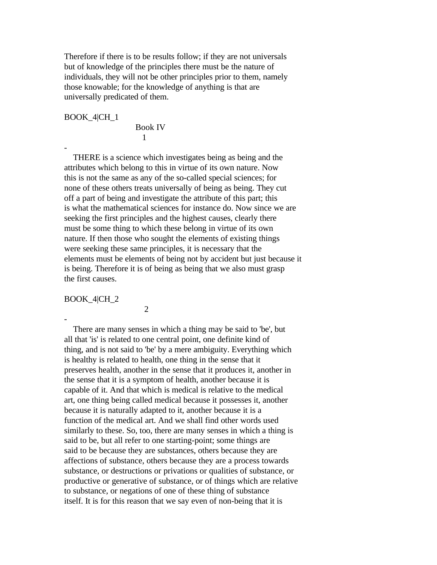Therefore if there is to be results follow; if they are not universals but of knowledge of the principles there must be the nature of individuals, they will not be other principles prior to them, namely those knowable; for the knowledge of anything is that are universally predicated of them.

BOOK\_4|CH\_1

-

 Book IV 1

 THERE is a science which investigates being as being and the attributes which belong to this in virtue of its own nature. Now this is not the same as any of the so-called special sciences; for none of these others treats universally of being as being. They cut off a part of being and investigate the attribute of this part; this is what the mathematical sciences for instance do. Now since we are seeking the first principles and the highest causes, clearly there must be some thing to which these belong in virtue of its own nature. If then those who sought the elements of existing things were seeking these same principles, it is necessary that the elements must be elements of being not by accident but just because it is being. Therefore it is of being as being that we also must grasp the first causes.

BOOK\_4|CH\_2

-

2

 There are many senses in which a thing may be said to 'be', but all that 'is' is related to one central point, one definite kind of thing, and is not said to 'be' by a mere ambiguity. Everything which is healthy is related to health, one thing in the sense that it preserves health, another in the sense that it produces it, another in the sense that it is a symptom of health, another because it is capable of it. And that which is medical is relative to the medical art, one thing being called medical because it possesses it, another because it is naturally adapted to it, another because it is a function of the medical art. And we shall find other words used similarly to these. So, too, there are many senses in which a thing is said to be, but all refer to one starting-point; some things are said to be because they are substances, others because they are affections of substance, others because they are a process towards substance, or destructions or privations or qualities of substance, or productive or generative of substance, or of things which are relative to substance, or negations of one of these thing of substance itself. It is for this reason that we say even of non-being that it is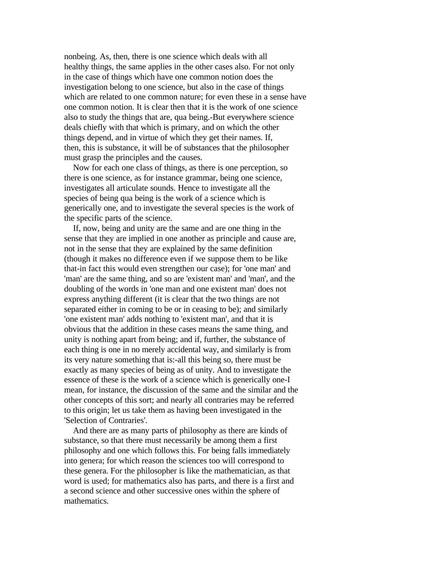nonbeing. As, then, there is one science which deals with all healthy things, the same applies in the other cases also. For not only in the case of things which have one common notion does the investigation belong to one science, but also in the case of things which are related to one common nature; for even these in a sense have one common notion. It is clear then that it is the work of one science also to study the things that are, qua being.-But everywhere science deals chiefly with that which is primary, and on which the other things depend, and in virtue of which they get their names. If, then, this is substance, it will be of substances that the philosopher must grasp the principles and the causes.

 Now for each one class of things, as there is one perception, so there is one science, as for instance grammar, being one science, investigates all articulate sounds. Hence to investigate all the species of being qua being is the work of a science which is generically one, and to investigate the several species is the work of the specific parts of the science.

 If, now, being and unity are the same and are one thing in the sense that they are implied in one another as principle and cause are, not in the sense that they are explained by the same definition (though it makes no difference even if we suppose them to be like that-in fact this would even strengthen our case); for 'one man' and 'man' are the same thing, and so are 'existent man' and 'man', and the doubling of the words in 'one man and one existent man' does not express anything different (it is clear that the two things are not separated either in coming to be or in ceasing to be); and similarly 'one existent man' adds nothing to 'existent man', and that it is obvious that the addition in these cases means the same thing, and unity is nothing apart from being; and if, further, the substance of each thing is one in no merely accidental way, and similarly is from its very nature something that is:-all this being so, there must be exactly as many species of being as of unity. And to investigate the essence of these is the work of a science which is generically one-I mean, for instance, the discussion of the same and the similar and the other concepts of this sort; and nearly all contraries may be referred to this origin; let us take them as having been investigated in the 'Selection of Contraries'.

 And there are as many parts of philosophy as there are kinds of substance, so that there must necessarily be among them a first philosophy and one which follows this. For being falls immediately into genera; for which reason the sciences too will correspond to these genera. For the philosopher is like the mathematician, as that word is used; for mathematics also has parts, and there is a first and a second science and other successive ones within the sphere of mathematics.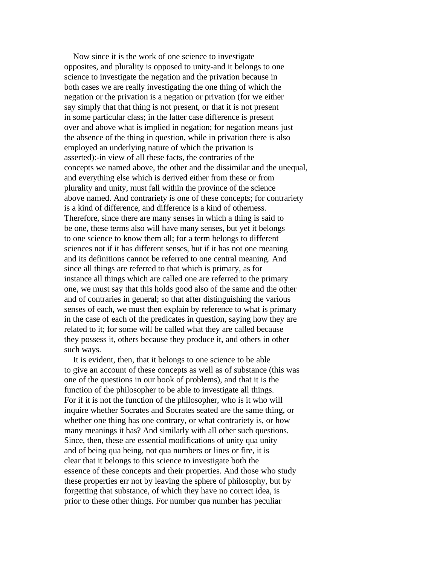Now since it is the work of one science to investigate opposites, and plurality is opposed to unity-and it belongs to one science to investigate the negation and the privation because in both cases we are really investigating the one thing of which the negation or the privation is a negation or privation (for we either say simply that that thing is not present, or that it is not present in some particular class; in the latter case difference is present over and above what is implied in negation; for negation means just the absence of the thing in question, while in privation there is also employed an underlying nature of which the privation is asserted):-in view of all these facts, the contraries of the concepts we named above, the other and the dissimilar and the unequal, and everything else which is derived either from these or from plurality and unity, must fall within the province of the science above named. And contrariety is one of these concepts; for contrariety is a kind of difference, and difference is a kind of otherness. Therefore, since there are many senses in which a thing is said to be one, these terms also will have many senses, but yet it belongs to one science to know them all; for a term belongs to different sciences not if it has different senses, but if it has not one meaning and its definitions cannot be referred to one central meaning. And since all things are referred to that which is primary, as for instance all things which are called one are referred to the primary one, we must say that this holds good also of the same and the other and of contraries in general; so that after distinguishing the various senses of each, we must then explain by reference to what is primary in the case of each of the predicates in question, saying how they are related to it; for some will be called what they are called because they possess it, others because they produce it, and others in other such ways.

 It is evident, then, that it belongs to one science to be able to give an account of these concepts as well as of substance (this was one of the questions in our book of problems), and that it is the function of the philosopher to be able to investigate all things. For if it is not the function of the philosopher, who is it who will inquire whether Socrates and Socrates seated are the same thing, or whether one thing has one contrary, or what contrariety is, or how many meanings it has? And similarly with all other such questions. Since, then, these are essential modifications of unity qua unity and of being qua being, not qua numbers or lines or fire, it is clear that it belongs to this science to investigate both the essence of these concepts and their properties. And those who study these properties err not by leaving the sphere of philosophy, but by forgetting that substance, of which they have no correct idea, is prior to these other things. For number qua number has peculiar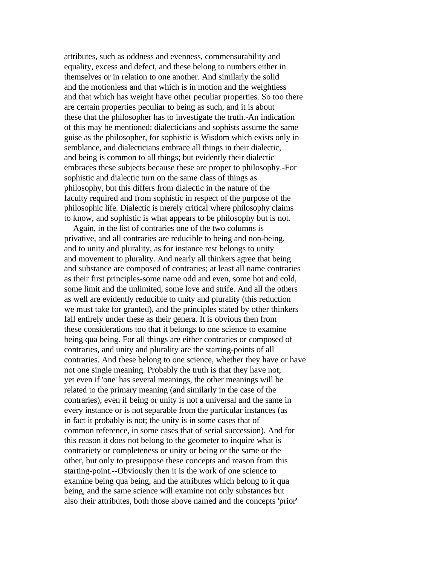attributes, such as oddness and evenness, commensurability and equality, excess and defect, and these belong to numbers either in themselves or in relation to one another. And similarly the solid and the motionless and that which is in motion and the weightless and that which has weight have other peculiar properties. So too there are certain properties peculiar to being as such, and it is about these that the philosopher has to investigate the truth.-An indication of this may be mentioned: dialecticians and sophists assume the same guise as the philosopher, for sophistic is Wisdom which exists only in semblance, and dialecticians embrace all things in their dialectic, and being is common to all things; but evidently their dialectic embraces these subjects because these are proper to philosophy.-For sophistic and dialectic turn on the same class of things as philosophy, but this differs from dialectic in the nature of the faculty required and from sophistic in respect of the purpose of the philosophic life. Dialectic is merely critical where philosophy claims to know, and sophistic is what appears to be philosophy but is not.

 Again, in the list of contraries one of the two columns is privative, and all contraries are reducible to being and non-being, and to unity and plurality, as for instance rest belongs to unity and movement to plurality. And nearly all thinkers agree that being and substance are composed of contraries; at least all name contraries as their first principles-some name odd and even, some hot and cold, some limit and the unlimited, some love and strife. And all the others as well are evidently reducible to unity and plurality (this reduction we must take for granted), and the principles stated by other thinkers fall entirely under these as their genera. It is obvious then from these considerations too that it belongs to one science to examine being qua being. For all things are either contraries or composed of contraries, and unity and plurality are the starting-points of all contraries. And these belong to one science, whether they have or have not one single meaning. Probably the truth is that they have not; yet even if 'one' has several meanings, the other meanings will be related to the primary meaning (and similarly in the case of the contraries), even if being or unity is not a universal and the same in every instance or is not separable from the particular instances (as in fact it probably is not; the unity is in some cases that of common reference, in some cases that of serial succession). And for this reason it does not belong to the geometer to inquire what is contrariety or completeness or unity or being or the same or the other, but only to presuppose these concepts and reason from this starting-point.--Obviously then it is the work of one science to examine being qua being, and the attributes which belong to it qua being, and the same science will examine not only substances but also their attributes, both those above named and the concepts 'prior'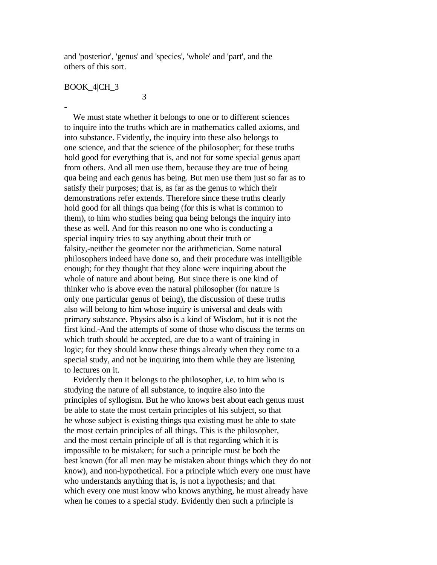and 'posterior', 'genus' and 'species', 'whole' and 'part', and the others of this sort.

# BOOK\_4|CH\_3

-

3

 We must state whether it belongs to one or to different sciences to inquire into the truths which are in mathematics called axioms, and into substance. Evidently, the inquiry into these also belongs to one science, and that the science of the philosopher; for these truths hold good for everything that is, and not for some special genus apart from others. And all men use them, because they are true of being qua being and each genus has being. But men use them just so far as to satisfy their purposes; that is, as far as the genus to which their demonstrations refer extends. Therefore since these truths clearly hold good for all things qua being (for this is what is common to them), to him who studies being qua being belongs the inquiry into these as well. And for this reason no one who is conducting a special inquiry tries to say anything about their truth or falsity,-neither the geometer nor the arithmetician. Some natural philosophers indeed have done so, and their procedure was intelligible enough; for they thought that they alone were inquiring about the whole of nature and about being. But since there is one kind of thinker who is above even the natural philosopher (for nature is only one particular genus of being), the discussion of these truths also will belong to him whose inquiry is universal and deals with primary substance. Physics also is a kind of Wisdom, but it is not the first kind.-And the attempts of some of those who discuss the terms on which truth should be accepted, are due to a want of training in logic; for they should know these things already when they come to a special study, and not be inquiring into them while they are listening to lectures on it.

 Evidently then it belongs to the philosopher, i.e. to him who is studying the nature of all substance, to inquire also into the principles of syllogism. But he who knows best about each genus must be able to state the most certain principles of his subject, so that he whose subject is existing things qua existing must be able to state the most certain principles of all things. This is the philosopher, and the most certain principle of all is that regarding which it is impossible to be mistaken; for such a principle must be both the best known (for all men may be mistaken about things which they do not know), and non-hypothetical. For a principle which every one must have who understands anything that is, is not a hypothesis; and that which every one must know who knows anything, he must already have when he comes to a special study. Evidently then such a principle is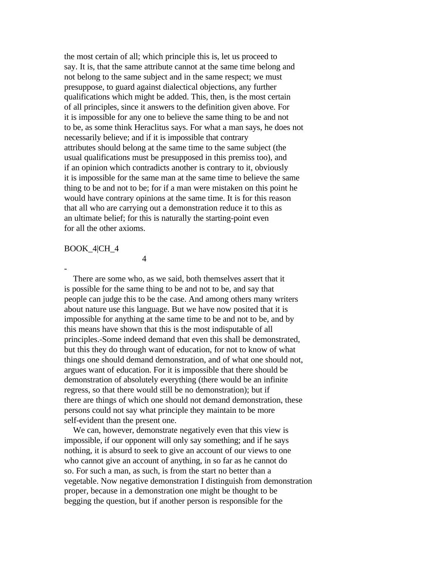the most certain of all; which principle this is, let us proceed to say. It is, that the same attribute cannot at the same time belong and not belong to the same subject and in the same respect; we must presuppose, to guard against dialectical objections, any further qualifications which might be added. This, then, is the most certain of all principles, since it answers to the definition given above. For it is impossible for any one to believe the same thing to be and not to be, as some think Heraclitus says. For what a man says, he does not necessarily believe; and if it is impossible that contrary attributes should belong at the same time to the same subject (the usual qualifications must be presupposed in this premiss too), and if an opinion which contradicts another is contrary to it, obviously it is impossible for the same man at the same time to believe the same thing to be and not to be; for if a man were mistaken on this point he would have contrary opinions at the same time. It is for this reason that all who are carrying out a demonstration reduce it to this as an ultimate belief; for this is naturally the starting-point even for all the other axioms.

#### BOOK\_4|CH\_4

-

4

 There are some who, as we said, both themselves assert that it is possible for the same thing to be and not to be, and say that people can judge this to be the case. And among others many writers about nature use this language. But we have now posited that it is impossible for anything at the same time to be and not to be, and by this means have shown that this is the most indisputable of all principles.-Some indeed demand that even this shall be demonstrated, but this they do through want of education, for not to know of what things one should demand demonstration, and of what one should not, argues want of education. For it is impossible that there should be demonstration of absolutely everything (there would be an infinite regress, so that there would still be no demonstration); but if there are things of which one should not demand demonstration, these persons could not say what principle they maintain to be more self-evident than the present one.

We can, however, demonstrate negatively even that this view is impossible, if our opponent will only say something; and if he says nothing, it is absurd to seek to give an account of our views to one who cannot give an account of anything, in so far as he cannot do so. For such a man, as such, is from the start no better than a vegetable. Now negative demonstration I distinguish from demonstration proper, because in a demonstration one might be thought to be begging the question, but if another person is responsible for the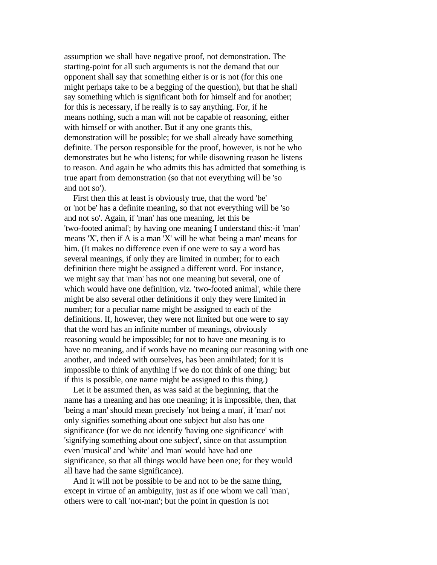assumption we shall have negative proof, not demonstration. The starting-point for all such arguments is not the demand that our opponent shall say that something either is or is not (for this one might perhaps take to be a begging of the question), but that he shall say something which is significant both for himself and for another; for this is necessary, if he really is to say anything. For, if he means nothing, such a man will not be capable of reasoning, either with himself or with another. But if any one grants this, demonstration will be possible; for we shall already have something definite. The person responsible for the proof, however, is not he who demonstrates but he who listens; for while disowning reason he listens to reason. And again he who admits this has admitted that something is true apart from demonstration (so that not everything will be 'so and not so').

 First then this at least is obviously true, that the word 'be' or 'not be' has a definite meaning, so that not everything will be 'so and not so'. Again, if 'man' has one meaning, let this be 'two-footed animal'; by having one meaning I understand this:-if 'man' means 'X', then if A is a man 'X' will be what 'being a man' means for him. (It makes no difference even if one were to say a word has several meanings, if only they are limited in number; for to each definition there might be assigned a different word. For instance, we might say that 'man' has not one meaning but several, one of which would have one definition, viz. 'two-footed animal', while there might be also several other definitions if only they were limited in number; for a peculiar name might be assigned to each of the definitions. If, however, they were not limited but one were to say that the word has an infinite number of meanings, obviously reasoning would be impossible; for not to have one meaning is to have no meaning, and if words have no meaning our reasoning with one another, and indeed with ourselves, has been annihilated; for it is impossible to think of anything if we do not think of one thing; but if this is possible, one name might be assigned to this thing.)

 Let it be assumed then, as was said at the beginning, that the name has a meaning and has one meaning; it is impossible, then, that 'being a man' should mean precisely 'not being a man', if 'man' not only signifies something about one subject but also has one significance (for we do not identify 'having one significance' with 'signifying something about one subject', since on that assumption even 'musical' and 'white' and 'man' would have had one significance, so that all things would have been one; for they would all have had the same significance).

 And it will not be possible to be and not to be the same thing, except in virtue of an ambiguity, just as if one whom we call 'man', others were to call 'not-man'; but the point in question is not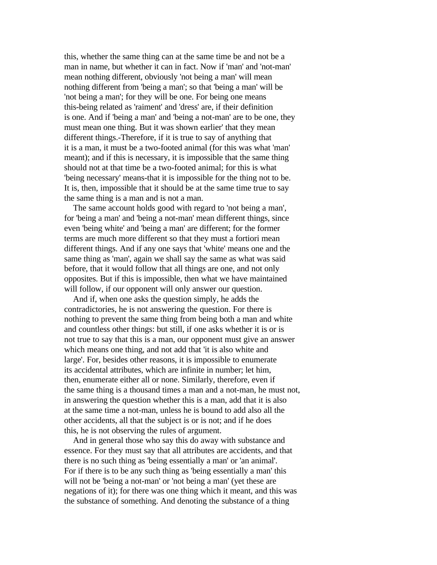this, whether the same thing can at the same time be and not be a man in name, but whether it can in fact. Now if 'man' and 'not-man' mean nothing different, obviously 'not being a man' will mean nothing different from 'being a man'; so that 'being a man' will be 'not being a man'; for they will be one. For being one means this-being related as 'raiment' and 'dress' are, if their definition is one. And if 'being a man' and 'being a not-man' are to be one, they must mean one thing. But it was shown earlier' that they mean different things.-Therefore, if it is true to say of anything that it is a man, it must be a two-footed animal (for this was what 'man' meant); and if this is necessary, it is impossible that the same thing should not at that time be a two-footed animal; for this is what 'being necessary' means-that it is impossible for the thing not to be. It is, then, impossible that it should be at the same time true to say the same thing is a man and is not a man.

 The same account holds good with regard to 'not being a man', for 'being a man' and 'being a not-man' mean different things, since even 'being white' and 'being a man' are different; for the former terms are much more different so that they must a fortiori mean different things. And if any one says that 'white' means one and the same thing as 'man', again we shall say the same as what was said before, that it would follow that all things are one, and not only opposites. But if this is impossible, then what we have maintained will follow, if our opponent will only answer our question.

 And if, when one asks the question simply, he adds the contradictories, he is not answering the question. For there is nothing to prevent the same thing from being both a man and white and countless other things: but still, if one asks whether it is or is not true to say that this is a man, our opponent must give an answer which means one thing, and not add that 'it is also white and large'. For, besides other reasons, it is impossible to enumerate its accidental attributes, which are infinite in number; let him, then, enumerate either all or none. Similarly, therefore, even if the same thing is a thousand times a man and a not-man, he must not, in answering the question whether this is a man, add that it is also at the same time a not-man, unless he is bound to add also all the other accidents, all that the subject is or is not; and if he does this, he is not observing the rules of argument.

 And in general those who say this do away with substance and essence. For they must say that all attributes are accidents, and that there is no such thing as 'being essentially a man' or 'an animal'. For if there is to be any such thing as 'being essentially a man' this will not be 'being a not-man' or 'not being a man' (yet these are negations of it); for there was one thing which it meant, and this was the substance of something. And denoting the substance of a thing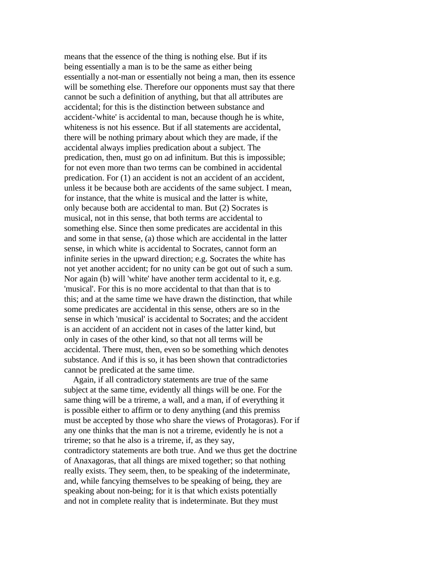means that the essence of the thing is nothing else. But if its being essentially a man is to be the same as either being essentially a not-man or essentially not being a man, then its essence will be something else. Therefore our opponents must say that there cannot be such a definition of anything, but that all attributes are accidental; for this is the distinction between substance and accident-'white' is accidental to man, because though he is white, whiteness is not his essence. But if all statements are accidental, there will be nothing primary about which they are made, if the accidental always implies predication about a subject. The predication, then, must go on ad infinitum. But this is impossible; for not even more than two terms can be combined in accidental predication. For (1) an accident is not an accident of an accident, unless it be because both are accidents of the same subject. I mean, for instance, that the white is musical and the latter is white, only because both are accidental to man. But (2) Socrates is musical, not in this sense, that both terms are accidental to something else. Since then some predicates are accidental in this and some in that sense, (a) those which are accidental in the latter sense, in which white is accidental to Socrates, cannot form an infinite series in the upward direction; e.g. Socrates the white has not yet another accident; for no unity can be got out of such a sum. Nor again (b) will 'white' have another term accidental to it, e.g. 'musical'. For this is no more accidental to that than that is to this; and at the same time we have drawn the distinction, that while some predicates are accidental in this sense, others are so in the sense in which 'musical' is accidental to Socrates; and the accident is an accident of an accident not in cases of the latter kind, but only in cases of the other kind, so that not all terms will be accidental. There must, then, even so be something which denotes substance. And if this is so, it has been shown that contradictories cannot be predicated at the same time.

 Again, if all contradictory statements are true of the same subject at the same time, evidently all things will be one. For the same thing will be a trireme, a wall, and a man, if of everything it is possible either to affirm or to deny anything (and this premiss must be accepted by those who share the views of Protagoras). For if any one thinks that the man is not a trireme, evidently he is not a trireme; so that he also is a trireme, if, as they say, contradictory statements are both true. And we thus get the doctrine of Anaxagoras, that all things are mixed together; so that nothing really exists. They seem, then, to be speaking of the indeterminate, and, while fancying themselves to be speaking of being, they are speaking about non-being; for it is that which exists potentially and not in complete reality that is indeterminate. But they must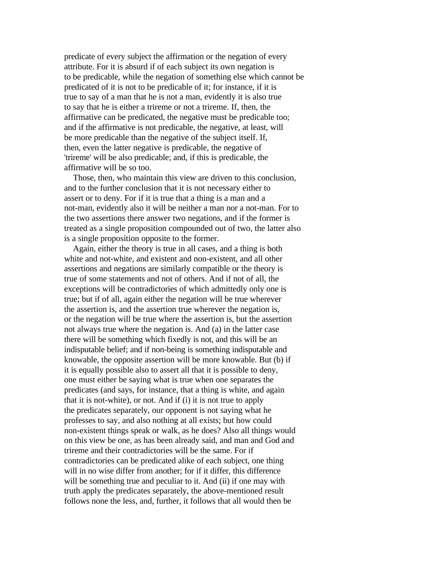predicate of every subject the affirmation or the negation of every attribute. For it is absurd if of each subject its own negation is to be predicable, while the negation of something else which cannot be predicated of it is not to be predicable of it; for instance, if it is true to say of a man that he is not a man, evidently it is also true to say that he is either a trireme or not a trireme. If, then, the affirmative can be predicated, the negative must be predicable too; and if the affirmative is not predicable, the negative, at least, will be more predicable than the negative of the subject itself. If, then, even the latter negative is predicable, the negative of 'trireme' will be also predicable; and, if this is predicable, the affirmative will be so too.

 Those, then, who maintain this view are driven to this conclusion, and to the further conclusion that it is not necessary either to assert or to deny. For if it is true that a thing is a man and a not-man, evidently also it will be neither a man nor a not-man. For to the two assertions there answer two negations, and if the former is treated as a single proposition compounded out of two, the latter also is a single proposition opposite to the former.

 Again, either the theory is true in all cases, and a thing is both white and not-white, and existent and non-existent, and all other assertions and negations are similarly compatible or the theory is true of some statements and not of others. And if not of all, the exceptions will be contradictories of which admittedly only one is true; but if of all, again either the negation will be true wherever the assertion is, and the assertion true wherever the negation is, or the negation will be true where the assertion is, but the assertion not always true where the negation is. And (a) in the latter case there will be something which fixedly is not, and this will be an indisputable belief; and if non-being is something indisputable and knowable, the opposite assertion will be more knowable. But (b) if it is equally possible also to assert all that it is possible to deny, one must either be saying what is true when one separates the predicates (and says, for instance, that a thing is white, and again that it is not-white), or not. And if (i) it is not true to apply the predicates separately, our opponent is not saying what he professes to say, and also nothing at all exists; but how could non-existent things speak or walk, as he does? Also all things would on this view be one, as has been already said, and man and God and trireme and their contradictories will be the same. For if contradictories can be predicated alike of each subject, one thing will in no wise differ from another; for if it differ, this difference will be something true and peculiar to it. And (ii) if one may with truth apply the predicates separately, the above-mentioned result follows none the less, and, further, it follows that all would then be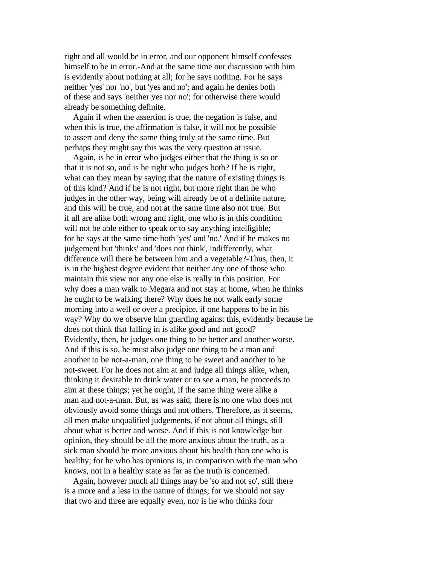right and all would be in error, and our opponent himself confesses himself to be in error.-And at the same time our discussion with him is evidently about nothing at all; for he says nothing. For he says neither 'yes' nor 'no', but 'yes and no'; and again he denies both of these and says 'neither yes nor no'; for otherwise there would already be something definite.

 Again if when the assertion is true, the negation is false, and when this is true, the affirmation is false, it will not be possible to assert and deny the same thing truly at the same time. But perhaps they might say this was the very question at issue.

 Again, is he in error who judges either that the thing is so or that it is not so, and is he right who judges both? If he is right, what can they mean by saying that the nature of existing things is of this kind? And if he is not right, but more right than he who judges in the other way, being will already be of a definite nature, and this will be true, and not at the same time also not true. But if all are alike both wrong and right, one who is in this condition will not be able either to speak or to say anything intelligible; for he says at the same time both 'yes' and 'no.' And if he makes no judgement but 'thinks' and 'does not think', indifferently, what difference will there be between him and a vegetable?-Thus, then, it is in the highest degree evident that neither any one of those who maintain this view nor any one else is really in this position. For why does a man walk to Megara and not stay at home, when he thinks he ought to be walking there? Why does he not walk early some morning into a well or over a precipice, if one happens to be in his way? Why do we observe him guarding against this, evidently because he does not think that falling in is alike good and not good? Evidently, then, he judges one thing to be better and another worse. And if this is so, he must also judge one thing to be a man and another to be not-a-man, one thing to be sweet and another to be not-sweet. For he does not aim at and judge all things alike, when, thinking it desirable to drink water or to see a man, he proceeds to aim at these things; yet he ought, if the same thing were alike a man and not-a-man. But, as was said, there is no one who does not obviously avoid some things and not others. Therefore, as it seems, all men make unqualified judgements, if not about all things, still about what is better and worse. And if this is not knowledge but opinion, they should be all the more anxious about the truth, as a sick man should be more anxious about his health than one who is healthy; for he who has opinions is, in comparison with the man who knows, not in a healthy state as far as the truth is concerned.

 Again, however much all things may be 'so and not so', still there is a more and a less in the nature of things; for we should not say that two and three are equally even, nor is he who thinks four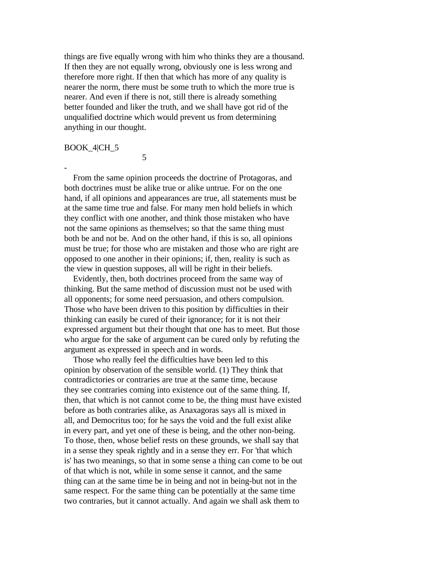things are five equally wrong with him who thinks they are a thousand. If then they are not equally wrong, obviously one is less wrong and therefore more right. If then that which has more of any quality is nearer the norm, there must be some truth to which the more true is nearer. And even if there is not, still there is already something better founded and liker the truth, and we shall have got rid of the unqualified doctrine which would prevent us from determining anything in our thought.

# BOOK\_4|CH\_5

 5 - From the same opinion proceeds the doctrine of Protagoras, and both doctrines must be alike true or alike untrue. For on the one hand, if all opinions and appearances are true, all statements must be at the same time true and false. For many men hold beliefs in which they conflict with one another, and think those mistaken who have not the same opinions as themselves; so that the same thing must both be and not be. And on the other hand, if this is so, all opinions must be true; for those who are mistaken and those who are right are opposed to one another in their opinions; if, then, reality is such as the view in question supposes, all will be right in their beliefs. Evidently, then, both doctrines proceed from the same way of

thinking. But the same method of discussion must not be used with all opponents; for some need persuasion, and others compulsion. Those who have been driven to this position by difficulties in their thinking can easily be cured of their ignorance; for it is not their expressed argument but their thought that one has to meet. But those who argue for the sake of argument can be cured only by refuting the argument as expressed in speech and in words.

 Those who really feel the difficulties have been led to this opinion by observation of the sensible world. (1) They think that contradictories or contraries are true at the same time, because they see contraries coming into existence out of the same thing. If, then, that which is not cannot come to be, the thing must have existed before as both contraries alike, as Anaxagoras says all is mixed in all, and Democritus too; for he says the void and the full exist alike in every part, and yet one of these is being, and the other non-being. To those, then, whose belief rests on these grounds, we shall say that in a sense they speak rightly and in a sense they err. For 'that which is' has two meanings, so that in some sense a thing can come to be out of that which is not, while in some sense it cannot, and the same thing can at the same time be in being and not in being-but not in the same respect. For the same thing can be potentially at the same time two contraries, but it cannot actually. And again we shall ask them to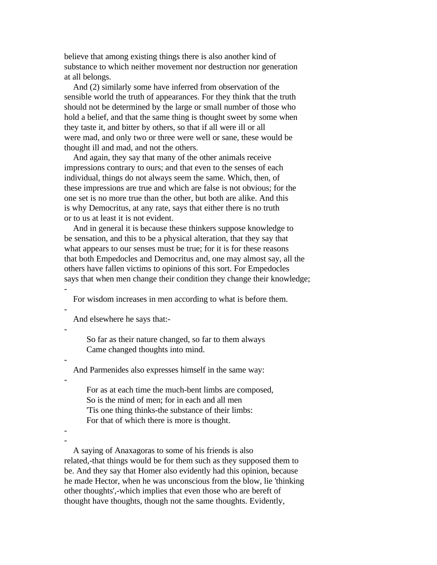believe that among existing things there is also another kind of substance to which neither movement nor destruction nor generation at all belongs.

 And (2) similarly some have inferred from observation of the sensible world the truth of appearances. For they think that the truth should not be determined by the large or small number of those who hold a belief, and that the same thing is thought sweet by some when they taste it, and bitter by others, so that if all were ill or all were mad, and only two or three were well or sane, these would be thought ill and mad, and not the others.

 And again, they say that many of the other animals receive impressions contrary to ours; and that even to the senses of each individual, things do not always seem the same. Which, then, of these impressions are true and which are false is not obvious; for the one set is no more true than the other, but both are alike. And this is why Democritus, at any rate, says that either there is no truth or to us at least it is not evident.

 And in general it is because these thinkers suppose knowledge to be sensation, and this to be a physical alteration, that they say that what appears to our senses must be true; for it is for these reasons that both Empedocles and Democritus and, one may almost say, all the others have fallen victims to opinions of this sort. For Empedocles says that when men change their condition they change their knowledge;

For wisdom increases in men according to what is before them.

And elsewhere he says that:-

 So far as their nature changed, so far to them always Came changed thoughts into mind.

And Parmenides also expresses himself in the same way:

-

-

-

-

-

 For as at each time the much-bent limbs are composed, So is the mind of men; for in each and all men 'Tis one thing thinks-the substance of their limbs: For that of which there is more is thought.

- -

> A saying of Anaxagoras to some of his friends is also related,-that things would be for them such as they supposed them to be. And they say that Homer also evidently had this opinion, because he made Hector, when he was unconscious from the blow, lie 'thinking other thoughts',-which implies that even those who are bereft of thought have thoughts, though not the same thoughts. Evidently,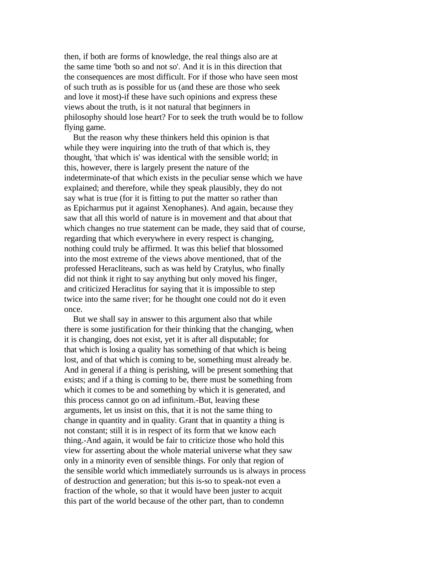then, if both are forms of knowledge, the real things also are at the same time 'both so and not so'. And it is in this direction that the consequences are most difficult. For if those who have seen most of such truth as is possible for us (and these are those who seek and love it most)-if these have such opinions and express these views about the truth, is it not natural that beginners in philosophy should lose heart? For to seek the truth would be to follow flying game.

 But the reason why these thinkers held this opinion is that while they were inquiring into the truth of that which is, they thought, 'that which is' was identical with the sensible world; in this, however, there is largely present the nature of the indeterminate-of that which exists in the peculiar sense which we have explained; and therefore, while they speak plausibly, they do not say what is true (for it is fitting to put the matter so rather than as Epicharmus put it against Xenophanes). And again, because they saw that all this world of nature is in movement and that about that which changes no true statement can be made, they said that of course, regarding that which everywhere in every respect is changing, nothing could truly be affirmed. It was this belief that blossomed into the most extreme of the views above mentioned, that of the professed Heracliteans, such as was held by Cratylus, who finally did not think it right to say anything but only moved his finger, and criticized Heraclitus for saying that it is impossible to step twice into the same river; for he thought one could not do it even once.

 But we shall say in answer to this argument also that while there is some justification for their thinking that the changing, when it is changing, does not exist, yet it is after all disputable; for that which is losing a quality has something of that which is being lost, and of that which is coming to be, something must already be. And in general if a thing is perishing, will be present something that exists; and if a thing is coming to be, there must be something from which it comes to be and something by which it is generated, and this process cannot go on ad infinitum.-But, leaving these arguments, let us insist on this, that it is not the same thing to change in quantity and in quality. Grant that in quantity a thing is not constant; still it is in respect of its form that we know each thing.-And again, it would be fair to criticize those who hold this view for asserting about the whole material universe what they saw only in a minority even of sensible things. For only that region of the sensible world which immediately surrounds us is always in process of destruction and generation; but this is-so to speak-not even a fraction of the whole, so that it would have been juster to acquit this part of the world because of the other part, than to condemn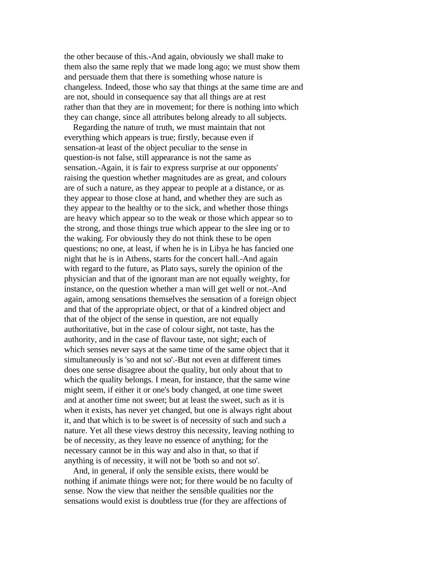the other because of this.-And again, obviously we shall make to them also the same reply that we made long ago; we must show them and persuade them that there is something whose nature is changeless. Indeed, those who say that things at the same time are and are not, should in consequence say that all things are at rest rather than that they are in movement; for there is nothing into which they can change, since all attributes belong already to all subjects.

 Regarding the nature of truth, we must maintain that not everything which appears is true; firstly, because even if sensation-at least of the object peculiar to the sense in question-is not false, still appearance is not the same as sensation.-Again, it is fair to express surprise at our opponents' raising the question whether magnitudes are as great, and colours are of such a nature, as they appear to people at a distance, or as they appear to those close at hand, and whether they are such as they appear to the healthy or to the sick, and whether those things are heavy which appear so to the weak or those which appear so to the strong, and those things true which appear to the slee ing or to the waking. For obviously they do not think these to be open questions; no one, at least, if when he is in Libya he has fancied one night that he is in Athens, starts for the concert hall.-And again with regard to the future, as Plato says, surely the opinion of the physician and that of the ignorant man are not equally weighty, for instance, on the question whether a man will get well or not.-And again, among sensations themselves the sensation of a foreign object and that of the appropriate object, or that of a kindred object and that of the object of the sense in question, are not equally authoritative, but in the case of colour sight, not taste, has the authority, and in the case of flavour taste, not sight; each of which senses never says at the same time of the same object that it simultaneously is 'so and not so'.-But not even at different times does one sense disagree about the quality, but only about that to which the quality belongs. I mean, for instance, that the same wine might seem, if either it or one's body changed, at one time sweet and at another time not sweet; but at least the sweet, such as it is when it exists, has never yet changed, but one is always right about it, and that which is to be sweet is of necessity of such and such a nature. Yet all these views destroy this necessity, leaving nothing to be of necessity, as they leave no essence of anything; for the necessary cannot be in this way and also in that, so that if anything is of necessity, it will not be 'both so and not so'.

 And, in general, if only the sensible exists, there would be nothing if animate things were not; for there would be no faculty of sense. Now the view that neither the sensible qualities nor the sensations would exist is doubtless true (for they are affections of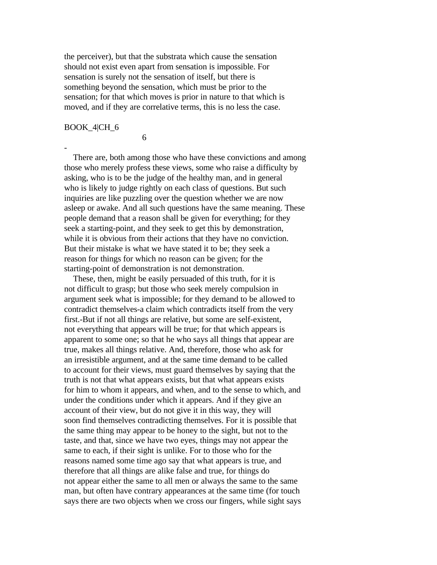the perceiver), but that the substrata which cause the sensation should not exist even apart from sensation is impossible. For sensation is surely not the sensation of itself, but there is something beyond the sensation, which must be prior to the sensation; for that which moves is prior in nature to that which is moved, and if they are correlative terms, this is no less the case.

### BOOK 4|CH 6

-

6

 There are, both among those who have these convictions and among those who merely profess these views, some who raise a difficulty by asking, who is to be the judge of the healthy man, and in general who is likely to judge rightly on each class of questions. But such inquiries are like puzzling over the question whether we are now asleep or awake. And all such questions have the same meaning. These people demand that a reason shall be given for everything; for they seek a starting-point, and they seek to get this by demonstration, while it is obvious from their actions that they have no conviction. But their mistake is what we have stated it to be; they seek a reason for things for which no reason can be given; for the starting-point of demonstration is not demonstration.

 These, then, might be easily persuaded of this truth, for it is not difficult to grasp; but those who seek merely compulsion in argument seek what is impossible; for they demand to be allowed to contradict themselves-a claim which contradicts itself from the very first.-But if not all things are relative, but some are self-existent, not everything that appears will be true; for that which appears is apparent to some one; so that he who says all things that appear are true, makes all things relative. And, therefore, those who ask for an irresistible argument, and at the same time demand to be called to account for their views, must guard themselves by saying that the truth is not that what appears exists, but that what appears exists for him to whom it appears, and when, and to the sense to which, and under the conditions under which it appears. And if they give an account of their view, but do not give it in this way, they will soon find themselves contradicting themselves. For it is possible that the same thing may appear to be honey to the sight, but not to the taste, and that, since we have two eyes, things may not appear the same to each, if their sight is unlike. For to those who for the reasons named some time ago say that what appears is true, and therefore that all things are alike false and true, for things do not appear either the same to all men or always the same to the same man, but often have contrary appearances at the same time (for touch says there are two objects when we cross our fingers, while sight says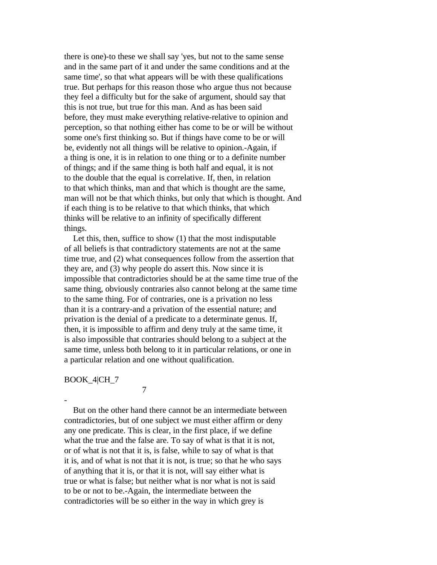there is one)-to these we shall say 'yes, but not to the same sense and in the same part of it and under the same conditions and at the same time', so that what appears will be with these qualifications true. But perhaps for this reason those who argue thus not because they feel a difficulty but for the sake of argument, should say that this is not true, but true for this man. And as has been said before, they must make everything relative-relative to opinion and perception, so that nothing either has come to be or will be without some one's first thinking so. But if things have come to be or will be, evidently not all things will be relative to opinion.-Again, if a thing is one, it is in relation to one thing or to a definite number of things; and if the same thing is both half and equal, it is not to the double that the equal is correlative. If, then, in relation to that which thinks, man and that which is thought are the same, man will not be that which thinks, but only that which is thought. And if each thing is to be relative to that which thinks, that which thinks will be relative to an infinity of specifically different things.

 Let this, then, suffice to show (1) that the most indisputable of all beliefs is that contradictory statements are not at the same time true, and (2) what consequences follow from the assertion that they are, and (3) why people do assert this. Now since it is impossible that contradictories should be at the same time true of the same thing, obviously contraries also cannot belong at the same time to the same thing. For of contraries, one is a privation no less than it is a contrary-and a privation of the essential nature; and privation is the denial of a predicate to a determinate genus. If, then, it is impossible to affirm and deny truly at the same time, it is also impossible that contraries should belong to a subject at the same time, unless both belong to it in particular relations, or one in a particular relation and one without qualification.

# BOOK\_4|CH\_7

7

-

 But on the other hand there cannot be an intermediate between contradictories, but of one subject we must either affirm or deny any one predicate. This is clear, in the first place, if we define what the true and the false are. To say of what is that it is not, or of what is not that it is, is false, while to say of what is that it is, and of what is not that it is not, is true; so that he who says of anything that it is, or that it is not, will say either what is true or what is false; but neither what is nor what is not is said to be or not to be.-Again, the intermediate between the contradictories will be so either in the way in which grey is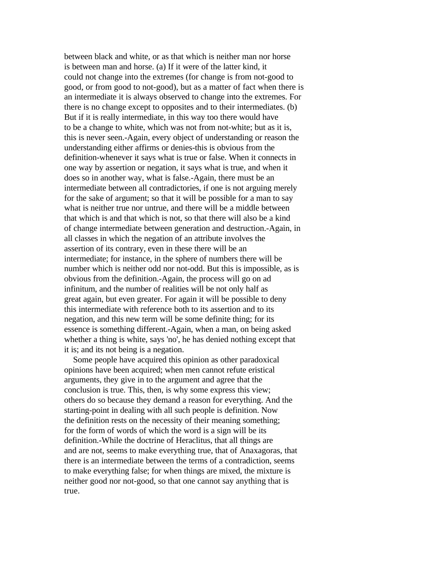between black and white, or as that which is neither man nor horse is between man and horse. (a) If it were of the latter kind, it could not change into the extremes (for change is from not-good to good, or from good to not-good), but as a matter of fact when there is an intermediate it is always observed to change into the extremes. For there is no change except to opposites and to their intermediates. (b) But if it is really intermediate, in this way too there would have to be a change to white, which was not from not-white; but as it is, this is never seen.-Again, every object of understanding or reason the understanding either affirms or denies-this is obvious from the definition-whenever it says what is true or false. When it connects in one way by assertion or negation, it says what is true, and when it does so in another way, what is false.-Again, there must be an intermediate between all contradictories, if one is not arguing merely for the sake of argument; so that it will be possible for a man to say what is neither true nor untrue, and there will be a middle between that which is and that which is not, so that there will also be a kind of change intermediate between generation and destruction.-Again, in all classes in which the negation of an attribute involves the assertion of its contrary, even in these there will be an intermediate; for instance, in the sphere of numbers there will be number which is neither odd nor not-odd. But this is impossible, as is obvious from the definition.-Again, the process will go on ad infinitum, and the number of realities will be not only half as great again, but even greater. For again it will be possible to deny this intermediate with reference both to its assertion and to its negation, and this new term will be some definite thing; for its essence is something different.-Again, when a man, on being asked whether a thing is white, says 'no', he has denied nothing except that it is; and its not being is a negation.

 Some people have acquired this opinion as other paradoxical opinions have been acquired; when men cannot refute eristical arguments, they give in to the argument and agree that the conclusion is true. This, then, is why some express this view; others do so because they demand a reason for everything. And the starting-point in dealing with all such people is definition. Now the definition rests on the necessity of their meaning something; for the form of words of which the word is a sign will be its definition.-While the doctrine of Heraclitus, that all things are and are not, seems to make everything true, that of Anaxagoras, that there is an intermediate between the terms of a contradiction, seems to make everything false; for when things are mixed, the mixture is neither good nor not-good, so that one cannot say anything that is true.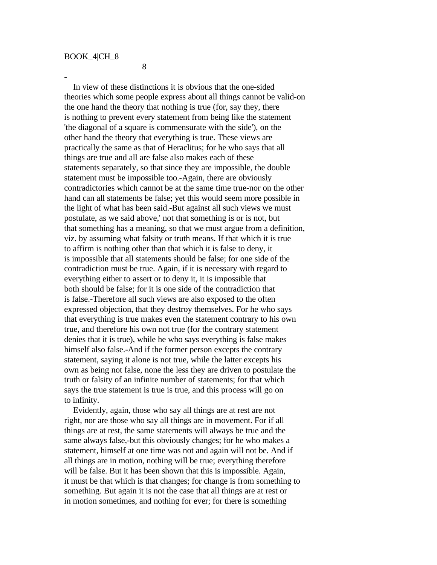-

8

 In view of these distinctions it is obvious that the one-sided theories which some people express about all things cannot be valid-on the one hand the theory that nothing is true (for, say they, there is nothing to prevent every statement from being like the statement 'the diagonal of a square is commensurate with the side'), on the other hand the theory that everything is true. These views are practically the same as that of Heraclitus; for he who says that all things are true and all are false also makes each of these statements separately, so that since they are impossible, the double statement must be impossible too.-Again, there are obviously contradictories which cannot be at the same time true-nor on the other hand can all statements be false; yet this would seem more possible in the light of what has been said.-But against all such views we must postulate, as we said above,' not that something is or is not, but that something has a meaning, so that we must argue from a definition, viz. by assuming what falsity or truth means. If that which it is true to affirm is nothing other than that which it is false to deny, it is impossible that all statements should be false; for one side of the contradiction must be true. Again, if it is necessary with regard to everything either to assert or to deny it, it is impossible that both should be false; for it is one side of the contradiction that is false.-Therefore all such views are also exposed to the often expressed objection, that they destroy themselves. For he who says that everything is true makes even the statement contrary to his own true, and therefore his own not true (for the contrary statement denies that it is true), while he who says everything is false makes himself also false.-And if the former person excepts the contrary statement, saying it alone is not true, while the latter excepts his own as being not false, none the less they are driven to postulate the truth or falsity of an infinite number of statements; for that which says the true statement is true is true, and this process will go on to infinity.

 Evidently, again, those who say all things are at rest are not right, nor are those who say all things are in movement. For if all things are at rest, the same statements will always be true and the same always false,-but this obviously changes; for he who makes a statement, himself at one time was not and again will not be. And if all things are in motion, nothing will be true; everything therefore will be false. But it has been shown that this is impossible. Again, it must be that which is that changes; for change is from something to something. But again it is not the case that all things are at rest or in motion sometimes, and nothing for ever; for there is something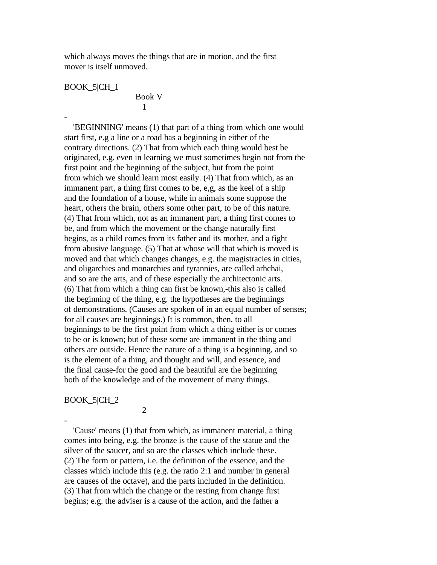which always moves the things that are in motion, and the first mover is itself unmoved.

BOOK\_5|CH\_1

-

 Book V 1

 'BEGINNING' means (1) that part of a thing from which one would start first, e.g a line or a road has a beginning in either of the contrary directions. (2) That from which each thing would best be originated, e.g. even in learning we must sometimes begin not from the first point and the beginning of the subject, but from the point from which we should learn most easily. (4) That from which, as an immanent part, a thing first comes to be, e,g, as the keel of a ship and the foundation of a house, while in animals some suppose the heart, others the brain, others some other part, to be of this nature. (4) That from which, not as an immanent part, a thing first comes to be, and from which the movement or the change naturally first begins, as a child comes from its father and its mother, and a fight from abusive language. (5) That at whose will that which is moved is moved and that which changes changes, e.g. the magistracies in cities, and oligarchies and monarchies and tyrannies, are called arhchai, and so are the arts, and of these especially the architectonic arts. (6) That from which a thing can first be known,-this also is called the beginning of the thing, e.g. the hypotheses are the beginnings of demonstrations. (Causes are spoken of in an equal number of senses; for all causes are beginnings.) It is common, then, to all beginnings to be the first point from which a thing either is or comes to be or is known; but of these some are immanent in the thing and others are outside. Hence the nature of a thing is a beginning, and so is the element of a thing, and thought and will, and essence, and the final cause-for the good and the beautiful are the beginning both of the knowledge and of the movement of many things.

# BOOK\_5|CH\_2

-

2

 'Cause' means (1) that from which, as immanent material, a thing comes into being, e.g. the bronze is the cause of the statue and the silver of the saucer, and so are the classes which include these. (2) The form or pattern, i.e. the definition of the essence, and the classes which include this (e.g. the ratio 2:1 and number in general are causes of the octave), and the parts included in the definition. (3) That from which the change or the resting from change first begins; e.g. the adviser is a cause of the action, and the father a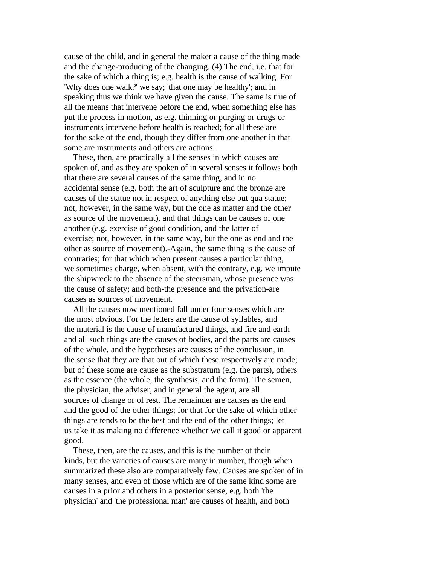cause of the child, and in general the maker a cause of the thing made and the change-producing of the changing. (4) The end, i.e. that for the sake of which a thing is; e.g. health is the cause of walking. For 'Why does one walk?' we say; 'that one may be healthy'; and in speaking thus we think we have given the cause. The same is true of all the means that intervene before the end, when something else has put the process in motion, as e.g. thinning or purging or drugs or instruments intervene before health is reached; for all these are for the sake of the end, though they differ from one another in that some are instruments and others are actions.

 These, then, are practically all the senses in which causes are spoken of, and as they are spoken of in several senses it follows both that there are several causes of the same thing, and in no accidental sense (e.g. both the art of sculpture and the bronze are causes of the statue not in respect of anything else but qua statue; not, however, in the same way, but the one as matter and the other as source of the movement), and that things can be causes of one another (e.g. exercise of good condition, and the latter of exercise; not, however, in the same way, but the one as end and the other as source of movement).-Again, the same thing is the cause of contraries; for that which when present causes a particular thing, we sometimes charge, when absent, with the contrary, e.g. we impute the shipwreck to the absence of the steersman, whose presence was the cause of safety; and both-the presence and the privation-are causes as sources of movement.

 All the causes now mentioned fall under four senses which are the most obvious. For the letters are the cause of syllables, and the material is the cause of manufactured things, and fire and earth and all such things are the causes of bodies, and the parts are causes of the whole, and the hypotheses are causes of the conclusion, in the sense that they are that out of which these respectively are made; but of these some are cause as the substratum (e.g. the parts), others as the essence (the whole, the synthesis, and the form). The semen, the physician, the adviser, and in general the agent, are all sources of change or of rest. The remainder are causes as the end and the good of the other things; for that for the sake of which other things are tends to be the best and the end of the other things; let us take it as making no difference whether we call it good or apparent good.

 These, then, are the causes, and this is the number of their kinds, but the varieties of causes are many in number, though when summarized these also are comparatively few. Causes are spoken of in many senses, and even of those which are of the same kind some are causes in a prior and others in a posterior sense, e.g. both 'the physician' and 'the professional man' are causes of health, and both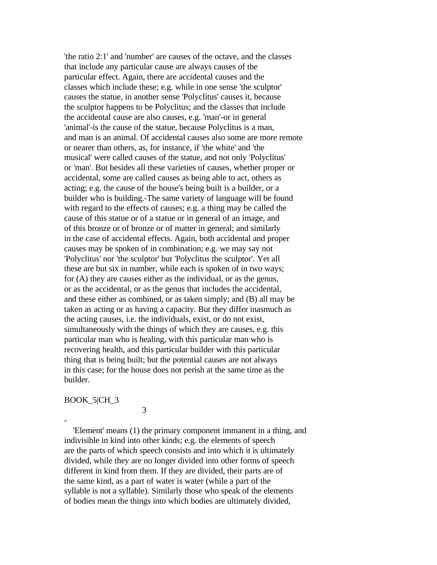'the ratio 2:1' and 'number' are causes of the octave, and the classes that include any particular cause are always causes of the particular effect. Again, there are accidental causes and the classes which include these; e.g. while in one sense 'the sculptor' causes the statue, in another sense 'Polyclitus' causes it, because the sculptor happens to be Polyclitus; and the classes that include the accidental cause are also causes, e.g. 'man'-or in general 'animal'-is the cause of the statue, because Polyclitus is a man, and man is an animal. Of accidental causes also some are more remote or nearer than others, as, for instance, if 'the white' and 'the musical' were called causes of the statue, and not only 'Polyclitus' or 'man'. But besides all these varieties of causes, whether proper or accidental, some are called causes as being able to act, others as acting; e.g. the cause of the house's being built is a builder, or a builder who is building.-The same variety of language will be found with regard to the effects of causes; e.g. a thing may be called the cause of this statue or of a statue or in general of an image, and of this bronze or of bronze or of matter in general; and similarly in the case of accidental effects. Again, both accidental and proper causes may be spoken of in combination; e.g. we may say not 'Polyclitus' nor 'the sculptor' but 'Polyclitus the sculptor'. Yet all these are but six in number, while each is spoken of in two ways; for (A) they are causes either as the individual, or as the genus, or as the accidental, or as the genus that includes the accidental, and these either as combined, or as taken simply; and (B) all may be taken as acting or as having a capacity. But they differ inasmuch as the acting causes, i.e. the individuals, exist, or do not exist, simultaneously with the things of which they are causes, e.g. this particular man who is healing, with this particular man who is recovering health, and this particular builder with this particular thing that is being built; but the potential causes are not always in this case; for the house does not perish at the same time as the builder.

#### BOOK\_5|CH\_3

-

### 3

 'Element' means (1) the primary component immanent in a thing, and indivisible in kind into other kinds; e.g. the elements of speech are the parts of which speech consists and into which it is ultimately divided, while they are no longer divided into other forms of speech different in kind from them. If they are divided, their parts are of the same kind, as a part of water is water (while a part of the syllable is not a syllable). Similarly those who speak of the elements of bodies mean the things into which bodies are ultimately divided,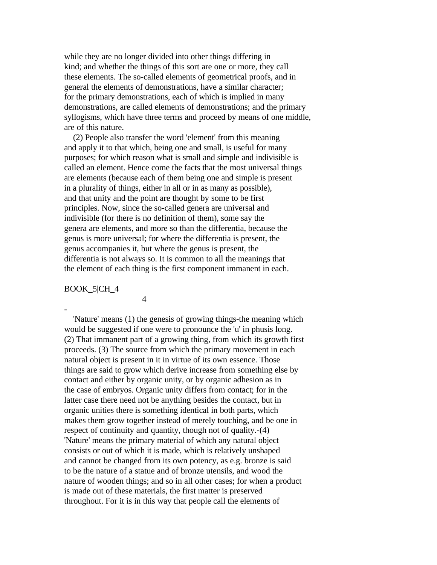while they are no longer divided into other things differing in kind; and whether the things of this sort are one or more, they call these elements. The so-called elements of geometrical proofs, and in general the elements of demonstrations, have a similar character; for the primary demonstrations, each of which is implied in many demonstrations, are called elements of demonstrations; and the primary syllogisms, which have three terms and proceed by means of one middle, are of this nature.

 (2) People also transfer the word 'element' from this meaning and apply it to that which, being one and small, is useful for many purposes; for which reason what is small and simple and indivisible is called an element. Hence come the facts that the most universal things are elements (because each of them being one and simple is present in a plurality of things, either in all or in as many as possible), and that unity and the point are thought by some to be first principles. Now, since the so-called genera are universal and indivisible (for there is no definition of them), some say the genera are elements, and more so than the differentia, because the genus is more universal; for where the differentia is present, the genus accompanies it, but where the genus is present, the differentia is not always so. It is common to all the meanings that the element of each thing is the first component immanent in each.

# BOOK\_5|CH\_4

-

4

 'Nature' means (1) the genesis of growing things-the meaning which would be suggested if one were to pronounce the 'u' in phusis long. (2) That immanent part of a growing thing, from which its growth first proceeds. (3) The source from which the primary movement in each natural object is present in it in virtue of its own essence. Those things are said to grow which derive increase from something else by contact and either by organic unity, or by organic adhesion as in the case of embryos. Organic unity differs from contact; for in the latter case there need not be anything besides the contact, but in organic unities there is something identical in both parts, which makes them grow together instead of merely touching, and be one in respect of continuity and quantity, though not of quality.-(4) 'Nature' means the primary material of which any natural object consists or out of which it is made, which is relatively unshaped and cannot be changed from its own potency, as e.g. bronze is said to be the nature of a statue and of bronze utensils, and wood the nature of wooden things; and so in all other cases; for when a product is made out of these materials, the first matter is preserved throughout. For it is in this way that people call the elements of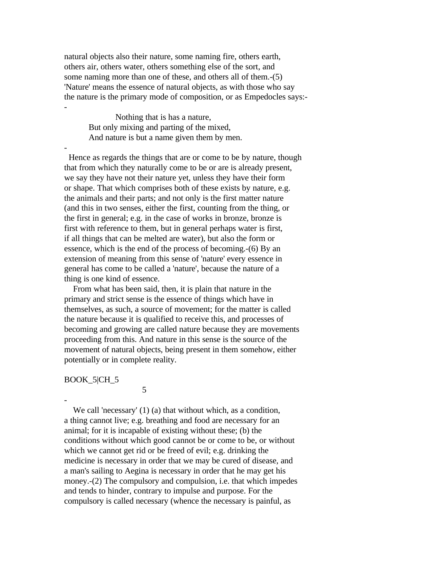natural objects also their nature, some naming fire, others earth, others air, others water, others something else of the sort, and some naming more than one of these, and others all of them.-(5) 'Nature' means the essence of natural objects, as with those who say the nature is the primary mode of composition, or as Empedocles says:-

> Nothing that is has a nature, But only mixing and parting of the mixed, And nature is but a name given them by men.

 Hence as regards the things that are or come to be by nature, though that from which they naturally come to be or are is already present, we say they have not their nature yet, unless they have their form or shape. That which comprises both of these exists by nature, e.g. the animals and their parts; and not only is the first matter nature (and this in two senses, either the first, counting from the thing, or the first in general; e.g. in the case of works in bronze, bronze is first with reference to them, but in general perhaps water is first, if all things that can be melted are water), but also the form or essence, which is the end of the process of becoming.-(6) By an extension of meaning from this sense of 'nature' every essence in general has come to be called a 'nature', because the nature of a thing is one kind of essence.

 From what has been said, then, it is plain that nature in the primary and strict sense is the essence of things which have in themselves, as such, a source of movement; for the matter is called the nature because it is qualified to receive this, and processes of becoming and growing are called nature because they are movements proceeding from this. And nature in this sense is the source of the movement of natural objects, being present in them somehow, either potentially or in complete reality.

BOOK\_5|CH\_5

-

5

-

-

We call 'necessary' (1) (a) that without which, as a condition, a thing cannot live; e.g. breathing and food are necessary for an animal; for it is incapable of existing without these; (b) the conditions without which good cannot be or come to be, or without which we cannot get rid or be freed of evil; e.g. drinking the medicine is necessary in order that we may be cured of disease, and a man's sailing to Aegina is necessary in order that he may get his money.-(2) The compulsory and compulsion, i.e. that which impedes and tends to hinder, contrary to impulse and purpose. For the compulsory is called necessary (whence the necessary is painful, as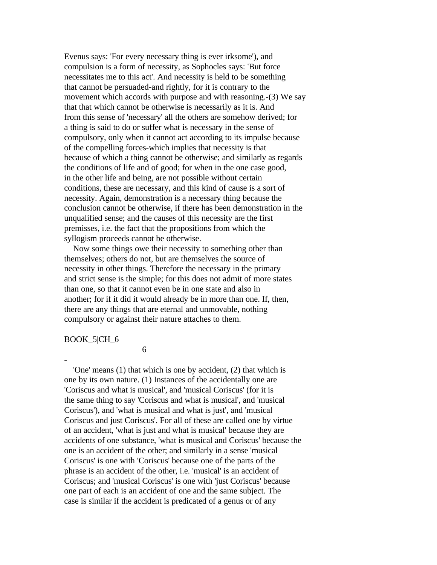Evenus says: 'For every necessary thing is ever irksome'), and compulsion is a form of necessity, as Sophocles says: 'But force necessitates me to this act'. And necessity is held to be something that cannot be persuaded-and rightly, for it is contrary to the movement which accords with purpose and with reasoning.-(3) We say that that which cannot be otherwise is necessarily as it is. And from this sense of 'necessary' all the others are somehow derived; for a thing is said to do or suffer what is necessary in the sense of compulsory, only when it cannot act according to its impulse because of the compelling forces-which implies that necessity is that because of which a thing cannot be otherwise; and similarly as regards the conditions of life and of good; for when in the one case good, in the other life and being, are not possible without certain conditions, these are necessary, and this kind of cause is a sort of necessity. Again, demonstration is a necessary thing because the conclusion cannot be otherwise, if there has been demonstration in the unqualified sense; and the causes of this necessity are the first premisses, i.e. the fact that the propositions from which the syllogism proceeds cannot be otherwise.

 Now some things owe their necessity to something other than themselves; others do not, but are themselves the source of necessity in other things. Therefore the necessary in the primary and strict sense is the simple; for this does not admit of more states than one, so that it cannot even be in one state and also in another; for if it did it would already be in more than one. If, then, there are any things that are eternal and unmovable, nothing compulsory or against their nature attaches to them.

#### BOOK\_5|CH\_6

-

6

 'One' means (1) that which is one by accident, (2) that which is one by its own nature. (1) Instances of the accidentally one are 'Coriscus and what is musical', and 'musical Coriscus' (for it is the same thing to say 'Coriscus and what is musical', and 'musical Coriscus'), and 'what is musical and what is just', and 'musical Coriscus and just Coriscus'. For all of these are called one by virtue of an accident, 'what is just and what is musical' because they are accidents of one substance, 'what is musical and Coriscus' because the one is an accident of the other; and similarly in a sense 'musical Coriscus' is one with 'Coriscus' because one of the parts of the phrase is an accident of the other, i.e. 'musical' is an accident of Coriscus; and 'musical Coriscus' is one with 'just Coriscus' because one part of each is an accident of one and the same subject. The case is similar if the accident is predicated of a genus or of any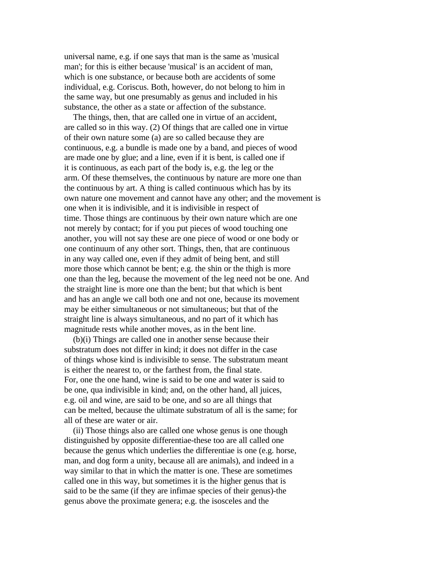universal name, e.g. if one says that man is the same as 'musical man'; for this is either because 'musical' is an accident of man, which is one substance, or because both are accidents of some individual, e.g. Coriscus. Both, however, do not belong to him in the same way, but one presumably as genus and included in his substance, the other as a state or affection of the substance.

 The things, then, that are called one in virtue of an accident, are called so in this way. (2) Of things that are called one in virtue of their own nature some (a) are so called because they are continuous, e.g. a bundle is made one by a band, and pieces of wood are made one by glue; and a line, even if it is bent, is called one if it is continuous, as each part of the body is, e.g. the leg or the arm. Of these themselves, the continuous by nature are more one than the continuous by art. A thing is called continuous which has by its own nature one movement and cannot have any other; and the movement is one when it is indivisible, and it is indivisible in respect of time. Those things are continuous by their own nature which are one not merely by contact; for if you put pieces of wood touching one another, you will not say these are one piece of wood or one body or one continuum of any other sort. Things, then, that are continuous in any way called one, even if they admit of being bent, and still more those which cannot be bent; e.g. the shin or the thigh is more one than the leg, because the movement of the leg need not be one. And the straight line is more one than the bent; but that which is bent and has an angle we call both one and not one, because its movement may be either simultaneous or not simultaneous; but that of the straight line is always simultaneous, and no part of it which has magnitude rests while another moves, as in the bent line.

 (b)(i) Things are called one in another sense because their substratum does not differ in kind; it does not differ in the case of things whose kind is indivisible to sense. The substratum meant is either the nearest to, or the farthest from, the final state. For, one the one hand, wine is said to be one and water is said to be one, qua indivisible in kind; and, on the other hand, all juices, e.g. oil and wine, are said to be one, and so are all things that can be melted, because the ultimate substratum of all is the same; for all of these are water or air.

 (ii) Those things also are called one whose genus is one though distinguished by opposite differentiae-these too are all called one because the genus which underlies the differentiae is one (e.g. horse, man, and dog form a unity, because all are animals), and indeed in a way similar to that in which the matter is one. These are sometimes called one in this way, but sometimes it is the higher genus that is said to be the same (if they are infimae species of their genus)-the genus above the proximate genera; e.g. the isosceles and the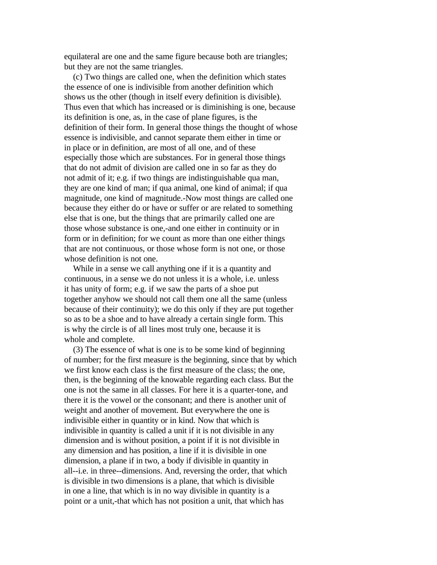equilateral are one and the same figure because both are triangles; but they are not the same triangles.

 (c) Two things are called one, when the definition which states the essence of one is indivisible from another definition which shows us the other (though in itself every definition is divisible). Thus even that which has increased or is diminishing is one, because its definition is one, as, in the case of plane figures, is the definition of their form. In general those things the thought of whose essence is indivisible, and cannot separate them either in time or in place or in definition, are most of all one, and of these especially those which are substances. For in general those things that do not admit of division are called one in so far as they do not admit of it; e.g. if two things are indistinguishable qua man, they are one kind of man; if qua animal, one kind of animal; if qua magnitude, one kind of magnitude.-Now most things are called one because they either do or have or suffer or are related to something else that is one, but the things that are primarily called one are those whose substance is one,-and one either in continuity or in form or in definition; for we count as more than one either things that are not continuous, or those whose form is not one, or those whose definition is not one.

While in a sense we call anything one if it is a quantity and continuous, in a sense we do not unless it is a whole, i.e. unless it has unity of form; e.g. if we saw the parts of a shoe put together anyhow we should not call them one all the same (unless because of their continuity); we do this only if they are put together so as to be a shoe and to have already a certain single form. This is why the circle is of all lines most truly one, because it is whole and complete.

 (3) The essence of what is one is to be some kind of beginning of number; for the first measure is the beginning, since that by which we first know each class is the first measure of the class; the one, then, is the beginning of the knowable regarding each class. But the one is not the same in all classes. For here it is a quarter-tone, and there it is the vowel or the consonant; and there is another unit of weight and another of movement. But everywhere the one is indivisible either in quantity or in kind. Now that which is indivisible in quantity is called a unit if it is not divisible in any dimension and is without position, a point if it is not divisible in any dimension and has position, a line if it is divisible in one dimension, a plane if in two, a body if divisible in quantity in all--i.e. in three--dimensions. And, reversing the order, that which is divisible in two dimensions is a plane, that which is divisible in one a line, that which is in no way divisible in quantity is a point or a unit,-that which has not position a unit, that which has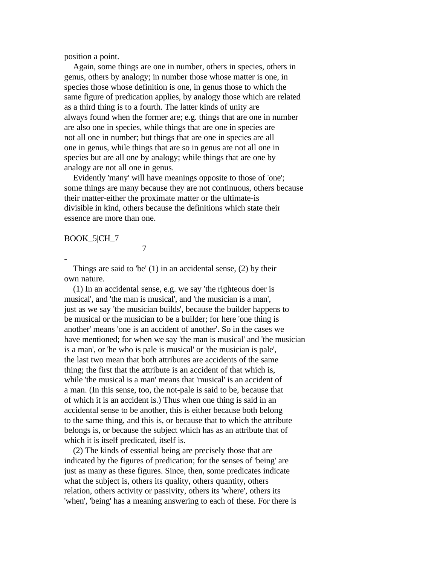position a point.

 Again, some things are one in number, others in species, others in genus, others by analogy; in number those whose matter is one, in species those whose definition is one, in genus those to which the same figure of predication applies, by analogy those which are related as a third thing is to a fourth. The latter kinds of unity are always found when the former are; e.g. things that are one in number are also one in species, while things that are one in species are not all one in number; but things that are one in species are all one in genus, while things that are so in genus are not all one in species but are all one by analogy; while things that are one by analogy are not all one in genus.

 Evidently 'many' will have meanings opposite to those of 'one'; some things are many because they are not continuous, others because their matter-either the proximate matter or the ultimate-is divisible in kind, others because the definitions which state their essence are more than one.

BOOK 5|CH\_7

 7 -

 Things are said to 'be' (1) in an accidental sense, (2) by their own nature.

 (1) In an accidental sense, e.g. we say 'the righteous doer is musical', and 'the man is musical', and 'the musician is a man', just as we say 'the musician builds', because the builder happens to be musical or the musician to be a builder; for here 'one thing is another' means 'one is an accident of another'. So in the cases we have mentioned; for when we say 'the man is musical' and 'the musician is a man', or 'he who is pale is musical' or 'the musician is pale', the last two mean that both attributes are accidents of the same thing; the first that the attribute is an accident of that which is, while 'the musical is a man' means that 'musical' is an accident of a man. (In this sense, too, the not-pale is said to be, because that of which it is an accident is.) Thus when one thing is said in an accidental sense to be another, this is either because both belong to the same thing, and this is, or because that to which the attribute belongs is, or because the subject which has as an attribute that of which it is itself predicated, itself is.

 (2) The kinds of essential being are precisely those that are indicated by the figures of predication; for the senses of 'being' are just as many as these figures. Since, then, some predicates indicate what the subject is, others its quality, others quantity, others relation, others activity or passivity, others its 'where', others its 'when', 'being' has a meaning answering to each of these. For there is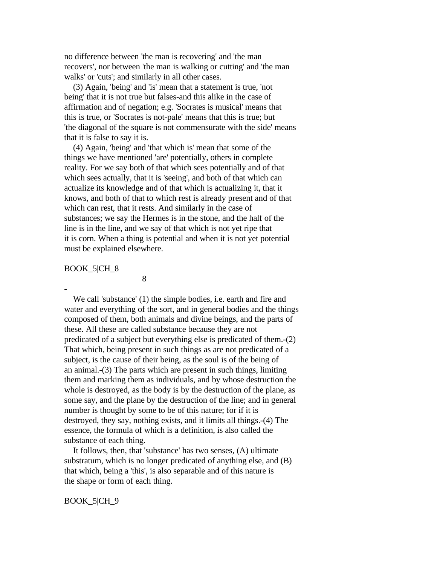no difference between 'the man is recovering' and 'the man recovers', nor between 'the man is walking or cutting' and 'the man walks' or 'cuts'; and similarly in all other cases.

 (3) Again, 'being' and 'is' mean that a statement is true, 'not being' that it is not true but falses-and this alike in the case of affirmation and of negation; e.g. 'Socrates is musical' means that this is true, or 'Socrates is not-pale' means that this is true; but 'the diagonal of the square is not commensurate with the side' means that it is false to say it is.

 (4) Again, 'being' and 'that which is' mean that some of the things we have mentioned 'are' potentially, others in complete reality. For we say both of that which sees potentially and of that which sees actually, that it is 'seeing', and both of that which can actualize its knowledge and of that which is actualizing it, that it knows, and both of that to which rest is already present and of that which can rest, that it rests. And similarly in the case of substances; we say the Hermes is in the stone, and the half of the line is in the line, and we say of that which is not yet ripe that it is corn. When a thing is potential and when it is not yet potential must be explained elsewhere.

BOOK\_5|CH\_8

-

8

 We call 'substance' (1) the simple bodies, i.e. earth and fire and water and everything of the sort, and in general bodies and the things composed of them, both animals and divine beings, and the parts of these. All these are called substance because they are not predicated of a subject but everything else is predicated of them.-(2) That which, being present in such things as are not predicated of a subject, is the cause of their being, as the soul is of the being of an animal.-(3) The parts which are present in such things, limiting them and marking them as individuals, and by whose destruction the whole is destroyed, as the body is by the destruction of the plane, as some say, and the plane by the destruction of the line; and in general number is thought by some to be of this nature; for if it is destroyed, they say, nothing exists, and it limits all things.-(4) The essence, the formula of which is a definition, is also called the substance of each thing.

 It follows, then, that 'substance' has two senses, (A) ultimate substratum, which is no longer predicated of anything else, and (B) that which, being a 'this', is also separable and of this nature is the shape or form of each thing.

BOOK 5|CH 9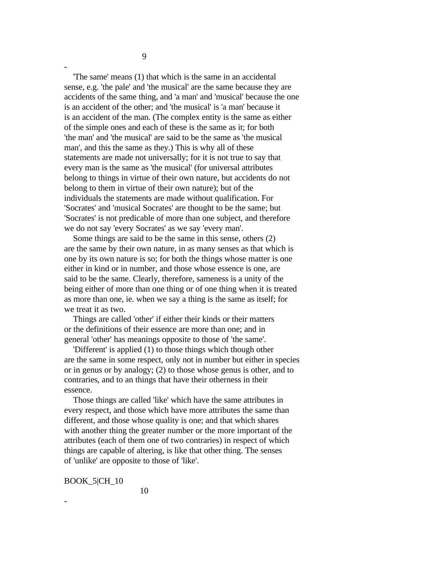'The same' means (1) that which is the same in an accidental sense, e.g. 'the pale' and 'the musical' are the same because they are accidents of the same thing, and 'a man' and 'musical' because the one is an accident of the other; and 'the musical' is 'a man' because it is an accident of the man. (The complex entity is the same as either of the simple ones and each of these is the same as it; for both 'the man' and 'the musical' are said to be the same as 'the musical man', and this the same as they.) This is why all of these statements are made not universally; for it is not true to say that every man is the same as 'the musical' (for universal attributes belong to things in virtue of their own nature, but accidents do not belong to them in virtue of their own nature); but of the individuals the statements are made without qualification. For 'Socrates' and 'musical Socrates' are thought to be the same; but 'Socrates' is not predicable of more than one subject, and therefore we do not say 'every Socrates' as we say 'every man'.

 Some things are said to be the same in this sense, others (2) are the same by their own nature, in as many senses as that which is one by its own nature is so; for both the things whose matter is one either in kind or in number, and those whose essence is one, are said to be the same. Clearly, therefore, sameness is a unity of the being either of more than one thing or of one thing when it is treated as more than one, ie. when we say a thing is the same as itself; for we treat it as two.

 Things are called 'other' if either their kinds or their matters or the definitions of their essence are more than one; and in general 'other' has meanings opposite to those of 'the same'.

 'Different' is applied (1) to those things which though other are the same in some respect, only not in number but either in species or in genus or by analogy; (2) to those whose genus is other, and to contraries, and to an things that have their otherness in their essence.

 Those things are called 'like' which have the same attributes in every respect, and those which have more attributes the same than different, and those whose quality is one; and that which shares with another thing the greater number or the more important of the attributes (each of them one of two contraries) in respect of which things are capable of altering, is like that other thing. The senses of 'unlike' are opposite to those of 'like'.

BOOK\_5|CH\_10

9

-

-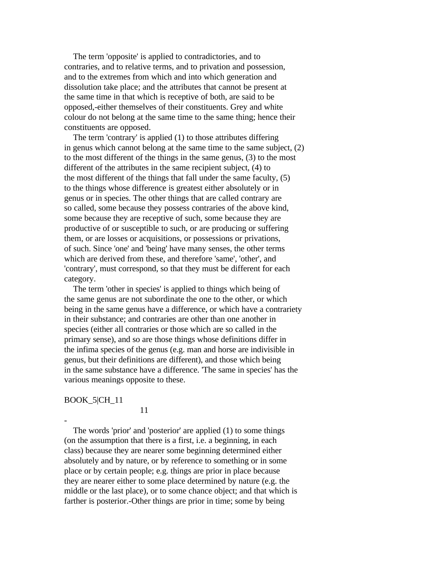The term 'opposite' is applied to contradictories, and to contraries, and to relative terms, and to privation and possession, and to the extremes from which and into which generation and dissolution take place; and the attributes that cannot be present at the same time in that which is receptive of both, are said to be opposed,-either themselves of their constituents. Grey and white colour do not belong at the same time to the same thing; hence their constituents are opposed.

 The term 'contrary' is applied (1) to those attributes differing in genus which cannot belong at the same time to the same subject, (2) to the most different of the things in the same genus, (3) to the most different of the attributes in the same recipient subject, (4) to the most different of the things that fall under the same faculty, (5) to the things whose difference is greatest either absolutely or in genus or in species. The other things that are called contrary are so called, some because they possess contraries of the above kind, some because they are receptive of such, some because they are productive of or susceptible to such, or are producing or suffering them, or are losses or acquisitions, or possessions or privations, of such. Since 'one' and 'being' have many senses, the other terms which are derived from these, and therefore 'same', 'other', and 'contrary', must correspond, so that they must be different for each category.

 The term 'other in species' is applied to things which being of the same genus are not subordinate the one to the other, or which being in the same genus have a difference, or which have a contrariety in their substance; and contraries are other than one another in species (either all contraries or those which are so called in the primary sense), and so are those things whose definitions differ in the infima species of the genus (e.g. man and horse are indivisible in genus, but their definitions are different), and those which being in the same substance have a difference. 'The same in species' has the various meanings opposite to these.

# BOOK\_5|CH\_11

-

### 11

 The words 'prior' and 'posterior' are applied (1) to some things (on the assumption that there is a first, i.e. a beginning, in each class) because they are nearer some beginning determined either absolutely and by nature, or by reference to something or in some place or by certain people; e.g. things are prior in place because they are nearer either to some place determined by nature (e.g. the middle or the last place), or to some chance object; and that which is farther is posterior.-Other things are prior in time; some by being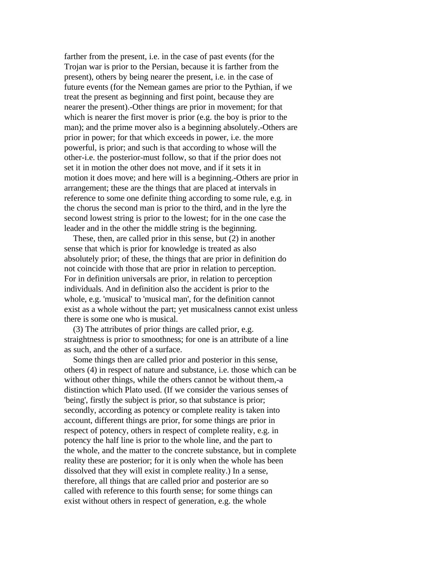farther from the present, i.e. in the case of past events (for the Trojan war is prior to the Persian, because it is farther from the present), others by being nearer the present, i.e. in the case of future events (for the Nemean games are prior to the Pythian, if we treat the present as beginning and first point, because they are nearer the present).-Other things are prior in movement; for that which is nearer the first mover is prior (e.g. the boy is prior to the man); and the prime mover also is a beginning absolutely.-Others are prior in power; for that which exceeds in power, i.e. the more powerful, is prior; and such is that according to whose will the other-i.e. the posterior-must follow, so that if the prior does not set it in motion the other does not move, and if it sets it in motion it does move; and here will is a beginning.-Others are prior in arrangement; these are the things that are placed at intervals in reference to some one definite thing according to some rule, e.g. in the chorus the second man is prior to the third, and in the lyre the second lowest string is prior to the lowest; for in the one case the leader and in the other the middle string is the beginning.

 These, then, are called prior in this sense, but (2) in another sense that which is prior for knowledge is treated as also absolutely prior; of these, the things that are prior in definition do not coincide with those that are prior in relation to perception. For in definition universals are prior, in relation to perception individuals. And in definition also the accident is prior to the whole, e.g. 'musical' to 'musical man', for the definition cannot exist as a whole without the part; yet musicalness cannot exist unless there is some one who is musical.

 (3) The attributes of prior things are called prior, e.g. straightness is prior to smoothness; for one is an attribute of a line as such, and the other of a surface.

 Some things then are called prior and posterior in this sense, others (4) in respect of nature and substance, i.e. those which can be without other things, while the others cannot be without them,-a distinction which Plato used. (If we consider the various senses of 'being', firstly the subject is prior, so that substance is prior; secondly, according as potency or complete reality is taken into account, different things are prior, for some things are prior in respect of potency, others in respect of complete reality, e.g. in potency the half line is prior to the whole line, and the part to the whole, and the matter to the concrete substance, but in complete reality these are posterior; for it is only when the whole has been dissolved that they will exist in complete reality.) In a sense, therefore, all things that are called prior and posterior are so called with reference to this fourth sense; for some things can exist without others in respect of generation, e.g. the whole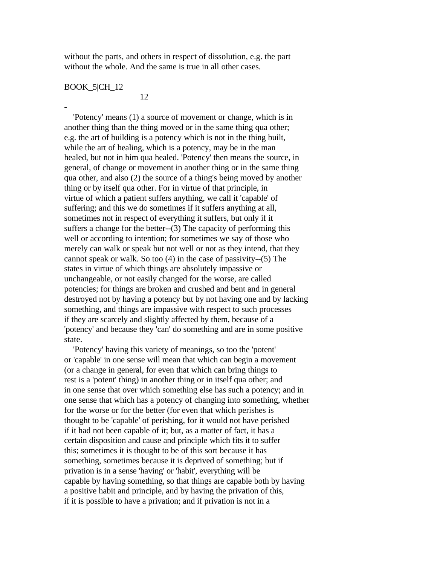without the parts, and others in respect of dissolution, e.g. the part without the whole. And the same is true in all other cases.

## BOOK\_5|CH\_12

-

## 12

 'Potency' means (1) a source of movement or change, which is in another thing than the thing moved or in the same thing qua other; e.g. the art of building is a potency which is not in the thing built, while the art of healing, which is a potency, may be in the man healed, but not in him qua healed. 'Potency' then means the source, in general, of change or movement in another thing or in the same thing qua other, and also (2) the source of a thing's being moved by another thing or by itself qua other. For in virtue of that principle, in virtue of which a patient suffers anything, we call it 'capable' of suffering; and this we do sometimes if it suffers anything at all, sometimes not in respect of everything it suffers, but only if it suffers a change for the better--(3) The capacity of performing this well or according to intention; for sometimes we say of those who merely can walk or speak but not well or not as they intend, that they cannot speak or walk. So too (4) in the case of passivity--(5) The states in virtue of which things are absolutely impassive or unchangeable, or not easily changed for the worse, are called potencies; for things are broken and crushed and bent and in general destroyed not by having a potency but by not having one and by lacking something, and things are impassive with respect to such processes if they are scarcely and slightly affected by them, because of a 'potency' and because they 'can' do something and are in some positive state.

 'Potency' having this variety of meanings, so too the 'potent' or 'capable' in one sense will mean that which can begin a movement (or a change in general, for even that which can bring things to rest is a 'potent' thing) in another thing or in itself qua other; and in one sense that over which something else has such a potency; and in one sense that which has a potency of changing into something, whether for the worse or for the better (for even that which perishes is thought to be 'capable' of perishing, for it would not have perished if it had not been capable of it; but, as a matter of fact, it has a certain disposition and cause and principle which fits it to suffer this; sometimes it is thought to be of this sort because it has something, sometimes because it is deprived of something; but if privation is in a sense 'having' or 'habit', everything will be capable by having something, so that things are capable both by having a positive habit and principle, and by having the privation of this, if it is possible to have a privation; and if privation is not in a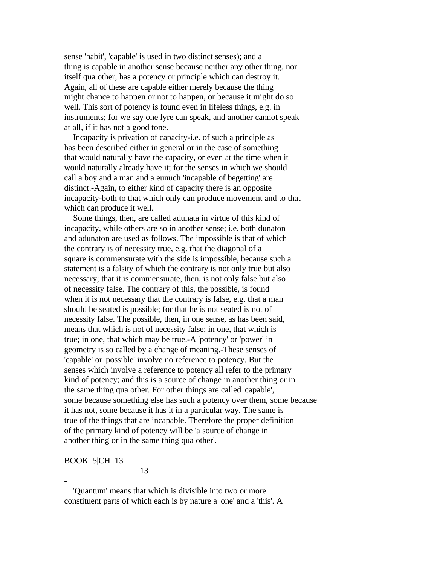sense 'habit', 'capable' is used in two distinct senses); and a thing is capable in another sense because neither any other thing, nor itself qua other, has a potency or principle which can destroy it. Again, all of these are capable either merely because the thing might chance to happen or not to happen, or because it might do so well. This sort of potency is found even in lifeless things, e.g. in instruments; for we say one lyre can speak, and another cannot speak at all, if it has not a good tone.

 Incapacity is privation of capacity-i.e. of such a principle as has been described either in general or in the case of something that would naturally have the capacity, or even at the time when it would naturally already have it; for the senses in which we should call a boy and a man and a eunuch 'incapable of begetting' are distinct.-Again, to either kind of capacity there is an opposite incapacity-both to that which only can produce movement and to that which can produce it well.

 Some things, then, are called adunata in virtue of this kind of incapacity, while others are so in another sense; i.e. both dunaton and adunaton are used as follows. The impossible is that of which the contrary is of necessity true, e.g. that the diagonal of a square is commensurate with the side is impossible, because such a statement is a falsity of which the contrary is not only true but also necessary; that it is commensurate, then, is not only false but also of necessity false. The contrary of this, the possible, is found when it is not necessary that the contrary is false, e.g. that a man should be seated is possible; for that he is not seated is not of necessity false. The possible, then, in one sense, as has been said, means that which is not of necessity false; in one, that which is true; in one, that which may be true.-A 'potency' or 'power' in geometry is so called by a change of meaning.-These senses of 'capable' or 'possible' involve no reference to potency. But the senses which involve a reference to potency all refer to the primary kind of potency; and this is a source of change in another thing or in the same thing qua other. For other things are called 'capable', some because something else has such a potency over them, some because it has not, some because it has it in a particular way. The same is true of the things that are incapable. Therefore the proper definition of the primary kind of potency will be 'a source of change in another thing or in the same thing qua other'.

# BOOK\_5|CH\_13

-

## 13

 'Quantum' means that which is divisible into two or more constituent parts of which each is by nature a 'one' and a 'this'. A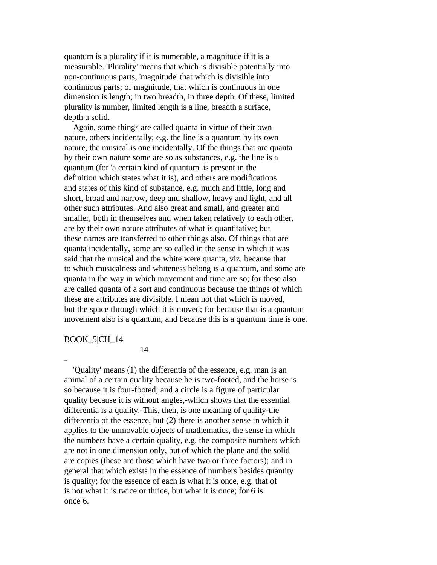quantum is a plurality if it is numerable, a magnitude if it is a measurable. 'Plurality' means that which is divisible potentially into non-continuous parts, 'magnitude' that which is divisible into continuous parts; of magnitude, that which is continuous in one dimension is length; in two breadth, in three depth. Of these, limited plurality is number, limited length is a line, breadth a surface, depth a solid.

 Again, some things are called quanta in virtue of their own nature, others incidentally; e.g. the line is a quantum by its own nature, the musical is one incidentally. Of the things that are quanta by their own nature some are so as substances, e.g. the line is a quantum (for 'a certain kind of quantum' is present in the definition which states what it is), and others are modifications and states of this kind of substance, e.g. much and little, long and short, broad and narrow, deep and shallow, heavy and light, and all other such attributes. And also great and small, and greater and smaller, both in themselves and when taken relatively to each other, are by their own nature attributes of what is quantitative; but these names are transferred to other things also. Of things that are quanta incidentally, some are so called in the sense in which it was said that the musical and the white were quanta, viz. because that to which musicalness and whiteness belong is a quantum, and some are quanta in the way in which movement and time are so; for these also are called quanta of a sort and continuous because the things of which these are attributes are divisible. I mean not that which is moved, but the space through which it is moved; for because that is a quantum movement also is a quantum, and because this is a quantum time is one.

## BOOK\_5|CH\_14

-

14

 'Quality' means (1) the differentia of the essence, e.g. man is an animal of a certain quality because he is two-footed, and the horse is so because it is four-footed; and a circle is a figure of particular quality because it is without angles,-which shows that the essential differentia is a quality.-This, then, is one meaning of quality-the differentia of the essence, but (2) there is another sense in which it applies to the unmovable objects of mathematics, the sense in which the numbers have a certain quality, e.g. the composite numbers which are not in one dimension only, but of which the plane and the solid are copies (these are those which have two or three factors); and in general that which exists in the essence of numbers besides quantity is quality; for the essence of each is what it is once, e.g. that of is not what it is twice or thrice, but what it is once; for 6 is once 6.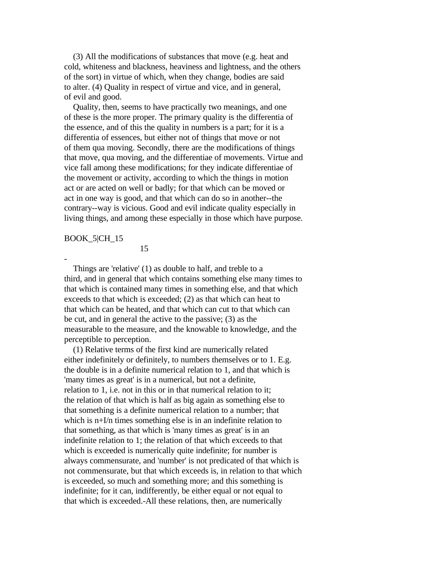(3) All the modifications of substances that move (e.g. heat and cold, whiteness and blackness, heaviness and lightness, and the others of the sort) in virtue of which, when they change, bodies are said to alter. (4) Quality in respect of virtue and vice, and in general, of evil and good.

 Quality, then, seems to have practically two meanings, and one of these is the more proper. The primary quality is the differentia of the essence, and of this the quality in numbers is a part; for it is a differentia of essences, but either not of things that move or not of them qua moving. Secondly, there are the modifications of things that move, qua moving, and the differentiae of movements. Virtue and vice fall among these modifications; for they indicate differentiae of the movement or activity, according to which the things in motion act or are acted on well or badly; for that which can be moved or act in one way is good, and that which can do so in another--the contrary--way is vicious. Good and evil indicate quality especially in living things, and among these especially in those which have purpose.

BOOK\_5|CH\_15

-

15

 Things are 'relative' (1) as double to half, and treble to a third, and in general that which contains something else many times to that which is contained many times in something else, and that which exceeds to that which is exceeded; (2) as that which can heat to that which can be heated, and that which can cut to that which can be cut, and in general the active to the passive; (3) as the measurable to the measure, and the knowable to knowledge, and the perceptible to perception.

 (1) Relative terms of the first kind are numerically related either indefinitely or definitely, to numbers themselves or to 1. E.g. the double is in a definite numerical relation to 1, and that which is 'many times as great' is in a numerical, but not a definite, relation to 1, i.e. not in this or in that numerical relation to it; the relation of that which is half as big again as something else to that something is a definite numerical relation to a number; that which is n+I/n times something else is in an indefinite relation to that something, as that which is 'many times as great' is in an indefinite relation to 1; the relation of that which exceeds to that which is exceeded is numerically quite indefinite; for number is always commensurate, and 'number' is not predicated of that which is not commensurate, but that which exceeds is, in relation to that which is exceeded, so much and something more; and this something is indefinite; for it can, indifferently, be either equal or not equal to that which is exceeded.-All these relations, then, are numerically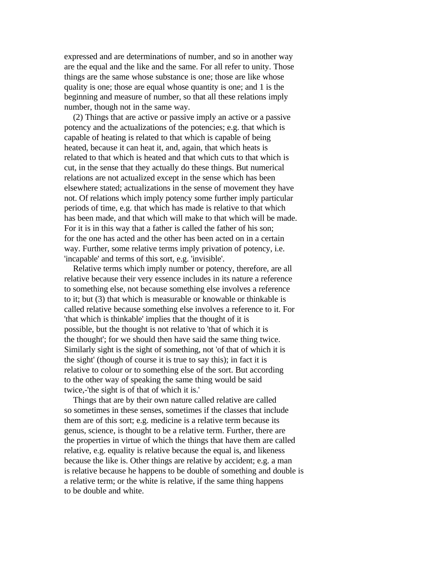expressed and are determinations of number, and so in another way are the equal and the like and the same. For all refer to unity. Those things are the same whose substance is one; those are like whose quality is one; those are equal whose quantity is one; and 1 is the beginning and measure of number, so that all these relations imply number, though not in the same way.

 (2) Things that are active or passive imply an active or a passive potency and the actualizations of the potencies; e.g. that which is capable of heating is related to that which is capable of being heated, because it can heat it, and, again, that which heats is related to that which is heated and that which cuts to that which is cut, in the sense that they actually do these things. But numerical relations are not actualized except in the sense which has been elsewhere stated; actualizations in the sense of movement they have not. Of relations which imply potency some further imply particular periods of time, e.g. that which has made is relative to that which has been made, and that which will make to that which will be made. For it is in this way that a father is called the father of his son; for the one has acted and the other has been acted on in a certain way. Further, some relative terms imply privation of potency, i.e. 'incapable' and terms of this sort, e.g. 'invisible'.

 Relative terms which imply number or potency, therefore, are all relative because their very essence includes in its nature a reference to something else, not because something else involves a reference to it; but (3) that which is measurable or knowable or thinkable is called relative because something else involves a reference to it. For 'that which is thinkable' implies that the thought of it is possible, but the thought is not relative to 'that of which it is the thought'; for we should then have said the same thing twice. Similarly sight is the sight of something, not 'of that of which it is the sight' (though of course it is true to say this); in fact it is relative to colour or to something else of the sort. But according to the other way of speaking the same thing would be said twice,-'the sight is of that of which it is.'

 Things that are by their own nature called relative are called so sometimes in these senses, sometimes if the classes that include them are of this sort; e.g. medicine is a relative term because its genus, science, is thought to be a relative term. Further, there are the properties in virtue of which the things that have them are called relative, e.g. equality is relative because the equal is, and likeness because the like is. Other things are relative by accident; e.g. a man is relative because he happens to be double of something and double is a relative term; or the white is relative, if the same thing happens to be double and white.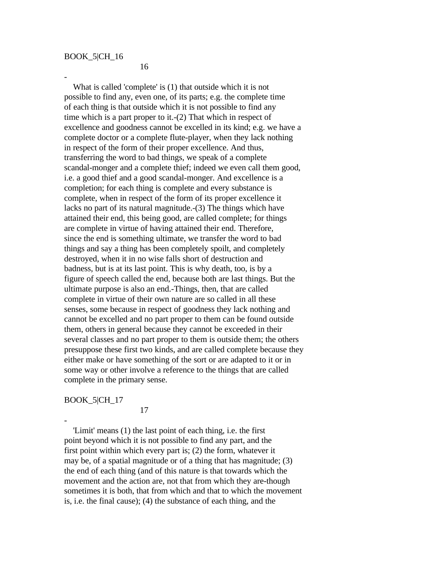-

16

 What is called 'complete' is (1) that outside which it is not possible to find any, even one, of its parts; e.g. the complete time of each thing is that outside which it is not possible to find any time which is a part proper to it.-(2) That which in respect of excellence and goodness cannot be excelled in its kind; e.g. we have a complete doctor or a complete flute-player, when they lack nothing in respect of the form of their proper excellence. And thus, transferring the word to bad things, we speak of a complete scandal-monger and a complete thief; indeed we even call them good, i.e. a good thief and a good scandal-monger. And excellence is a completion; for each thing is complete and every substance is complete, when in respect of the form of its proper excellence it lacks no part of its natural magnitude.-(3) The things which have attained their end, this being good, are called complete; for things are complete in virtue of having attained their end. Therefore, since the end is something ultimate, we transfer the word to bad things and say a thing has been completely spoilt, and completely destroyed, when it in no wise falls short of destruction and badness, but is at its last point. This is why death, too, is by a figure of speech called the end, because both are last things. But the ultimate purpose is also an end.-Things, then, that are called complete in virtue of their own nature are so called in all these senses, some because in respect of goodness they lack nothing and cannot be excelled and no part proper to them can be found outside them, others in general because they cannot be exceeded in their several classes and no part proper to them is outside them; the others presuppose these first two kinds, and are called complete because they either make or have something of the sort or are adapted to it or in some way or other involve a reference to the things that are called complete in the primary sense.

## BOOK\_5|CH\_17

-

## 17

 'Limit' means (1) the last point of each thing, i.e. the first point beyond which it is not possible to find any part, and the first point within which every part is; (2) the form, whatever it may be, of a spatial magnitude or of a thing that has magnitude; (3) the end of each thing (and of this nature is that towards which the movement and the action are, not that from which they are-though sometimes it is both, that from which and that to which the movement is, i.e. the final cause); (4) the substance of each thing, and the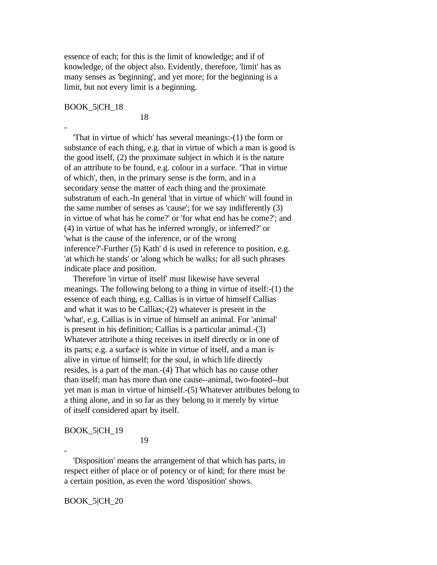essence of each; for this is the limit of knowledge; and if of knowledge, of the object also. Evidently, therefore, 'limit' has as many senses as 'beginning', and yet more; for the beginning is a limit, but not every limit is a beginning.

# BOOK\_5|CH\_18

-

## 18

 'That in virtue of which' has several meanings:-(1) the form or substance of each thing, e.g. that in virtue of which a man is good is the good itself, (2) the proximate subject in which it is the nature of an attribute to be found, e.g. colour in a surface. 'That in virtue of which', then, in the primary sense is the form, and in a secondary sense the matter of each thing and the proximate substratum of each.-In general 'that in virtue of which' will found in the same number of senses as 'cause'; for we say indifferently (3) in virtue of what has he come?' or 'for what end has he come?'; and (4) in virtue of what has he inferred wrongly, or inferred?' or 'what is the cause of the inference, or of the wrong inference?'-Further (5) Kath' d is used in reference to position, e.g. 'at which he stands' or 'along which he walks; for all such phrases indicate place and position.

 Therefore 'in virtue of itself' must likewise have several meanings. The following belong to a thing in virtue of itself:-(1) the essence of each thing, e.g. Callias is in virtue of himself Callias and what it was to be Callias;-(2) whatever is present in the 'what', e.g. Callias is in virtue of himself an animal. For 'animal' is present in his definition; Callias is a particular animal.-(3) Whatever attribute a thing receives in itself directly or in one of its parts; e.g. a surface is white in virtue of itself, and a man is alive in virtue of himself; for the soul, in which life directly resides, is a part of the man.-(4) That which has no cause other than itself; man has more than one cause--animal, two-footed--but yet man is man in virtue of himself.-(5) Whatever attributes belong to a thing alone, and in so far as they belong to it merely by virtue of itself considered apart by itself.

#### BOOK\_5|CH\_19

-

19

 'Disposition' means the arrangement of that which has parts, in respect either of place or of potency or of kind; for there must be a certain position, as even the word 'disposition' shows.

BOOK\_5|CH\_20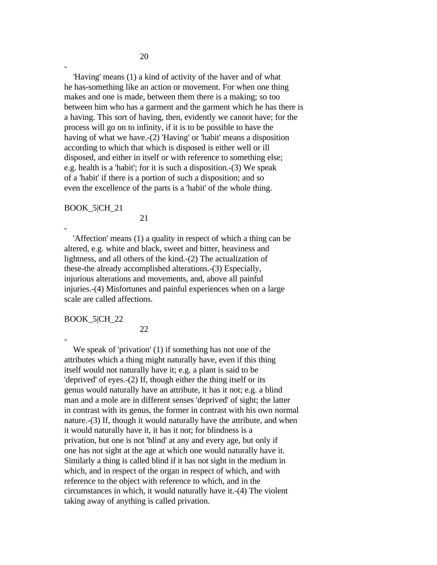'Having' means (1) a kind of activity of the haver and of what he has-something like an action or movement. For when one thing makes and one is made, between them there is a making; so too between him who has a garment and the garment which he has there is a having. This sort of having, then, evidently we cannot have; for the process will go on to infinity, if it is to be possible to have the having of what we have.-(2) 'Having' or 'habit' means a disposition according to which that which is disposed is either well or ill disposed, and either in itself or with reference to something else; e.g. health is a 'habit'; for it is such a disposition.-(3) We speak of a 'habit' if there is a portion of such a disposition; and so even the excellence of the parts is a 'habit' of the whole thing.

## BOOK\_5|CH\_21

-

-

-

## 21

 'Affection' means (1) a quality in respect of which a thing can be altered, e.g. white and black, sweet and bitter, heaviness and lightness, and all others of the kind.-(2) The actualization of these-the already accomplished alterations.-(3) Especially, injurious alterations and movements, and, above all painful injuries.-(4) Misfortunes and painful experiences when on a large scale are called affections.

# BOOK\_5|CH\_22

22

 We speak of 'privation' (1) if something has not one of the attributes which a thing might naturally have, even if this thing itself would not naturally have it; e.g. a plant is said to be 'deprived' of eyes.-(2) If, though either the thing itself or its genus would naturally have an attribute, it has it not; e.g. a blind man and a mole are in different senses 'deprived' of sight; the latter in contrast with its genus, the former in contrast with his own normal nature.-(3) If, though it would naturally have the attribute, and when it would naturally have it, it has it not; for blindness is a privation, but one is not 'blind' at any and every age, but only if one has not sight at the age at which one would naturally have it. Similarly a thing is called blind if it has not sight in the medium in which, and in respect of the organ in respect of which, and with reference to the object with reference to which, and in the circumstances in which, it would naturally have it.-(4) The violent taking away of anything is called privation.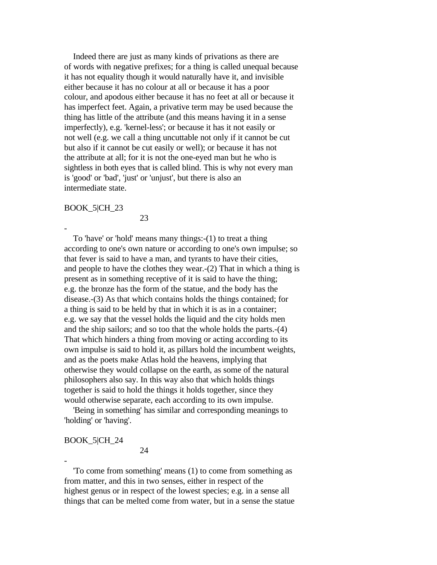Indeed there are just as many kinds of privations as there are of words with negative prefixes; for a thing is called unequal because it has not equality though it would naturally have it, and invisible either because it has no colour at all or because it has a poor colour, and apodous either because it has no feet at all or because it has imperfect feet. Again, a privative term may be used because the thing has little of the attribute (and this means having it in a sense imperfectly), e.g. 'kernel-less'; or because it has it not easily or not well (e.g. we call a thing uncuttable not only if it cannot be cut but also if it cannot be cut easily or well); or because it has not the attribute at all; for it is not the one-eyed man but he who is sightless in both eyes that is called blind. This is why not every man is 'good' or 'bad', 'just' or 'unjust', but there is also an intermediate state.

#### BOOK\_5|CH\_23

-

## 23

 To 'have' or 'hold' means many things:-(1) to treat a thing according to one's own nature or according to one's own impulse; so that fever is said to have a man, and tyrants to have their cities, and people to have the clothes they wear.-(2) That in which a thing is present as in something receptive of it is said to have the thing; e.g. the bronze has the form of the statue, and the body has the disease.-(3) As that which contains holds the things contained; for a thing is said to be held by that in which it is as in a container; e.g. we say that the vessel holds the liquid and the city holds men and the ship sailors; and so too that the whole holds the parts.-(4) That which hinders a thing from moving or acting according to its own impulse is said to hold it, as pillars hold the incumbent weights, and as the poets make Atlas hold the heavens, implying that otherwise they would collapse on the earth, as some of the natural philosophers also say. In this way also that which holds things together is said to hold the things it holds together, since they would otherwise separate, each according to its own impulse.

 'Being in something' has similar and corresponding meanings to 'holding' or 'having'.

BOOK\_5|CH\_24

-

# 24

 'To come from something' means (1) to come from something as from matter, and this in two senses, either in respect of the highest genus or in respect of the lowest species; e.g. in a sense all things that can be melted come from water, but in a sense the statue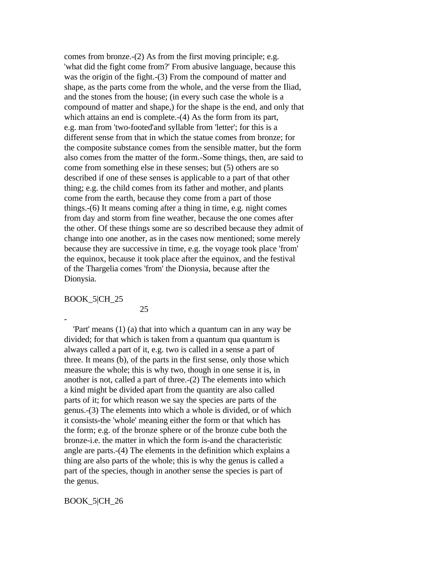comes from bronze.-(2) As from the first moving principle; e.g. 'what did the fight come from?' From abusive language, because this was the origin of the fight.-(3) From the compound of matter and shape, as the parts come from the whole, and the verse from the Iliad, and the stones from the house; (in every such case the whole is a compound of matter and shape,) for the shape is the end, and only that which attains an end is complete.-(4) As the form from its part, e.g. man from 'two-footed'and syllable from 'letter'; for this is a different sense from that in which the statue comes from bronze; for the composite substance comes from the sensible matter, but the form also comes from the matter of the form.-Some things, then, are said to come from something else in these senses; but (5) others are so described if one of these senses is applicable to a part of that other thing; e.g. the child comes from its father and mother, and plants come from the earth, because they come from a part of those things.-(6) It means coming after a thing in time, e.g. night comes from day and storm from fine weather, because the one comes after the other. Of these things some are so described because they admit of change into one another, as in the cases now mentioned; some merely because they are successive in time, e.g. the voyage took place 'from' the equinox, because it took place after the equinox, and the festival of the Thargelia comes 'from' the Dionysia, because after the Dionysia.

## BOOK\_5|CH\_25

-

## 25

 'Part' means (1) (a) that into which a quantum can in any way be divided; for that which is taken from a quantum qua quantum is always called a part of it, e.g. two is called in a sense a part of three. It means (b), of the parts in the first sense, only those which measure the whole; this is why two, though in one sense it is, in another is not, called a part of three.-(2) The elements into which a kind might be divided apart from the quantity are also called parts of it; for which reason we say the species are parts of the genus.-(3) The elements into which a whole is divided, or of which it consists-the 'whole' meaning either the form or that which has the form; e.g. of the bronze sphere or of the bronze cube both the bronze-i.e. the matter in which the form is-and the characteristic angle are parts.-(4) The elements in the definition which explains a thing are also parts of the whole; this is why the genus is called a part of the species, though in another sense the species is part of the genus.

### BOOK\_5|CH\_26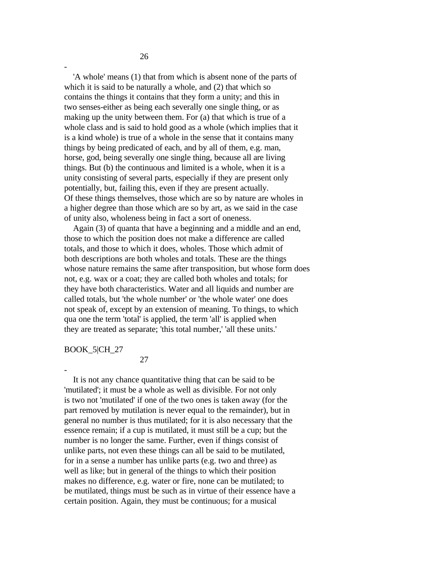'A whole' means (1) that from which is absent none of the parts of which it is said to be naturally a whole, and (2) that which so contains the things it contains that they form a unity; and this in two senses-either as being each severally one single thing, or as making up the unity between them. For (a) that which is true of a whole class and is said to hold good as a whole (which implies that it is a kind whole) is true of a whole in the sense that it contains many things by being predicated of each, and by all of them, e.g. man, horse, god, being severally one single thing, because all are living things. But (b) the continuous and limited is a whole, when it is a unity consisting of several parts, especially if they are present only potentially, but, failing this, even if they are present actually. Of these things themselves, those which are so by nature are wholes in a higher degree than those which are so by art, as we said in the case of unity also, wholeness being in fact a sort of oneness.

 Again (3) of quanta that have a beginning and a middle and an end, those to which the position does not make a difference are called totals, and those to which it does, wholes. Those which admit of both descriptions are both wholes and totals. These are the things whose nature remains the same after transposition, but whose form does not, e.g. wax or a coat; they are called both wholes and totals; for they have both characteristics. Water and all liquids and number are called totals, but 'the whole number' or 'the whole water' one does not speak of, except by an extension of meaning. To things, to which qua one the term 'total' is applied, the term 'all' is applied when they are treated as separate; 'this total number,' 'all these units.'

BOOK\_5|CH\_27

-

27

 It is not any chance quantitative thing that can be said to be 'mutilated'; it must be a whole as well as divisible. For not only is two not 'mutilated' if one of the two ones is taken away (for the part removed by mutilation is never equal to the remainder), but in general no number is thus mutilated; for it is also necessary that the essence remain; if a cup is mutilated, it must still be a cup; but the number is no longer the same. Further, even if things consist of unlike parts, not even these things can all be said to be mutilated, for in a sense a number has unlike parts (e.g. two and three) as well as like; but in general of the things to which their position makes no difference, e.g. water or fire, none can be mutilated; to be mutilated, things must be such as in virtue of their essence have a certain position. Again, they must be continuous; for a musical

-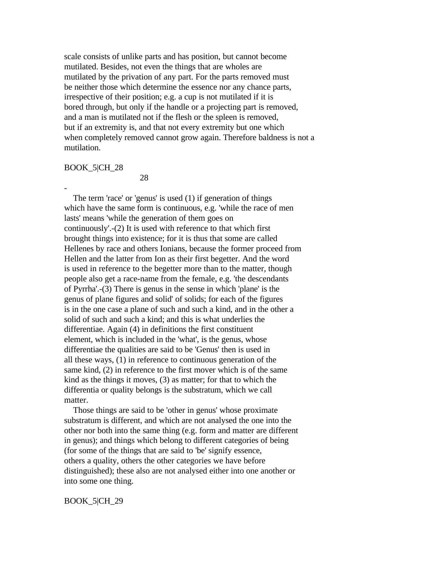scale consists of unlike parts and has position, but cannot become mutilated. Besides, not even the things that are wholes are mutilated by the privation of any part. For the parts removed must be neither those which determine the essence nor any chance parts, irrespective of their position; e.g. a cup is not mutilated if it is bored through, but only if the handle or a projecting part is removed, and a man is mutilated not if the flesh or the spleen is removed, but if an extremity is, and that not every extremity but one which when completely removed cannot grow again. Therefore baldness is not a mutilation.

### BOOK\_5|CH\_28

-

## 28

 The term 'race' or 'genus' is used (1) if generation of things which have the same form is continuous, e.g. 'while the race of men lasts' means 'while the generation of them goes on continuously'.-(2) It is used with reference to that which first brought things into existence; for it is thus that some are called Hellenes by race and others Ionians, because the former proceed from Hellen and the latter from Ion as their first begetter. And the word is used in reference to the begetter more than to the matter, though people also get a race-name from the female, e.g. 'the descendants of Pyrrha'.-(3) There is genus in the sense in which 'plane' is the genus of plane figures and solid' of solids; for each of the figures is in the one case a plane of such and such a kind, and in the other a solid of such and such a kind; and this is what underlies the differentiae. Again (4) in definitions the first constituent element, which is included in the 'what', is the genus, whose differentiae the qualities are said to be 'Genus' then is used in all these ways, (1) in reference to continuous generation of the same kind, (2) in reference to the first mover which is of the same kind as the things it moves, (3) as matter; for that to which the differentia or quality belongs is the substratum, which we call matter.

 Those things are said to be 'other in genus' whose proximate substratum is different, and which are not analysed the one into the other nor both into the same thing (e.g. form and matter are different in genus); and things which belong to different categories of being (for some of the things that are said to 'be' signify essence, others a quality, others the other categories we have before distinguished); these also are not analysed either into one another or into some one thing.

#### BOOK\_5|CH\_29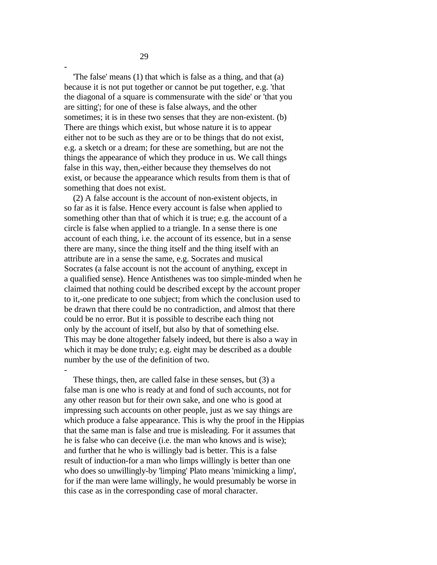'The false' means (1) that which is false as a thing, and that (a) because it is not put together or cannot be put together, e.g. 'that the diagonal of a square is commensurate with the side' or 'that you are sitting'; for one of these is false always, and the other sometimes; it is in these two senses that they are non-existent. (b) There are things which exist, but whose nature it is to appear either not to be such as they are or to be things that do not exist, e.g. a sketch or a dream; for these are something, but are not the things the appearance of which they produce in us. We call things false in this way, then,-either because they themselves do not exist, or because the appearance which results from them is that of something that does not exist.

 (2) A false account is the account of non-existent objects, in so far as it is false. Hence every account is false when applied to something other than that of which it is true; e.g. the account of a circle is false when applied to a triangle. In a sense there is one account of each thing, i.e. the account of its essence, but in a sense there are many, since the thing itself and the thing itself with an attribute are in a sense the same, e.g. Socrates and musical Socrates (a false account is not the account of anything, except in a qualified sense). Hence Antisthenes was too simple-minded when he claimed that nothing could be described except by the account proper to it,-one predicate to one subject; from which the conclusion used to be drawn that there could be no contradiction, and almost that there could be no error. But it is possible to describe each thing not only by the account of itself, but also by that of something else. This may be done altogether falsely indeed, but there is also a way in which it may be done truly; e.g. eight may be described as a double number by the use of the definition of two.

 These things, then, are called false in these senses, but (3) a false man is one who is ready at and fond of such accounts, not for any other reason but for their own sake, and one who is good at impressing such accounts on other people, just as we say things are which produce a false appearance. This is why the proof in the Hippias that the same man is false and true is misleading. For it assumes that he is false who can deceive (i.e. the man who knows and is wise); and further that he who is willingly bad is better. This is a false result of induction-for a man who limps willingly is better than one who does so unwillingly-by 'limping' Plato means 'mimicking a limp', for if the man were lame willingly, he would presumably be worse in this case as in the corresponding case of moral character.

-

-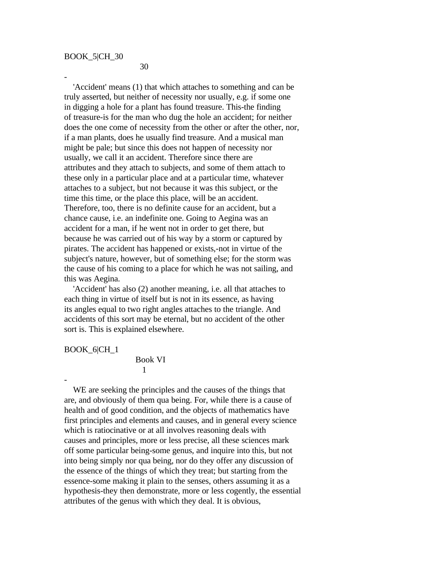-

30

 'Accident' means (1) that which attaches to something and can be truly asserted, but neither of necessity nor usually, e.g. if some one in digging a hole for a plant has found treasure. This-the finding of treasure-is for the man who dug the hole an accident; for neither does the one come of necessity from the other or after the other, nor, if a man plants, does he usually find treasure. And a musical man might be pale; but since this does not happen of necessity nor usually, we call it an accident. Therefore since there are attributes and they attach to subjects, and some of them attach to these only in a particular place and at a particular time, whatever attaches to a subject, but not because it was this subject, or the time this time, or the place this place, will be an accident. Therefore, too, there is no definite cause for an accident, but a chance cause, i.e. an indefinite one. Going to Aegina was an accident for a man, if he went not in order to get there, but because he was carried out of his way by a storm or captured by pirates. The accident has happened or exists,-not in virtue of the subject's nature, however, but of something else; for the storm was the cause of his coming to a place for which he was not sailing, and this was Aegina.

 'Accident' has also (2) another meaning, i.e. all that attaches to each thing in virtue of itself but is not in its essence, as having its angles equal to two right angles attaches to the triangle. And accidents of this sort may be eternal, but no accident of the other sort is. This is explained elsewhere.

BOOK\_6|CH\_1

-

 Book VI 1

 WE are seeking the principles and the causes of the things that are, and obviously of them qua being. For, while there is a cause of health and of good condition, and the objects of mathematics have first principles and elements and causes, and in general every science which is ratiocinative or at all involves reasoning deals with causes and principles, more or less precise, all these sciences mark off some particular being-some genus, and inquire into this, but not into being simply nor qua being, nor do they offer any discussion of the essence of the things of which they treat; but starting from the essence-some making it plain to the senses, others assuming it as a hypothesis-they then demonstrate, more or less cogently, the essential attributes of the genus with which they deal. It is obvious,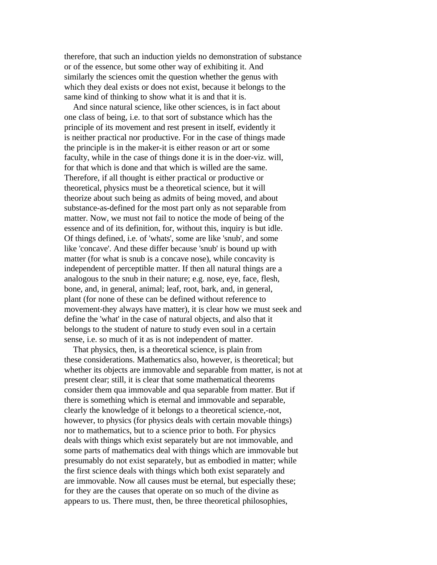therefore, that such an induction yields no demonstration of substance or of the essence, but some other way of exhibiting it. And similarly the sciences omit the question whether the genus with which they deal exists or does not exist, because it belongs to the same kind of thinking to show what it is and that it is.

 And since natural science, like other sciences, is in fact about one class of being, i.e. to that sort of substance which has the principle of its movement and rest present in itself, evidently it is neither practical nor productive. For in the case of things made the principle is in the maker-it is either reason or art or some faculty, while in the case of things done it is in the doer-viz. will, for that which is done and that which is willed are the same. Therefore, if all thought is either practical or productive or theoretical, physics must be a theoretical science, but it will theorize about such being as admits of being moved, and about substance-as-defined for the most part only as not separable from matter. Now, we must not fail to notice the mode of being of the essence and of its definition, for, without this, inquiry is but idle. Of things defined, i.e. of 'whats', some are like 'snub', and some like 'concave'. And these differ because 'snub' is bound up with matter (for what is snub is a concave nose), while concavity is independent of perceptible matter. If then all natural things are a analogous to the snub in their nature; e.g. nose, eye, face, flesh, bone, and, in general, animal; leaf, root, bark, and, in general, plant (for none of these can be defined without reference to movement-they always have matter), it is clear how we must seek and define the 'what' in the case of natural objects, and also that it belongs to the student of nature to study even soul in a certain sense, i.e. so much of it as is not independent of matter.

 That physics, then, is a theoretical science, is plain from these considerations. Mathematics also, however, is theoretical; but whether its objects are immovable and separable from matter, is not at present clear; still, it is clear that some mathematical theorems consider them qua immovable and qua separable from matter. But if there is something which is eternal and immovable and separable, clearly the knowledge of it belongs to a theoretical science,-not, however, to physics (for physics deals with certain movable things) nor to mathematics, but to a science prior to both. For physics deals with things which exist separately but are not immovable, and some parts of mathematics deal with things which are immovable but presumably do not exist separately, but as embodied in matter; while the first science deals with things which both exist separately and are immovable. Now all causes must be eternal, but especially these; for they are the causes that operate on so much of the divine as appears to us. There must, then, be three theoretical philosophies,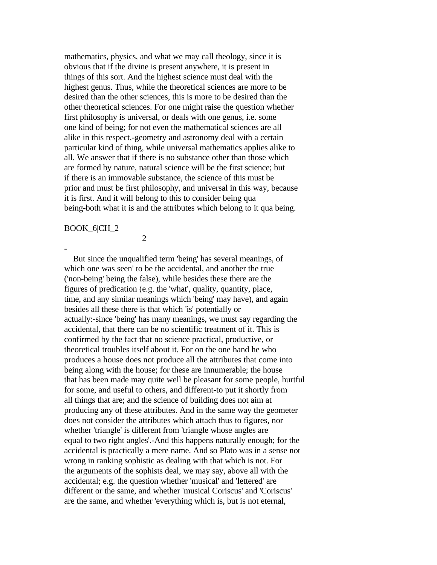mathematics, physics, and what we may call theology, since it is obvious that if the divine is present anywhere, it is present in things of this sort. And the highest science must deal with the highest genus. Thus, while the theoretical sciences are more to be desired than the other sciences, this is more to be desired than the other theoretical sciences. For one might raise the question whether first philosophy is universal, or deals with one genus, i.e. some one kind of being; for not even the mathematical sciences are all alike in this respect,-geometry and astronomy deal with a certain particular kind of thing, while universal mathematics applies alike to all. We answer that if there is no substance other than those which are formed by nature, natural science will be the first science; but if there is an immovable substance, the science of this must be prior and must be first philosophy, and universal in this way, because it is first. And it will belong to this to consider being qua being-both what it is and the attributes which belong to it qua being.

## BOOK 6|CH\_2

-

2

 But since the unqualified term 'being' has several meanings, of which one was seen' to be the accidental, and another the true ('non-being' being the false), while besides these there are the figures of predication (e.g. the 'what', quality, quantity, place, time, and any similar meanings which 'being' may have), and again besides all these there is that which 'is' potentially or actually:-since 'being' has many meanings, we must say regarding the accidental, that there can be no scientific treatment of it. This is confirmed by the fact that no science practical, productive, or theoretical troubles itself about it. For on the one hand he who produces a house does not produce all the attributes that come into being along with the house; for these are innumerable; the house that has been made may quite well be pleasant for some people, hurtful for some, and useful to others, and different-to put it shortly from all things that are; and the science of building does not aim at producing any of these attributes. And in the same way the geometer does not consider the attributes which attach thus to figures, nor whether 'triangle' is different from 'triangle whose angles are equal to two right angles'.-And this happens naturally enough; for the accidental is practically a mere name. And so Plato was in a sense not wrong in ranking sophistic as dealing with that which is not. For the arguments of the sophists deal, we may say, above all with the accidental; e.g. the question whether 'musical' and 'lettered' are different or the same, and whether 'musical Coriscus' and 'Coriscus' are the same, and whether 'everything which is, but is not eternal,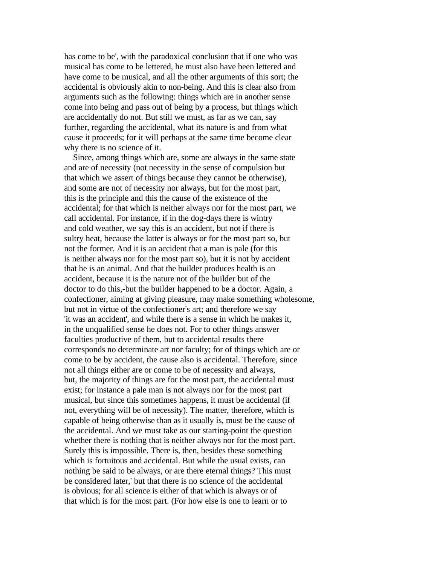has come to be', with the paradoxical conclusion that if one who was musical has come to be lettered, he must also have been lettered and have come to be musical, and all the other arguments of this sort; the accidental is obviously akin to non-being. And this is clear also from arguments such as the following: things which are in another sense come into being and pass out of being by a process, but things which are accidentally do not. But still we must, as far as we can, say further, regarding the accidental, what its nature is and from what cause it proceeds; for it will perhaps at the same time become clear why there is no science of it.

 Since, among things which are, some are always in the same state and are of necessity (not necessity in the sense of compulsion but that which we assert of things because they cannot be otherwise), and some are not of necessity nor always, but for the most part, this is the principle and this the cause of the existence of the accidental; for that which is neither always nor for the most part, we call accidental. For instance, if in the dog-days there is wintry and cold weather, we say this is an accident, but not if there is sultry heat, because the latter is always or for the most part so, but not the former. And it is an accident that a man is pale (for this is neither always nor for the most part so), but it is not by accident that he is an animal. And that the builder produces health is an accident, because it is the nature not of the builder but of the doctor to do this,-but the builder happened to be a doctor. Again, a confectioner, aiming at giving pleasure, may make something wholesome, but not in virtue of the confectioner's art; and therefore we say 'it was an accident', and while there is a sense in which he makes it, in the unqualified sense he does not. For to other things answer faculties productive of them, but to accidental results there corresponds no determinate art nor faculty; for of things which are or come to be by accident, the cause also is accidental. Therefore, since not all things either are or come to be of necessity and always, but, the majority of things are for the most part, the accidental must exist; for instance a pale man is not always nor for the most part musical, but since this sometimes happens, it must be accidental (if not, everything will be of necessity). The matter, therefore, which is capable of being otherwise than as it usually is, must be the cause of the accidental. And we must take as our starting-point the question whether there is nothing that is neither always nor for the most part. Surely this is impossible. There is, then, besides these something which is fortuitous and accidental. But while the usual exists, can nothing be said to be always, or are there eternal things? This must be considered later,' but that there is no science of the accidental is obvious; for all science is either of that which is always or of that which is for the most part. (For how else is one to learn or to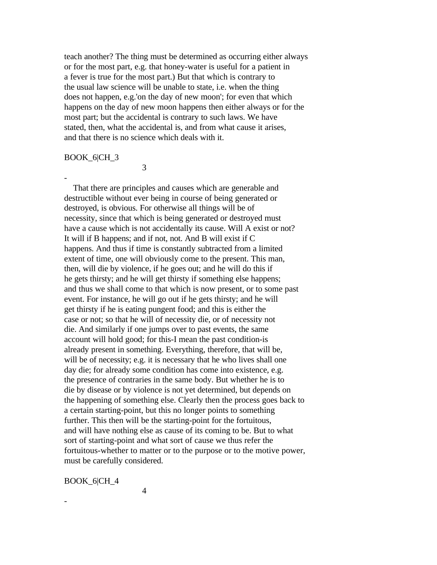teach another? The thing must be determined as occurring either always or for the most part, e.g. that honey-water is useful for a patient in a fever is true for the most part.) But that which is contrary to the usual law science will be unable to state, i.e. when the thing does not happen, e.g.'on the day of new moon'; for even that which happens on the day of new moon happens then either always or for the most part; but the accidental is contrary to such laws. We have stated, then, what the accidental is, and from what cause it arises, and that there is no science which deals with it.

#### BOOK 6|CH 3

3

- That there are principles and causes which are generable and destructible without ever being in course of being generated or destroyed, is obvious. For otherwise all things will be of necessity, since that which is being generated or destroyed must have a cause which is not accidentally its cause. Will A exist or not? It will if B happens; and if not, not. And B will exist if C happens. And thus if time is constantly subtracted from a limited extent of time, one will obviously come to the present. This man, then, will die by violence, if he goes out; and he will do this if he gets thirsty; and he will get thirsty if something else happens; and thus we shall come to that which is now present, or to some past event. For instance, he will go out if he gets thirsty; and he will get thirsty if he is eating pungent food; and this is either the case or not; so that he will of necessity die, or of necessity not die. And similarly if one jumps over to past events, the same account will hold good; for this-I mean the past condition-is already present in something. Everything, therefore, that will be, will be of necessity; e.g. it is necessary that he who lives shall one day die; for already some condition has come into existence, e.g. the presence of contraries in the same body. But whether he is to die by disease or by violence is not yet determined, but depends on the happening of something else. Clearly then the process goes back to a certain starting-point, but this no longer points to something further. This then will be the starting-point for the fortuitous, and will have nothing else as cause of its coming to be. But to what sort of starting-point and what sort of cause we thus refer the fortuitous-whether to matter or to the purpose or to the motive power, must be carefully considered.

BOOK 6|CH 4

-

4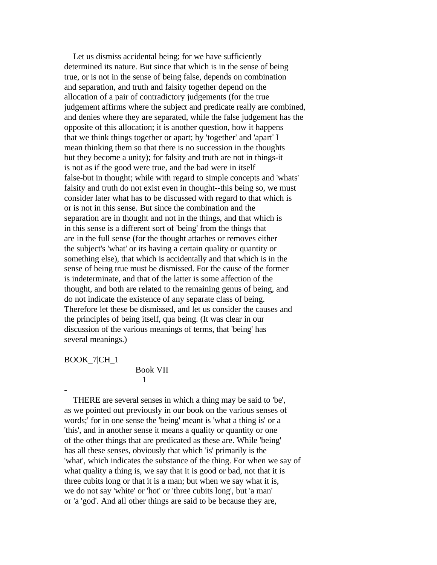Let us dismiss accidental being; for we have sufficiently determined its nature. But since that which is in the sense of being true, or is not in the sense of being false, depends on combination and separation, and truth and falsity together depend on the allocation of a pair of contradictory judgements (for the true judgement affirms where the subject and predicate really are combined, and denies where they are separated, while the false judgement has the opposite of this allocation; it is another question, how it happens that we think things together or apart; by 'together' and 'apart' I mean thinking them so that there is no succession in the thoughts but they become a unity); for falsity and truth are not in things-it is not as if the good were true, and the bad were in itself false-but in thought; while with regard to simple concepts and 'whats' falsity and truth do not exist even in thought--this being so, we must consider later what has to be discussed with regard to that which is or is not in this sense. But since the combination and the separation are in thought and not in the things, and that which is in this sense is a different sort of 'being' from the things that are in the full sense (for the thought attaches or removes either the subject's 'what' or its having a certain quality or quantity or something else), that which is accidentally and that which is in the sense of being true must be dismissed. For the cause of the former is indeterminate, and that of the latter is some affection of the thought, and both are related to the remaining genus of being, and do not indicate the existence of any separate class of being. Therefore let these be dismissed, and let us consider the causes and the principles of being itself, qua being. (It was clear in our discussion of the various meanings of terms, that 'being' has several meanings.)

BOOK\_7|CH\_1

-

# Book VII 1

 THERE are several senses in which a thing may be said to 'be', as we pointed out previously in our book on the various senses of words;' for in one sense the 'being' meant is 'what a thing is' or a 'this', and in another sense it means a quality or quantity or one of the other things that are predicated as these are. While 'being' has all these senses, obviously that which 'is' primarily is the 'what', which indicates the substance of the thing. For when we say of what quality a thing is, we say that it is good or bad, not that it is three cubits long or that it is a man; but when we say what it is, we do not say 'white' or 'hot' or 'three cubits long', but 'a man' or 'a 'god'. And all other things are said to be because they are,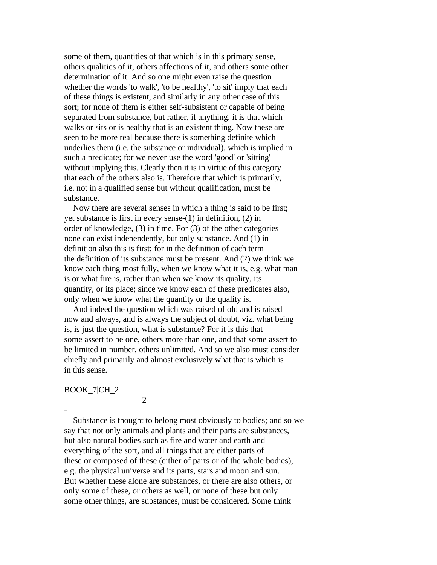some of them, quantities of that which is in this primary sense, others qualities of it, others affections of it, and others some other determination of it. And so one might even raise the question whether the words 'to walk', 'to be healthy', 'to sit' imply that each of these things is existent, and similarly in any other case of this sort; for none of them is either self-subsistent or capable of being separated from substance, but rather, if anything, it is that which walks or sits or is healthy that is an existent thing. Now these are seen to be more real because there is something definite which underlies them (i.e. the substance or individual), which is implied in such a predicate; for we never use the word 'good' or 'sitting' without implying this. Clearly then it is in virtue of this category that each of the others also is. Therefore that which is primarily, i.e. not in a qualified sense but without qualification, must be substance.

 Now there are several senses in which a thing is said to be first; yet substance is first in every sense-(1) in definition, (2) in order of knowledge, (3) in time. For (3) of the other categories none can exist independently, but only substance. And (1) in definition also this is first; for in the definition of each term the definition of its substance must be present. And (2) we think we know each thing most fully, when we know what it is, e.g. what man is or what fire is, rather than when we know its quality, its quantity, or its place; since we know each of these predicates also, only when we know what the quantity or the quality is.

 And indeed the question which was raised of old and is raised now and always, and is always the subject of doubt, viz. what being is, is just the question, what is substance? For it is this that some assert to be one, others more than one, and that some assert to be limited in number, others unlimited. And so we also must consider chiefly and primarily and almost exclusively what that is which is in this sense.

## BOOK\_7|CH\_2

-

2

 Substance is thought to belong most obviously to bodies; and so we say that not only animals and plants and their parts are substances, but also natural bodies such as fire and water and earth and everything of the sort, and all things that are either parts of these or composed of these (either of parts or of the whole bodies), e.g. the physical universe and its parts, stars and moon and sun. But whether these alone are substances, or there are also others, or only some of these, or others as well, or none of these but only some other things, are substances, must be considered. Some think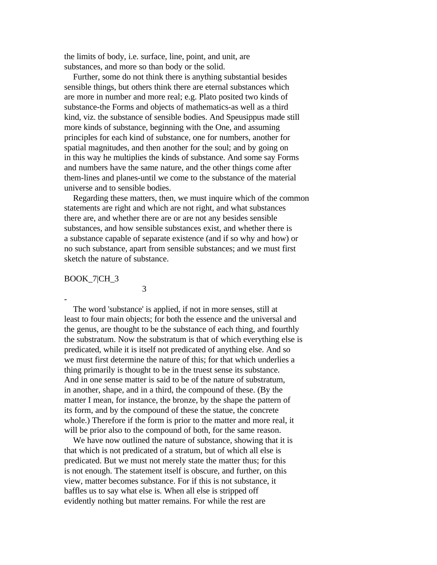the limits of body, i.e. surface, line, point, and unit, are substances, and more so than body or the solid.

 Further, some do not think there is anything substantial besides sensible things, but others think there are eternal substances which are more in number and more real; e.g. Plato posited two kinds of substance-the Forms and objects of mathematics-as well as a third kind, viz. the substance of sensible bodies. And Speusippus made still more kinds of substance, beginning with the One, and assuming principles for each kind of substance, one for numbers, another for spatial magnitudes, and then another for the soul; and by going on in this way he multiplies the kinds of substance. And some say Forms and numbers have the same nature, and the other things come after them-lines and planes-until we come to the substance of the material universe and to sensible bodies.

 Regarding these matters, then, we must inquire which of the common statements are right and which are not right, and what substances there are, and whether there are or are not any besides sensible substances, and how sensible substances exist, and whether there is a substance capable of separate existence (and if so why and how) or no such substance, apart from sensible substances; and we must first sketch the nature of substance.

## BOOK\_7|CH\_3

-

## 3

 The word 'substance' is applied, if not in more senses, still at least to four main objects; for both the essence and the universal and the genus, are thought to be the substance of each thing, and fourthly the substratum. Now the substratum is that of which everything else is predicated, while it is itself not predicated of anything else. And so we must first determine the nature of this; for that which underlies a thing primarily is thought to be in the truest sense its substance. And in one sense matter is said to be of the nature of substratum, in another, shape, and in a third, the compound of these. (By the matter I mean, for instance, the bronze, by the shape the pattern of its form, and by the compound of these the statue, the concrete whole.) Therefore if the form is prior to the matter and more real, it will be prior also to the compound of both, for the same reason.

We have now outlined the nature of substance, showing that it is that which is not predicated of a stratum, but of which all else is predicated. But we must not merely state the matter thus; for this is not enough. The statement itself is obscure, and further, on this view, matter becomes substance. For if this is not substance, it baffles us to say what else is. When all else is stripped off evidently nothing but matter remains. For while the rest are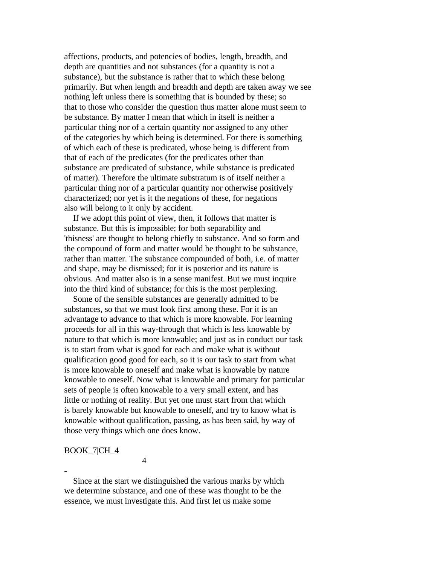affections, products, and potencies of bodies, length, breadth, and depth are quantities and not substances (for a quantity is not a substance), but the substance is rather that to which these belong primarily. But when length and breadth and depth are taken away we see nothing left unless there is something that is bounded by these; so that to those who consider the question thus matter alone must seem to be substance. By matter I mean that which in itself is neither a particular thing nor of a certain quantity nor assigned to any other of the categories by which being is determined. For there is something of which each of these is predicated, whose being is different from that of each of the predicates (for the predicates other than substance are predicated of substance, while substance is predicated of matter). Therefore the ultimate substratum is of itself neither a particular thing nor of a particular quantity nor otherwise positively characterized; nor yet is it the negations of these, for negations also will belong to it only by accident.

 If we adopt this point of view, then, it follows that matter is substance. But this is impossible; for both separability and 'thisness' are thought to belong chiefly to substance. And so form and the compound of form and matter would be thought to be substance, rather than matter. The substance compounded of both, i.e. of matter and shape, may be dismissed; for it is posterior and its nature is obvious. And matter also is in a sense manifest. But we must inquire into the third kind of substance; for this is the most perplexing.

 Some of the sensible substances are generally admitted to be substances, so that we must look first among these. For it is an advantage to advance to that which is more knowable. For learning proceeds for all in this way-through that which is less knowable by nature to that which is more knowable; and just as in conduct our task is to start from what is good for each and make what is without qualification good good for each, so it is our task to start from what is more knowable to oneself and make what is knowable by nature knowable to oneself. Now what is knowable and primary for particular sets of people is often knowable to a very small extent, and has little or nothing of reality. But yet one must start from that which is barely knowable but knowable to oneself, and try to know what is knowable without qualification, passing, as has been said, by way of those very things which one does know.

BOOK\_7|CH\_4

-

4

 Since at the start we distinguished the various marks by which we determine substance, and one of these was thought to be the essence, we must investigate this. And first let us make some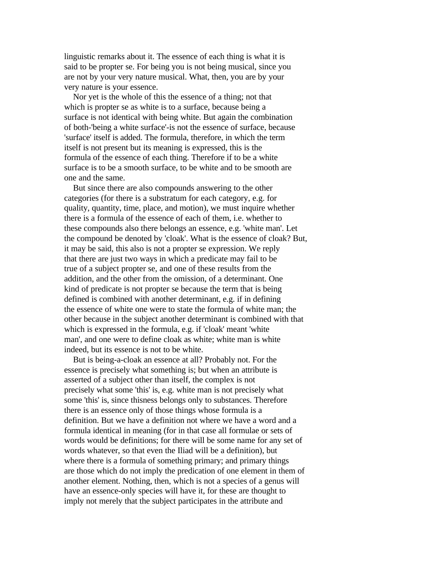linguistic remarks about it. The essence of each thing is what it is said to be propter se. For being you is not being musical, since you are not by your very nature musical. What, then, you are by your very nature is your essence.

 Nor yet is the whole of this the essence of a thing; not that which is propter se as white is to a surface, because being a surface is not identical with being white. But again the combination of both-'being a white surface'-is not the essence of surface, because 'surface' itself is added. The formula, therefore, in which the term itself is not present but its meaning is expressed, this is the formula of the essence of each thing. Therefore if to be a white surface is to be a smooth surface, to be white and to be smooth are one and the same.

 But since there are also compounds answering to the other categories (for there is a substratum for each category, e.g. for quality, quantity, time, place, and motion), we must inquire whether there is a formula of the essence of each of them, i.e. whether to these compounds also there belongs an essence, e.g. 'white man'. Let the compound be denoted by 'cloak'. What is the essence of cloak? But, it may be said, this also is not a propter se expression. We reply that there are just two ways in which a predicate may fail to be true of a subject propter se, and one of these results from the addition, and the other from the omission, of a determinant. One kind of predicate is not propter se because the term that is being defined is combined with another determinant, e.g. if in defining the essence of white one were to state the formula of white man; the other because in the subject another determinant is combined with that which is expressed in the formula, e.g. if 'cloak' meant 'white man', and one were to define cloak as white; white man is white indeed, but its essence is not to be white.

 But is being-a-cloak an essence at all? Probably not. For the essence is precisely what something is; but when an attribute is asserted of a subject other than itself, the complex is not precisely what some 'this' is, e.g. white man is not precisely what some 'this' is, since thisness belongs only to substances. Therefore there is an essence only of those things whose formula is a definition. But we have a definition not where we have a word and a formula identical in meaning (for in that case all formulae or sets of words would be definitions; for there will be some name for any set of words whatever, so that even the Iliad will be a definition), but where there is a formula of something primary; and primary things are those which do not imply the predication of one element in them of another element. Nothing, then, which is not a species of a genus will have an essence-only species will have it, for these are thought to imply not merely that the subject participates in the attribute and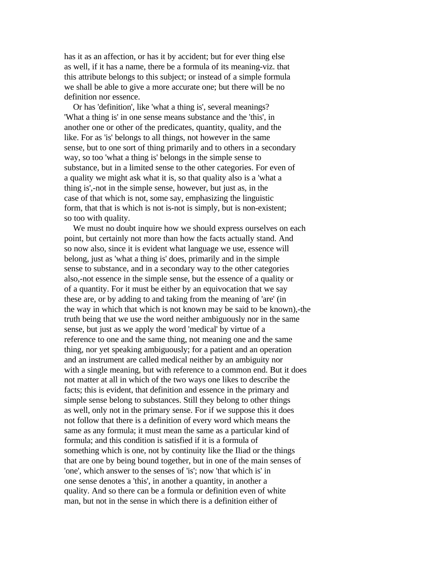has it as an affection, or has it by accident; but for ever thing else as well, if it has a name, there be a formula of its meaning-viz. that this attribute belongs to this subject; or instead of a simple formula we shall be able to give a more accurate one; but there will be no definition nor essence.

 Or has 'definition', like 'what a thing is', several meanings? 'What a thing is' in one sense means substance and the 'this', in another one or other of the predicates, quantity, quality, and the like. For as 'is' belongs to all things, not however in the same sense, but to one sort of thing primarily and to others in a secondary way, so too 'what a thing is' belongs in the simple sense to substance, but in a limited sense to the other categories. For even of a quality we might ask what it is, so that quality also is a 'what a thing is',-not in the simple sense, however, but just as, in the case of that which is not, some say, emphasizing the linguistic form, that that is which is not is-not is simply, but is non-existent; so too with quality.

 We must no doubt inquire how we should express ourselves on each point, but certainly not more than how the facts actually stand. And so now also, since it is evident what language we use, essence will belong, just as 'what a thing is' does, primarily and in the simple sense to substance, and in a secondary way to the other categories also,-not essence in the simple sense, but the essence of a quality or of a quantity. For it must be either by an equivocation that we say these are, or by adding to and taking from the meaning of 'are' (in the way in which that which is not known may be said to be known),-the truth being that we use the word neither ambiguously nor in the same sense, but just as we apply the word 'medical' by virtue of a reference to one and the same thing, not meaning one and the same thing, nor yet speaking ambiguously; for a patient and an operation and an instrument are called medical neither by an ambiguity nor with a single meaning, but with reference to a common end. But it does not matter at all in which of the two ways one likes to describe the facts; this is evident, that definition and essence in the primary and simple sense belong to substances. Still they belong to other things as well, only not in the primary sense. For if we suppose this it does not follow that there is a definition of every word which means the same as any formula; it must mean the same as a particular kind of formula; and this condition is satisfied if it is a formula of something which is one, not by continuity like the Iliad or the things that are one by being bound together, but in one of the main senses of 'one', which answer to the senses of 'is'; now 'that which is' in one sense denotes a 'this', in another a quantity, in another a quality. And so there can be a formula or definition even of white man, but not in the sense in which there is a definition either of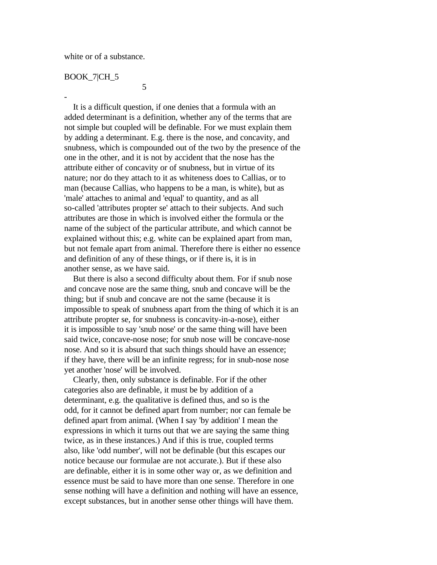white or of a substance.

BOOK\_7|CH\_5

-

5

 It is a difficult question, if one denies that a formula with an added determinant is a definition, whether any of the terms that are not simple but coupled will be definable. For we must explain them by adding a determinant. E.g. there is the nose, and concavity, and snubness, which is compounded out of the two by the presence of the one in the other, and it is not by accident that the nose has the attribute either of concavity or of snubness, but in virtue of its nature; nor do they attach to it as whiteness does to Callias, or to man (because Callias, who happens to be a man, is white), but as 'male' attaches to animal and 'equal' to quantity, and as all so-called 'attributes propter se' attach to their subjects. And such attributes are those in which is involved either the formula or the name of the subject of the particular attribute, and which cannot be explained without this; e.g. white can be explained apart from man, but not female apart from animal. Therefore there is either no essence and definition of any of these things, or if there is, it is in another sense, as we have said.

 But there is also a second difficulty about them. For if snub nose and concave nose are the same thing, snub and concave will be the thing; but if snub and concave are not the same (because it is impossible to speak of snubness apart from the thing of which it is an attribute propter se, for snubness is concavity-in-a-nose), either it is impossible to say 'snub nose' or the same thing will have been said twice, concave-nose nose; for snub nose will be concave-nose nose. And so it is absurd that such things should have an essence; if they have, there will be an infinite regress; for in snub-nose nose yet another 'nose' will be involved.

 Clearly, then, only substance is definable. For if the other categories also are definable, it must be by addition of a determinant, e.g. the qualitative is defined thus, and so is the odd, for it cannot be defined apart from number; nor can female be defined apart from animal. (When I say 'by addition' I mean the expressions in which it turns out that we are saying the same thing twice, as in these instances.) And if this is true, coupled terms also, like 'odd number', will not be definable (but this escapes our notice because our formulae are not accurate.). But if these also are definable, either it is in some other way or, as we definition and essence must be said to have more than one sense. Therefore in one sense nothing will have a definition and nothing will have an essence, except substances, but in another sense other things will have them.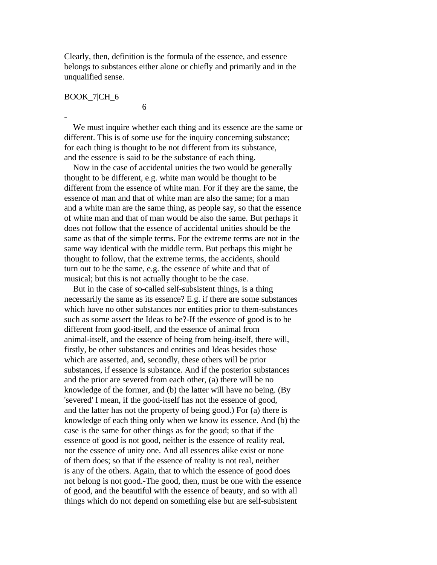Clearly, then, definition is the formula of the essence, and essence belongs to substances either alone or chiefly and primarily and in the unqualified sense.

## BOOK\_7|CH\_6

-

6

 We must inquire whether each thing and its essence are the same or different. This is of some use for the inquiry concerning substance; for each thing is thought to be not different from its substance, and the essence is said to be the substance of each thing.

 Now in the case of accidental unities the two would be generally thought to be different, e.g. white man would be thought to be different from the essence of white man. For if they are the same, the essence of man and that of white man are also the same; for a man and a white man are the same thing, as people say, so that the essence of white man and that of man would be also the same. But perhaps it does not follow that the essence of accidental unities should be the same as that of the simple terms. For the extreme terms are not in the same way identical with the middle term. But perhaps this might be thought to follow, that the extreme terms, the accidents, should turn out to be the same, e.g. the essence of white and that of musical; but this is not actually thought to be the case.

 But in the case of so-called self-subsistent things, is a thing necessarily the same as its essence? E.g. if there are some substances which have no other substances nor entities prior to them-substances such as some assert the Ideas to be?-If the essence of good is to be different from good-itself, and the essence of animal from animal-itself, and the essence of being from being-itself, there will, firstly, be other substances and entities and Ideas besides those which are asserted, and, secondly, these others will be prior substances, if essence is substance. And if the posterior substances and the prior are severed from each other, (a) there will be no knowledge of the former, and (b) the latter will have no being. (By 'severed' I mean, if the good-itself has not the essence of good, and the latter has not the property of being good.) For (a) there is knowledge of each thing only when we know its essence. And (b) the case is the same for other things as for the good; so that if the essence of good is not good, neither is the essence of reality real, nor the essence of unity one. And all essences alike exist or none of them does; so that if the essence of reality is not real, neither is any of the others. Again, that to which the essence of good does not belong is not good.-The good, then, must be one with the essence of good, and the beautiful with the essence of beauty, and so with all things which do not depend on something else but are self-subsistent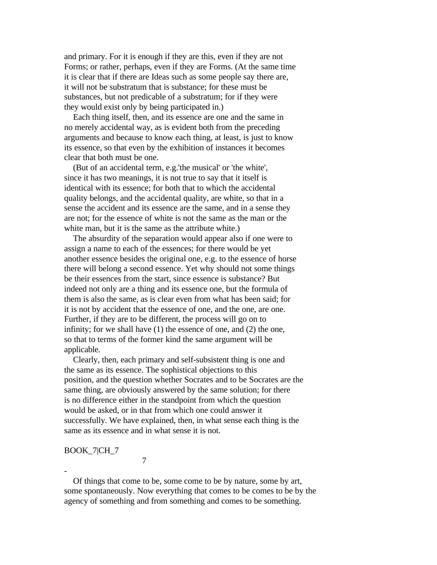and primary. For it is enough if they are this, even if they are not Forms; or rather, perhaps, even if they are Forms. (At the same time it is clear that if there are Ideas such as some people say there are, it will not be substratum that is substance; for these must be substances, but not predicable of a substratum; for if they were they would exist only by being participated in.)

 Each thing itself, then, and its essence are one and the same in no merely accidental way, as is evident both from the preceding arguments and because to know each thing, at least, is just to know its essence, so that even by the exhibition of instances it becomes clear that both must be one.

 (But of an accidental term, e.g.'the musical' or 'the white', since it has two meanings, it is not true to say that it itself is identical with its essence; for both that to which the accidental quality belongs, and the accidental quality, are white, so that in a sense the accident and its essence are the same, and in a sense they are not; for the essence of white is not the same as the man or the white man, but it is the same as the attribute white.)

 The absurdity of the separation would appear also if one were to assign a name to each of the essences; for there would be yet another essence besides the original one, e.g. to the essence of horse there will belong a second essence. Yet why should not some things be their essences from the start, since essence is substance? But indeed not only are a thing and its essence one, but the formula of them is also the same, as is clear even from what has been said; for it is not by accident that the essence of one, and the one, are one. Further, if they are to be different, the process will go on to infinity; for we shall have (1) the essence of one, and (2) the one, so that to terms of the former kind the same argument will be applicable.

 Clearly, then, each primary and self-subsistent thing is one and the same as its essence. The sophistical objections to this position, and the question whether Socrates and to be Socrates are the same thing, are obviously answered by the same solution; for there is no difference either in the standpoint from which the question would be asked, or in that from which one could answer it successfully. We have explained, then, in what sense each thing is the same as its essence and in what sense it is not.

BOOK\_7|CH\_7

-

 Of things that come to be, some come to be by nature, some by art, some spontaneously. Now everything that comes to be comes to be by the agency of something and from something and comes to be something.

 <sup>7</sup>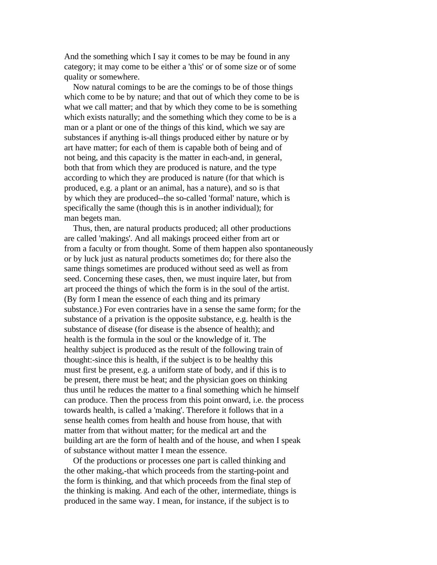And the something which I say it comes to be may be found in any category; it may come to be either a 'this' or of some size or of some quality or somewhere.

 Now natural comings to be are the comings to be of those things which come to be by nature; and that out of which they come to be is what we call matter; and that by which they come to be is something which exists naturally; and the something which they come to be is a man or a plant or one of the things of this kind, which we say are substances if anything is-all things produced either by nature or by art have matter; for each of them is capable both of being and of not being, and this capacity is the matter in each-and, in general, both that from which they are produced is nature, and the type according to which they are produced is nature (for that which is produced, e.g. a plant or an animal, has a nature), and so is that by which they are produced--the so-called 'formal' nature, which is specifically the same (though this is in another individual); for man begets man.

 Thus, then, are natural products produced; all other productions are called 'makings'. And all makings proceed either from art or from a faculty or from thought. Some of them happen also spontaneously or by luck just as natural products sometimes do; for there also the same things sometimes are produced without seed as well as from seed. Concerning these cases, then, we must inquire later, but from art proceed the things of which the form is in the soul of the artist. (By form I mean the essence of each thing and its primary substance.) For even contraries have in a sense the same form; for the substance of a privation is the opposite substance, e.g. health is the substance of disease (for disease is the absence of health); and health is the formula in the soul or the knowledge of it. The healthy subject is produced as the result of the following train of thought:-since this is health, if the subject is to be healthy this must first be present, e.g. a uniform state of body, and if this is to be present, there must be heat; and the physician goes on thinking thus until he reduces the matter to a final something which he himself can produce. Then the process from this point onward, i.e. the process towards health, is called a 'making'. Therefore it follows that in a sense health comes from health and house from house, that with matter from that without matter; for the medical art and the building art are the form of health and of the house, and when I speak of substance without matter I mean the essence.

 Of the productions or processes one part is called thinking and the other making,-that which proceeds from the starting-point and the form is thinking, and that which proceeds from the final step of the thinking is making. And each of the other, intermediate, things is produced in the same way. I mean, for instance, if the subject is to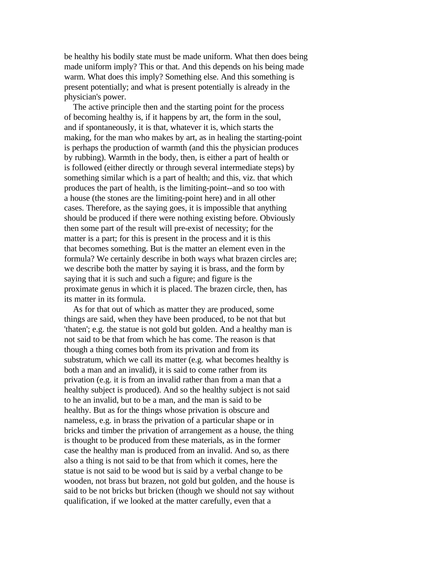be healthy his bodily state must be made uniform. What then does being made uniform imply? This or that. And this depends on his being made warm. What does this imply? Something else. And this something is present potentially; and what is present potentially is already in the physician's power.

 The active principle then and the starting point for the process of becoming healthy is, if it happens by art, the form in the soul, and if spontaneously, it is that, whatever it is, which starts the making, for the man who makes by art, as in healing the starting-point is perhaps the production of warmth (and this the physician produces by rubbing). Warmth in the body, then, is either a part of health or is followed (either directly or through several intermediate steps) by something similar which is a part of health; and this, viz. that which produces the part of health, is the limiting-point--and so too with a house (the stones are the limiting-point here) and in all other cases. Therefore, as the saying goes, it is impossible that anything should be produced if there were nothing existing before. Obviously then some part of the result will pre-exist of necessity; for the matter is a part; for this is present in the process and it is this that becomes something. But is the matter an element even in the formula? We certainly describe in both ways what brazen circles are; we describe both the matter by saying it is brass, and the form by saying that it is such and such a figure; and figure is the proximate genus in which it is placed. The brazen circle, then, has its matter in its formula.

 As for that out of which as matter they are produced, some things are said, when they have been produced, to be not that but 'thaten'; e.g. the statue is not gold but golden. And a healthy man is not said to be that from which he has come. The reason is that though a thing comes both from its privation and from its substratum, which we call its matter (e.g. what becomes healthy is both a man and an invalid), it is said to come rather from its privation (e.g. it is from an invalid rather than from a man that a healthy subject is produced). And so the healthy subject is not said to he an invalid, but to be a man, and the man is said to be healthy. But as for the things whose privation is obscure and nameless, e.g. in brass the privation of a particular shape or in bricks and timber the privation of arrangement as a house, the thing is thought to be produced from these materials, as in the former case the healthy man is produced from an invalid. And so, as there also a thing is not said to be that from which it comes, here the statue is not said to be wood but is said by a verbal change to be wooden, not brass but brazen, not gold but golden, and the house is said to be not bricks but bricken (though we should not say without qualification, if we looked at the matter carefully, even that a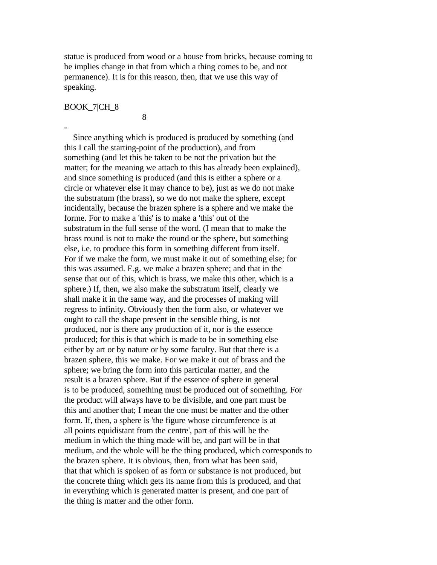statue is produced from wood or a house from bricks, because coming to be implies change in that from which a thing comes to be, and not permanence). It is for this reason, then, that we use this way of speaking.

# BOOK 7 CH 8

-

8

 Since anything which is produced is produced by something (and this I call the starting-point of the production), and from something (and let this be taken to be not the privation but the matter; for the meaning we attach to this has already been explained), and since something is produced (and this is either a sphere or a circle or whatever else it may chance to be), just as we do not make the substratum (the brass), so we do not make the sphere, except incidentally, because the brazen sphere is a sphere and we make the forme. For to make a 'this' is to make a 'this' out of the substratum in the full sense of the word. (I mean that to make the brass round is not to make the round or the sphere, but something else, i.e. to produce this form in something different from itself. For if we make the form, we must make it out of something else; for this was assumed. E.g. we make a brazen sphere; and that in the sense that out of this, which is brass, we make this other, which is a sphere.) If, then, we also make the substratum itself, clearly we shall make it in the same way, and the processes of making will regress to infinity. Obviously then the form also, or whatever we ought to call the shape present in the sensible thing, is not produced, nor is there any production of it, nor is the essence produced; for this is that which is made to be in something else either by art or by nature or by some faculty. But that there is a brazen sphere, this we make. For we make it out of brass and the sphere; we bring the form into this particular matter, and the result is a brazen sphere. But if the essence of sphere in general is to be produced, something must be produced out of something. For the product will always have to be divisible, and one part must be this and another that; I mean the one must be matter and the other form. If, then, a sphere is 'the figure whose circumference is at all points equidistant from the centre', part of this will be the medium in which the thing made will be, and part will be in that medium, and the whole will be the thing produced, which corresponds to the brazen sphere. It is obvious, then, from what has been said, that that which is spoken of as form or substance is not produced, but the concrete thing which gets its name from this is produced, and that in everything which is generated matter is present, and one part of the thing is matter and the other form.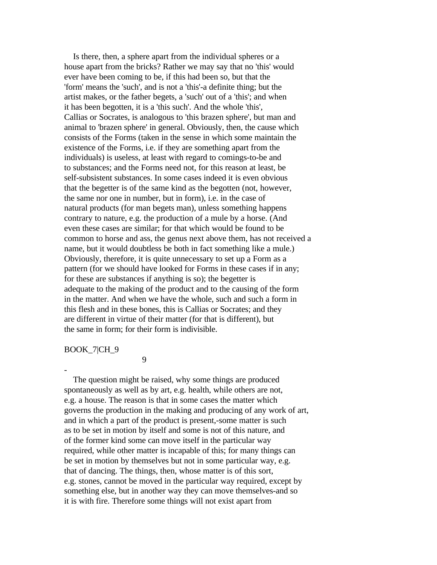Is there, then, a sphere apart from the individual spheres or a house apart from the bricks? Rather we may say that no 'this' would ever have been coming to be, if this had been so, but that the 'form' means the 'such', and is not a 'this'-a definite thing; but the artist makes, or the father begets, a 'such' out of a 'this'; and when it has been begotten, it is a 'this such'. And the whole 'this', Callias or Socrates, is analogous to 'this brazen sphere', but man and animal to 'brazen sphere' in general. Obviously, then, the cause which consists of the Forms (taken in the sense in which some maintain the existence of the Forms, i.e. if they are something apart from the individuals) is useless, at least with regard to comings-to-be and to substances; and the Forms need not, for this reason at least, be self-subsistent substances. In some cases indeed it is even obvious that the begetter is of the same kind as the begotten (not, however, the same nor one in number, but in form), i.e. in the case of natural products (for man begets man), unless something happens contrary to nature, e.g. the production of a mule by a horse. (And even these cases are similar; for that which would be found to be common to horse and ass, the genus next above them, has not received a name, but it would doubtless be both in fact something like a mule.) Obviously, therefore, it is quite unnecessary to set up a Form as a pattern (for we should have looked for Forms in these cases if in any; for these are substances if anything is so); the begetter is adequate to the making of the product and to the causing of the form in the matter. And when we have the whole, such and such a form in this flesh and in these bones, this is Callias or Socrates; and they are different in virtue of their matter (for that is different), but the same in form; for their form is indivisible.

## BOOK\_7|CH\_9

-

9

 The question might be raised, why some things are produced spontaneously as well as by art, e.g. health, while others are not, e.g. a house. The reason is that in some cases the matter which governs the production in the making and producing of any work of art, and in which a part of the product is present,-some matter is such as to be set in motion by itself and some is not of this nature, and of the former kind some can move itself in the particular way required, while other matter is incapable of this; for many things can be set in motion by themselves but not in some particular way, e.g. that of dancing. The things, then, whose matter is of this sort, e.g. stones, cannot be moved in the particular way required, except by something else, but in another way they can move themselves-and so it is with fire. Therefore some things will not exist apart from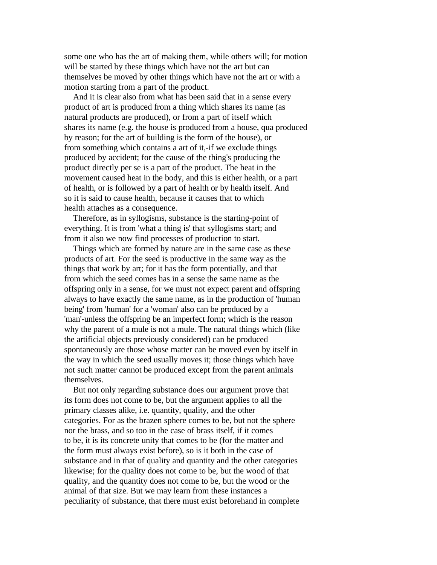some one who has the art of making them, while others will; for motion will be started by these things which have not the art but can themselves be moved by other things which have not the art or with a motion starting from a part of the product.

 And it is clear also from what has been said that in a sense every product of art is produced from a thing which shares its name (as natural products are produced), or from a part of itself which shares its name (e.g. the house is produced from a house, qua produced by reason; for the art of building is the form of the house), or from something which contains a art of it,-if we exclude things produced by accident; for the cause of the thing's producing the product directly per se is a part of the product. The heat in the movement caused heat in the body, and this is either health, or a part of health, or is followed by a part of health or by health itself. And so it is said to cause health, because it causes that to which health attaches as a consequence.

 Therefore, as in syllogisms, substance is the starting-point of everything. It is from 'what a thing is' that syllogisms start; and from it also we now find processes of production to start.

 Things which are formed by nature are in the same case as these products of art. For the seed is productive in the same way as the things that work by art; for it has the form potentially, and that from which the seed comes has in a sense the same name as the offspring only in a sense, for we must not expect parent and offspring always to have exactly the same name, as in the production of 'human being' from 'human' for a 'woman' also can be produced by a 'man'-unless the offspring be an imperfect form; which is the reason why the parent of a mule is not a mule. The natural things which (like the artificial objects previously considered) can be produced spontaneously are those whose matter can be moved even by itself in the way in which the seed usually moves it; those things which have not such matter cannot be produced except from the parent animals themselves.

 But not only regarding substance does our argument prove that its form does not come to be, but the argument applies to all the primary classes alike, i.e. quantity, quality, and the other categories. For as the brazen sphere comes to be, but not the sphere nor the brass, and so too in the case of brass itself, if it comes to be, it is its concrete unity that comes to be (for the matter and the form must always exist before), so is it both in the case of substance and in that of quality and quantity and the other categories likewise; for the quality does not come to be, but the wood of that quality, and the quantity does not come to be, but the wood or the animal of that size. But we may learn from these instances a peculiarity of substance, that there must exist beforehand in complete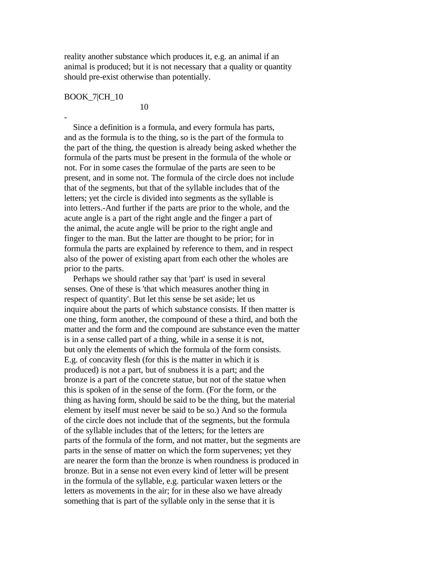reality another substance which produces it, e.g. an animal if an animal is produced; but it is not necessary that a quality or quantity should pre-exist otherwise than potentially.

# BOOK\_7|CH\_10

-

## 10

 Since a definition is a formula, and every formula has parts, and as the formula is to the thing, so is the part of the formula to the part of the thing, the question is already being asked whether the formula of the parts must be present in the formula of the whole or not. For in some cases the formulae of the parts are seen to be present, and in some not. The formula of the circle does not include that of the segments, but that of the syllable includes that of the letters; yet the circle is divided into segments as the syllable is into letters.-And further if the parts are prior to the whole, and the acute angle is a part of the right angle and the finger a part of the animal, the acute angle will be prior to the right angle and finger to the man. But the latter are thought to be prior; for in formula the parts are explained by reference to them, and in respect also of the power of existing apart from each other the wholes are prior to the parts.

 Perhaps we should rather say that 'part' is used in several senses. One of these is 'that which measures another thing in respect of quantity'. But let this sense be set aside; let us inquire about the parts of which substance consists. If then matter is one thing, form another, the compound of these a third, and both the matter and the form and the compound are substance even the matter is in a sense called part of a thing, while in a sense it is not, but only the elements of which the formula of the form consists. E.g. of concavity flesh (for this is the matter in which it is produced) is not a part, but of snubness it is a part; and the bronze is a part of the concrete statue, but not of the statue when this is spoken of in the sense of the form. (For the form, or the thing as having form, should be said to be the thing, but the material element by itself must never be said to be so.) And so the formula of the circle does not include that of the segments, but the formula of the syllable includes that of the letters; for the letters are parts of the formula of the form, and not matter, but the segments are parts in the sense of matter on which the form supervenes; yet they are nearer the form than the bronze is when roundness is produced in bronze. But in a sense not even every kind of letter will be present in the formula of the syllable, e.g. particular waxen letters or the letters as movements in the air; for in these also we have already something that is part of the syllable only in the sense that it is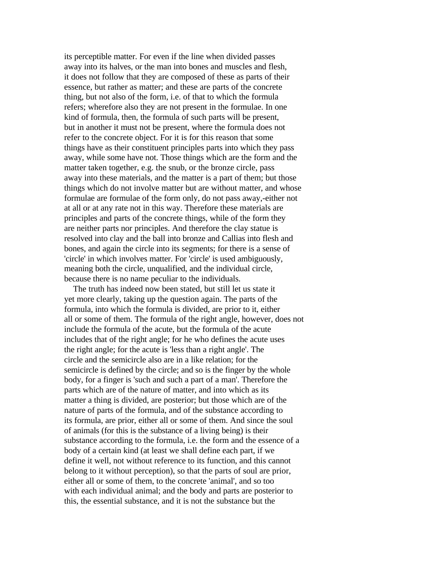its perceptible matter. For even if the line when divided passes away into its halves, or the man into bones and muscles and flesh, it does not follow that they are composed of these as parts of their essence, but rather as matter; and these are parts of the concrete thing, but not also of the form, i.e. of that to which the formula refers; wherefore also they are not present in the formulae. In one kind of formula, then, the formula of such parts will be present, but in another it must not be present, where the formula does not refer to the concrete object. For it is for this reason that some things have as their constituent principles parts into which they pass away, while some have not. Those things which are the form and the matter taken together, e.g. the snub, or the bronze circle, pass away into these materials, and the matter is a part of them; but those things which do not involve matter but are without matter, and whose formulae are formulae of the form only, do not pass away,-either not at all or at any rate not in this way. Therefore these materials are principles and parts of the concrete things, while of the form they are neither parts nor principles. And therefore the clay statue is resolved into clay and the ball into bronze and Callias into flesh and bones, and again the circle into its segments; for there is a sense of 'circle' in which involves matter. For 'circle' is used ambiguously, meaning both the circle, unqualified, and the individual circle, because there is no name peculiar to the individuals.

 The truth has indeed now been stated, but still let us state it yet more clearly, taking up the question again. The parts of the formula, into which the formula is divided, are prior to it, either all or some of them. The formula of the right angle, however, does not include the formula of the acute, but the formula of the acute includes that of the right angle; for he who defines the acute uses the right angle; for the acute is 'less than a right angle'. The circle and the semicircle also are in a like relation; for the semicircle is defined by the circle; and so is the finger by the whole body, for a finger is 'such and such a part of a man'. Therefore the parts which are of the nature of matter, and into which as its matter a thing is divided, are posterior; but those which are of the nature of parts of the formula, and of the substance according to its formula, are prior, either all or some of them. And since the soul of animals (for this is the substance of a living being) is their substance according to the formula, i.e. the form and the essence of a body of a certain kind (at least we shall define each part, if we define it well, not without reference to its function, and this cannot belong to it without perception), so that the parts of soul are prior, either all or some of them, to the concrete 'animal', and so too with each individual animal; and the body and parts are posterior to this, the essential substance, and it is not the substance but the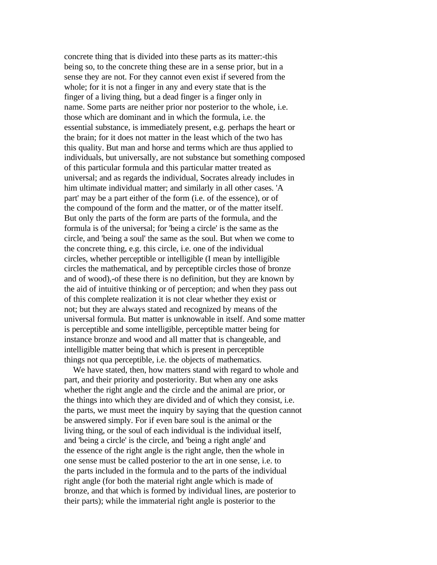concrete thing that is divided into these parts as its matter:-this being so, to the concrete thing these are in a sense prior, but in a sense they are not. For they cannot even exist if severed from the whole; for it is not a finger in any and every state that is the finger of a living thing, but a dead finger is a finger only in name. Some parts are neither prior nor posterior to the whole, i.e. those which are dominant and in which the formula, i.e. the essential substance, is immediately present, e.g. perhaps the heart or the brain; for it does not matter in the least which of the two has this quality. But man and horse and terms which are thus applied to individuals, but universally, are not substance but something composed of this particular formula and this particular matter treated as universal; and as regards the individual, Socrates already includes in him ultimate individual matter; and similarly in all other cases. 'A part' may be a part either of the form (i.e. of the essence), or of the compound of the form and the matter, or of the matter itself. But only the parts of the form are parts of the formula, and the formula is of the universal; for 'being a circle' is the same as the circle, and 'being a soul' the same as the soul. But when we come to the concrete thing, e.g. this circle, i.e. one of the individual circles, whether perceptible or intelligible (I mean by intelligible circles the mathematical, and by perceptible circles those of bronze and of wood),-of these there is no definition, but they are known by the aid of intuitive thinking or of perception; and when they pass out of this complete realization it is not clear whether they exist or not; but they are always stated and recognized by means of the universal formula. But matter is unknowable in itself. And some matter is perceptible and some intelligible, perceptible matter being for instance bronze and wood and all matter that is changeable, and intelligible matter being that which is present in perceptible things not qua perceptible, i.e. the objects of mathematics.

 We have stated, then, how matters stand with regard to whole and part, and their priority and posteriority. But when any one asks whether the right angle and the circle and the animal are prior, or the things into which they are divided and of which they consist, i.e. the parts, we must meet the inquiry by saying that the question cannot be answered simply. For if even bare soul is the animal or the living thing, or the soul of each individual is the individual itself, and 'being a circle' is the circle, and 'being a right angle' and the essence of the right angle is the right angle, then the whole in one sense must be called posterior to the art in one sense, i.e. to the parts included in the formula and to the parts of the individual right angle (for both the material right angle which is made of bronze, and that which is formed by individual lines, are posterior to their parts); while the immaterial right angle is posterior to the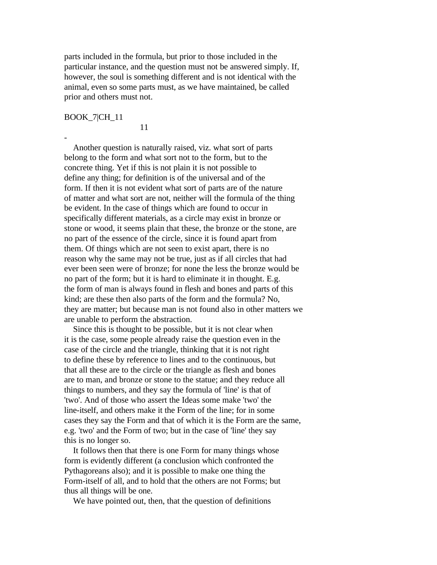parts included in the formula, but prior to those included in the particular instance, and the question must not be answered simply. If, however, the soul is something different and is not identical with the animal, even so some parts must, as we have maintained, be called prior and others must not.

## BOOK\_7|CH\_11

-

11

 Another question is naturally raised, viz. what sort of parts belong to the form and what sort not to the form, but to the concrete thing. Yet if this is not plain it is not possible to define any thing; for definition is of the universal and of the form. If then it is not evident what sort of parts are of the nature of matter and what sort are not, neither will the formula of the thing be evident. In the case of things which are found to occur in specifically different materials, as a circle may exist in bronze or stone or wood, it seems plain that these, the bronze or the stone, are no part of the essence of the circle, since it is found apart from them. Of things which are not seen to exist apart, there is no reason why the same may not be true, just as if all circles that had ever been seen were of bronze; for none the less the bronze would be no part of the form; but it is hard to eliminate it in thought. E.g. the form of man is always found in flesh and bones and parts of this kind; are these then also parts of the form and the formula? No, they are matter; but because man is not found also in other matters we are unable to perform the abstraction.

 Since this is thought to be possible, but it is not clear when it is the case, some people already raise the question even in the case of the circle and the triangle, thinking that it is not right to define these by reference to lines and to the continuous, but that all these are to the circle or the triangle as flesh and bones are to man, and bronze or stone to the statue; and they reduce all things to numbers, and they say the formula of 'line' is that of 'two'. And of those who assert the Ideas some make 'two' the line-itself, and others make it the Form of the line; for in some cases they say the Form and that of which it is the Form are the same, e.g. 'two' and the Form of two; but in the case of 'line' they say this is no longer so.

 It follows then that there is one Form for many things whose form is evidently different (a conclusion which confronted the Pythagoreans also); and it is possible to make one thing the Form-itself of all, and to hold that the others are not Forms; but thus all things will be one.

We have pointed out, then, that the question of definitions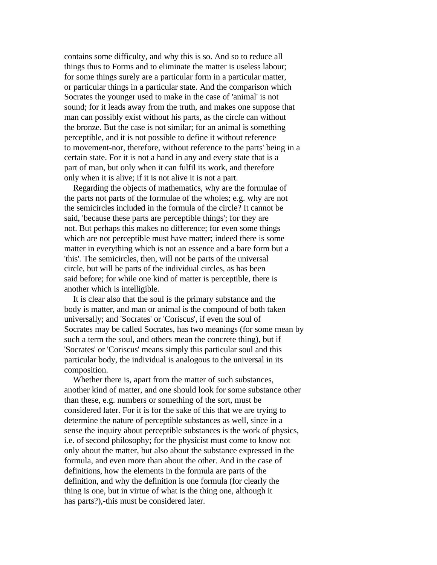contains some difficulty, and why this is so. And so to reduce all things thus to Forms and to eliminate the matter is useless labour; for some things surely are a particular form in a particular matter, or particular things in a particular state. And the comparison which Socrates the younger used to make in the case of 'animal' is not sound; for it leads away from the truth, and makes one suppose that man can possibly exist without his parts, as the circle can without the bronze. But the case is not similar; for an animal is something perceptible, and it is not possible to define it without reference to movement-nor, therefore, without reference to the parts' being in a certain state. For it is not a hand in any and every state that is a part of man, but only when it can fulfil its work, and therefore only when it is alive; if it is not alive it is not a part.

 Regarding the objects of mathematics, why are the formulae of the parts not parts of the formulae of the wholes; e.g. why are not the semicircles included in the formula of the circle? It cannot be said, 'because these parts are perceptible things'; for they are not. But perhaps this makes no difference; for even some things which are not perceptible must have matter; indeed there is some matter in everything which is not an essence and a bare form but a 'this'. The semicircles, then, will not be parts of the universal circle, but will be parts of the individual circles, as has been said before; for while one kind of matter is perceptible, there is another which is intelligible.

 It is clear also that the soul is the primary substance and the body is matter, and man or animal is the compound of both taken universally; and 'Socrates' or 'Coriscus', if even the soul of Socrates may be called Socrates, has two meanings (for some mean by such a term the soul, and others mean the concrete thing), but if 'Socrates' or 'Coriscus' means simply this particular soul and this particular body, the individual is analogous to the universal in its composition.

 Whether there is, apart from the matter of such substances, another kind of matter, and one should look for some substance other than these, e.g. numbers or something of the sort, must be considered later. For it is for the sake of this that we are trying to determine the nature of perceptible substances as well, since in a sense the inquiry about perceptible substances is the work of physics, i.e. of second philosophy; for the physicist must come to know not only about the matter, but also about the substance expressed in the formula, and even more than about the other. And in the case of definitions, how the elements in the formula are parts of the definition, and why the definition is one formula (for clearly the thing is one, but in virtue of what is the thing one, although it has parts?),-this must be considered later.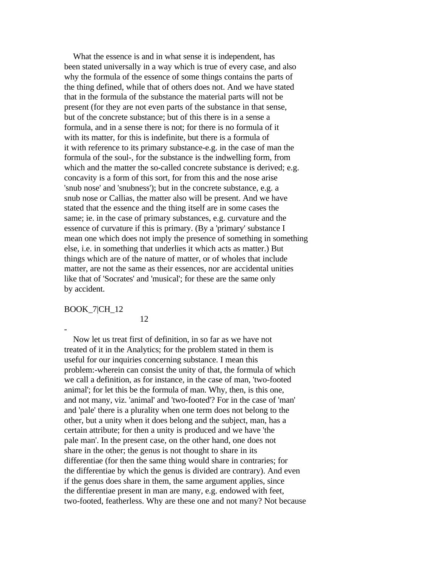What the essence is and in what sense it is independent, has been stated universally in a way which is true of every case, and also why the formula of the essence of some things contains the parts of the thing defined, while that of others does not. And we have stated that in the formula of the substance the material parts will not be present (for they are not even parts of the substance in that sense, but of the concrete substance; but of this there is in a sense a formula, and in a sense there is not; for there is no formula of it with its matter, for this is indefinite, but there is a formula of it with reference to its primary substance-e.g. in the case of man the formula of the soul-, for the substance is the indwelling form, from which and the matter the so-called concrete substance is derived; e.g. concavity is a form of this sort, for from this and the nose arise 'snub nose' and 'snubness'); but in the concrete substance, e.g. a snub nose or Callias, the matter also will be present. And we have stated that the essence and the thing itself are in some cases the same; ie. in the case of primary substances, e.g. curvature and the essence of curvature if this is primary. (By a 'primary' substance I mean one which does not imply the presence of something in something else, i.e. in something that underlies it which acts as matter.) But things which are of the nature of matter, or of wholes that include matter, are not the same as their essences, nor are accidental unities like that of 'Socrates' and 'musical'; for these are the same only by accident.

## BOOK\_7|CH\_12

-

12

 Now let us treat first of definition, in so far as we have not treated of it in the Analytics; for the problem stated in them is useful for our inquiries concerning substance. I mean this problem:-wherein can consist the unity of that, the formula of which we call a definition, as for instance, in the case of man, 'two-footed animal'; for let this be the formula of man. Why, then, is this one, and not many, viz. 'animal' and 'two-footed'? For in the case of 'man' and 'pale' there is a plurality when one term does not belong to the other, but a unity when it does belong and the subject, man, has a certain attribute; for then a unity is produced and we have 'the pale man'. In the present case, on the other hand, one does not share in the other; the genus is not thought to share in its differentiae (for then the same thing would share in contraries; for the differentiae by which the genus is divided are contrary). And even if the genus does share in them, the same argument applies, since the differentiae present in man are many, e.g. endowed with feet, two-footed, featherless. Why are these one and not many? Not because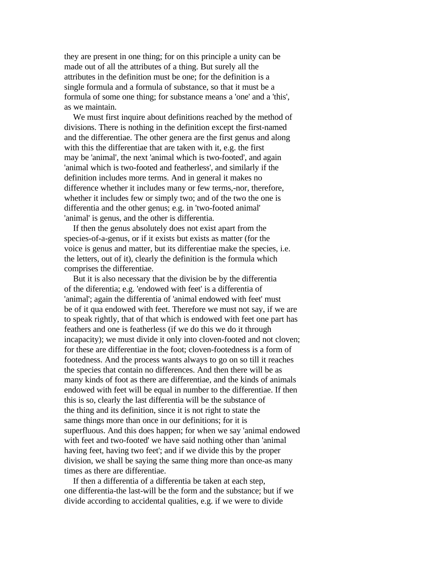they are present in one thing; for on this principle a unity can be made out of all the attributes of a thing. But surely all the attributes in the definition must be one; for the definition is a single formula and a formula of substance, so that it must be a formula of some one thing; for substance means a 'one' and a 'this', as we maintain.

 We must first inquire about definitions reached by the method of divisions. There is nothing in the definition except the first-named and the differentiae. The other genera are the first genus and along with this the differentiae that are taken with it, e.g. the first may be 'animal', the next 'animal which is two-footed', and again 'animal which is two-footed and featherless', and similarly if the definition includes more terms. And in general it makes no difference whether it includes many or few terms,-nor, therefore, whether it includes few or simply two; and of the two the one is differentia and the other genus; e.g. in 'two-footed animal' 'animal' is genus, and the other is differentia.

 If then the genus absolutely does not exist apart from the species-of-a-genus, or if it exists but exists as matter (for the voice is genus and matter, but its differentiae make the species, i.e. the letters, out of it), clearly the definition is the formula which comprises the differentiae.

 But it is also necessary that the division be by the differentia of the diferentia; e.g. 'endowed with feet' is a differentia of 'animal'; again the differentia of 'animal endowed with feet' must be of it qua endowed with feet. Therefore we must not say, if we are to speak rightly, that of that which is endowed with feet one part has feathers and one is featherless (if we do this we do it through incapacity); we must divide it only into cloven-footed and not cloven; for these are differentiae in the foot; cloven-footedness is a form of footedness. And the process wants always to go on so till it reaches the species that contain no differences. And then there will be as many kinds of foot as there are differentiae, and the kinds of animals endowed with feet will be equal in number to the differentiae. If then this is so, clearly the last differentia will be the substance of the thing and its definition, since it is not right to state the same things more than once in our definitions; for it is superfluous. And this does happen; for when we say 'animal endowed with feet and two-footed' we have said nothing other than 'animal having feet, having two feet'; and if we divide this by the proper division, we shall be saying the same thing more than once-as many times as there are differentiae.

 If then a differentia of a differentia be taken at each step, one differentia-the last-will be the form and the substance; but if we divide according to accidental qualities, e.g. if we were to divide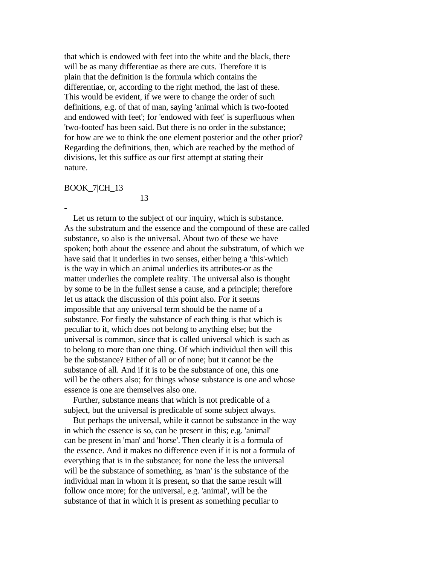that which is endowed with feet into the white and the black, there will be as many differentiae as there are cuts. Therefore it is plain that the definition is the formula which contains the differentiae, or, according to the right method, the last of these. This would be evident, if we were to change the order of such definitions, e.g. of that of man, saying 'animal which is two-footed and endowed with feet'; for 'endowed with feet' is superfluous when 'two-footed' has been said. But there is no order in the substance; for how are we to think the one element posterior and the other prior? Regarding the definitions, then, which are reached by the method of divisions, let this suffice as our first attempt at stating their nature.

#### BOOK\_7|CH\_13

-

### 13

 Let us return to the subject of our inquiry, which is substance. As the substratum and the essence and the compound of these are called substance, so also is the universal. About two of these we have spoken; both about the essence and about the substratum, of which we have said that it underlies in two senses, either being a 'this'-which is the way in which an animal underlies its attributes-or as the matter underlies the complete reality. The universal also is thought by some to be in the fullest sense a cause, and a principle; therefore let us attack the discussion of this point also. For it seems impossible that any universal term should be the name of a substance. For firstly the substance of each thing is that which is peculiar to it, which does not belong to anything else; but the universal is common, since that is called universal which is such as to belong to more than one thing. Of which individual then will this be the substance? Either of all or of none; but it cannot be the substance of all. And if it is to be the substance of one, this one will be the others also; for things whose substance is one and whose essence is one are themselves also one.

 Further, substance means that which is not predicable of a subject, but the universal is predicable of some subject always.

 But perhaps the universal, while it cannot be substance in the way in which the essence is so, can be present in this; e.g. 'animal' can be present in 'man' and 'horse'. Then clearly it is a formula of the essence. And it makes no difference even if it is not a formula of everything that is in the substance; for none the less the universal will be the substance of something, as 'man' is the substance of the individual man in whom it is present, so that the same result will follow once more; for the universal, e.g. 'animal', will be the substance of that in which it is present as something peculiar to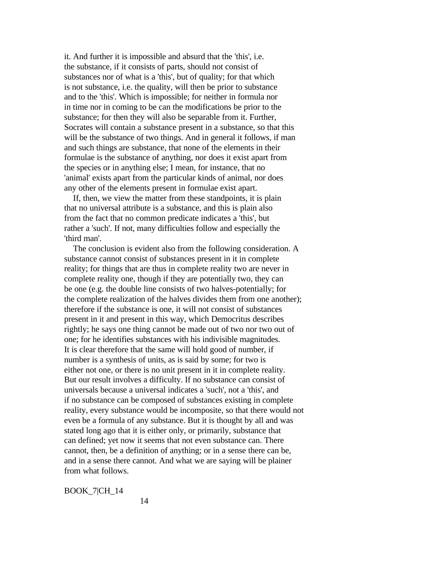it. And further it is impossible and absurd that the 'this', i.e. the substance, if it consists of parts, should not consist of substances nor of what is a 'this', but of quality; for that which is not substance, i.e. the quality, will then be prior to substance and to the 'this'. Which is impossible; for neither in formula nor in time nor in coming to be can the modifications be prior to the substance; for then they will also be separable from it. Further, Socrates will contain a substance present in a substance, so that this will be the substance of two things. And in general it follows, if man and such things are substance, that none of the elements in their formulae is the substance of anything, nor does it exist apart from the species or in anything else; I mean, for instance, that no 'animal' exists apart from the particular kinds of animal, nor does any other of the elements present in formulae exist apart.

 If, then, we view the matter from these standpoints, it is plain that no universal attribute is a substance, and this is plain also from the fact that no common predicate indicates a 'this', but rather a 'such'. If not, many difficulties follow and especially the 'third man'.

 The conclusion is evident also from the following consideration. A substance cannot consist of substances present in it in complete reality; for things that are thus in complete reality two are never in complete reality one, though if they are potentially two, they can be one (e.g. the double line consists of two halves-potentially; for the complete realization of the halves divides them from one another); therefore if the substance is one, it will not consist of substances present in it and present in this way, which Democritus describes rightly; he says one thing cannot be made out of two nor two out of one; for he identifies substances with his indivisible magnitudes. It is clear therefore that the same will hold good of number, if number is a synthesis of units, as is said by some; for two is either not one, or there is no unit present in it in complete reality. But our result involves a difficulty. If no substance can consist of universals because a universal indicates a 'such', not a 'this', and if no substance can be composed of substances existing in complete reality, every substance would be incomposite, so that there would not even be a formula of any substance. But it is thought by all and was stated long ago that it is either only, or primarily, substance that can defined; yet now it seems that not even substance can. There cannot, then, be a definition of anything; or in a sense there can be, and in a sense there cannot. And what we are saying will be plainer from what follows.

BOOK\_7|CH\_14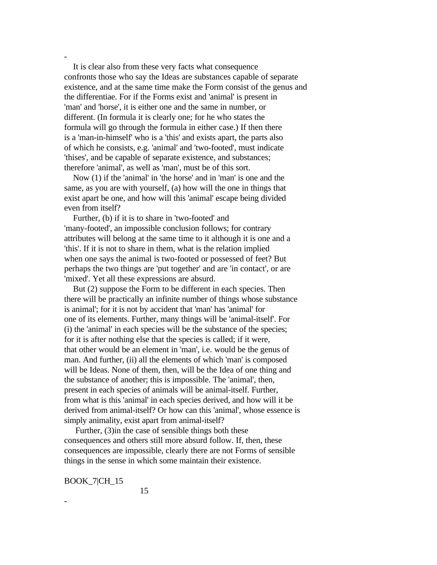It is clear also from these very facts what consequence confronts those who say the Ideas are substances capable of separate existence, and at the same time make the Form consist of the genus and the differentiae. For if the Forms exist and 'animal' is present in 'man' and 'horse', it is either one and the same in number, or different. (In formula it is clearly one; for he who states the formula will go through the formula in either case.) If then there is a 'man-in-himself' who is a 'this' and exists apart, the parts also of which he consists, e.g. 'animal' and 'two-footed', must indicate 'thises', and be capable of separate existence, and substances; therefore 'animal', as well as 'man', must be of this sort.

 Now (1) if the 'animal' in 'the horse' and in 'man' is one and the same, as you are with yourself, (a) how will the one in things that exist apart be one, and how will this 'animal' escape being divided even from itself?

 Further, (b) if it is to share in 'two-footed' and 'many-footed', an impossible conclusion follows; for contrary attributes will belong at the same time to it although it is one and a 'this'. If it is not to share in them, what is the relation implied when one says the animal is two-footed or possessed of feet? But perhaps the two things are 'put together' and are 'in contact', or are 'mixed'. Yet all these expressions are absurd.

 But (2) suppose the Form to be different in each species. Then there will be practically an infinite number of things whose substance is animal'; for it is not by accident that 'man' has 'animal' for one of its elements. Further, many things will be 'animal-itself'. For (i) the 'animal' in each species will be the substance of the species; for it is after nothing else that the species is called; if it were, that other would be an element in 'man', i.e. would be the genus of man. And further, (ii) all the elements of which 'man' is composed will be Ideas. None of them, then, will be the Idea of one thing and the substance of another; this is impossible. The 'animal', then, present in each species of animals will be animal-itself. Further, from what is this 'animal' in each species derived, and how will it be derived from animal-itself? Or how can this 'animal', whose essence is simply animality, exist apart from animal-itself?

 Further, (3)in the case of sensible things both these consequences and others still more absurd follow. If, then, these consequences are impossible, clearly there are not Forms of sensible things in the sense in which some maintain their existence.

BOOK\_7|CH\_15

-

-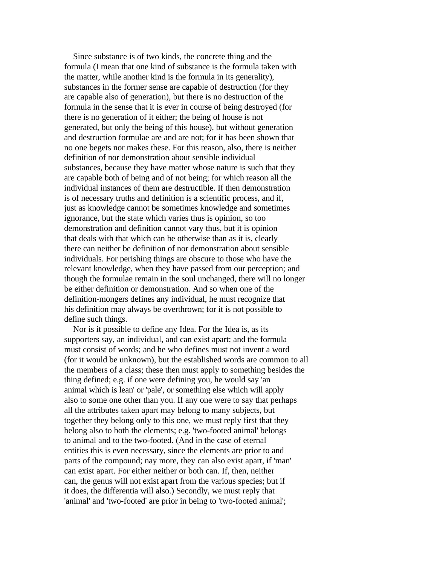Since substance is of two kinds, the concrete thing and the formula (I mean that one kind of substance is the formula taken with the matter, while another kind is the formula in its generality), substances in the former sense are capable of destruction (for they are capable also of generation), but there is no destruction of the formula in the sense that it is ever in course of being destroyed (for there is no generation of it either; the being of house is not generated, but only the being of this house), but without generation and destruction formulae are and are not; for it has been shown that no one begets nor makes these. For this reason, also, there is neither definition of nor demonstration about sensible individual substances, because they have matter whose nature is such that they are capable both of being and of not being; for which reason all the individual instances of them are destructible. If then demonstration is of necessary truths and definition is a scientific process, and if, just as knowledge cannot be sometimes knowledge and sometimes ignorance, but the state which varies thus is opinion, so too demonstration and definition cannot vary thus, but it is opinion that deals with that which can be otherwise than as it is, clearly there can neither be definition of nor demonstration about sensible individuals. For perishing things are obscure to those who have the relevant knowledge, when they have passed from our perception; and though the formulae remain in the soul unchanged, there will no longer be either definition or demonstration. And so when one of the definition-mongers defines any individual, he must recognize that his definition may always be overthrown; for it is not possible to define such things.

 Nor is it possible to define any Idea. For the Idea is, as its supporters say, an individual, and can exist apart; and the formula must consist of words; and he who defines must not invent a word (for it would be unknown), but the established words are common to all the members of a class; these then must apply to something besides the thing defined; e.g. if one were defining you, he would say 'an animal which is lean' or 'pale', or something else which will apply also to some one other than you. If any one were to say that perhaps all the attributes taken apart may belong to many subjects, but together they belong only to this one, we must reply first that they belong also to both the elements; e.g. 'two-footed animal' belongs to animal and to the two-footed. (And in the case of eternal entities this is even necessary, since the elements are prior to and parts of the compound; nay more, they can also exist apart, if 'man' can exist apart. For either neither or both can. If, then, neither can, the genus will not exist apart from the various species; but if it does, the differentia will also.) Secondly, we must reply that 'animal' and 'two-footed' are prior in being to 'two-footed animal';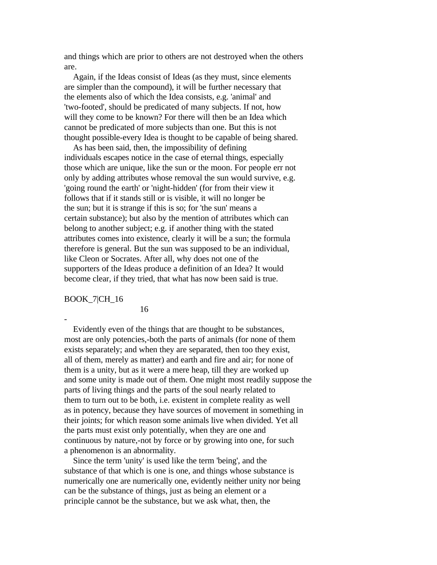and things which are prior to others are not destroyed when the others are.

 Again, if the Ideas consist of Ideas (as they must, since elements are simpler than the compound), it will be further necessary that the elements also of which the Idea consists, e.g. 'animal' and 'two-footed', should be predicated of many subjects. If not, how will they come to be known? For there will then be an Idea which cannot be predicated of more subjects than one. But this is not thought possible-every Idea is thought to be capable of being shared.

 As has been said, then, the impossibility of defining individuals escapes notice in the case of eternal things, especially those which are unique, like the sun or the moon. For people err not only by adding attributes whose removal the sun would survive, e.g. 'going round the earth' or 'night-hidden' (for from their view it follows that if it stands still or is visible, it will no longer be the sun; but it is strange if this is so; for 'the sun' means a certain substance); but also by the mention of attributes which can belong to another subject; e.g. if another thing with the stated attributes comes into existence, clearly it will be a sun; the formula therefore is general. But the sun was supposed to be an individual, like Cleon or Socrates. After all, why does not one of the supporters of the Ideas produce a definition of an Idea? It would become clear, if they tried, that what has now been said is true.

## BOOK\_7|CH\_16

-

### 16

 Evidently even of the things that are thought to be substances, most are only potencies,-both the parts of animals (for none of them exists separately; and when they are separated, then too they exist, all of them, merely as matter) and earth and fire and air; for none of them is a unity, but as it were a mere heap, till they are worked up and some unity is made out of them. One might most readily suppose the parts of living things and the parts of the soul nearly related to them to turn out to be both, i.e. existent in complete reality as well as in potency, because they have sources of movement in something in their joints; for which reason some animals live when divided. Yet all the parts must exist only potentially, when they are one and continuous by nature,-not by force or by growing into one, for such a phenomenon is an abnormality.

 Since the term 'unity' is used like the term 'being', and the substance of that which is one is one, and things whose substance is numerically one are numerically one, evidently neither unity nor being can be the substance of things, just as being an element or a principle cannot be the substance, but we ask what, then, the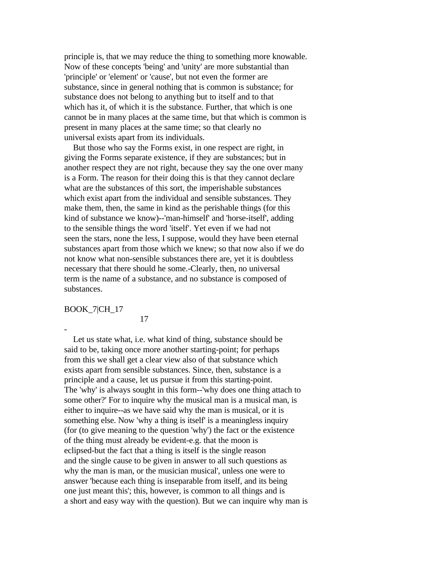principle is, that we may reduce the thing to something more knowable. Now of these concepts 'being' and 'unity' are more substantial than 'principle' or 'element' or 'cause', but not even the former are substance, since in general nothing that is common is substance; for substance does not belong to anything but to itself and to that which has it, of which it is the substance. Further, that which is one cannot be in many places at the same time, but that which is common is present in many places at the same time; so that clearly no universal exists apart from its individuals.

 But those who say the Forms exist, in one respect are right, in giving the Forms separate existence, if they are substances; but in another respect they are not right, because they say the one over many is a Form. The reason for their doing this is that they cannot declare what are the substances of this sort, the imperishable substances which exist apart from the individual and sensible substances. They make them, then, the same in kind as the perishable things (for this kind of substance we know)--'man-himself' and 'horse-itself', adding to the sensible things the word 'itself'. Yet even if we had not seen the stars, none the less, I suppose, would they have been eternal substances apart from those which we knew; so that now also if we do not know what non-sensible substances there are, yet it is doubtless necessary that there should he some.-Clearly, then, no universal term is the name of a substance, and no substance is composed of substances.

# BOOK\_7|CH\_17

-

17

 Let us state what, i.e. what kind of thing, substance should be said to be, taking once more another starting-point; for perhaps from this we shall get a clear view also of that substance which exists apart from sensible substances. Since, then, substance is a principle and a cause, let us pursue it from this starting-point. The 'why' is always sought in this form--'why does one thing attach to some other?' For to inquire why the musical man is a musical man, is either to inquire--as we have said why the man is musical, or it is something else. Now 'why a thing is itself' is a meaningless inquiry (for (to give meaning to the question 'why') the fact or the existence of the thing must already be evident-e.g. that the moon is eclipsed-but the fact that a thing is itself is the single reason and the single cause to be given in answer to all such questions as why the man is man, or the musician musical', unless one were to answer 'because each thing is inseparable from itself, and its being one just meant this'; this, however, is common to all things and is a short and easy way with the question). But we can inquire why man is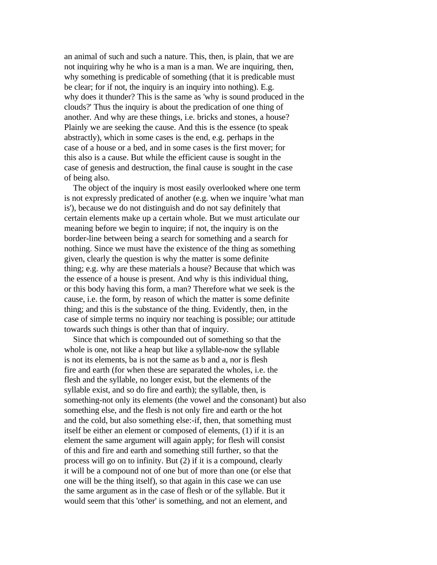an animal of such and such a nature. This, then, is plain, that we are not inquiring why he who is a man is a man. We are inquiring, then, why something is predicable of something (that it is predicable must be clear; for if not, the inquiry is an inquiry into nothing). E.g. why does it thunder? This is the same as 'why is sound produced in the clouds?' Thus the inquiry is about the predication of one thing of another. And why are these things, i.e. bricks and stones, a house? Plainly we are seeking the cause. And this is the essence (to speak abstractly), which in some cases is the end, e.g. perhaps in the case of a house or a bed, and in some cases is the first mover; for this also is a cause. But while the efficient cause is sought in the case of genesis and destruction, the final cause is sought in the case of being also.

 The object of the inquiry is most easily overlooked where one term is not expressly predicated of another (e.g. when we inquire 'what man is'), because we do not distinguish and do not say definitely that certain elements make up a certain whole. But we must articulate our meaning before we begin to inquire; if not, the inquiry is on the border-line between being a search for something and a search for nothing. Since we must have the existence of the thing as something given, clearly the question is why the matter is some definite thing; e.g. why are these materials a house? Because that which was the essence of a house is present. And why is this individual thing, or this body having this form, a man? Therefore what we seek is the cause, i.e. the form, by reason of which the matter is some definite thing; and this is the substance of the thing. Evidently, then, in the case of simple terms no inquiry nor teaching is possible; our attitude towards such things is other than that of inquiry.

 Since that which is compounded out of something so that the whole is one, not like a heap but like a syllable-now the syllable is not its elements, ba is not the same as b and a, nor is flesh fire and earth (for when these are separated the wholes, i.e. the flesh and the syllable, no longer exist, but the elements of the syllable exist, and so do fire and earth); the syllable, then, is something-not only its elements (the vowel and the consonant) but also something else, and the flesh is not only fire and earth or the hot and the cold, but also something else:-if, then, that something must itself be either an element or composed of elements, (1) if it is an element the same argument will again apply; for flesh will consist of this and fire and earth and something still further, so that the process will go on to infinity. But (2) if it is a compound, clearly it will be a compound not of one but of more than one (or else that one will be the thing itself), so that again in this case we can use the same argument as in the case of flesh or of the syllable. But it would seem that this 'other' is something, and not an element, and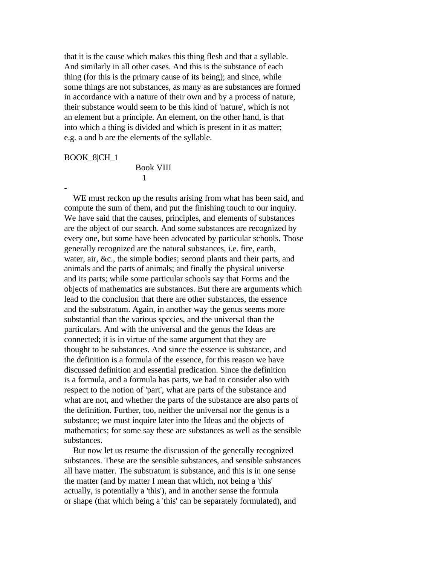that it is the cause which makes this thing flesh and that a syllable. And similarly in all other cases. And this is the substance of each thing (for this is the primary cause of its being); and since, while some things are not substances, as many as are substances are formed in accordance with a nature of their own and by a process of nature, their substance would seem to be this kind of 'nature', which is not an element but a principle. An element, on the other hand, is that into which a thing is divided and which is present in it as matter; e.g. a and b are the elements of the syllable.

## BOOK\_8|CH\_1

-

## Book VIII 1

 WE must reckon up the results arising from what has been said, and compute the sum of them, and put the finishing touch to our inquiry. We have said that the causes, principles, and elements of substances are the object of our search. And some substances are recognized by every one, but some have been advocated by particular schools. Those generally recognized are the natural substances, i.e. fire, earth, water, air, &c., the simple bodies; second plants and their parts, and animals and the parts of animals; and finally the physical universe and its parts; while some particular schools say that Forms and the objects of mathematics are substances. But there are arguments which lead to the conclusion that there are other substances, the essence and the substratum. Again, in another way the genus seems more substantial than the various spccies, and the universal than the particulars. And with the universal and the genus the Ideas are connected; it is in virtue of the same argument that they are thought to be substances. And since the essence is substance, and the definition is a formula of the essence, for this reason we have discussed definition and essential predication. Since the definition is a formula, and a formula has parts, we had to consider also with respect to the notion of 'part', what are parts of the substance and what are not, and whether the parts of the substance are also parts of the definition. Further, too, neither the universal nor the genus is a substance; we must inquire later into the Ideas and the objects of mathematics; for some say these are substances as well as the sensible substances.

 But now let us resume the discussion of the generally recognized substances. These are the sensible substances, and sensible substances all have matter. The substratum is substance, and this is in one sense the matter (and by matter I mean that which, not being a 'this' actually, is potentially a 'this'), and in another sense the formula or shape (that which being a 'this' can be separately formulated), and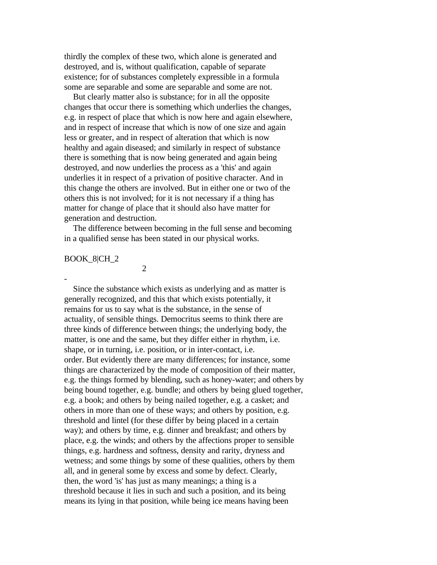thirdly the complex of these two, which alone is generated and destroyed, and is, without qualification, capable of separate existence; for of substances completely expressible in a formula some are separable and some are separable and some are not.

 But clearly matter also is substance; for in all the opposite changes that occur there is something which underlies the changes, e.g. in respect of place that which is now here and again elsewhere, and in respect of increase that which is now of one size and again less or greater, and in respect of alteration that which is now healthy and again diseased; and similarly in respect of substance there is something that is now being generated and again being destroyed, and now underlies the process as a 'this' and again underlies it in respect of a privation of positive character. And in this change the others are involved. But in either one or two of the others this is not involved; for it is not necessary if a thing has matter for change of place that it should also have matter for generation and destruction.

 The difference between becoming in the full sense and becoming in a qualified sense has been stated in our physical works.

BOOK\_8|CH\_2

2

-

 Since the substance which exists as underlying and as matter is generally recognized, and this that which exists potentially, it remains for us to say what is the substance, in the sense of actuality, of sensible things. Democritus seems to think there are three kinds of difference between things; the underlying body, the matter, is one and the same, but they differ either in rhythm, i.e. shape, or in turning, i.e. position, or in inter-contact, i.e. order. But evidently there are many differences; for instance, some things are characterized by the mode of composition of their matter, e.g. the things formed by blending, such as honey-water; and others by being bound together, e.g. bundle; and others by being glued together, e.g. a book; and others by being nailed together, e.g. a casket; and others in more than one of these ways; and others by position, e.g. threshold and lintel (for these differ by being placed in a certain way); and others by time, e.g. dinner and breakfast; and others by place, e.g. the winds; and others by the affections proper to sensible things, e.g. hardness and softness, density and rarity, dryness and wetness; and some things by some of these qualities, others by them all, and in general some by excess and some by defect. Clearly, then, the word 'is' has just as many meanings; a thing is a threshold because it lies in such and such a position, and its being means its lying in that position, while being ice means having been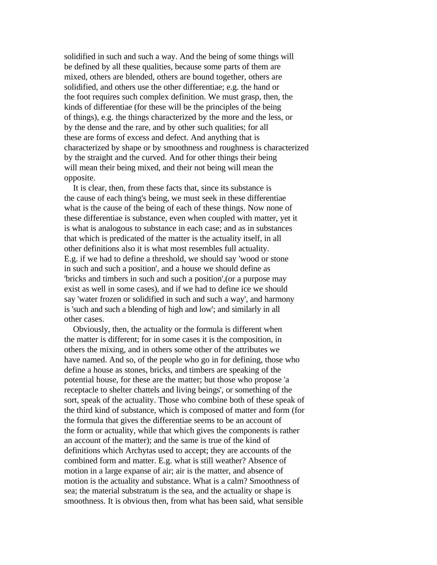solidified in such and such a way. And the being of some things will be defined by all these qualities, because some parts of them are mixed, others are blended, others are bound together, others are solidified, and others use the other differentiae; e.g. the hand or the foot requires such complex definition. We must grasp, then, the kinds of differentiae (for these will be the principles of the being of things), e.g. the things characterized by the more and the less, or by the dense and the rare, and by other such qualities; for all these are forms of excess and defect. And anything that is characterized by shape or by smoothness and roughness is characterized by the straight and the curved. And for other things their being will mean their being mixed, and their not being will mean the opposite.

 It is clear, then, from these facts that, since its substance is the cause of each thing's being, we must seek in these differentiae what is the cause of the being of each of these things. Now none of these differentiae is substance, even when coupled with matter, yet it is what is analogous to substance in each case; and as in substances that which is predicated of the matter is the actuality itself, in all other definitions also it is what most resembles full actuality. E.g. if we had to define a threshold, we should say 'wood or stone in such and such a position', and a house we should define as 'bricks and timbers in such and such a position',(or a purpose may exist as well in some cases), and if we had to define ice we should say 'water frozen or solidified in such and such a way', and harmony is 'such and such a blending of high and low'; and similarly in all other cases.

 Obviously, then, the actuality or the formula is different when the matter is different; for in some cases it is the composition, in others the mixing, and in others some other of the attributes we have named. And so, of the people who go in for defining, those who define a house as stones, bricks, and timbers are speaking of the potential house, for these are the matter; but those who propose 'a receptacle to shelter chattels and living beings', or something of the sort, speak of the actuality. Those who combine both of these speak of the third kind of substance, which is composed of matter and form (for the formula that gives the differentiae seems to be an account of the form or actuality, while that which gives the components is rather an account of the matter); and the same is true of the kind of definitions which Archytas used to accept; they are accounts of the combined form and matter. E.g. what is still weather? Absence of motion in a large expanse of air; air is the matter, and absence of motion is the actuality and substance. What is a calm? Smoothness of sea; the material substratum is the sea, and the actuality or shape is smoothness. It is obvious then, from what has been said, what sensible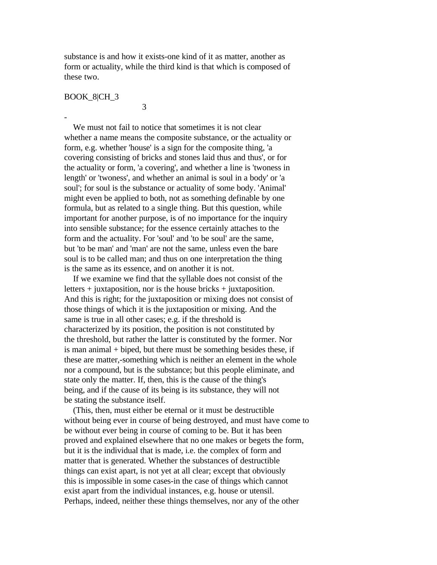substance is and how it exists-one kind of it as matter, another as form or actuality, while the third kind is that which is composed of these two.

# BOOK\_8|CH\_3

-

3

 We must not fail to notice that sometimes it is not clear whether a name means the composite substance, or the actuality or form, e.g. whether 'house' is a sign for the composite thing, 'a covering consisting of bricks and stones laid thus and thus', or for the actuality or form, 'a covering', and whether a line is 'twoness in length' or 'twoness', and whether an animal is soul in a body' or 'a soul'; for soul is the substance or actuality of some body. 'Animal' might even be applied to both, not as something definable by one formula, but as related to a single thing. But this question, while important for another purpose, is of no importance for the inquiry into sensible substance; for the essence certainly attaches to the form and the actuality. For 'soul' and 'to be soul' are the same, but 'to be man' and 'man' are not the same, unless even the bare soul is to be called man; and thus on one interpretation the thing is the same as its essence, and on another it is not.

 If we examine we find that the syllable does not consist of the letters  $+$  juxtaposition, nor is the house bricks  $+$  juxtaposition. And this is right; for the juxtaposition or mixing does not consist of those things of which it is the juxtaposition or mixing. And the same is true in all other cases; e.g. if the threshold is characterized by its position, the position is not constituted by the threshold, but rather the latter is constituted by the former. Nor is man animal + biped, but there must be something besides these, if these are matter,-something which is neither an element in the whole nor a compound, but is the substance; but this people eliminate, and state only the matter. If, then, this is the cause of the thing's being, and if the cause of its being is its substance, they will not be stating the substance itself.

 (This, then, must either be eternal or it must be destructible without being ever in course of being destroyed, and must have come to be without ever being in course of coming to be. But it has been proved and explained elsewhere that no one makes or begets the form, but it is the individual that is made, i.e. the complex of form and matter that is generated. Whether the substances of destructible things can exist apart, is not yet at all clear; except that obviously this is impossible in some cases-in the case of things which cannot exist apart from the individual instances, e.g. house or utensil. Perhaps, indeed, neither these things themselves, nor any of the other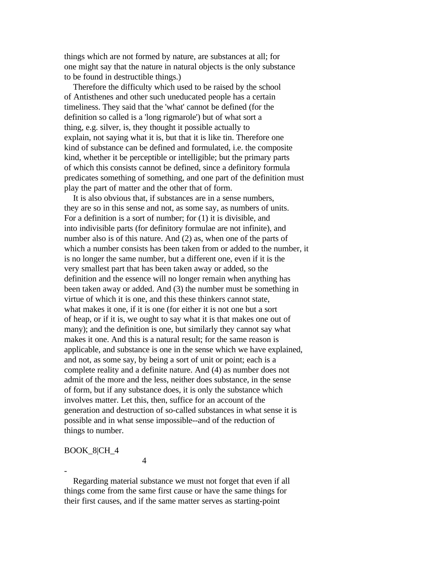things which are not formed by nature, are substances at all; for one might say that the nature in natural objects is the only substance to be found in destructible things.)

 Therefore the difficulty which used to be raised by the school of Antisthenes and other such uneducated people has a certain timeliness. They said that the 'what' cannot be defined (for the definition so called is a 'long rigmarole') but of what sort a thing, e.g. silver, is, they thought it possible actually to explain, not saying what it is, but that it is like tin. Therefore one kind of substance can be defined and formulated, i.e. the composite kind, whether it be perceptible or intelligible; but the primary parts of which this consists cannot be defined, since a definitory formula predicates something of something, and one part of the definition must play the part of matter and the other that of form.

It is also obvious that, if substances are in a sense numbers. they are so in this sense and not, as some say, as numbers of units. For a definition is a sort of number; for (1) it is divisible, and into indivisible parts (for definitory formulae are not infinite), and number also is of this nature. And (2) as, when one of the parts of which a number consists has been taken from or added to the number, it is no longer the same number, but a different one, even if it is the very smallest part that has been taken away or added, so the definition and the essence will no longer remain when anything has been taken away or added. And (3) the number must be something in virtue of which it is one, and this these thinkers cannot state, what makes it one, if it is one (for either it is not one but a sort of heap, or if it is, we ought to say what it is that makes one out of many); and the definition is one, but similarly they cannot say what makes it one. And this is a natural result; for the same reason is applicable, and substance is one in the sense which we have explained, and not, as some say, by being a sort of unit or point; each is a complete reality and a definite nature. And (4) as number does not admit of the more and the less, neither does substance, in the sense of form, but if any substance does, it is only the substance which involves matter. Let this, then, suffice for an account of the generation and destruction of so-called substances in what sense it is possible and in what sense impossible--and of the reduction of things to number.

BOOK\_8|CH\_4

-

4

 Regarding material substance we must not forget that even if all things come from the same first cause or have the same things for their first causes, and if the same matter serves as starting-point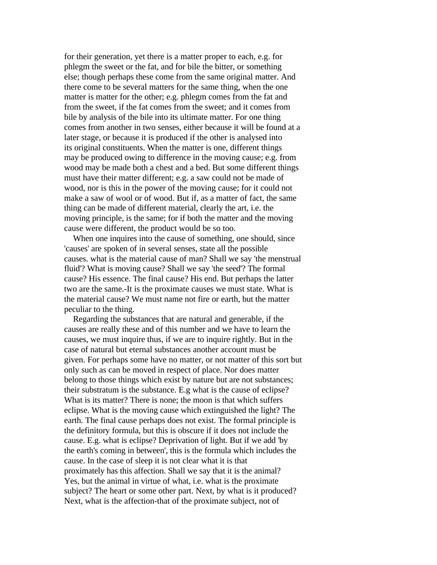for their generation, yet there is a matter proper to each, e.g. for phlegm the sweet or the fat, and for bile the bitter, or something else; though perhaps these come from the same original matter. And there come to be several matters for the same thing, when the one matter is matter for the other; e.g. phlegm comes from the fat and from the sweet, if the fat comes from the sweet; and it comes from bile by analysis of the bile into its ultimate matter. For one thing comes from another in two senses, either because it will be found at a later stage, or because it is produced if the other is analysed into its original constituents. When the matter is one, different things may be produced owing to difference in the moving cause; e.g. from wood may be made both a chest and a bed. But some different things must have their matter different; e.g. a saw could not be made of wood, nor is this in the power of the moving cause; for it could not make a saw of wool or of wood. But if, as a matter of fact, the same thing can be made of different material, clearly the art, i.e. the moving principle, is the same; for if both the matter and the moving cause were different, the product would be so too.

 When one inquires into the cause of something, one should, since 'causes' are spoken of in several senses, state all the possible causes. what is the material cause of man? Shall we say 'the menstrual fluid'? What is moving cause? Shall we say 'the seed'? The formal cause? His essence. The final cause? His end. But perhaps the latter two are the same.-It is the proximate causes we must state. What is the material cause? We must name not fire or earth, but the matter peculiar to the thing.

 Regarding the substances that are natural and generable, if the causes are really these and of this number and we have to learn the causes, we must inquire thus, if we are to inquire rightly. But in the case of natural but eternal substances another account must be given. For perhaps some have no matter, or not matter of this sort but only such as can be moved in respect of place. Nor does matter belong to those things which exist by nature but are not substances; their substratum is the substance. E.g what is the cause of eclipse? What is its matter? There is none; the moon is that which suffers eclipse. What is the moving cause which extinguished the light? The earth. The final cause perhaps does not exist. The formal principle is the definitory formula, but this is obscure if it does not include the cause. E.g. what is eclipse? Deprivation of light. But if we add 'by the earth's coming in between', this is the formula which includes the cause. In the case of sleep it is not clear what it is that proximately has this affection. Shall we say that it is the animal? Yes, but the animal in virtue of what, i.e. what is the proximate subject? The heart or some other part. Next, by what is it produced? Next, what is the affection-that of the proximate subject, not of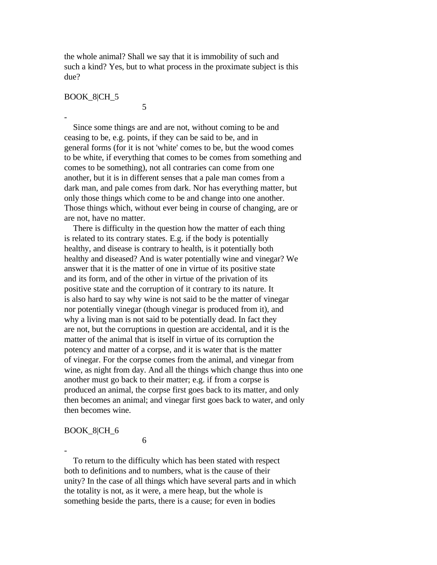the whole animal? Shall we say that it is immobility of such and such a kind? Yes, but to what process in the proximate subject is this due?

# BOOK\_8|CH\_5

-

5

 Since some things are and are not, without coming to be and ceasing to be, e.g. points, if they can be said to be, and in general forms (for it is not 'white' comes to be, but the wood comes to be white, if everything that comes to be comes from something and comes to be something), not all contraries can come from one another, but it is in different senses that a pale man comes from a dark man, and pale comes from dark. Nor has everything matter, but only those things which come to be and change into one another. Those things which, without ever being in course of changing, are or are not, have no matter.

 There is difficulty in the question how the matter of each thing is related to its contrary states. E.g. if the body is potentially healthy, and disease is contrary to health, is it potentially both healthy and diseased? And is water potentially wine and vinegar? We answer that it is the matter of one in virtue of its positive state and its form, and of the other in virtue of the privation of its positive state and the corruption of it contrary to its nature. It is also hard to say why wine is not said to be the matter of vinegar nor potentially vinegar (though vinegar is produced from it), and why a living man is not said to be potentially dead. In fact they are not, but the corruptions in question are accidental, and it is the matter of the animal that is itself in virtue of its corruption the potency and matter of a corpse, and it is water that is the matter of vinegar. For the corpse comes from the animal, and vinegar from wine, as night from day. And all the things which change thus into one another must go back to their matter; e.g. if from a corpse is produced an animal, the corpse first goes back to its matter, and only then becomes an animal; and vinegar first goes back to water, and only then becomes wine.

#### BOOK\_8|CH\_6

-

6

 To return to the difficulty which has been stated with respect both to definitions and to numbers, what is the cause of their unity? In the case of all things which have several parts and in which the totality is not, as it were, a mere heap, but the whole is something beside the parts, there is a cause; for even in bodies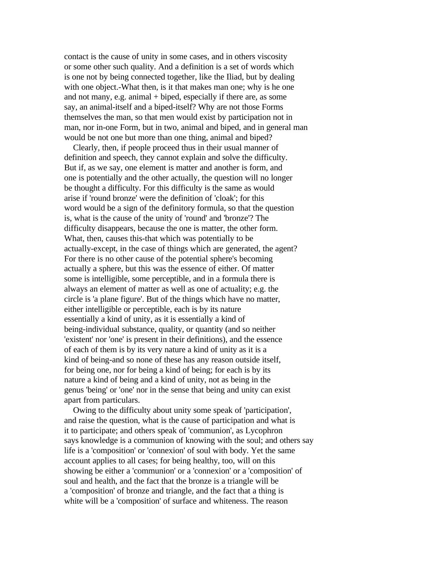contact is the cause of unity in some cases, and in others viscosity or some other such quality. And a definition is a set of words which is one not by being connected together, like the Iliad, but by dealing with one object.-What then, is it that makes man one; why is he one and not many, e.g. animal + biped, especially if there are, as some say, an animal-itself and a biped-itself? Why are not those Forms themselves the man, so that men would exist by participation not in man, nor in-one Form, but in two, animal and biped, and in general man would be not one but more than one thing, animal and biped?

 Clearly, then, if people proceed thus in their usual manner of definition and speech, they cannot explain and solve the difficulty. But if, as we say, one element is matter and another is form, and one is potentially and the other actually, the question will no longer be thought a difficulty. For this difficulty is the same as would arise if 'round bronze' were the definition of 'cloak'; for this word would be a sign of the definitory formula, so that the question is, what is the cause of the unity of 'round' and 'bronze'? The difficulty disappears, because the one is matter, the other form. What, then, causes this-that which was potentially to be actually-except, in the case of things which are generated, the agent? For there is no other cause of the potential sphere's becoming actually a sphere, but this was the essence of either. Of matter some is intelligible, some perceptible, and in a formula there is always an element of matter as well as one of actuality; e.g. the circle is 'a plane figure'. But of the things which have no matter, either intelligible or perceptible, each is by its nature essentially a kind of unity, as it is essentially a kind of being-individual substance, quality, or quantity (and so neither 'existent' nor 'one' is present in their definitions), and the essence of each of them is by its very nature a kind of unity as it is a kind of being-and so none of these has any reason outside itself, for being one, nor for being a kind of being; for each is by its nature a kind of being and a kind of unity, not as being in the genus 'being' or 'one' nor in the sense that being and unity can exist apart from particulars.

 Owing to the difficulty about unity some speak of 'participation', and raise the question, what is the cause of participation and what is it to participate; and others speak of 'communion', as Lycophron says knowledge is a communion of knowing with the soul; and others say life is a 'composition' or 'connexion' of soul with body. Yet the same account applies to all cases; for being healthy, too, will on this showing be either a 'communion' or a 'connexion' or a 'composition' of soul and health, and the fact that the bronze is a triangle will be a 'composition' of bronze and triangle, and the fact that a thing is white will be a 'composition' of surface and whiteness. The reason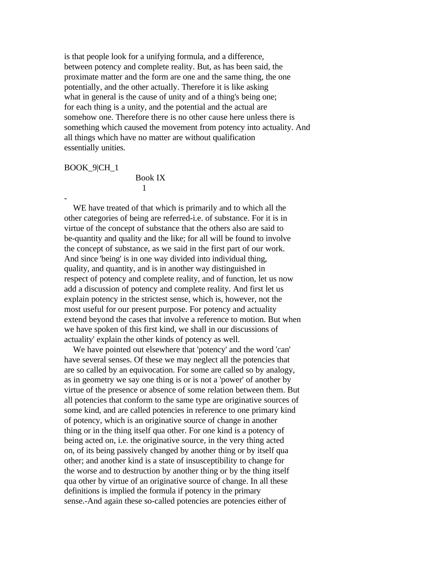is that people look for a unifying formula, and a difference, between potency and complete reality. But, as has been said, the proximate matter and the form are one and the same thing, the one potentially, and the other actually. Therefore it is like asking what in general is the cause of unity and of a thing's being one; for each thing is a unity, and the potential and the actual are somehow one. Therefore there is no other cause here unless there is something which caused the movement from potency into actuality. And all things which have no matter are without qualification essentially unities.

BOOK\_9|CH\_1

-

Book IX

1

 WE have treated of that which is primarily and to which all the other categories of being are referred-i.e. of substance. For it is in virtue of the concept of substance that the others also are said to be-quantity and quality and the like; for all will be found to involve the concept of substance, as we said in the first part of our work. And since 'being' is in one way divided into individual thing, quality, and quantity, and is in another way distinguished in respect of potency and complete reality, and of function, let us now add a discussion of potency and complete reality. And first let us explain potency in the strictest sense, which is, however, not the most useful for our present purpose. For potency and actuality extend beyond the cases that involve a reference to motion. But when we have spoken of this first kind, we shall in our discussions of actuality' explain the other kinds of potency as well.

 We have pointed out elsewhere that 'potency' and the word 'can' have several senses. Of these we may neglect all the potencies that are so called by an equivocation. For some are called so by analogy, as in geometry we say one thing is or is not a 'power' of another by virtue of the presence or absence of some relation between them. But all potencies that conform to the same type are originative sources of some kind, and are called potencies in reference to one primary kind of potency, which is an originative source of change in another thing or in the thing itself qua other. For one kind is a potency of being acted on, i.e. the originative source, in the very thing acted on, of its being passively changed by another thing or by itself qua other; and another kind is a state of insusceptibility to change for the worse and to destruction by another thing or by the thing itself qua other by virtue of an originative source of change. In all these definitions is implied the formula if potency in the primary sense.-And again these so-called potencies are potencies either of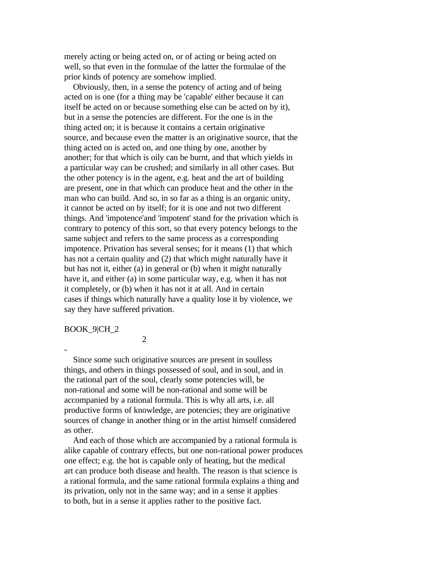merely acting or being acted on, or of acting or being acted on well, so that even in the formulae of the latter the formulae of the prior kinds of potency are somehow implied.

 Obviously, then, in a sense the potency of acting and of being acted on is one (for a thing may be 'capable' either because it can itself be acted on or because something else can be acted on by it), but in a sense the potencies are different. For the one is in the thing acted on; it is because it contains a certain originative source, and because even the matter is an originative source, that the thing acted on is acted on, and one thing by one, another by another; for that which is oily can be burnt, and that which yields in a particular way can be crushed; and similarly in all other cases. But the other potency is in the agent, e.g. heat and the art of building are present, one in that which can produce heat and the other in the man who can build. And so, in so far as a thing is an organic unity, it cannot be acted on by itself; for it is one and not two different things. And 'impotence'and 'impotent' stand for the privation which is contrary to potency of this sort, so that every potency belongs to the same subject and refers to the same process as a corresponding impotence. Privation has several senses; for it means (1) that which has not a certain quality and (2) that which might naturally have it but has not it, either (a) in general or (b) when it might naturally have it, and either (a) in some particular way, e.g. when it has not it completely, or (b) when it has not it at all. And in certain cases if things which naturally have a quality lose it by violence, we say they have suffered privation.

#### BOOK\_9|CH\_2

-

2

 Since some such originative sources are present in soulless things, and others in things possessed of soul, and in soul, and in the rational part of the soul, clearly some potencies will, be non-rational and some will be non-rational and some will be accompanied by a rational formula. This is why all arts, i.e. all productive forms of knowledge, are potencies; they are originative sources of change in another thing or in the artist himself considered as other.

 And each of those which are accompanied by a rational formula is alike capable of contrary effects, but one non-rational power produces one effect; e.g. the hot is capable only of heating, but the medical art can produce both disease and health. The reason is that science is a rational formula, and the same rational formula explains a thing and its privation, only not in the same way; and in a sense it applies to both, but in a sense it applies rather to the positive fact.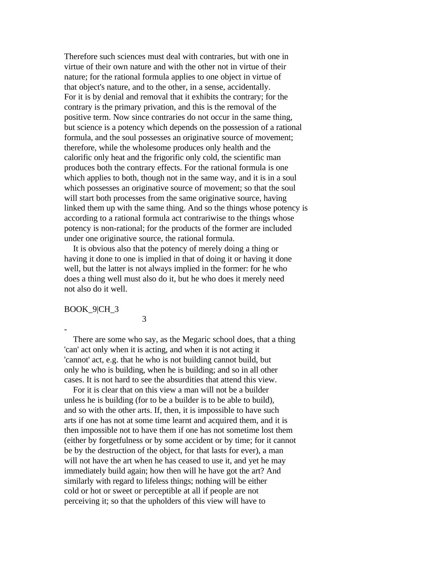Therefore such sciences must deal with contraries, but with one in virtue of their own nature and with the other not in virtue of their nature; for the rational formula applies to one object in virtue of that object's nature, and to the other, in a sense, accidentally. For it is by denial and removal that it exhibits the contrary; for the contrary is the primary privation, and this is the removal of the positive term. Now since contraries do not occur in the same thing, but science is a potency which depends on the possession of a rational formula, and the soul possesses an originative source of movement; therefore, while the wholesome produces only health and the calorific only heat and the frigorific only cold, the scientific man produces both the contrary effects. For the rational formula is one which applies to both, though not in the same way, and it is in a soul which possesses an originative source of movement; so that the soul will start both processes from the same originative source, having linked them up with the same thing. And so the things whose potency is according to a rational formula act contrariwise to the things whose potency is non-rational; for the products of the former are included under one originative source, the rational formula.

 It is obvious also that the potency of merely doing a thing or having it done to one is implied in that of doing it or having it done well, but the latter is not always implied in the former: for he who does a thing well must also do it, but he who does it merely need not also do it well.

#### BOOK\_9|CH\_3

-

3

 There are some who say, as the Megaric school does, that a thing 'can' act only when it is acting, and when it is not acting it 'cannot' act, e.g. that he who is not building cannot build, but only he who is building, when he is building; and so in all other cases. It is not hard to see the absurdities that attend this view.

 For it is clear that on this view a man will not be a builder unless he is building (for to be a builder is to be able to build), and so with the other arts. If, then, it is impossible to have such arts if one has not at some time learnt and acquired them, and it is then impossible not to have them if one has not sometime lost them (either by forgetfulness or by some accident or by time; for it cannot be by the destruction of the object, for that lasts for ever), a man will not have the art when he has ceased to use it, and yet he may immediately build again; how then will he have got the art? And similarly with regard to lifeless things; nothing will be either cold or hot or sweet or perceptible at all if people are not perceiving it; so that the upholders of this view will have to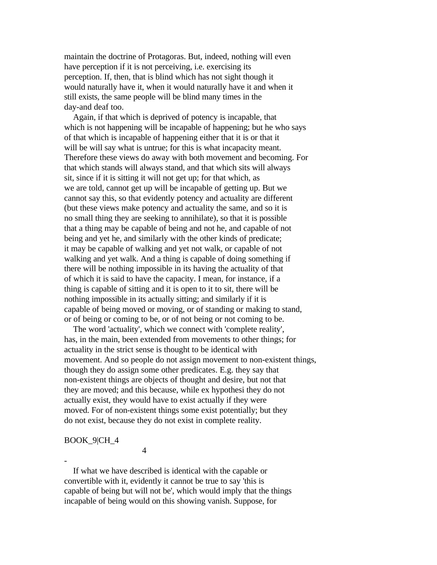maintain the doctrine of Protagoras. But, indeed, nothing will even have perception if it is not perceiving, i.e. exercising its perception. If, then, that is blind which has not sight though it would naturally have it, when it would naturally have it and when it still exists, the same people will be blind many times in the day-and deaf too.

 Again, if that which is deprived of potency is incapable, that which is not happening will be incapable of happening; but he who says of that which is incapable of happening either that it is or that it will be will say what is untrue; for this is what incapacity meant. Therefore these views do away with both movement and becoming. For that which stands will always stand, and that which sits will always sit, since if it is sitting it will not get up; for that which, as we are told, cannot get up will be incapable of getting up. But we cannot say this, so that evidently potency and actuality are different (but these views make potency and actuality the same, and so it is no small thing they are seeking to annihilate), so that it is possible that a thing may be capable of being and not he, and capable of not being and yet he, and similarly with the other kinds of predicate; it may be capable of walking and yet not walk, or capable of not walking and yet walk. And a thing is capable of doing something if there will be nothing impossible in its having the actuality of that of which it is said to have the capacity. I mean, for instance, if a thing is capable of sitting and it is open to it to sit, there will be nothing impossible in its actually sitting; and similarly if it is capable of being moved or moving, or of standing or making to stand, or of being or coming to be, or of not being or not coming to be.

 The word 'actuality', which we connect with 'complete reality', has, in the main, been extended from movements to other things; for actuality in the strict sense is thought to be identical with movement. And so people do not assign movement to non-existent things, though they do assign some other predicates. E.g. they say that non-existent things are objects of thought and desire, but not that they are moved; and this because, while ex hypothesi they do not actually exist, they would have to exist actually if they were moved. For of non-existent things some exist potentially; but they do not exist, because they do not exist in complete reality.

BOOK\_9|CH\_4

-

4

 If what we have described is identical with the capable or convertible with it, evidently it cannot be true to say 'this is capable of being but will not be', which would imply that the things incapable of being would on this showing vanish. Suppose, for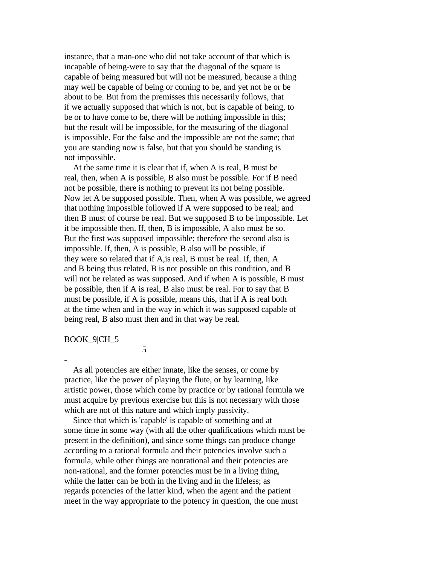instance, that a man-one who did not take account of that which is incapable of being-were to say that the diagonal of the square is capable of being measured but will not be measured, because a thing may well be capable of being or coming to be, and yet not be or be about to be. But from the premisses this necessarily follows, that if we actually supposed that which is not, but is capable of being, to be or to have come to be, there will be nothing impossible in this; but the result will be impossible, for the measuring of the diagonal is impossible. For the false and the impossible are not the same; that you are standing now is false, but that you should be standing is not impossible.

 At the same time it is clear that if, when A is real, B must be real, then, when A is possible, B also must be possible. For if B need not be possible, there is nothing to prevent its not being possible. Now let A be supposed possible. Then, when A was possible, we agreed that nothing impossible followed if A were supposed to be real; and then B must of course be real. But we supposed B to be impossible. Let it be impossible then. If, then, B is impossible, A also must be so. But the first was supposed impossible; therefore the second also is impossible. If, then, A is possible, B also will be possible, if they were so related that if A,is real, B must be real. If, then, A and B being thus related, B is not possible on this condition, and B will not be related as was supposed. And if when A is possible, B must be possible, then if A is real, B also must be real. For to say that B must be possible, if A is possible, means this, that if A is real both at the time when and in the way in which it was supposed capable of being real, B also must then and in that way be real.

#### BOOK\_9|CH\_5

-

5

 As all potencies are either innate, like the senses, or come by practice, like the power of playing the flute, or by learning, like artistic power, those which come by practice or by rational formula we must acquire by previous exercise but this is not necessary with those which are not of this nature and which imply passivity.

 Since that which is 'capable' is capable of something and at some time in some way (with all the other qualifications which must be present in the definition), and since some things can produce change according to a rational formula and their potencies involve such a formula, while other things are nonrational and their potencies are non-rational, and the former potencies must be in a living thing, while the latter can be both in the living and in the lifeless; as regards potencies of the latter kind, when the agent and the patient meet in the way appropriate to the potency in question, the one must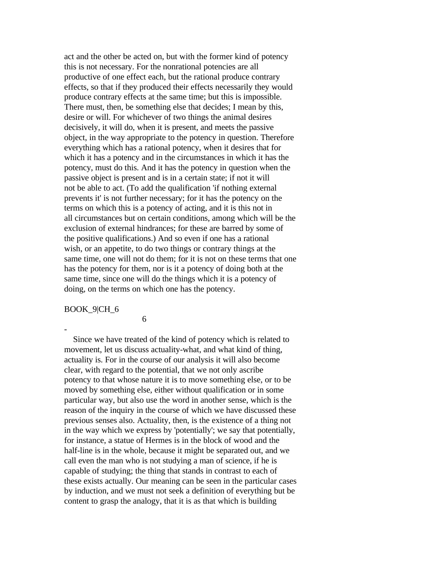act and the other be acted on, but with the former kind of potency this is not necessary. For the nonrational potencies are all productive of one effect each, but the rational produce contrary effects, so that if they produced their effects necessarily they would produce contrary effects at the same time; but this is impossible. There must, then, be something else that decides; I mean by this, desire or will. For whichever of two things the animal desires decisively, it will do, when it is present, and meets the passive object, in the way appropriate to the potency in question. Therefore everything which has a rational potency, when it desires that for which it has a potency and in the circumstances in which it has the potency, must do this. And it has the potency in question when the passive object is present and is in a certain state; if not it will not be able to act. (To add the qualification 'if nothing external prevents it' is not further necessary; for it has the potency on the terms on which this is a potency of acting, and it is this not in all circumstances but on certain conditions, among which will be the exclusion of external hindrances; for these are barred by some of the positive qualifications.) And so even if one has a rational wish, or an appetite, to do two things or contrary things at the same time, one will not do them; for it is not on these terms that one has the potency for them, nor is it a potency of doing both at the same time, since one will do the things which it is a potency of doing, on the terms on which one has the potency.

#### BOOK\_9|CH\_6

-

6

 Since we have treated of the kind of potency which is related to movement, let us discuss actuality-what, and what kind of thing, actuality is. For in the course of our analysis it will also become clear, with regard to the potential, that we not only ascribe potency to that whose nature it is to move something else, or to be moved by something else, either without qualification or in some particular way, but also use the word in another sense, which is the reason of the inquiry in the course of which we have discussed these previous senses also. Actuality, then, is the existence of a thing not in the way which we express by 'potentially'; we say that potentially, for instance, a statue of Hermes is in the block of wood and the half-line is in the whole, because it might be separated out, and we call even the man who is not studying a man of science, if he is capable of studying; the thing that stands in contrast to each of these exists actually. Our meaning can be seen in the particular cases by induction, and we must not seek a definition of everything but be content to grasp the analogy, that it is as that which is building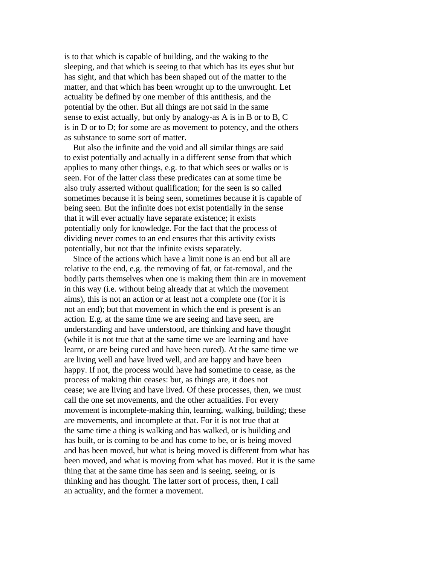is to that which is capable of building, and the waking to the sleeping, and that which is seeing to that which has its eyes shut but has sight, and that which has been shaped out of the matter to the matter, and that which has been wrought up to the unwrought. Let actuality be defined by one member of this antithesis, and the potential by the other. But all things are not said in the same sense to exist actually, but only by analogy-as A is in B or to B, C is in D or to D; for some are as movement to potency, and the others as substance to some sort of matter.

 But also the infinite and the void and all similar things are said to exist potentially and actually in a different sense from that which applies to many other things, e.g. to that which sees or walks or is seen. For of the latter class these predicates can at some time be also truly asserted without qualification; for the seen is so called sometimes because it is being seen, sometimes because it is capable of being seen. But the infinite does not exist potentially in the sense that it will ever actually have separate existence; it exists potentially only for knowledge. For the fact that the process of dividing never comes to an end ensures that this activity exists potentially, but not that the infinite exists separately.

 Since of the actions which have a limit none is an end but all are relative to the end, e.g. the removing of fat, or fat-removal, and the bodily parts themselves when one is making them thin are in movement in this way (i.e. without being already that at which the movement aims), this is not an action or at least not a complete one (for it is not an end); but that movement in which the end is present is an action. E.g. at the same time we are seeing and have seen, are understanding and have understood, are thinking and have thought (while it is not true that at the same time we are learning and have learnt, or are being cured and have been cured). At the same time we are living well and have lived well, and are happy and have been happy. If not, the process would have had sometime to cease, as the process of making thin ceases: but, as things are, it does not cease; we are living and have lived. Of these processes, then, we must call the one set movements, and the other actualities. For every movement is incomplete-making thin, learning, walking, building; these are movements, and incomplete at that. For it is not true that at the same time a thing is walking and has walked, or is building and has built, or is coming to be and has come to be, or is being moved and has been moved, but what is being moved is different from what has been moved, and what is moving from what has moved. But it is the same thing that at the same time has seen and is seeing, seeing, or is thinking and has thought. The latter sort of process, then, I call an actuality, and the former a movement.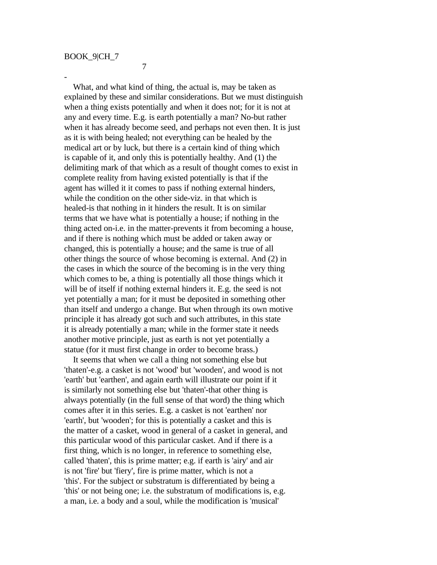-

7

 What, and what kind of thing, the actual is, may be taken as explained by these and similar considerations. But we must distinguish when a thing exists potentially and when it does not; for it is not at any and every time. E.g. is earth potentially a man? No-but rather when it has already become seed, and perhaps not even then. It is just as it is with being healed; not everything can be healed by the medical art or by luck, but there is a certain kind of thing which is capable of it, and only this is potentially healthy. And (1) the delimiting mark of that which as a result of thought comes to exist in complete reality from having existed potentially is that if the agent has willed it it comes to pass if nothing external hinders, while the condition on the other side-viz. in that which is healed-is that nothing in it hinders the result. It is on similar terms that we have what is potentially a house; if nothing in the thing acted on-i.e. in the matter-prevents it from becoming a house, and if there is nothing which must be added or taken away or changed, this is potentially a house; and the same is true of all other things the source of whose becoming is external. And (2) in the cases in which the source of the becoming is in the very thing which comes to be, a thing is potentially all those things which it will be of itself if nothing external hinders it. E.g. the seed is not yet potentially a man; for it must be deposited in something other than itself and undergo a change. But when through its own motive principle it has already got such and such attributes, in this state it is already potentially a man; while in the former state it needs another motive principle, just as earth is not yet potentially a statue (for it must first change in order to become brass.)

 It seems that when we call a thing not something else but 'thaten'-e.g. a casket is not 'wood' but 'wooden', and wood is not 'earth' but 'earthen', and again earth will illustrate our point if it is similarly not something else but 'thaten'-that other thing is always potentially (in the full sense of that word) the thing which comes after it in this series. E.g. a casket is not 'earthen' nor 'earth', but 'wooden'; for this is potentially a casket and this is the matter of a casket, wood in general of a casket in general, and this particular wood of this particular casket. And if there is a first thing, which is no longer, in reference to something else, called 'thaten', this is prime matter; e.g. if earth is 'airy' and air is not 'fire' but 'fiery', fire is prime matter, which is not a 'this'. For the subject or substratum is differentiated by being a 'this' or not being one; i.e. the substratum of modifications is, e.g. a man, i.e. a body and a soul, while the modification is 'musical'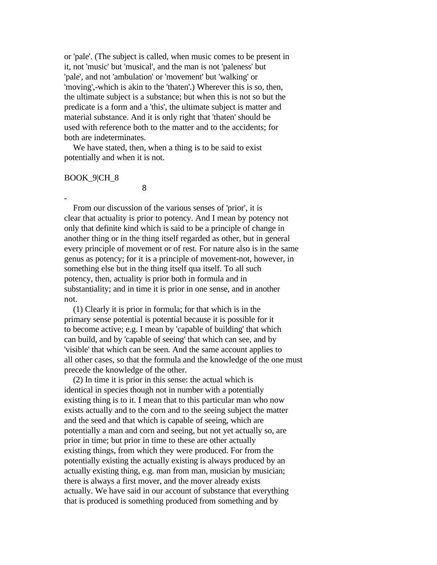or 'pale'. (The subject is called, when music comes to be present in it, not 'music' but 'musical', and the man is not 'paleness' but 'pale', and not 'ambulation' or 'movement' but 'walking' or 'moving',-which is akin to the 'thaten'.) Wherever this is so, then, the ultimate subject is a substance; but when this is not so but the predicate is a form and a 'this', the ultimate subject is matter and material substance. And it is only right that 'thaten' should be used with reference both to the matter and to the accidents; for both are indeterminates.

 We have stated, then, when a thing is to be said to exist potentially and when it is not.

## BOOK\_9|CH\_8

-

## 8

 From our discussion of the various senses of 'prior', it is clear that actuality is prior to potency. And I mean by potency not only that definite kind which is said to be a principle of change in another thing or in the thing itself regarded as other, but in general every principle of movement or of rest. For nature also is in the same genus as potency; for it is a principle of movement-not, however, in something else but in the thing itself qua itself. To all such potency, then, actuality is prior both in formula and in substantiality; and in time it is prior in one sense, and in another not.

 (1) Clearly it is prior in formula; for that which is in the primary sense potential is potential because it is possible for it to become active; e.g. I mean by 'capable of building' that which can build, and by 'capable of seeing' that which can see, and by 'visible' that which can be seen. And the same account applies to all other cases, so that the formula and the knowledge of the one must precede the knowledge of the other.

 (2) In time it is prior in this sense: the actual which is identical in species though not in number with a potentially existing thing is to it. I mean that to this particular man who now exists actually and to the corn and to the seeing subject the matter and the seed and that which is capable of seeing, which are potentially a man and corn and seeing, but not yet actually so, are prior in time; but prior in time to these are other actually existing things, from which they were produced. For from the potentially existing the actually existing is always produced by an actually existing thing, e.g. man from man, musician by musician; there is always a first mover, and the mover already exists actually. We have said in our account of substance that everything that is produced is something produced from something and by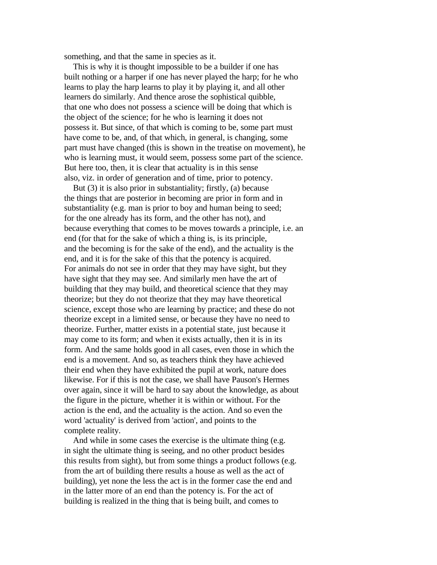something, and that the same in species as it.

 This is why it is thought impossible to be a builder if one has built nothing or a harper if one has never played the harp; for he who learns to play the harp learns to play it by playing it, and all other learners do similarly. And thence arose the sophistical quibble, that one who does not possess a science will be doing that which is the object of the science; for he who is learning it does not possess it. But since, of that which is coming to be, some part must have come to be, and, of that which, in general, is changing, some part must have changed (this is shown in the treatise on movement), he who is learning must, it would seem, possess some part of the science. But here too, then, it is clear that actuality is in this sense also, viz. in order of generation and of time, prior to potency.

 But (3) it is also prior in substantiality; firstly, (a) because the things that are posterior in becoming are prior in form and in substantiality (e.g. man is prior to boy and human being to seed; for the one already has its form, and the other has not), and because everything that comes to be moves towards a principle, i.e. an end (for that for the sake of which a thing is, is its principle, and the becoming is for the sake of the end), and the actuality is the end, and it is for the sake of this that the potency is acquired. For animals do not see in order that they may have sight, but they have sight that they may see. And similarly men have the art of building that they may build, and theoretical science that they may theorize; but they do not theorize that they may have theoretical science, except those who are learning by practice; and these do not theorize except in a limited sense, or because they have no need to theorize. Further, matter exists in a potential state, just because it may come to its form; and when it exists actually, then it is in its form. And the same holds good in all cases, even those in which the end is a movement. And so, as teachers think they have achieved their end when they have exhibited the pupil at work, nature does likewise. For if this is not the case, we shall have Pauson's Hermes over again, since it will be hard to say about the knowledge, as about the figure in the picture, whether it is within or without. For the action is the end, and the actuality is the action. And so even the word 'actuality' is derived from 'action', and points to the complete reality.

And while in some cases the exercise is the ultimate thing (e.g. in sight the ultimate thing is seeing, and no other product besides this results from sight), but from some things a product follows (e.g. from the art of building there results a house as well as the act of building), yet none the less the act is in the former case the end and in the latter more of an end than the potency is. For the act of building is realized in the thing that is being built, and comes to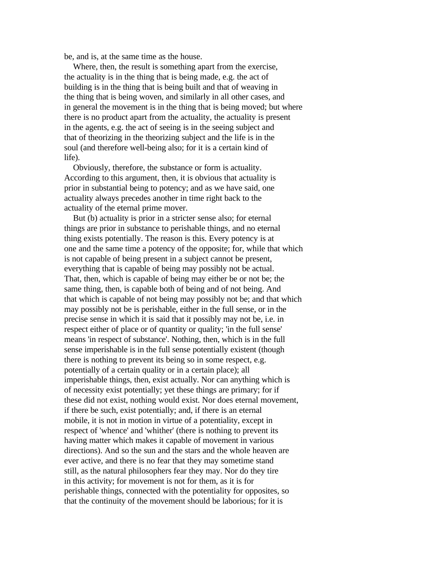be, and is, at the same time as the house.

 Where, then, the result is something apart from the exercise, the actuality is in the thing that is being made, e.g. the act of building is in the thing that is being built and that of weaving in the thing that is being woven, and similarly in all other cases, and in general the movement is in the thing that is being moved; but where there is no product apart from the actuality, the actuality is present in the agents, e.g. the act of seeing is in the seeing subject and that of theorizing in the theorizing subject and the life is in the soul (and therefore well-being also; for it is a certain kind of life).

 Obviously, therefore, the substance or form is actuality. According to this argument, then, it is obvious that actuality is prior in substantial being to potency; and as we have said, one actuality always precedes another in time right back to the actuality of the eternal prime mover.

 But (b) actuality is prior in a stricter sense also; for eternal things are prior in substance to perishable things, and no eternal thing exists potentially. The reason is this. Every potency is at one and the same time a potency of the opposite; for, while that which is not capable of being present in a subject cannot be present, everything that is capable of being may possibly not be actual. That, then, which is capable of being may either be or not be; the same thing, then, is capable both of being and of not being. And that which is capable of not being may possibly not be; and that which may possibly not be is perishable, either in the full sense, or in the precise sense in which it is said that it possibly may not be, i.e. in respect either of place or of quantity or quality; 'in the full sense' means 'in respect of substance'. Nothing, then, which is in the full sense imperishable is in the full sense potentially existent (though there is nothing to prevent its being so in some respect, e.g. potentially of a certain quality or in a certain place); all imperishable things, then, exist actually. Nor can anything which is of necessity exist potentially; yet these things are primary; for if these did not exist, nothing would exist. Nor does eternal movement, if there be such, exist potentially; and, if there is an eternal mobile, it is not in motion in virtue of a potentiality, except in respect of 'whence' and 'whither' (there is nothing to prevent its having matter which makes it capable of movement in various directions). And so the sun and the stars and the whole heaven are ever active, and there is no fear that they may sometime stand still, as the natural philosophers fear they may. Nor do they tire in this activity; for movement is not for them, as it is for perishable things, connected with the potentiality for opposites, so that the continuity of the movement should be laborious; for it is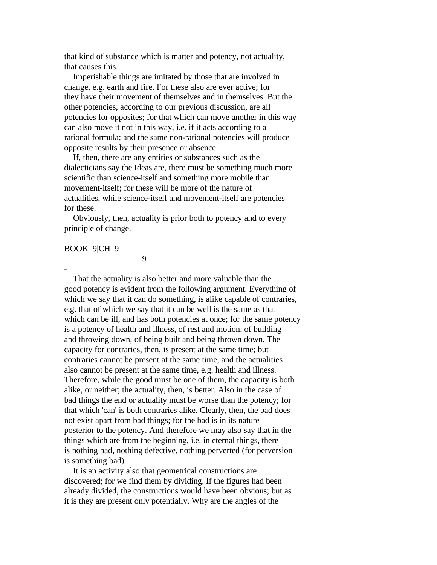that kind of substance which is matter and potency, not actuality, that causes this.

 Imperishable things are imitated by those that are involved in change, e.g. earth and fire. For these also are ever active; for they have their movement of themselves and in themselves. But the other potencies, according to our previous discussion, are all potencies for opposites; for that which can move another in this way can also move it not in this way, i.e. if it acts according to a rational formula; and the same non-rational potencies will produce opposite results by their presence or absence.

 If, then, there are any entities or substances such as the dialecticians say the Ideas are, there must be something much more scientific than science-itself and something more mobile than movement-itself; for these will be more of the nature of actualities, while science-itself and movement-itself are potencies for these.

 Obviously, then, actuality is prior both to potency and to every principle of change.

## BOOK 9|CH\_9

 9 -

 That the actuality is also better and more valuable than the good potency is evident from the following argument. Everything of which we say that it can do something, is alike capable of contraries, e.g. that of which we say that it can be well is the same as that which can be ill, and has both potencies at once; for the same potency is a potency of health and illness, of rest and motion, of building and throwing down, of being built and being thrown down. The capacity for contraries, then, is present at the same time; but contraries cannot be present at the same time, and the actualities also cannot be present at the same time, e.g. health and illness. Therefore, while the good must be one of them, the capacity is both alike, or neither; the actuality, then, is better. Also in the case of bad things the end or actuality must be worse than the potency; for that which 'can' is both contraries alike. Clearly, then, the bad does not exist apart from bad things; for the bad is in its nature posterior to the potency. And therefore we may also say that in the things which are from the beginning, i.e. in eternal things, there is nothing bad, nothing defective, nothing perverted (for perversion is something bad).

 It is an activity also that geometrical constructions are discovered; for we find them by dividing. If the figures had been already divided, the constructions would have been obvious; but as it is they are present only potentially. Why are the angles of the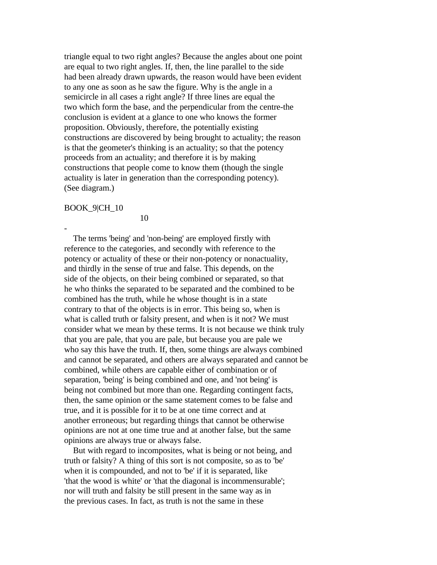triangle equal to two right angles? Because the angles about one point are equal to two right angles. If, then, the line parallel to the side had been already drawn upwards, the reason would have been evident to any one as soon as he saw the figure. Why is the angle in a semicircle in all cases a right angle? If three lines are equal the two which form the base, and the perpendicular from the centre-the conclusion is evident at a glance to one who knows the former proposition. Obviously, therefore, the potentially existing constructions are discovered by being brought to actuality; the reason is that the geometer's thinking is an actuality; so that the potency proceeds from an actuality; and therefore it is by making constructions that people come to know them (though the single actuality is later in generation than the corresponding potency). (See diagram.)

## BOOK\_9|CH\_10

-

10

 The terms 'being' and 'non-being' are employed firstly with reference to the categories, and secondly with reference to the potency or actuality of these or their non-potency or nonactuality, and thirdly in the sense of true and false. This depends, on the side of the objects, on their being combined or separated, so that he who thinks the separated to be separated and the combined to be combined has the truth, while he whose thought is in a state contrary to that of the objects is in error. This being so, when is what is called truth or falsity present, and when is it not? We must consider what we mean by these terms. It is not because we think truly that you are pale, that you are pale, but because you are pale we who say this have the truth. If, then, some things are always combined and cannot be separated, and others are always separated and cannot be combined, while others are capable either of combination or of separation, 'being' is being combined and one, and 'not being' is being not combined but more than one. Regarding contingent facts, then, the same opinion or the same statement comes to be false and true, and it is possible for it to be at one time correct and at another erroneous; but regarding things that cannot be otherwise opinions are not at one time true and at another false, but the same opinions are always true or always false.

 But with regard to incomposites, what is being or not being, and truth or falsity? A thing of this sort is not composite, so as to 'be' when it is compounded, and not to 'be' if it is separated, like 'that the wood is white' or 'that the diagonal is incommensurable'; nor will truth and falsity be still present in the same way as in the previous cases. In fact, as truth is not the same in these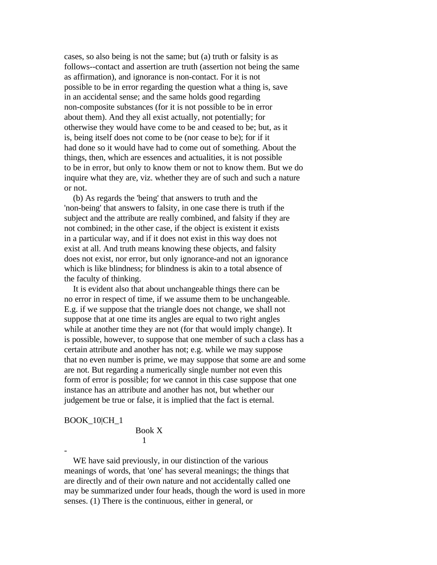cases, so also being is not the same; but (a) truth or falsity is as follows--contact and assertion are truth (assertion not being the same as affirmation), and ignorance is non-contact. For it is not possible to be in error regarding the question what a thing is, save in an accidental sense; and the same holds good regarding non-composite substances (for it is not possible to be in error about them). And they all exist actually, not potentially; for otherwise they would have come to be and ceased to be; but, as it is, being itself does not come to be (nor cease to be); for if it had done so it would have had to come out of something. About the things, then, which are essences and actualities, it is not possible to be in error, but only to know them or not to know them. But we do inquire what they are, viz. whether they are of such and such a nature or not.

 (b) As regards the 'being' that answers to truth and the 'non-being' that answers to falsity, in one case there is truth if the subject and the attribute are really combined, and falsity if they are not combined; in the other case, if the object is existent it exists in a particular way, and if it does not exist in this way does not exist at all. And truth means knowing these objects, and falsity does not exist, nor error, but only ignorance-and not an ignorance which is like blindness; for blindness is akin to a total absence of the faculty of thinking.

 It is evident also that about unchangeable things there can be no error in respect of time, if we assume them to be unchangeable. E.g. if we suppose that the triangle does not change, we shall not suppose that at one time its angles are equal to two right angles while at another time they are not (for that would imply change). It is possible, however, to suppose that one member of such a class has a certain attribute and another has not; e.g. while we may suppose that no even number is prime, we may suppose that some are and some are not. But regarding a numerically single number not even this form of error is possible; for we cannot in this case suppose that one instance has an attribute and another has not, but whether our judgement be true or false, it is implied that the fact is eternal.

BOOK\_10|CH\_1

-

 Book X 1

 WE have said previously, in our distinction of the various meanings of words, that 'one' has several meanings; the things that are directly and of their own nature and not accidentally called one may be summarized under four heads, though the word is used in more senses. (1) There is the continuous, either in general, or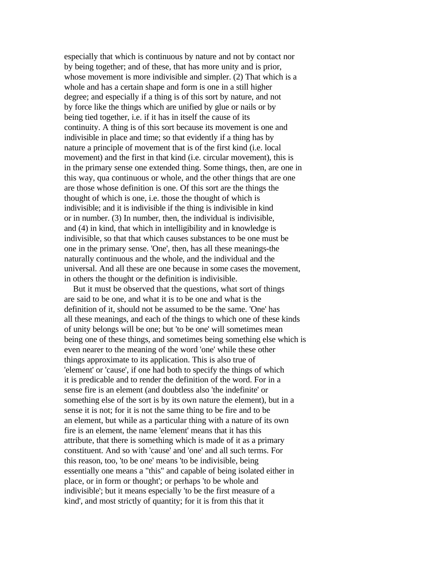especially that which is continuous by nature and not by contact nor by being together; and of these, that has more unity and is prior, whose movement is more indivisible and simpler. (2) That which is a whole and has a certain shape and form is one in a still higher degree; and especially if a thing is of this sort by nature, and not by force like the things which are unified by glue or nails or by being tied together, i.e. if it has in itself the cause of its continuity. A thing is of this sort because its movement is one and indivisible in place and time; so that evidently if a thing has by nature a principle of movement that is of the first kind (i.e. local movement) and the first in that kind (i.e. circular movement), this is in the primary sense one extended thing. Some things, then, are one in this way, qua continuous or whole, and the other things that are one are those whose definition is one. Of this sort are the things the thought of which is one, i.e. those the thought of which is indivisible; and it is indivisible if the thing is indivisible in kind or in number. (3) In number, then, the individual is indivisible, and (4) in kind, that which in intelligibility and in knowledge is indivisible, so that that which causes substances to be one must be one in the primary sense. 'One', then, has all these meanings-the naturally continuous and the whole, and the individual and the universal. And all these are one because in some cases the movement, in others the thought or the definition is indivisible.

 But it must be observed that the questions, what sort of things are said to be one, and what it is to be one and what is the definition of it, should not be assumed to be the same. 'One' has all these meanings, and each of the things to which one of these kinds of unity belongs will be one; but 'to be one' will sometimes mean being one of these things, and sometimes being something else which is even nearer to the meaning of the word 'one' while these other things approximate to its application. This is also true of 'element' or 'cause', if one had both to specify the things of which it is predicable and to render the definition of the word. For in a sense fire is an element (and doubtless also 'the indefinite' or something else of the sort is by its own nature the element), but in a sense it is not; for it is not the same thing to be fire and to be an element, but while as a particular thing with a nature of its own fire is an element, the name 'element' means that it has this attribute, that there is something which is made of it as a primary constituent. And so with 'cause' and 'one' and all such terms. For this reason, too, 'to be one' means 'to be indivisible, being essentially one means a "this" and capable of being isolated either in place, or in form or thought'; or perhaps 'to be whole and indivisible'; but it means especially 'to be the first measure of a kind', and most strictly of quantity; for it is from this that it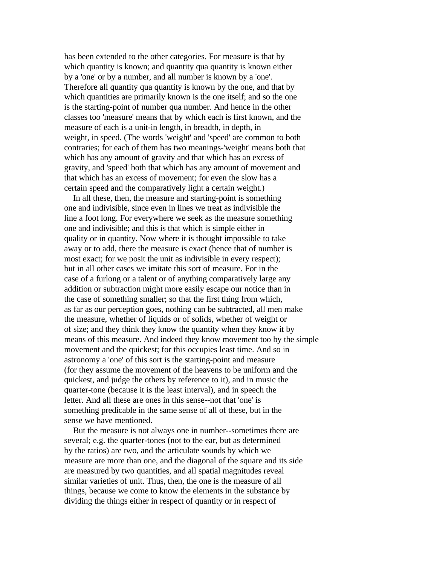has been extended to the other categories. For measure is that by which quantity is known; and quantity qua quantity is known either by a 'one' or by a number, and all number is known by a 'one'. Therefore all quantity qua quantity is known by the one, and that by which quantities are primarily known is the one itself; and so the one is the starting-point of number qua number. And hence in the other classes too 'measure' means that by which each is first known, and the measure of each is a unit-in length, in breadth, in depth, in weight, in speed. (The words 'weight' and 'speed' are common to both contraries; for each of them has two meanings-'weight' means both that which has any amount of gravity and that which has an excess of gravity, and 'speed' both that which has any amount of movement and that which has an excess of movement; for even the slow has a certain speed and the comparatively light a certain weight.)

 In all these, then, the measure and starting-point is something one and indivisible, since even in lines we treat as indivisible the line a foot long. For everywhere we seek as the measure something one and indivisible; and this is that which is simple either in quality or in quantity. Now where it is thought impossible to take away or to add, there the measure is exact (hence that of number is most exact; for we posit the unit as indivisible in every respect); but in all other cases we imitate this sort of measure. For in the case of a furlong or a talent or of anything comparatively large any addition or subtraction might more easily escape our notice than in the case of something smaller; so that the first thing from which, as far as our perception goes, nothing can be subtracted, all men make the measure, whether of liquids or of solids, whether of weight or of size; and they think they know the quantity when they know it by means of this measure. And indeed they know movement too by the simple movement and the quickest; for this occupies least time. And so in astronomy a 'one' of this sort is the starting-point and measure (for they assume the movement of the heavens to be uniform and the quickest, and judge the others by reference to it), and in music the quarter-tone (because it is the least interval), and in speech the letter. And all these are ones in this sense--not that 'one' is something predicable in the same sense of all of these, but in the sense we have mentioned.

 But the measure is not always one in number--sometimes there are several; e.g. the quarter-tones (not to the ear, but as determined by the ratios) are two, and the articulate sounds by which we measure are more than one, and the diagonal of the square and its side are measured by two quantities, and all spatial magnitudes reveal similar varieties of unit. Thus, then, the one is the measure of all things, because we come to know the elements in the substance by dividing the things either in respect of quantity or in respect of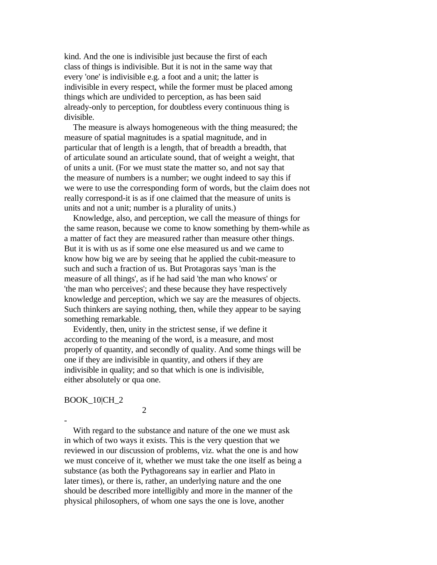kind. And the one is indivisible just because the first of each class of things is indivisible. But it is not in the same way that every 'one' is indivisible e.g. a foot and a unit; the latter is indivisible in every respect, while the former must be placed among things which are undivided to perception, as has been said already-only to perception, for doubtless every continuous thing is divisible.

 The measure is always homogeneous with the thing measured; the measure of spatial magnitudes is a spatial magnitude, and in particular that of length is a length, that of breadth a breadth, that of articulate sound an articulate sound, that of weight a weight, that of units a unit. (For we must state the matter so, and not say that the measure of numbers is a number; we ought indeed to say this if we were to use the corresponding form of words, but the claim does not really correspond-it is as if one claimed that the measure of units is units and not a unit; number is a plurality of units.)

 Knowledge, also, and perception, we call the measure of things for the same reason, because we come to know something by them-while as a matter of fact they are measured rather than measure other things. But it is with us as if some one else measured us and we came to know how big we are by seeing that he applied the cubit-measure to such and such a fraction of us. But Protagoras says 'man is the measure of all things', as if he had said 'the man who knows' or 'the man who perceives'; and these because they have respectively knowledge and perception, which we say are the measures of objects. Such thinkers are saying nothing, then, while they appear to be saying something remarkable.

 Evidently, then, unity in the strictest sense, if we define it according to the meaning of the word, is a measure, and most properly of quantity, and secondly of quality. And some things will be one if they are indivisible in quantity, and others if they are indivisible in quality; and so that which is one is indivisible, either absolutely or qua one.

## BOOK\_10|CH\_2

-

2

 With regard to the substance and nature of the one we must ask in which of two ways it exists. This is the very question that we reviewed in our discussion of problems, viz. what the one is and how we must conceive of it, whether we must take the one itself as being a substance (as both the Pythagoreans say in earlier and Plato in later times), or there is, rather, an underlying nature and the one should be described more intelligibly and more in the manner of the physical philosophers, of whom one says the one is love, another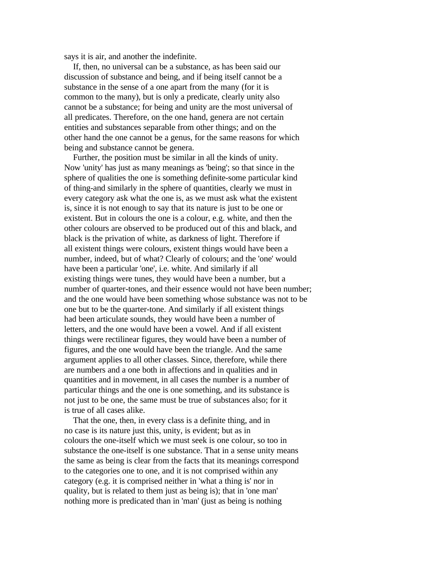says it is air, and another the indefinite.

 If, then, no universal can be a substance, as has been said our discussion of substance and being, and if being itself cannot be a substance in the sense of a one apart from the many (for it is common to the many), but is only a predicate, clearly unity also cannot be a substance; for being and unity are the most universal of all predicates. Therefore, on the one hand, genera are not certain entities and substances separable from other things; and on the other hand the one cannot be a genus, for the same reasons for which being and substance cannot be genera.

 Further, the position must be similar in all the kinds of unity. Now 'unity' has just as many meanings as 'being'; so that since in the sphere of qualities the one is something definite-some particular kind of thing-and similarly in the sphere of quantities, clearly we must in every category ask what the one is, as we must ask what the existent is, since it is not enough to say that its nature is just to be one or existent. But in colours the one is a colour, e.g. white, and then the other colours are observed to be produced out of this and black, and black is the privation of white, as darkness of light. Therefore if all existent things were colours, existent things would have been a number, indeed, but of what? Clearly of colours; and the 'one' would have been a particular 'one', i.e. white. And similarly if all existing things were tunes, they would have been a number, but a number of quarter-tones, and their essence would not have been number; and the one would have been something whose substance was not to be one but to be the quarter-tone. And similarly if all existent things had been articulate sounds, they would have been a number of letters, and the one would have been a vowel. And if all existent things were rectilinear figures, they would have been a number of figures, and the one would have been the triangle. And the same argument applies to all other classes. Since, therefore, while there are numbers and a one both in affections and in qualities and in quantities and in movement, in all cases the number is a number of particular things and the one is one something, and its substance is not just to be one, the same must be true of substances also; for it is true of all cases alike.

 That the one, then, in every class is a definite thing, and in no case is its nature just this, unity, is evident; but as in colours the one-itself which we must seek is one colour, so too in substance the one-itself is one substance. That in a sense unity means the same as being is clear from the facts that its meanings correspond to the categories one to one, and it is not comprised within any category (e.g. it is comprised neither in 'what a thing is' nor in quality, but is related to them just as being is); that in 'one man' nothing more is predicated than in 'man' (just as being is nothing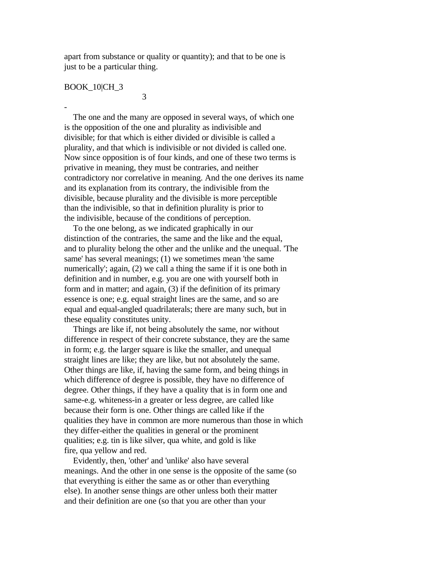apart from substance or quality or quantity); and that to be one is just to be a particular thing.

### BOOK\_10|CH\_3

-

3

 The one and the many are opposed in several ways, of which one is the opposition of the one and plurality as indivisible and divisible; for that which is either divided or divisible is called a plurality, and that which is indivisible or not divided is called one. Now since opposition is of four kinds, and one of these two terms is privative in meaning, they must be contraries, and neither contradictory nor correlative in meaning. And the one derives its name and its explanation from its contrary, the indivisible from the divisible, because plurality and the divisible is more perceptible than the indivisible, so that in definition plurality is prior to the indivisible, because of the conditions of perception.

 To the one belong, as we indicated graphically in our distinction of the contraries, the same and the like and the equal, and to plurality belong the other and the unlike and the unequal. 'The same' has several meanings; (1) we sometimes mean 'the same numerically'; again, (2) we call a thing the same if it is one both in definition and in number, e.g. you are one with yourself both in form and in matter; and again, (3) if the definition of its primary essence is one; e.g. equal straight lines are the same, and so are equal and equal-angled quadrilaterals; there are many such, but in these equality constitutes unity.

 Things are like if, not being absolutely the same, nor without difference in respect of their concrete substance, they are the same in form; e.g. the larger square is like the smaller, and unequal straight lines are like; they are like, but not absolutely the same. Other things are like, if, having the same form, and being things in which difference of degree is possible, they have no difference of degree. Other things, if they have a quality that is in form one and same-e.g. whiteness-in a greater or less degree, are called like because their form is one. Other things are called like if the qualities they have in common are more numerous than those in which they differ-either the qualities in general or the prominent qualities; e.g. tin is like silver, qua white, and gold is like fire, qua yellow and red.

 Evidently, then, 'other' and 'unlike' also have several meanings. And the other in one sense is the opposite of the same (so that everything is either the same as or other than everything else). In another sense things are other unless both their matter and their definition are one (so that you are other than your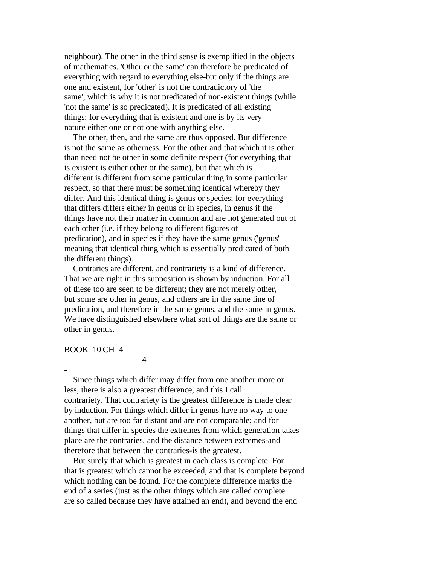neighbour). The other in the third sense is exemplified in the objects of mathematics. 'Other or the same' can therefore be predicated of everything with regard to everything else-but only if the things are one and existent, for 'other' is not the contradictory of 'the same'; which is why it is not predicated of non-existent things (while 'not the same' is so predicated). It is predicated of all existing things; for everything that is existent and one is by its very nature either one or not one with anything else.

 The other, then, and the same are thus opposed. But difference is not the same as otherness. For the other and that which it is other than need not be other in some definite respect (for everything that is existent is either other or the same), but that which is different is different from some particular thing in some particular respect, so that there must be something identical whereby they differ. And this identical thing is genus or species; for everything that differs differs either in genus or in species, in genus if the things have not their matter in common and are not generated out of each other (i.e. if they belong to different figures of predication), and in species if they have the same genus ('genus' meaning that identical thing which is essentially predicated of both the different things).

 Contraries are different, and contrariety is a kind of difference. That we are right in this supposition is shown by induction. For all of these too are seen to be different; they are not merely other, but some are other in genus, and others are in the same line of predication, and therefore in the same genus, and the same in genus. We have distinguished elsewhere what sort of things are the same or other in genus.

BOOK\_10|CH\_4

-

4

 Since things which differ may differ from one another more or less, there is also a greatest difference, and this I call contrariety. That contrariety is the greatest difference is made clear by induction. For things which differ in genus have no way to one another, but are too far distant and are not comparable; and for things that differ in species the extremes from which generation takes place are the contraries, and the distance between extremes-and therefore that between the contraries-is the greatest.

 But surely that which is greatest in each class is complete. For that is greatest which cannot be exceeded, and that is complete beyond which nothing can be found. For the complete difference marks the end of a series (just as the other things which are called complete are so called because they have attained an end), and beyond the end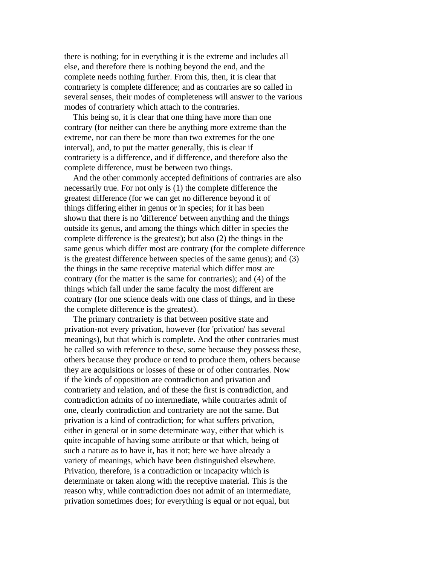there is nothing; for in everything it is the extreme and includes all else, and therefore there is nothing beyond the end, and the complete needs nothing further. From this, then, it is clear that contrariety is complete difference; and as contraries are so called in several senses, their modes of completeness will answer to the various modes of contrariety which attach to the contraries.

 This being so, it is clear that one thing have more than one contrary (for neither can there be anything more extreme than the extreme, nor can there be more than two extremes for the one interval), and, to put the matter generally, this is clear if contrariety is a difference, and if difference, and therefore also the complete difference, must be between two things.

 And the other commonly accepted definitions of contraries are also necessarily true. For not only is (1) the complete difference the greatest difference (for we can get no difference beyond it of things differing either in genus or in species; for it has been shown that there is no 'difference' between anything and the things outside its genus, and among the things which differ in species the complete difference is the greatest); but also (2) the things in the same genus which differ most are contrary (for the complete difference is the greatest difference between species of the same genus); and (3) the things in the same receptive material which differ most are contrary (for the matter is the same for contraries); and (4) of the things which fall under the same faculty the most different are contrary (for one science deals with one class of things, and in these the complete difference is the greatest).

 The primary contrariety is that between positive state and privation-not every privation, however (for 'privation' has several meanings), but that which is complete. And the other contraries must be called so with reference to these, some because they possess these, others because they produce or tend to produce them, others because they are acquisitions or losses of these or of other contraries. Now if the kinds of opposition are contradiction and privation and contrariety and relation, and of these the first is contradiction, and contradiction admits of no intermediate, while contraries admit of one, clearly contradiction and contrariety are not the same. But privation is a kind of contradiction; for what suffers privation, either in general or in some determinate way, either that which is quite incapable of having some attribute or that which, being of such a nature as to have it, has it not; here we have already a variety of meanings, which have been distinguished elsewhere. Privation, therefore, is a contradiction or incapacity which is determinate or taken along with the receptive material. This is the reason why, while contradiction does not admit of an intermediate, privation sometimes does; for everything is equal or not equal, but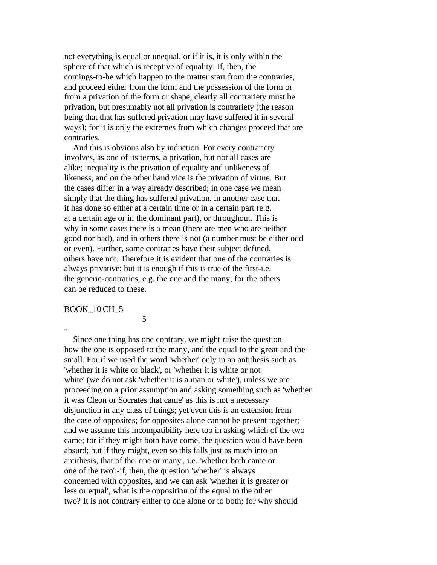not everything is equal or unequal, or if it is, it is only within the sphere of that which is receptive of equality. If, then, the comings-to-be which happen to the matter start from the contraries, and proceed either from the form and the possession of the form or from a privation of the form or shape, clearly all contrariety must be privation, but presumably not all privation is contrariety (the reason being that that has suffered privation may have suffered it in several ways); for it is only the extremes from which changes proceed that are contraries.

 And this is obvious also by induction. For every contrariety involves, as one of its terms, a privation, but not all cases are alike; inequality is the privation of equality and unlikeness of likeness, and on the other hand vice is the privation of virtue. But the cases differ in a way already described; in one case we mean simply that the thing has suffered privation, in another case that it has done so either at a certain time or in a certain part (e.g. at a certain age or in the dominant part), or throughout. This is why in some cases there is a mean (there are men who are neither good nor bad), and in others there is not (a number must be either odd or even). Further, some contraries have their subject defined, others have not. Therefore it is evident that one of the contraries is always privative; but it is enough if this is true of the first-i.e. the generic-contraries, e.g. the one and the many; for the others can be reduced to these.

#### BOOK\_10|CH\_5

-

5

 Since one thing has one contrary, we might raise the question how the one is opposed to the many, and the equal to the great and the small. For if we used the word 'whether' only in an antithesis such as 'whether it is white or black', or 'whether it is white or not white' (we do not ask 'whether it is a man or white'), unless we are proceeding on a prior assumption and asking something such as 'whether it was Cleon or Socrates that came' as this is not a necessary disjunction in any class of things; yet even this is an extension from the case of opposites; for opposites alone cannot be present together; and we assume this incompatibility here too in asking which of the two came; for if they might both have come, the question would have been absurd; but if they might, even so this falls just as much into an antithesis, that of the 'one or many', i.e. 'whether both came or one of the two':-if, then, the question 'whether' is always concerned with opposites, and we can ask 'whether it is greater or less or equal', what is the opposition of the equal to the other two? It is not contrary either to one alone or to both; for why should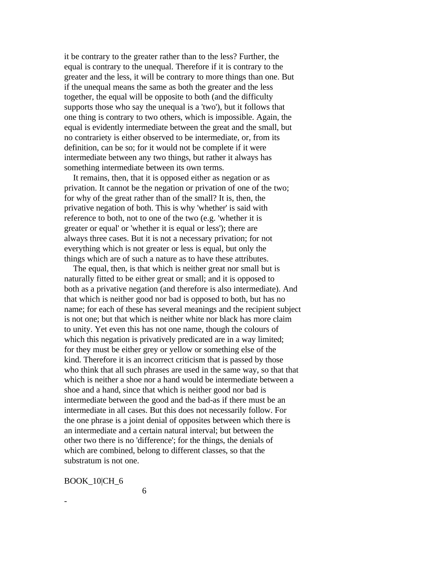it be contrary to the greater rather than to the less? Further, the equal is contrary to the unequal. Therefore if it is contrary to the greater and the less, it will be contrary to more things than one. But if the unequal means the same as both the greater and the less together, the equal will be opposite to both (and the difficulty supports those who say the unequal is a 'two'), but it follows that one thing is contrary to two others, which is impossible. Again, the equal is evidently intermediate between the great and the small, but no contrariety is either observed to be intermediate, or, from its definition, can be so; for it would not be complete if it were intermediate between any two things, but rather it always has something intermediate between its own terms.

 It remains, then, that it is opposed either as negation or as privation. It cannot be the negation or privation of one of the two; for why of the great rather than of the small? It is, then, the privative negation of both. This is why 'whether' is said with reference to both, not to one of the two (e.g. 'whether it is greater or equal' or 'whether it is equal or less'); there are always three cases. But it is not a necessary privation; for not everything which is not greater or less is equal, but only the things which are of such a nature as to have these attributes.

 The equal, then, is that which is neither great nor small but is naturally fitted to be either great or small; and it is opposed to both as a privative negation (and therefore is also intermediate). And that which is neither good nor bad is opposed to both, but has no name; for each of these has several meanings and the recipient subject is not one; but that which is neither white nor black has more claim to unity. Yet even this has not one name, though the colours of which this negation is privatively predicated are in a way limited; for they must be either grey or yellow or something else of the kind. Therefore it is an incorrect criticism that is passed by those who think that all such phrases are used in the same way, so that that which is neither a shoe nor a hand would be intermediate between a shoe and a hand, since that which is neither good nor bad is intermediate between the good and the bad-as if there must be an intermediate in all cases. But this does not necessarily follow. For the one phrase is a joint denial of opposites between which there is an intermediate and a certain natural interval; but between the other two there is no 'difference'; for the things, the denials of which are combined, belong to different classes, so that the substratum is not one.

BOOK 10|CH\_6

-

6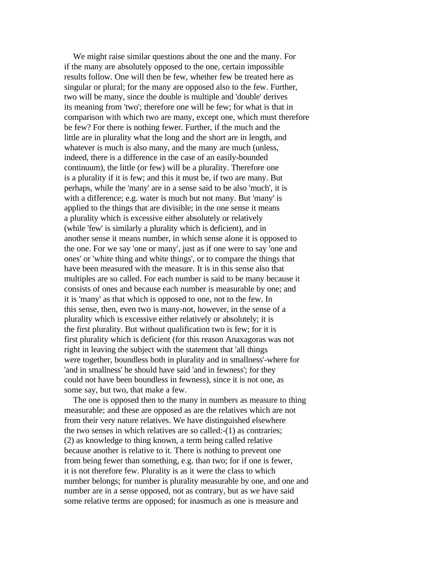We might raise similar questions about the one and the many. For if the many are absolutely opposed to the one, certain impossible results follow. One will then be few, whether few be treated here as singular or plural; for the many are opposed also to the few. Further, two will be many, since the double is multiple and 'double' derives its meaning from 'two'; therefore one will be few; for what is that in comparison with which two are many, except one, which must therefore be few? For there is nothing fewer. Further, if the much and the little are in plurality what the long and the short are in length, and whatever is much is also many, and the many are much (unless, indeed, there is a difference in the case of an easily-bounded continuum), the little (or few) will be a plurality. Therefore one is a plurality if it is few; and this it must be, if two are many. But perhaps, while the 'many' are in a sense said to be also 'much', it is with a difference; e.g. water is much but not many. But 'many' is applied to the things that are divisible; in the one sense it means a plurality which is excessive either absolutely or relatively (while 'few' is similarly a plurality which is deficient), and in another sense it means number, in which sense alone it is opposed to the one. For we say 'one or many', just as if one were to say 'one and ones' or 'white thing and white things', or to compare the things that have been measured with the measure. It is in this sense also that multiples are so called. For each number is said to be many because it consists of ones and because each number is measurable by one; and it is 'many' as that which is opposed to one, not to the few. In this sense, then, even two is many-not, however, in the sense of a plurality which is excessive either relatively or absolutely; it is the first plurality. But without qualification two is few; for it is first plurality which is deficient (for this reason Anaxagoras was not right in leaving the subject with the statement that 'all things were together, boundless both in plurality and in smallness'-where for 'and in smallness' he should have said 'and in fewness'; for they could not have been boundless in fewness), since it is not one, as some say, but two, that make a few.

 The one is opposed then to the many in numbers as measure to thing measurable; and these are opposed as are the relatives which are not from their very nature relatives. We have distinguished elsewhere the two senses in which relatives are so called:-(1) as contraries; (2) as knowledge to thing known, a term being called relative because another is relative to it. There is nothing to prevent one from being fewer than something, e.g. than two; for if one is fewer, it is not therefore few. Plurality is as it were the class to which number belongs; for number is plurality measurable by one, and one and number are in a sense opposed, not as contrary, but as we have said some relative terms are opposed; for inasmuch as one is measure and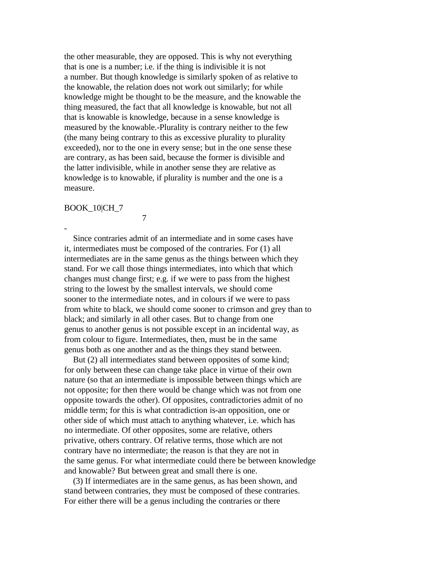the other measurable, they are opposed. This is why not everything that is one is a number; i.e. if the thing is indivisible it is not a number. But though knowledge is similarly spoken of as relative to the knowable, the relation does not work out similarly; for while knowledge might be thought to be the measure, and the knowable the thing measured, the fact that all knowledge is knowable, but not all that is knowable is knowledge, because in a sense knowledge is measured by the knowable.-Plurality is contrary neither to the few (the many being contrary to this as excessive plurality to plurality exceeded), nor to the one in every sense; but in the one sense these are contrary, as has been said, because the former is divisible and the latter indivisible, while in another sense they are relative as knowledge is to knowable, if plurality is number and the one is a measure.

### BOOK\_10|CH\_7

-

7

 Since contraries admit of an intermediate and in some cases have it, intermediates must be composed of the contraries. For (1) all intermediates are in the same genus as the things between which they stand. For we call those things intermediates, into which that which changes must change first; e.g. if we were to pass from the highest string to the lowest by the smallest intervals, we should come sooner to the intermediate notes, and in colours if we were to pass from white to black, we should come sooner to crimson and grey than to black; and similarly in all other cases. But to change from one genus to another genus is not possible except in an incidental way, as from colour to figure. Intermediates, then, must be in the same genus both as one another and as the things they stand between.

 But (2) all intermediates stand between opposites of some kind; for only between these can change take place in virtue of their own nature (so that an intermediate is impossible between things which are not opposite; for then there would be change which was not from one opposite towards the other). Of opposites, contradictories admit of no middle term; for this is what contradiction is-an opposition, one or other side of which must attach to anything whatever, i.e. which has no intermediate. Of other opposites, some are relative, others privative, others contrary. Of relative terms, those which are not contrary have no intermediate; the reason is that they are not in the same genus. For what intermediate could there be between knowledge and knowable? But between great and small there is one.

 (3) If intermediates are in the same genus, as has been shown, and stand between contraries, they must be composed of these contraries. For either there will be a genus including the contraries or there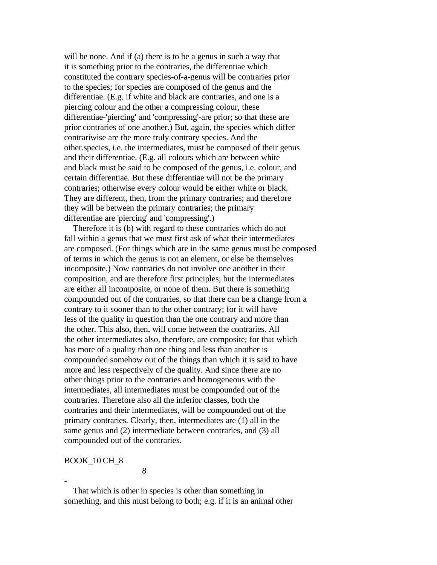will be none. And if (a) there is to be a genus in such a way that it is something prior to the contraries, the differentiae which constituted the contrary species-of-a-genus will be contraries prior to the species; for species are composed of the genus and the differentiae. (E.g. if white and black are contraries, and one is a piercing colour and the other a compressing colour, these differentiae-'piercing' and 'compressing'-are prior; so that these are prior contraries of one another.) But, again, the species which differ contrariwise are the more truly contrary species. And the other.species, i.e. the intermediates, must be composed of their genus and their differentiae. (E.g. all colours which are between white and black must be said to be composed of the genus, i.e. colour, and certain differentiae. But these differentiae will not be the primary contraries; otherwise every colour would be either white or black. They are different, then, from the primary contraries; and therefore they will be between the primary contraries; the primary differentiae are 'piercing' and 'compressing'.)

 Therefore it is (b) with regard to these contraries which do not fall within a genus that we must first ask of what their intermediates are composed. (For things which are in the same genus must be composed of terms in which the genus is not an element, or else be themselves incomposite.) Now contraries do not involve one another in their composition, and are therefore first principles; but the intermediates are either all incomposite, or none of them. But there is something compounded out of the contraries, so that there can be a change from a contrary to it sooner than to the other contrary; for it will have less of the quality in question than the one contrary and more than the other. This also, then, will come between the contraries. All the other intermediates also, therefore, are composite; for that which has more of a quality than one thing and less than another is compounded somehow out of the things than which it is said to have more and less respectively of the quality. And since there are no other things prior to the contraries and homogeneous with the intermediates, all intermediates must be compounded out of the contraries. Therefore also all the inferior classes, both the contraries and their intermediates, will be compounded out of the primary contraries. Clearly, then, intermediates are (1) all in the same genus and (2) intermediate between contraries, and (3) all compounded out of the contraries.

## BOOK\_10|CH\_8

-

8

 That which is other in species is other than something in something, and this must belong to both; e.g. if it is an animal other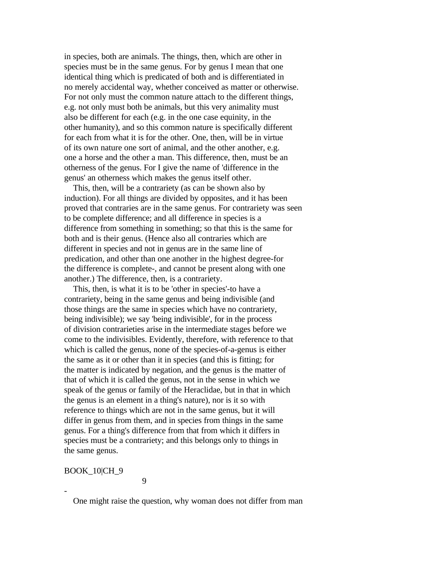in species, both are animals. The things, then, which are other in species must be in the same genus. For by genus I mean that one identical thing which is predicated of both and is differentiated in no merely accidental way, whether conceived as matter or otherwise. For not only must the common nature attach to the different things, e.g. not only must both be animals, but this very animality must also be different for each (e.g. in the one case equinity, in the other humanity), and so this common nature is specifically different for each from what it is for the other. One, then, will be in virtue of its own nature one sort of animal, and the other another, e.g. one a horse and the other a man. This difference, then, must be an otherness of the genus. For I give the name of 'difference in the genus' an otherness which makes the genus itself other.

 This, then, will be a contrariety (as can be shown also by induction). For all things are divided by opposites, and it has been proved that contraries are in the same genus. For contrariety was seen to be complete difference; and all difference in species is a difference from something in something; so that this is the same for both and is their genus. (Hence also all contraries which are different in species and not in genus are in the same line of predication, and other than one another in the highest degree-for the difference is complete-, and cannot be present along with one another.) The difference, then, is a contrariety.

 This, then, is what it is to be 'other in species'-to have a contrariety, being in the same genus and being indivisible (and those things are the same in species which have no contrariety, being indivisible); we say 'being indivisible', for in the process of division contrarieties arise in the intermediate stages before we come to the indivisibles. Evidently, therefore, with reference to that which is called the genus, none of the species-of-a-genus is either the same as it or other than it in species (and this is fitting; for the matter is indicated by negation, and the genus is the matter of that of which it is called the genus, not in the sense in which we speak of the genus or family of the Heraclidae, but in that in which the genus is an element in a thing's nature), nor is it so with reference to things which are not in the same genus, but it will differ in genus from them, and in species from things in the same genus. For a thing's difference from that from which it differs in species must be a contrariety; and this belongs only to things in the same genus.

BOOK\_10|CH\_9

-

9

One might raise the question, why woman does not differ from man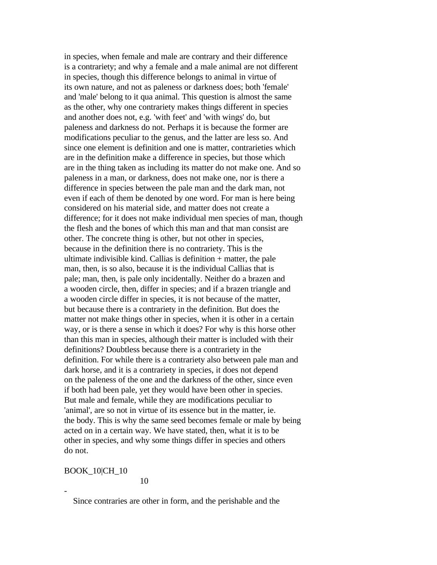in species, when female and male are contrary and their difference is a contrariety; and why a female and a male animal are not different in species, though this difference belongs to animal in virtue of its own nature, and not as paleness or darkness does; both 'female' and 'male' belong to it qua animal. This question is almost the same as the other, why one contrariety makes things different in species and another does not, e.g. 'with feet' and 'with wings' do, but paleness and darkness do not. Perhaps it is because the former are modifications peculiar to the genus, and the latter are less so. And since one element is definition and one is matter, contrarieties which are in the definition make a difference in species, but those which are in the thing taken as including its matter do not make one. And so paleness in a man, or darkness, does not make one, nor is there a difference in species between the pale man and the dark man, not even if each of them be denoted by one word. For man is here being considered on his material side, and matter does not create a difference; for it does not make individual men species of man, though the flesh and the bones of which this man and that man consist are other. The concrete thing is other, but not other in species, because in the definition there is no contrariety. This is the ultimate indivisible kind. Callias is definition  $+$  matter, the pale man, then, is so also, because it is the individual Callias that is pale; man, then, is pale only incidentally. Neither do a brazen and a wooden circle, then, differ in species; and if a brazen triangle and a wooden circle differ in species, it is not because of the matter, but because there is a contrariety in the definition. But does the matter not make things other in species, when it is other in a certain way, or is there a sense in which it does? For why is this horse other than this man in species, although their matter is included with their definitions? Doubtless because there is a contrariety in the definition. For while there is a contrariety also between pale man and dark horse, and it is a contrariety in species, it does not depend on the paleness of the one and the darkness of the other, since even if both had been pale, yet they would have been other in species. But male and female, while they are modifications peculiar to 'animal', are so not in virtue of its essence but in the matter, ie. the body. This is why the same seed becomes female or male by being acted on in a certain way. We have stated, then, what it is to be other in species, and why some things differ in species and others do not.

BOOK\_10|CH\_10

-

10

Since contraries are other in form, and the perishable and the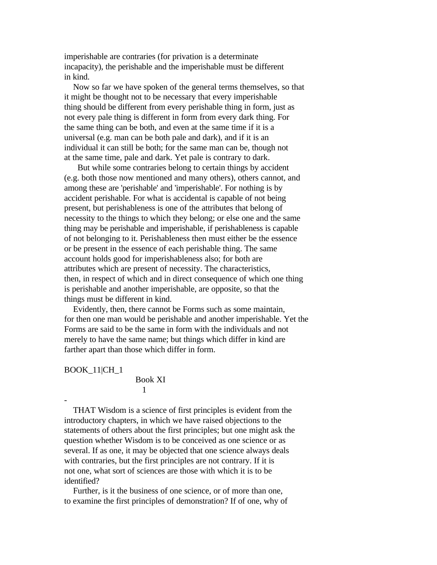imperishable are contraries (for privation is a determinate incapacity), the perishable and the imperishable must be different in kind.

 Now so far we have spoken of the general terms themselves, so that it might be thought not to be necessary that every imperishable thing should be different from every perishable thing in form, just as not every pale thing is different in form from every dark thing. For the same thing can be both, and even at the same time if it is a universal (e.g. man can be both pale and dark), and if it is an individual it can still be both; for the same man can be, though not at the same time, pale and dark. Yet pale is contrary to dark.

 But while some contraries belong to certain things by accident (e.g. both those now mentioned and many others), others cannot, and among these are 'perishable' and 'imperishable'. For nothing is by accident perishable. For what is accidental is capable of not being present, but perishableness is one of the attributes that belong of necessity to the things to which they belong; or else one and the same thing may be perishable and imperishable, if perishableness is capable of not belonging to it. Perishableness then must either be the essence or be present in the essence of each perishable thing. The same account holds good for imperishableness also; for both are attributes which are present of necessity. The characteristics, then, in respect of which and in direct consequence of which one thing is perishable and another imperishable, are opposite, so that the things must be different in kind.

 Evidently, then, there cannot be Forms such as some maintain, for then one man would be perishable and another imperishable. Yet the Forms are said to be the same in form with the individuals and not merely to have the same name; but things which differ in kind are farther apart than those which differ in form.

BOOK\_11|CH\_1

-

# Book XI 1

 THAT Wisdom is a science of first principles is evident from the introductory chapters, in which we have raised objections to the statements of others about the first principles; but one might ask the question whether Wisdom is to be conceived as one science or as several. If as one, it may be objected that one science always deals with contraries, but the first principles are not contrary. If it is not one, what sort of sciences are those with which it is to be identified?

 Further, is it the business of one science, or of more than one, to examine the first principles of demonstration? If of one, why of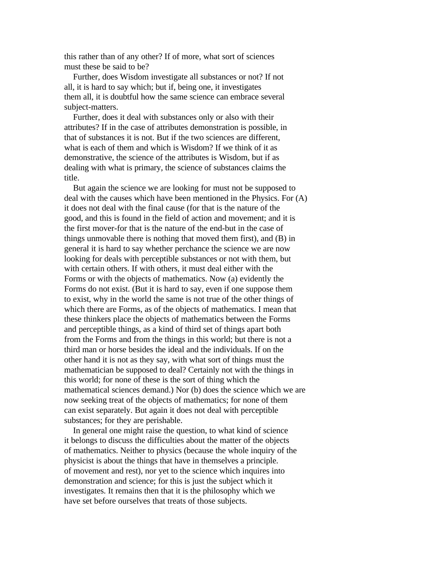this rather than of any other? If of more, what sort of sciences must these be said to be?

 Further, does Wisdom investigate all substances or not? If not all, it is hard to say which; but if, being one, it investigates them all, it is doubtful how the same science can embrace several subject-matters.

 Further, does it deal with substances only or also with their attributes? If in the case of attributes demonstration is possible, in that of substances it is not. But if the two sciences are different, what is each of them and which is Wisdom? If we think of it as demonstrative, the science of the attributes is Wisdom, but if as dealing with what is primary, the science of substances claims the title.

 But again the science we are looking for must not be supposed to deal with the causes which have been mentioned in the Physics. For (A) it does not deal with the final cause (for that is the nature of the good, and this is found in the field of action and movement; and it is the first mover-for that is the nature of the end-but in the case of things unmovable there is nothing that moved them first), and (B) in general it is hard to say whether perchance the science we are now looking for deals with perceptible substances or not with them, but with certain others. If with others, it must deal either with the Forms or with the objects of mathematics. Now (a) evidently the Forms do not exist. (But it is hard to say, even if one suppose them to exist, why in the world the same is not true of the other things of which there are Forms, as of the objects of mathematics. I mean that these thinkers place the objects of mathematics between the Forms and perceptible things, as a kind of third set of things apart both from the Forms and from the things in this world; but there is not a third man or horse besides the ideal and the individuals. If on the other hand it is not as they say, with what sort of things must the mathematician be supposed to deal? Certainly not with the things in this world; for none of these is the sort of thing which the mathematical sciences demand.) Nor (b) does the science which we are now seeking treat of the objects of mathematics; for none of them can exist separately. But again it does not deal with perceptible substances; for they are perishable.

 In general one might raise the question, to what kind of science it belongs to discuss the difficulties about the matter of the objects of mathematics. Neither to physics (because the whole inquiry of the physicist is about the things that have in themselves a principle. of movement and rest), nor yet to the science which inquires into demonstration and science; for this is just the subject which it investigates. It remains then that it is the philosophy which we have set before ourselves that treats of those subjects.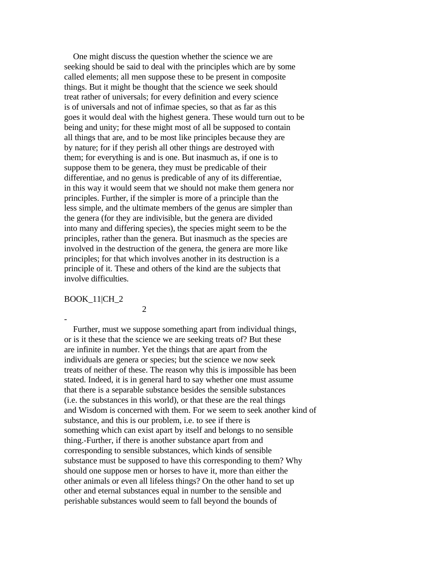One might discuss the question whether the science we are seeking should be said to deal with the principles which are by some called elements; all men suppose these to be present in composite things. But it might be thought that the science we seek should treat rather of universals; for every definition and every science is of universals and not of infimae species, so that as far as this goes it would deal with the highest genera. These would turn out to be being and unity; for these might most of all be supposed to contain all things that are, and to be most like principles because they are by nature; for if they perish all other things are destroyed with them; for everything is and is one. But inasmuch as, if one is to suppose them to be genera, they must be predicable of their differentiae, and no genus is predicable of any of its differentiae, in this way it would seem that we should not make them genera nor principles. Further, if the simpler is more of a principle than the less simple, and the ultimate members of the genus are simpler than the genera (for they are indivisible, but the genera are divided into many and differing species), the species might seem to be the principles, rather than the genera. But inasmuch as the species are involved in the destruction of the genera, the genera are more like principles; for that which involves another in its destruction is a principle of it. These and others of the kind are the subjects that involve difficulties.

#### BOOK\_11|CH\_2

-

2

 Further, must we suppose something apart from individual things, or is it these that the science we are seeking treats of? But these are infinite in number. Yet the things that are apart from the individuals are genera or species; but the science we now seek treats of neither of these. The reason why this is impossible has been stated. Indeed, it is in general hard to say whether one must assume that there is a separable substance besides the sensible substances (i.e. the substances in this world), or that these are the real things and Wisdom is concerned with them. For we seem to seek another kind of substance, and this is our problem, i.e. to see if there is something which can exist apart by itself and belongs to no sensible thing.-Further, if there is another substance apart from and corresponding to sensible substances, which kinds of sensible substance must be supposed to have this corresponding to them? Why should one suppose men or horses to have it, more than either the other animals or even all lifeless things? On the other hand to set up other and eternal substances equal in number to the sensible and perishable substances would seem to fall beyond the bounds of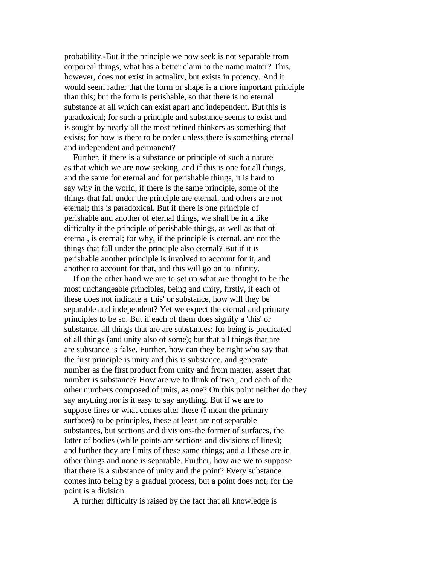probability.-But if the principle we now seek is not separable from corporeal things, what has a better claim to the name matter? This, however, does not exist in actuality, but exists in potency. And it would seem rather that the form or shape is a more important principle than this; but the form is perishable, so that there is no eternal substance at all which can exist apart and independent. But this is paradoxical; for such a principle and substance seems to exist and is sought by nearly all the most refined thinkers as something that exists; for how is there to be order unless there is something eternal and independent and permanent?

 Further, if there is a substance or principle of such a nature as that which we are now seeking, and if this is one for all things, and the same for eternal and for perishable things, it is hard to say why in the world, if there is the same principle, some of the things that fall under the principle are eternal, and others are not eternal; this is paradoxical. But if there is one principle of perishable and another of eternal things, we shall be in a like difficulty if the principle of perishable things, as well as that of eternal, is eternal; for why, if the principle is eternal, are not the things that fall under the principle also eternal? But if it is perishable another principle is involved to account for it, and another to account for that, and this will go on to infinity.

 If on the other hand we are to set up what are thought to be the most unchangeable principles, being and unity, firstly, if each of these does not indicate a 'this' or substance, how will they be separable and independent? Yet we expect the eternal and primary principles to be so. But if each of them does signify a 'this' or substance, all things that are are substances; for being is predicated of all things (and unity also of some); but that all things that are are substance is false. Further, how can they be right who say that the first principle is unity and this is substance, and generate number as the first product from unity and from matter, assert that number is substance? How are we to think of 'two', and each of the other numbers composed of units, as one? On this point neither do they say anything nor is it easy to say anything. But if we are to suppose lines or what comes after these (I mean the primary surfaces) to be principles, these at least are not separable substances, but sections and divisions-the former of surfaces, the latter of bodies (while points are sections and divisions of lines); and further they are limits of these same things; and all these are in other things and none is separable. Further, how are we to suppose that there is a substance of unity and the point? Every substance comes into being by a gradual process, but a point does not; for the point is a division.

A further difficulty is raised by the fact that all knowledge is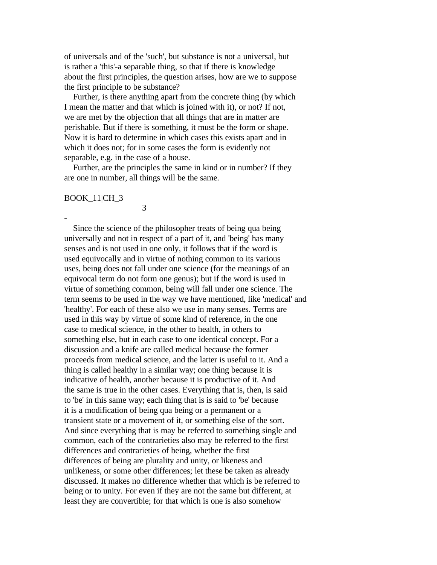of universals and of the 'such', but substance is not a universal, but is rather a 'this'-a separable thing, so that if there is knowledge about the first principles, the question arises, how are we to suppose the first principle to be substance?

 Further, is there anything apart from the concrete thing (by which I mean the matter and that which is joined with it), or not? If not, we are met by the objection that all things that are in matter are perishable. But if there is something, it must be the form or shape. Now it is hard to determine in which cases this exists apart and in which it does not; for in some cases the form is evidently not separable, e.g. in the case of a house.

 Further, are the principles the same in kind or in number? If they are one in number, all things will be the same.

# BOOK\_11|CH\_3

3

- Since the science of the philosopher treats of being qua being universally and not in respect of a part of it, and 'being' has many senses and is not used in one only, it follows that if the word is used equivocally and in virtue of nothing common to its various uses, being does not fall under one science (for the meanings of an equivocal term do not form one genus); but if the word is used in virtue of something common, being will fall under one science. The term seems to be used in the way we have mentioned, like 'medical' and 'healthy'. For each of these also we use in many senses. Terms are used in this way by virtue of some kind of reference, in the one case to medical science, in the other to health, in others to something else, but in each case to one identical concept. For a discussion and a knife are called medical because the former proceeds from medical science, and the latter is useful to it. And a thing is called healthy in a similar way; one thing because it is indicative of health, another because it is productive of it. And the same is true in the other cases. Everything that is, then, is said to 'be' in this same way; each thing that is is said to 'be' because it is a modification of being qua being or a permanent or a transient state or a movement of it, or something else of the sort. And since everything that is may be referred to something single and common, each of the contrarieties also may be referred to the first differences and contrarieties of being, whether the first differences of being are plurality and unity, or likeness and unlikeness, or some other differences; let these be taken as already discussed. It makes no difference whether that which is be referred to being or to unity. For even if they are not the same but different, at least they are convertible; for that which is one is also somehow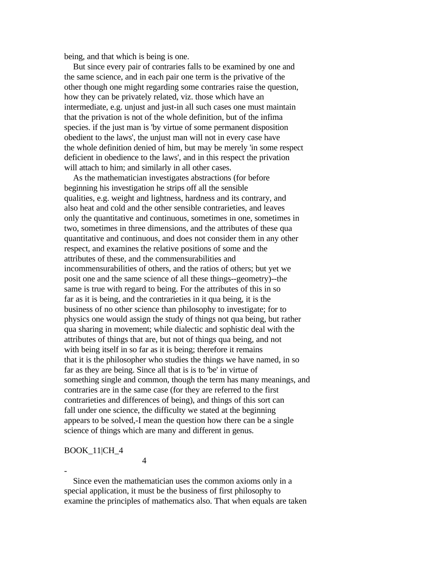being, and that which is being is one.

 But since every pair of contraries falls to be examined by one and the same science, and in each pair one term is the privative of the other though one might regarding some contraries raise the question, how they can be privately related, viz. those which have an intermediate, e.g. unjust and just-in all such cases one must maintain that the privation is not of the whole definition, but of the infima species. if the just man is 'by virtue of some permanent disposition obedient to the laws', the unjust man will not in every case have the whole definition denied of him, but may be merely 'in some respect deficient in obedience to the laws', and in this respect the privation will attach to him; and similarly in all other cases.

 As the mathematician investigates abstractions (for before beginning his investigation he strips off all the sensible qualities, e.g. weight and lightness, hardness and its contrary, and also heat and cold and the other sensible contrarieties, and leaves only the quantitative and continuous, sometimes in one, sometimes in two, sometimes in three dimensions, and the attributes of these qua quantitative and continuous, and does not consider them in any other respect, and examines the relative positions of some and the attributes of these, and the commensurabilities and incommensurabilities of others, and the ratios of others; but yet we posit one and the same science of all these things--geometry)--the same is true with regard to being. For the attributes of this in so far as it is being, and the contrarieties in it qua being, it is the business of no other science than philosophy to investigate; for to physics one would assign the study of things not qua being, but rather qua sharing in movement; while dialectic and sophistic deal with the attributes of things that are, but not of things qua being, and not with being itself in so far as it is being; therefore it remains that it is the philosopher who studies the things we have named, in so far as they are being. Since all that is is to 'be' in virtue of something single and common, though the term has many meanings, and contraries are in the same case (for they are referred to the first contrarieties and differences of being), and things of this sort can fall under one science, the difficulty we stated at the beginning appears to be solved,-I mean the question how there can be a single science of things which are many and different in genus.

BOOK\_11|CH\_4

-

4

 Since even the mathematician uses the common axioms only in a special application, it must be the business of first philosophy to examine the principles of mathematics also. That when equals are taken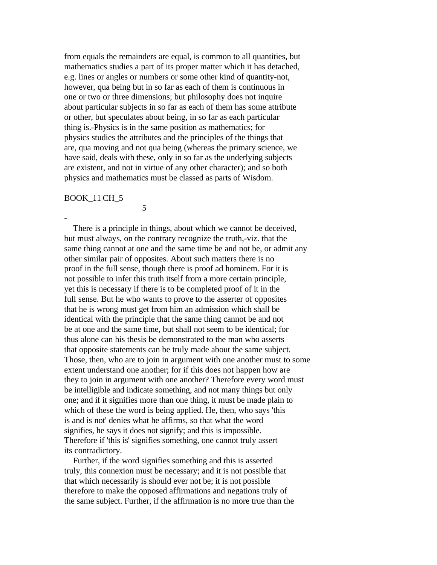from equals the remainders are equal, is common to all quantities, but mathematics studies a part of its proper matter which it has detached, e.g. lines or angles or numbers or some other kind of quantity-not, however, qua being but in so far as each of them is continuous in one or two or three dimensions; but philosophy does not inquire about particular subjects in so far as each of them has some attribute or other, but speculates about being, in so far as each particular thing is.-Physics is in the same position as mathematics; for physics studies the attributes and the principles of the things that are, qua moving and not qua being (whereas the primary science, we have said, deals with these, only in so far as the underlying subjects are existent, and not in virtue of any other character); and so both physics and mathematics must be classed as parts of Wisdom.

#### BOOK\_11|CH\_5

5

- There is a principle in things, about which we cannot be deceived, but must always, on the contrary recognize the truth,-viz. that the same thing cannot at one and the same time be and not be, or admit any other similar pair of opposites. About such matters there is no proof in the full sense, though there is proof ad hominem. For it is not possible to infer this truth itself from a more certain principle, yet this is necessary if there is to be completed proof of it in the full sense. But he who wants to prove to the asserter of opposites that he is wrong must get from him an admission which shall be identical with the principle that the same thing cannot be and not be at one and the same time, but shall not seem to be identical; for thus alone can his thesis be demonstrated to the man who asserts that opposite statements can be truly made about the same subject. Those, then, who are to join in argument with one another must to some extent understand one another; for if this does not happen how are they to join in argument with one another? Therefore every word must be intelligible and indicate something, and not many things but only one; and if it signifies more than one thing, it must be made plain to which of these the word is being applied. He, then, who says 'this is and is not' denies what he affirms, so that what the word signifies, he says it does not signify; and this is impossible. Therefore if 'this is' signifies something, one cannot truly assert its contradictory.

 Further, if the word signifies something and this is asserted truly, this connexion must be necessary; and it is not possible that that which necessarily is should ever not be; it is not possible therefore to make the opposed affirmations and negations truly of the same subject. Further, if the affirmation is no more true than the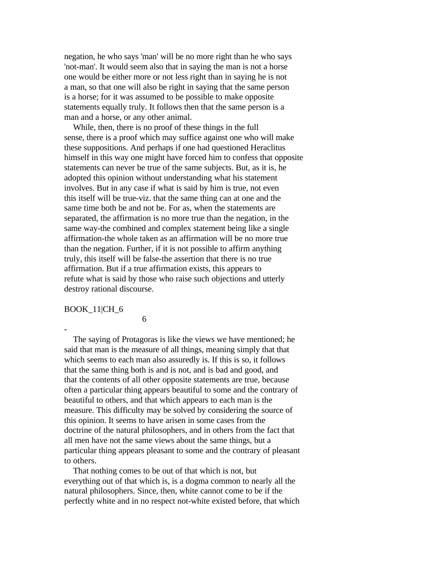negation, he who says 'man' will be no more right than he who says 'not-man'. It would seem also that in saying the man is not a horse one would be either more or not less right than in saying he is not a man, so that one will also be right in saying that the same person is a horse; for it was assumed to be possible to make opposite statements equally truly. It follows then that the same person is a man and a horse, or any other animal.

 While, then, there is no proof of these things in the full sense, there is a proof which may suffice against one who will make these suppositions. And perhaps if one had questioned Heraclitus himself in this way one might have forced him to confess that opposite statements can never be true of the same subjects. But, as it is, he adopted this opinion without understanding what his statement involves. But in any case if what is said by him is true, not even this itself will be true-viz. that the same thing can at one and the same time both be and not be. For as, when the statements are separated, the affirmation is no more true than the negation, in the same way-the combined and complex statement being like a single affirmation-the whole taken as an affirmation will be no more true than the negation. Further, if it is not possible to affirm anything truly, this itself will be false-the assertion that there is no true affirmation. But if a true affirmation exists, this appears to refute what is said by those who raise such objections and utterly destroy rational discourse.

#### BOOK\_11|CH\_6

-

6

 The saying of Protagoras is like the views we have mentioned; he said that man is the measure of all things, meaning simply that that which seems to each man also assuredly is. If this is so, it follows that the same thing both is and is not, and is bad and good, and that the contents of all other opposite statements are true, because often a particular thing appears beautiful to some and the contrary of beautiful to others, and that which appears to each man is the measure. This difficulty may be solved by considering the source of this opinion. It seems to have arisen in some cases from the doctrine of the natural philosophers, and in others from the fact that all men have not the same views about the same things, but a particular thing appears pleasant to some and the contrary of pleasant to others.

 That nothing comes to be out of that which is not, but everything out of that which is, is a dogma common to nearly all the natural philosophers. Since, then, white cannot come to be if the perfectly white and in no respect not-white existed before, that which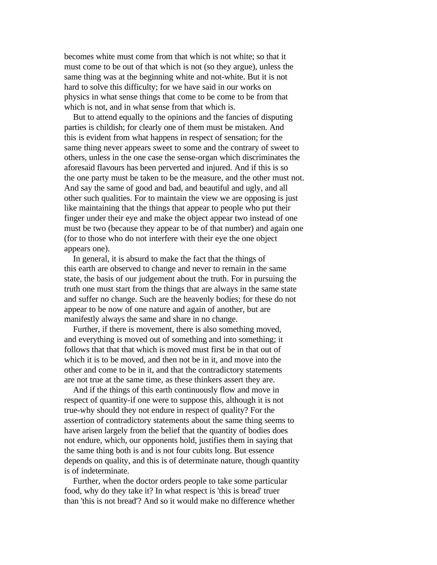becomes white must come from that which is not white; so that it must come to be out of that which is not (so they argue), unless the same thing was at the beginning white and not-white. But it is not hard to solve this difficulty; for we have said in our works on physics in what sense things that come to be come to be from that which is not, and in what sense from that which is.

 But to attend equally to the opinions and the fancies of disputing parties is childish; for clearly one of them must be mistaken. And this is evident from what happens in respect of sensation; for the same thing never appears sweet to some and the contrary of sweet to others, unless in the one case the sense-organ which discriminates the aforesaid flavours has been perverted and injured. And if this is so the one party must be taken to be the measure, and the other must not. And say the same of good and bad, and beautiful and ugly, and all other such qualities. For to maintain the view we are opposing is just like maintaining that the things that appear to people who put their finger under their eye and make the object appear two instead of one must be two (because they appear to be of that number) and again one (for to those who do not interfere with their eye the one object appears one).

 In general, it is absurd to make the fact that the things of this earth are observed to change and never to remain in the same state, the basis of our judgement about the truth. For in pursuing the truth one must start from the things that are always in the same state and suffer no change. Such are the heavenly bodies; for these do not appear to be now of one nature and again of another, but are manifestly always the same and share in no change.

 Further, if there is movement, there is also something moved, and everything is moved out of something and into something; it follows that that that which is moved must first be in that out of which it is to be moved, and then not be in it, and move into the other and come to be in it, and that the contradictory statements are not true at the same time, as these thinkers assert they are.

 And if the things of this earth continuously flow and move in respect of quantity-if one were to suppose this, although it is not true-why should they not endure in respect of quality? For the assertion of contradictory statements about the same thing seems to have arisen largely from the belief that the quantity of bodies does not endure, which, our opponents hold, justifies them in saying that the same thing both is and is not four cubits long. But essence depends on quality, and this is of determinate nature, though quantity is of indeterminate.

 Further, when the doctor orders people to take some particular food, why do they take it? In what respect is 'this is bread' truer than 'this is not bread'? And so it would make no difference whether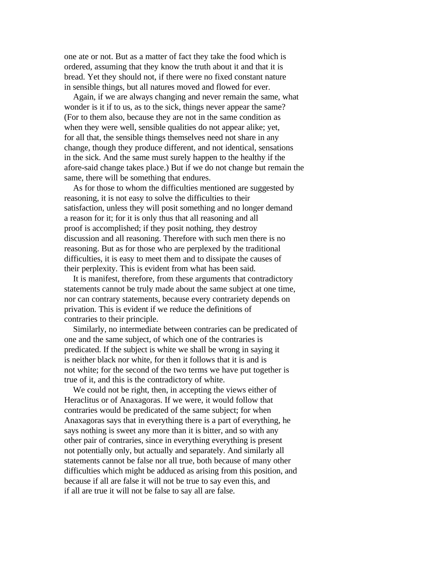one ate or not. But as a matter of fact they take the food which is ordered, assuming that they know the truth about it and that it is bread. Yet they should not, if there were no fixed constant nature in sensible things, but all natures moved and flowed for ever.

 Again, if we are always changing and never remain the same, what wonder is it if to us, as to the sick, things never appear the same? (For to them also, because they are not in the same condition as when they were well, sensible qualities do not appear alike; yet, for all that, the sensible things themselves need not share in any change, though they produce different, and not identical, sensations in the sick. And the same must surely happen to the healthy if the afore-said change takes place.) But if we do not change but remain the same, there will be something that endures.

 As for those to whom the difficulties mentioned are suggested by reasoning, it is not easy to solve the difficulties to their satisfaction, unless they will posit something and no longer demand a reason for it; for it is only thus that all reasoning and all proof is accomplished; if they posit nothing, they destroy discussion and all reasoning. Therefore with such men there is no reasoning. But as for those who are perplexed by the traditional difficulties, it is easy to meet them and to dissipate the causes of their perplexity. This is evident from what has been said.

 It is manifest, therefore, from these arguments that contradictory statements cannot be truly made about the same subject at one time, nor can contrary statements, because every contrariety depends on privation. This is evident if we reduce the definitions of contraries to their principle.

 Similarly, no intermediate between contraries can be predicated of one and the same subject, of which one of the contraries is predicated. If the subject is white we shall be wrong in saying it is neither black nor white, for then it follows that it is and is not white; for the second of the two terms we have put together is true of it, and this is the contradictory of white.

 We could not be right, then, in accepting the views either of Heraclitus or of Anaxagoras. If we were, it would follow that contraries would be predicated of the same subject; for when Anaxagoras says that in everything there is a part of everything, he says nothing is sweet any more than it is bitter, and so with any other pair of contraries, since in everything everything is present not potentially only, but actually and separately. And similarly all statements cannot be false nor all true, both because of many other difficulties which might be adduced as arising from this position, and because if all are false it will not be true to say even this, and if all are true it will not be false to say all are false.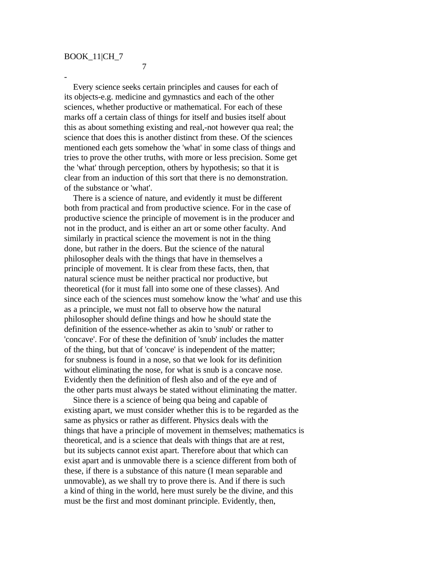-

7

 Every science seeks certain principles and causes for each of its objects-e.g. medicine and gymnastics and each of the other sciences, whether productive or mathematical. For each of these marks off a certain class of things for itself and busies itself about this as about something existing and real,-not however qua real; the science that does this is another distinct from these. Of the sciences mentioned each gets somehow the 'what' in some class of things and tries to prove the other truths, with more or less precision. Some get the 'what' through perception, others by hypothesis; so that it is clear from an induction of this sort that there is no demonstration. of the substance or 'what'.

 There is a science of nature, and evidently it must be different both from practical and from productive science. For in the case of productive science the principle of movement is in the producer and not in the product, and is either an art or some other faculty. And similarly in practical science the movement is not in the thing done, but rather in the doers. But the science of the natural philosopher deals with the things that have in themselves a principle of movement. It is clear from these facts, then, that natural science must be neither practical nor productive, but theoretical (for it must fall into some one of these classes). And since each of the sciences must somehow know the 'what' and use this as a principle, we must not fall to observe how the natural philosopher should define things and how he should state the definition of the essence-whether as akin to 'snub' or rather to 'concave'. For of these the definition of 'snub' includes the matter of the thing, but that of 'concave' is independent of the matter; for snubness is found in a nose, so that we look for its definition without eliminating the nose, for what is snub is a concave nose. Evidently then the definition of flesh also and of the eye and of the other parts must always be stated without eliminating the matter.

 Since there is a science of being qua being and capable of existing apart, we must consider whether this is to be regarded as the same as physics or rather as different. Physics deals with the things that have a principle of movement in themselves; mathematics is theoretical, and is a science that deals with things that are at rest, but its subjects cannot exist apart. Therefore about that which can exist apart and is unmovable there is a science different from both of these, if there is a substance of this nature (I mean separable and unmovable), as we shall try to prove there is. And if there is such a kind of thing in the world, here must surely be the divine, and this must be the first and most dominant principle. Evidently, then,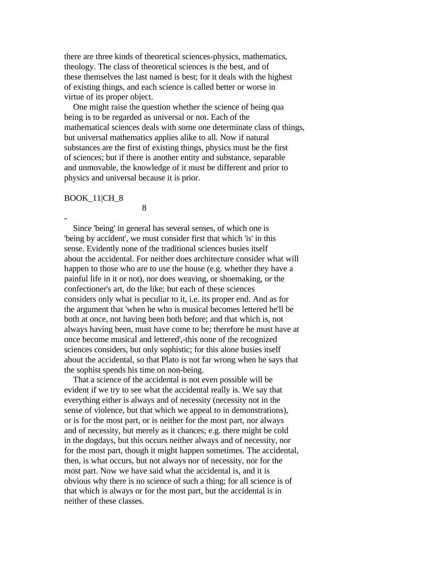there are three kinds of theoretical sciences-physics, mathematics, theology. The class of theoretical sciences is the best, and of these themselves the last named is best; for it deals with the highest of existing things, and each science is called better or worse in virtue of its proper object.

 One might raise the question whether the science of being qua being is to be regarded as universal or not. Each of the mathematical sciences deals with some one determinate class of things, but universal mathematics applies alike to all. Now if natural substances are the first of existing things, physics must be the first of sciences; but if there is another entity and substance, separable and unmovable, the knowledge of it must be different and prior to physics and universal because it is prior.

#### BOOK\_11|CH\_8

-

8

 Since 'being' in general has several senses, of which one is 'being by accident', we must consider first that which 'is' in this sense. Evidently none of the traditional sciences busies itself about the accidental. For neither does architecture consider what will happen to those who are to use the house (e.g. whether they have a painful life in it or not), nor does weaving, or shoemaking, or the confectioner's art, do the like; but each of these sciences considers only what is peculiar to it, i.e. its proper end. And as for the argument that 'when he who is musical becomes lettered he'll be both at once, not having been both before; and that which is, not always having been, must have come to be; therefore he must have at once become musical and lettered',-this none of the recognized sciences considers, but only sophistic; for this alone busies itself about the accidental, so that Plato is not far wrong when he says that the sophist spends his time on non-being.

 That a science of the accidental is not even possible will be evident if we try to see what the accidental really is. We say that everything either is always and of necessity (necessity not in the sense of violence, but that which we appeal to in demonstrations), or is for the most part, or is neither for the most part, nor always and of necessity, but merely as it chances; e.g. there might be cold in the dogdays, but this occurs neither always and of necessity, nor for the most part, though it might happen sometimes. The accidental, then, is what occurs, but not always nor of necessity, nor for the most part. Now we have said what the accidental is, and it is obvious why there is no science of such a thing; for all science is of that which is always or for the most part, but the accidental is in neither of these classes.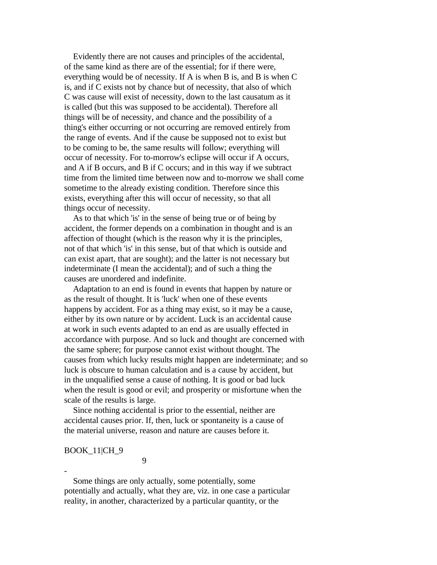Evidently there are not causes and principles of the accidental, of the same kind as there are of the essential; for if there were, everything would be of necessity. If A is when B is, and B is when C is, and if C exists not by chance but of necessity, that also of which C was cause will exist of necessity, down to the last causatum as it is called (but this was supposed to be accidental). Therefore all things will be of necessity, and chance and the possibility of a thing's either occurring or not occurring are removed entirely from the range of events. And if the cause be supposed not to exist but to be coming to be, the same results will follow; everything will occur of necessity. For to-morrow's eclipse will occur if A occurs, and A if B occurs, and B if C occurs; and in this way if we subtract time from the limited time between now and to-morrow we shall come sometime to the already existing condition. Therefore since this exists, everything after this will occur of necessity, so that all things occur of necessity.

 As to that which 'is' in the sense of being true or of being by accident, the former depends on a combination in thought and is an affection of thought (which is the reason why it is the principles, not of that which 'is' in this sense, but of that which is outside and can exist apart, that are sought); and the latter is not necessary but indeterminate (I mean the accidental); and of such a thing the causes are unordered and indefinite.

 Adaptation to an end is found in events that happen by nature or as the result of thought. It is 'luck' when one of these events happens by accident. For as a thing may exist, so it may be a cause, either by its own nature or by accident. Luck is an accidental cause at work in such events adapted to an end as are usually effected in accordance with purpose. And so luck and thought are concerned with the same sphere; for purpose cannot exist without thought. The causes from which lucky results might happen are indeterminate; and so luck is obscure to human calculation and is a cause by accident, but in the unqualified sense a cause of nothing. It is good or bad luck when the result is good or evil; and prosperity or misfortune when the scale of the results is large.

 Since nothing accidental is prior to the essential, neither are accidental causes prior. If, then, luck or spontaneity is a cause of the material universe, reason and nature are causes before it.

BOOK\_11|CH\_9

-

# 9

 Some things are only actually, some potentially, some potentially and actually, what they are, viz. in one case a particular reality, in another, characterized by a particular quantity, or the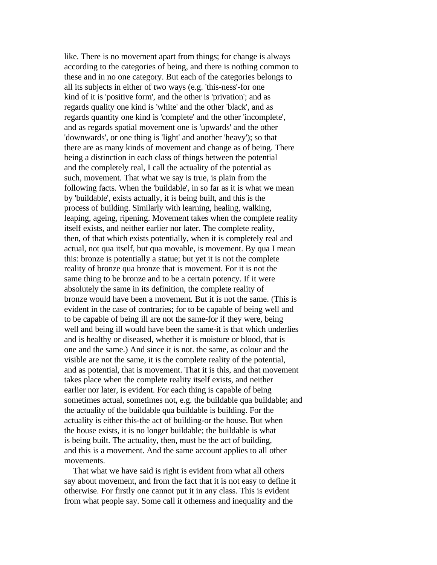like. There is no movement apart from things; for change is always according to the categories of being, and there is nothing common to these and in no one category. But each of the categories belongs to all its subjects in either of two ways (e.g. 'this-ness'-for one kind of it is 'positive form', and the other is 'privation'; and as regards quality one kind is 'white' and the other 'black', and as regards quantity one kind is 'complete' and the other 'incomplete', and as regards spatial movement one is 'upwards' and the other 'downwards', or one thing is 'light' and another 'heavy'); so that there are as many kinds of movement and change as of being. There being a distinction in each class of things between the potential and the completely real, I call the actuality of the potential as such, movement. That what we say is true, is plain from the following facts. When the 'buildable', in so far as it is what we mean by 'buildable', exists actually, it is being built, and this is the process of building. Similarly with learning, healing, walking, leaping, ageing, ripening. Movement takes when the complete reality itself exists, and neither earlier nor later. The complete reality, then, of that which exists potentially, when it is completely real and actual, not qua itself, but qua movable, is movement. By qua I mean this: bronze is potentially a statue; but yet it is not the complete reality of bronze qua bronze that is movement. For it is not the same thing to be bronze and to be a certain potency. If it were absolutely the same in its definition, the complete reality of bronze would have been a movement. But it is not the same. (This is evident in the case of contraries; for to be capable of being well and to be capable of being ill are not the same-for if they were, being well and being ill would have been the same-it is that which underlies and is healthy or diseased, whether it is moisture or blood, that is one and the same.) And since it is not. the same, as colour and the visible are not the same, it is the complete reality of the potential, and as potential, that is movement. That it is this, and that movement takes place when the complete reality itself exists, and neither earlier nor later, is evident. For each thing is capable of being sometimes actual, sometimes not, e.g. the buildable qua buildable; and the actuality of the buildable qua buildable is building. For the actuality is either this-the act of building-or the house. But when the house exists, it is no longer buildable; the buildable is what is being built. The actuality, then, must be the act of building, and this is a movement. And the same account applies to all other movements.

 That what we have said is right is evident from what all others say about movement, and from the fact that it is not easy to define it otherwise. For firstly one cannot put it in any class. This is evident from what people say. Some call it otherness and inequality and the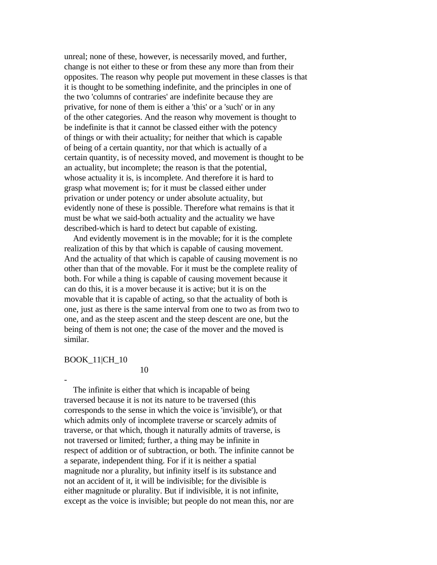unreal; none of these, however, is necessarily moved, and further, change is not either to these or from these any more than from their opposites. The reason why people put movement in these classes is that it is thought to be something indefinite, and the principles in one of the two 'columns of contraries' are indefinite because they are privative, for none of them is either a 'this' or a 'such' or in any of the other categories. And the reason why movement is thought to be indefinite is that it cannot be classed either with the potency of things or with their actuality; for neither that which is capable of being of a certain quantity, nor that which is actually of a certain quantity, is of necessity moved, and movement is thought to be an actuality, but incomplete; the reason is that the potential, whose actuality it is, is incomplete. And therefore it is hard to grasp what movement is; for it must be classed either under privation or under potency or under absolute actuality, but evidently none of these is possible. Therefore what remains is that it must be what we said-both actuality and the actuality we have described-which is hard to detect but capable of existing.

 And evidently movement is in the movable; for it is the complete realization of this by that which is capable of causing movement. And the actuality of that which is capable of causing movement is no other than that of the movable. For it must be the complete reality of both. For while a thing is capable of causing movement because it can do this, it is a mover because it is active; but it is on the movable that it is capable of acting, so that the actuality of both is one, just as there is the same interval from one to two as from two to one, and as the steep ascent and the steep descent are one, but the being of them is not one; the case of the mover and the moved is similar.

# BOOK\_11|CH\_10

-

#### 10

 The infinite is either that which is incapable of being traversed because it is not its nature to be traversed (this corresponds to the sense in which the voice is 'invisible'), or that which admits only of incomplete traverse or scarcely admits of traverse, or that which, though it naturally admits of traverse, is not traversed or limited; further, a thing may be infinite in respect of addition or of subtraction, or both. The infinite cannot be a separate, independent thing. For if it is neither a spatial magnitude nor a plurality, but infinity itself is its substance and not an accident of it, it will be indivisible; for the divisible is either magnitude or plurality. But if indivisible, it is not infinite, except as the voice is invisible; but people do not mean this, nor are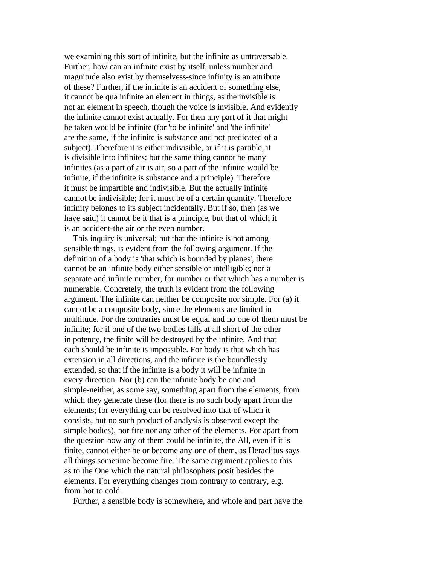we examining this sort of infinite, but the infinite as untraversable. Further, how can an infinite exist by itself, unless number and magnitude also exist by themselvess-since infinity is an attribute of these? Further, if the infinite is an accident of something else, it cannot be qua infinite an element in things, as the invisible is not an element in speech, though the voice is invisible. And evidently the infinite cannot exist actually. For then any part of it that might be taken would be infinite (for 'to be infinite' and 'the infinite' are the same, if the infinite is substance and not predicated of a subject). Therefore it is either indivisible, or if it is partible, it is divisible into infinites; but the same thing cannot be many infinites (as a part of air is air, so a part of the infinite would be infinite, if the infinite is substance and a principle). Therefore it must be impartible and indivisible. But the actually infinite cannot be indivisible; for it must be of a certain quantity. Therefore infinity belongs to its subject incidentally. But if so, then (as we have said) it cannot be it that is a principle, but that of which it is an accident-the air or the even number.

 This inquiry is universal; but that the infinite is not among sensible things, is evident from the following argument. If the definition of a body is 'that which is bounded by planes', there cannot be an infinite body either sensible or intelligible; nor a separate and infinite number, for number or that which has a number is numerable. Concretely, the truth is evident from the following argument. The infinite can neither be composite nor simple. For (a) it cannot be a composite body, since the elements are limited in multitude. For the contraries must be equal and no one of them must be infinite; for if one of the two bodies falls at all short of the other in potency, the finite will be destroyed by the infinite. And that each should be infinite is impossible. For body is that which has extension in all directions, and the infinite is the boundlessly extended, so that if the infinite is a body it will be infinite in every direction. Nor (b) can the infinite body be one and simple-neither, as some say, something apart from the elements, from which they generate these (for there is no such body apart from the elements; for everything can be resolved into that of which it consists, but no such product of analysis is observed except the simple bodies), nor fire nor any other of the elements. For apart from the question how any of them could be infinite, the All, even if it is finite, cannot either be or become any one of them, as Heraclitus says all things sometime become fire. The same argument applies to this as to the One which the natural philosophers posit besides the elements. For everything changes from contrary to contrary, e.g. from hot to cold.

Further, a sensible body is somewhere, and whole and part have the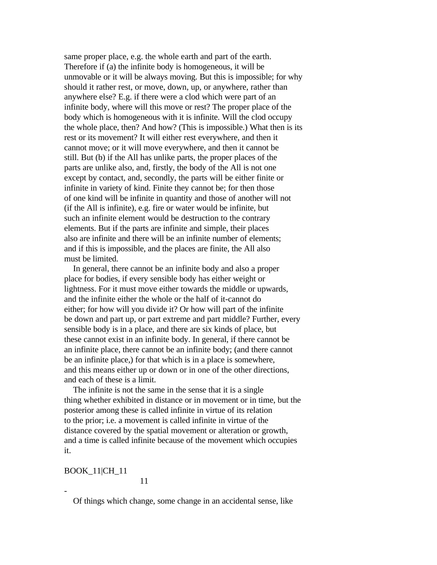same proper place, e.g. the whole earth and part of the earth. Therefore if (a) the infinite body is homogeneous, it will be unmovable or it will be always moving. But this is impossible; for why should it rather rest, or move, down, up, or anywhere, rather than anywhere else? E.g. if there were a clod which were part of an infinite body, where will this move or rest? The proper place of the body which is homogeneous with it is infinite. Will the clod occupy the whole place, then? And how? (This is impossible.) What then is its rest or its movement? It will either rest everywhere, and then it cannot move; or it will move everywhere, and then it cannot be still. But (b) if the All has unlike parts, the proper places of the parts are unlike also, and, firstly, the body of the All is not one except by contact, and, secondly, the parts will be either finite or infinite in variety of kind. Finite they cannot be; for then those of one kind will be infinite in quantity and those of another will not (if the All is infinite), e.g. fire or water would be infinite, but such an infinite element would be destruction to the contrary elements. But if the parts are infinite and simple, their places also are infinite and there will be an infinite number of elements; and if this is impossible, and the places are finite, the All also must be limited.

 In general, there cannot be an infinite body and also a proper place for bodies, if every sensible body has either weight or lightness. For it must move either towards the middle or upwards, and the infinite either the whole or the half of it-cannot do either; for how will you divide it? Or how will part of the infinite be down and part up, or part extreme and part middle? Further, every sensible body is in a place, and there are six kinds of place, but these cannot exist in an infinite body. In general, if there cannot be an infinite place, there cannot be an infinite body; (and there cannot be an infinite place,) for that which is in a place is somewhere, and this means either up or down or in one of the other directions, and each of these is a limit.

 The infinite is not the same in the sense that it is a single thing whether exhibited in distance or in movement or in time, but the posterior among these is called infinite in virtue of its relation to the prior; i.e. a movement is called infinite in virtue of the distance covered by the spatial movement or alteration or growth, and a time is called infinite because of the movement which occupies it.

BOOK\_11|CH\_11

-

11

Of things which change, some change in an accidental sense, like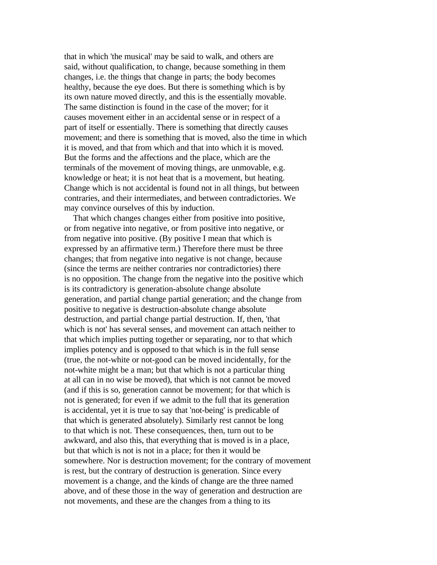that in which 'the musical' may be said to walk, and others are said, without qualification, to change, because something in them changes, i.e. the things that change in parts; the body becomes healthy, because the eye does. But there is something which is by its own nature moved directly, and this is the essentially movable. The same distinction is found in the case of the mover; for it causes movement either in an accidental sense or in respect of a part of itself or essentially. There is something that directly causes movement; and there is something that is moved, also the time in which it is moved, and that from which and that into which it is moved. But the forms and the affections and the place, which are the terminals of the movement of moving things, are unmovable, e.g. knowledge or heat; it is not heat that is a movement, but heating. Change which is not accidental is found not in all things, but between contraries, and their intermediates, and between contradictories. We may convince ourselves of this by induction.

 That which changes changes either from positive into positive, or from negative into negative, or from positive into negative, or from negative into positive. (By positive I mean that which is expressed by an affirmative term.) Therefore there must be three changes; that from negative into negative is not change, because (since the terms are neither contraries nor contradictories) there is no opposition. The change from the negative into the positive which is its contradictory is generation-absolute change absolute generation, and partial change partial generation; and the change from positive to negative is destruction-absolute change absolute destruction, and partial change partial destruction. If, then, 'that which is not' has several senses, and movement can attach neither to that which implies putting together or separating, nor to that which implies potency and is opposed to that which is in the full sense (true, the not-white or not-good can be moved incidentally, for the not-white might be a man; but that which is not a particular thing at all can in no wise be moved), that which is not cannot be moved (and if this is so, generation cannot be movement; for that which is not is generated; for even if we admit to the full that its generation is accidental, yet it is true to say that 'not-being' is predicable of that which is generated absolutely). Similarly rest cannot be long to that which is not. These consequences, then, turn out to be awkward, and also this, that everything that is moved is in a place, but that which is not is not in a place; for then it would be somewhere. Nor is destruction movement; for the contrary of movement is rest, but the contrary of destruction is generation. Since every movement is a change, and the kinds of change are the three named above, and of these those in the way of generation and destruction are not movements, and these are the changes from a thing to its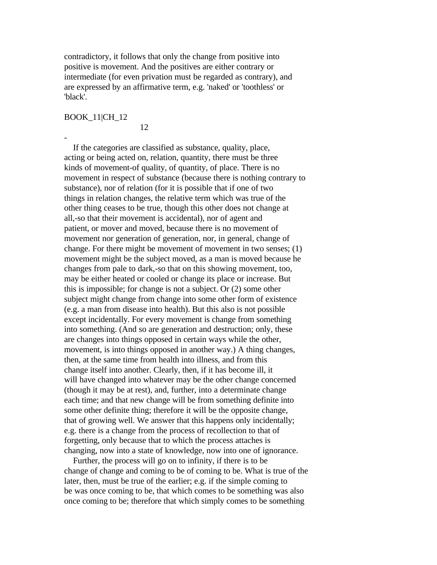contradictory, it follows that only the change from positive into positive is movement. And the positives are either contrary or intermediate (for even privation must be regarded as contrary), and are expressed by an affirmative term, e.g. 'naked' or 'toothless' or 'black'.

# BOOK\_11|CH\_12

-

12

 If the categories are classified as substance, quality, place, acting or being acted on, relation, quantity, there must be three kinds of movement-of quality, of quantity, of place. There is no movement in respect of substance (because there is nothing contrary to substance), nor of relation (for it is possible that if one of two things in relation changes, the relative term which was true of the other thing ceases to be true, though this other does not change at all,-so that their movement is accidental), nor of agent and patient, or mover and moved, because there is no movement of movement nor generation of generation, nor, in general, change of change. For there might be movement of movement in two senses; (1) movement might be the subject moved, as a man is moved because he changes from pale to dark,-so that on this showing movement, too, may be either heated or cooled or change its place or increase. But this is impossible; for change is not a subject. Or (2) some other subject might change from change into some other form of existence (e.g. a man from disease into health). But this also is not possible except incidentally. For every movement is change from something into something. (And so are generation and destruction; only, these are changes into things opposed in certain ways while the other, movement, is into things opposed in another way.) A thing changes, then, at the same time from health into illness, and from this change itself into another. Clearly, then, if it has become ill, it will have changed into whatever may be the other change concerned (though it may be at rest), and, further, into a determinate change each time; and that new change will be from something definite into some other definite thing; therefore it will be the opposite change, that of growing well. We answer that this happens only incidentally; e.g. there is a change from the process of recollection to that of forgetting, only because that to which the process attaches is changing, now into a state of knowledge, now into one of ignorance.

 Further, the process will go on to infinity, if there is to be change of change and coming to be of coming to be. What is true of the later, then, must be true of the earlier; e.g. if the simple coming to be was once coming to be, that which comes to be something was also once coming to be; therefore that which simply comes to be something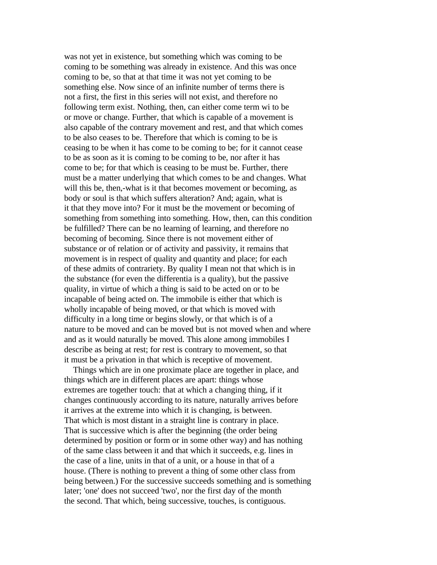was not yet in existence, but something which was coming to be coming to be something was already in existence. And this was once coming to be, so that at that time it was not yet coming to be something else. Now since of an infinite number of terms there is not a first, the first in this series will not exist, and therefore no following term exist. Nothing, then, can either come term wi to be or move or change. Further, that which is capable of a movement is also capable of the contrary movement and rest, and that which comes to be also ceases to be. Therefore that which is coming to be is ceasing to be when it has come to be coming to be; for it cannot cease to be as soon as it is coming to be coming to be, nor after it has come to be; for that which is ceasing to be must be. Further, there must be a matter underlying that which comes to be and changes. What will this be, then,-what is it that becomes movement or becoming, as body or soul is that which suffers alteration? And; again, what is it that they move into? For it must be the movement or becoming of something from something into something. How, then, can this condition be fulfilled? There can be no learning of learning, and therefore no becoming of becoming. Since there is not movement either of substance or of relation or of activity and passivity, it remains that movement is in respect of quality and quantity and place; for each of these admits of contrariety. By quality I mean not that which is in the substance (for even the differentia is a quality), but the passive quality, in virtue of which a thing is said to be acted on or to be incapable of being acted on. The immobile is either that which is wholly incapable of being moved, or that which is moved with difficulty in a long time or begins slowly, or that which is of a nature to be moved and can be moved but is not moved when and where and as it would naturally be moved. This alone among immobiles I describe as being at rest; for rest is contrary to movement, so that it must be a privation in that which is receptive of movement.

 Things which are in one proximate place are together in place, and things which are in different places are apart: things whose extremes are together touch: that at which a changing thing, if it changes continuously according to its nature, naturally arrives before it arrives at the extreme into which it is changing, is between. That which is most distant in a straight line is contrary in place. That is successive which is after the beginning (the order being determined by position or form or in some other way) and has nothing of the same class between it and that which it succeeds, e.g. lines in the case of a line, units in that of a unit, or a house in that of a house. (There is nothing to prevent a thing of some other class from being between.) For the successive succeeds something and is something later; 'one' does not succeed 'two', nor the first day of the month the second. That which, being successive, touches, is contiguous.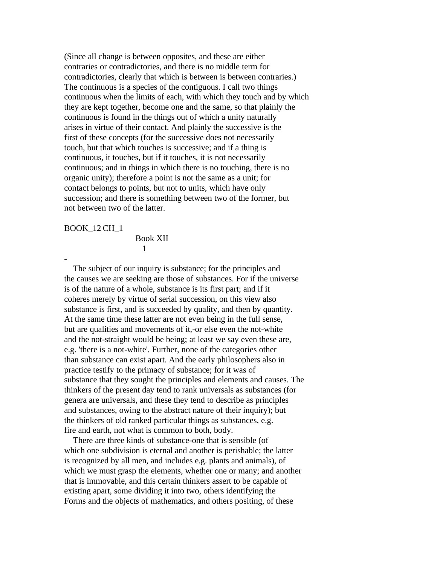(Since all change is between opposites, and these are either contraries or contradictories, and there is no middle term for contradictories, clearly that which is between is between contraries.) The continuous is a species of the contiguous. I call two things continuous when the limits of each, with which they touch and by which they are kept together, become one and the same, so that plainly the continuous is found in the things out of which a unity naturally arises in virtue of their contact. And plainly the successive is the first of these concepts (for the successive does not necessarily touch, but that which touches is successive; and if a thing is continuous, it touches, but if it touches, it is not necessarily continuous; and in things in which there is no touching, there is no organic unity); therefore a point is not the same as a unit; for contact belongs to points, but not to units, which have only succession; and there is something between two of the former, but not between two of the latter.

### BOOK\_12|CH\_1

-

 Book XII 1

 The subject of our inquiry is substance; for the principles and the causes we are seeking are those of substances. For if the universe is of the nature of a whole, substance is its first part; and if it coheres merely by virtue of serial succession, on this view also substance is first, and is succeeded by quality, and then by quantity. At the same time these latter are not even being in the full sense, but are qualities and movements of it,-or else even the not-white and the not-straight would be being; at least we say even these are, e.g. 'there is a not-white'. Further, none of the categories other than substance can exist apart. And the early philosophers also in practice testify to the primacy of substance; for it was of substance that they sought the principles and elements and causes. The thinkers of the present day tend to rank universals as substances (for genera are universals, and these they tend to describe as principles and substances, owing to the abstract nature of their inquiry); but the thinkers of old ranked particular things as substances, e.g. fire and earth, not what is common to both, body.

 There are three kinds of substance-one that is sensible (of which one subdivision is eternal and another is perishable; the latter is recognized by all men, and includes e.g. plants and animals), of which we must grasp the elements, whether one or many; and another that is immovable, and this certain thinkers assert to be capable of existing apart, some dividing it into two, others identifying the Forms and the objects of mathematics, and others positing, of these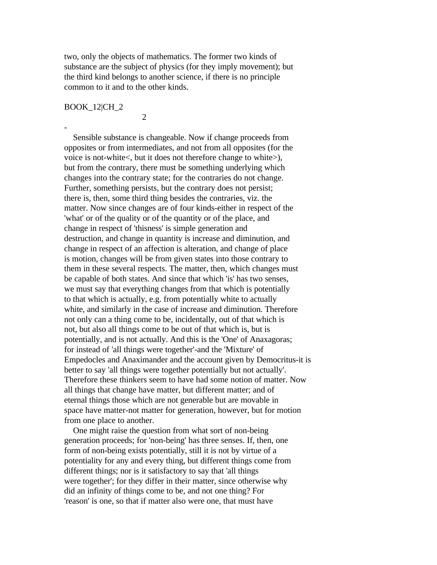two, only the objects of mathematics. The former two kinds of substance are the subject of physics (for they imply movement); but the third kind belongs to another science, if there is no principle common to it and to the other kinds.

# BOOK\_12|CH\_2

-

2

 Sensible substance is changeable. Now if change proceeds from opposites or from intermediates, and not from all opposites (for the voice is not-white<, but it does not therefore change to white>), but from the contrary, there must be something underlying which changes into the contrary state; for the contraries do not change. Further, something persists, but the contrary does not persist; there is, then, some third thing besides the contraries, viz. the matter. Now since changes are of four kinds-either in respect of the 'what' or of the quality or of the quantity or of the place, and change in respect of 'thisness' is simple generation and destruction, and change in quantity is increase and diminution, and change in respect of an affection is alteration, and change of place is motion, changes will be from given states into those contrary to them in these several respects. The matter, then, which changes must be capable of both states. And since that which 'is' has two senses, we must say that everything changes from that which is potentially to that which is actually, e.g. from potentially white to actually white, and similarly in the case of increase and diminution. Therefore not only can a thing come to be, incidentally, out of that which is not, but also all things come to be out of that which is, but is potentially, and is not actually. And this is the 'One' of Anaxagoras; for instead of 'all things were together'-and the 'Mixture' of Empedocles and Anaximander and the account given by Democritus-it is better to say 'all things were together potentially but not actually'. Therefore these thinkers seem to have had some notion of matter. Now all things that change have matter, but different matter; and of eternal things those which are not generable but are movable in space have matter-not matter for generation, however, but for motion from one place to another.

 One might raise the question from what sort of non-being generation proceeds; for 'non-being' has three senses. If, then, one form of non-being exists potentially, still it is not by virtue of a potentiality for any and every thing, but different things come from different things; nor is it satisfactory to say that 'all things were together'; for they differ in their matter, since otherwise why did an infinity of things come to be, and not one thing? For 'reason' is one, so that if matter also were one, that must have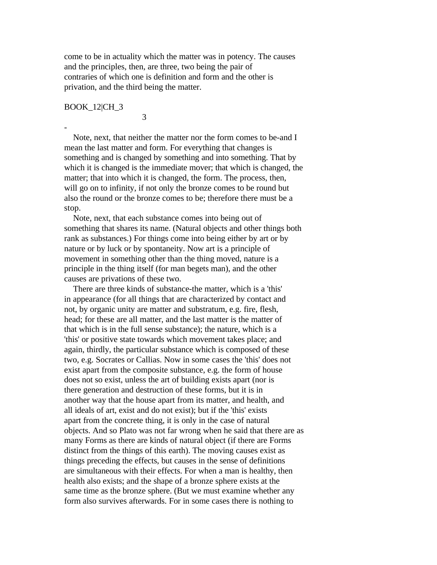come to be in actuality which the matter was in potency. The causes and the principles, then, are three, two being the pair of contraries of which one is definition and form and the other is privation, and the third being the matter.

# BOOK\_12|CH\_3

-

3

 Note, next, that neither the matter nor the form comes to be-and I mean the last matter and form. For everything that changes is something and is changed by something and into something. That by which it is changed is the immediate mover; that which is changed, the matter; that into which it is changed, the form. The process, then, will go on to infinity, if not only the bronze comes to be round but also the round or the bronze comes to be; therefore there must be a stop.

 Note, next, that each substance comes into being out of something that shares its name. (Natural objects and other things both rank as substances.) For things come into being either by art or by nature or by luck or by spontaneity. Now art is a principle of movement in something other than the thing moved, nature is a principle in the thing itself (for man begets man), and the other causes are privations of these two.

 There are three kinds of substance-the matter, which is a 'this' in appearance (for all things that are characterized by contact and not, by organic unity are matter and substratum, e.g. fire, flesh, head; for these are all matter, and the last matter is the matter of that which is in the full sense substance); the nature, which is a 'this' or positive state towards which movement takes place; and again, thirdly, the particular substance which is composed of these two, e.g. Socrates or Callias. Now in some cases the 'this' does not exist apart from the composite substance, e.g. the form of house does not so exist, unless the art of building exists apart (nor is there generation and destruction of these forms, but it is in another way that the house apart from its matter, and health, and all ideals of art, exist and do not exist); but if the 'this' exists apart from the concrete thing, it is only in the case of natural objects. And so Plato was not far wrong when he said that there are as many Forms as there are kinds of natural object (if there are Forms distinct from the things of this earth). The moving causes exist as things preceding the effects, but causes in the sense of definitions are simultaneous with their effects. For when a man is healthy, then health also exists; and the shape of a bronze sphere exists at the same time as the bronze sphere. (But we must examine whether any form also survives afterwards. For in some cases there is nothing to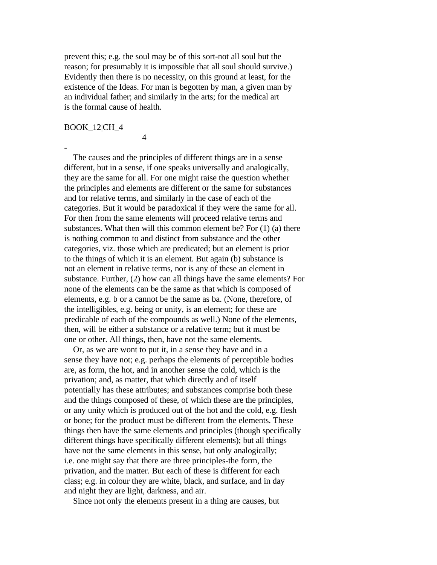prevent this; e.g. the soul may be of this sort-not all soul but the reason; for presumably it is impossible that all soul should survive.) Evidently then there is no necessity, on this ground at least, for the existence of the Ideas. For man is begotten by man, a given man by an individual father; and similarly in the arts; for the medical art is the formal cause of health.

BOOK\_12|CH\_4

-

4

 The causes and the principles of different things are in a sense different, but in a sense, if one speaks universally and analogically, they are the same for all. For one might raise the question whether the principles and elements are different or the same for substances and for relative terms, and similarly in the case of each of the categories. But it would be paradoxical if they were the same for all. For then from the same elements will proceed relative terms and substances. What then will this common element be? For (1) (a) there is nothing common to and distinct from substance and the other categories, viz. those which are predicated; but an element is prior to the things of which it is an element. But again (b) substance is not an element in relative terms, nor is any of these an element in substance. Further, (2) how can all things have the same elements? For none of the elements can be the same as that which is composed of elements, e.g. b or a cannot be the same as ba. (None, therefore, of the intelligibles, e.g. being or unity, is an element; for these are predicable of each of the compounds as well.) None of the elements, then, will be either a substance or a relative term; but it must be one or other. All things, then, have not the same elements.

 Or, as we are wont to put it, in a sense they have and in a sense they have not; e.g. perhaps the elements of perceptible bodies are, as form, the hot, and in another sense the cold, which is the privation; and, as matter, that which directly and of itself potentially has these attributes; and substances comprise both these and the things composed of these, of which these are the principles, or any unity which is produced out of the hot and the cold, e.g. flesh or bone; for the product must be different from the elements. These things then have the same elements and principles (though specifically different things have specifically different elements); but all things have not the same elements in this sense, but only analogically; i.e. one might say that there are three principles-the form, the privation, and the matter. But each of these is different for each class; e.g. in colour they are white, black, and surface, and in day and night they are light, darkness, and air.

Since not only the elements present in a thing are causes, but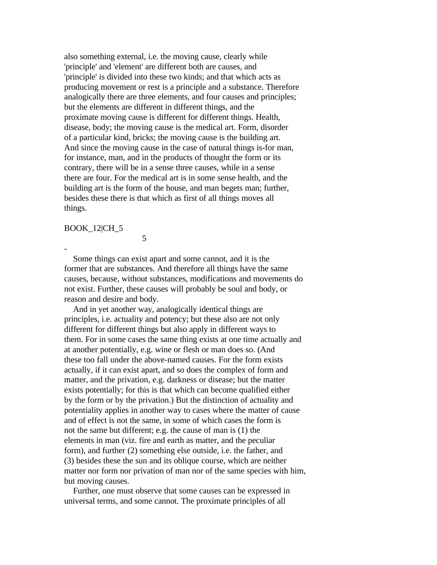also something external, i.e. the moving cause, clearly while 'principle' and 'element' are different both are causes, and 'principle' is divided into these two kinds; and that which acts as producing movement or rest is a principle and a substance. Therefore analogically there are three elements, and four causes and principles; but the elements are different in different things, and the proximate moving cause is different for different things. Health, disease, body; the moving cause is the medical art. Form, disorder of a particular kind, bricks; the moving cause is the building art. And since the moving cause in the case of natural things is-for man, for instance, man, and in the products of thought the form or its contrary, there will be in a sense three causes, while in a sense there are four. For the medical art is in some sense health, and the building art is the form of the house, and man begets man; further, besides these there is that which as first of all things moves all things.

### BOOK 12|CH\_5

-

5

 Some things can exist apart and some cannot, and it is the former that are substances. And therefore all things have the same causes, because, without substances, modifications and movements do not exist. Further, these causes will probably be soul and body, or reason and desire and body.

 And in yet another way, analogically identical things are principles, i.e. actuality and potency; but these also are not only different for different things but also apply in different ways to them. For in some cases the same thing exists at one time actually and at another potentially, e.g. wine or flesh or man does so. (And these too fall under the above-named causes. For the form exists actually, if it can exist apart, and so does the complex of form and matter, and the privation, e.g. darkness or disease; but the matter exists potentially; for this is that which can become qualified either by the form or by the privation.) But the distinction of actuality and potentiality applies in another way to cases where the matter of cause and of effect is not the same, in some of which cases the form is not the same but different; e.g. the cause of man is (1) the elements in man (viz. fire and earth as matter, and the peculiar form), and further (2) something else outside, i.e. the father, and (3) besides these the sun and its oblique course, which are neither matter nor form nor privation of man nor of the same species with him, but moving causes.

 Further, one must observe that some causes can be expressed in universal terms, and some cannot. The proximate principles of all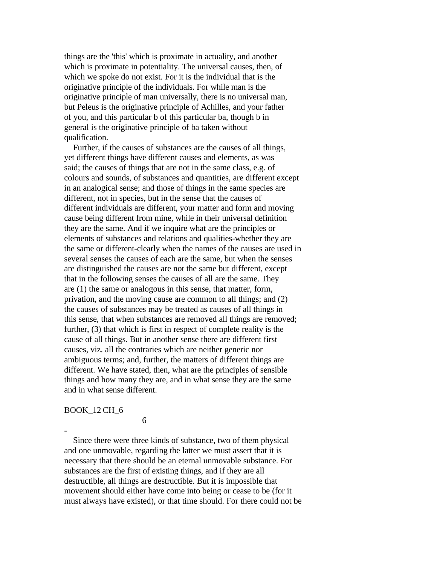things are the 'this' which is proximate in actuality, and another which is proximate in potentiality. The universal causes, then, of which we spoke do not exist. For it is the individual that is the originative principle of the individuals. For while man is the originative principle of man universally, there is no universal man, but Peleus is the originative principle of Achilles, and your father of you, and this particular b of this particular ba, though b in general is the originative principle of ba taken without qualification.

 Further, if the causes of substances are the causes of all things, yet different things have different causes and elements, as was said; the causes of things that are not in the same class, e.g. of colours and sounds, of substances and quantities, are different except in an analogical sense; and those of things in the same species are different, not in species, but in the sense that the causes of different individuals are different, your matter and form and moving cause being different from mine, while in their universal definition they are the same. And if we inquire what are the principles or elements of substances and relations and qualities-whether they are the same or different-clearly when the names of the causes are used in several senses the causes of each are the same, but when the senses are distinguished the causes are not the same but different, except that in the following senses the causes of all are the same. They are (1) the same or analogous in this sense, that matter, form, privation, and the moving cause are common to all things; and (2) the causes of substances may be treated as causes of all things in this sense, that when substances are removed all things are removed; further, (3) that which is first in respect of complete reality is the cause of all things. But in another sense there are different first causes, viz. all the contraries which are neither generic nor ambiguous terms; and, further, the matters of different things are different. We have stated, then, what are the principles of sensible things and how many they are, and in what sense they are the same and in what sense different.

#### BOOK\_12|CH\_6

-

6

 Since there were three kinds of substance, two of them physical and one unmovable, regarding the latter we must assert that it is necessary that there should be an eternal unmovable substance. For substances are the first of existing things, and if they are all destructible, all things are destructible. But it is impossible that movement should either have come into being or cease to be (for it must always have existed), or that time should. For there could not be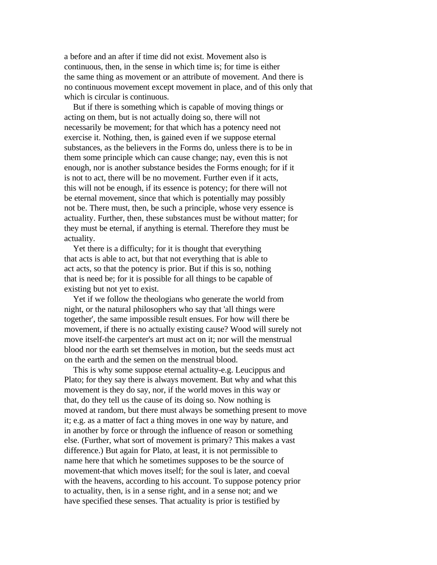a before and an after if time did not exist. Movement also is continuous, then, in the sense in which time is; for time is either the same thing as movement or an attribute of movement. And there is no continuous movement except movement in place, and of this only that which is circular is continuous.

 But if there is something which is capable of moving things or acting on them, but is not actually doing so, there will not necessarily be movement; for that which has a potency need not exercise it. Nothing, then, is gained even if we suppose eternal substances, as the believers in the Forms do, unless there is to be in them some principle which can cause change; nay, even this is not enough, nor is another substance besides the Forms enough; for if it is not to act, there will be no movement. Further even if it acts, this will not be enough, if its essence is potency; for there will not be eternal movement, since that which is potentially may possibly not be. There must, then, be such a principle, whose very essence is actuality. Further, then, these substances must be without matter; for they must be eternal, if anything is eternal. Therefore they must be actuality.

 Yet there is a difficulty; for it is thought that everything that acts is able to act, but that not everything that is able to act acts, so that the potency is prior. But if this is so, nothing that is need be; for it is possible for all things to be capable of existing but not yet to exist.

 Yet if we follow the theologians who generate the world from night, or the natural philosophers who say that 'all things were together', the same impossible result ensues. For how will there be movement, if there is no actually existing cause? Wood will surely not move itself-the carpenter's art must act on it; nor will the menstrual blood nor the earth set themselves in motion, but the seeds must act on the earth and the semen on the menstrual blood.

 This is why some suppose eternal actuality-e.g. Leucippus and Plato; for they say there is always movement. But why and what this movement is they do say, nor, if the world moves in this way or that, do they tell us the cause of its doing so. Now nothing is moved at random, but there must always be something present to move it; e.g. as a matter of fact a thing moves in one way by nature, and in another by force or through the influence of reason or something else. (Further, what sort of movement is primary? This makes a vast difference.) But again for Plato, at least, it is not permissible to name here that which he sometimes supposes to be the source of movement-that which moves itself; for the soul is later, and coeval with the heavens, according to his account. To suppose potency prior to actuality, then, is in a sense right, and in a sense not; and we have specified these senses. That actuality is prior is testified by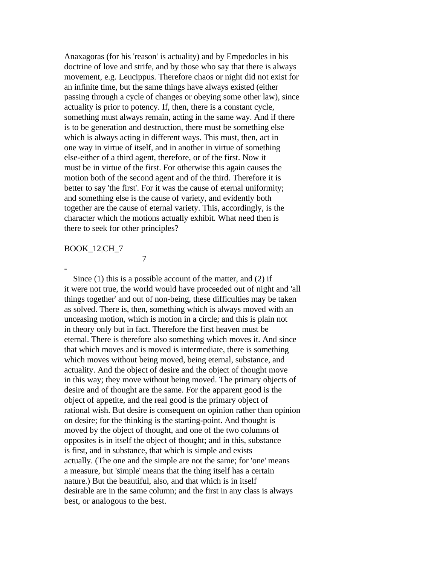Anaxagoras (for his 'reason' is actuality) and by Empedocles in his doctrine of love and strife, and by those who say that there is always movement, e.g. Leucippus. Therefore chaos or night did not exist for an infinite time, but the same things have always existed (either passing through a cycle of changes or obeying some other law), since actuality is prior to potency. If, then, there is a constant cycle, something must always remain, acting in the same way. And if there is to be generation and destruction, there must be something else which is always acting in different ways. This must, then, act in one way in virtue of itself, and in another in virtue of something else-either of a third agent, therefore, or of the first. Now it must be in virtue of the first. For otherwise this again causes the motion both of the second agent and of the third. Therefore it is better to say 'the first'. For it was the cause of eternal uniformity; and something else is the cause of variety, and evidently both together are the cause of eternal variety. This, accordingly, is the character which the motions actually exhibit. What need then is there to seek for other principles?

### BOOK\_12|CH\_7

7

-

 Since (1) this is a possible account of the matter, and (2) if it were not true, the world would have proceeded out of night and 'all things together' and out of non-being, these difficulties may be taken as solved. There is, then, something which is always moved with an unceasing motion, which is motion in a circle; and this is plain not in theory only but in fact. Therefore the first heaven must be eternal. There is therefore also something which moves it. And since that which moves and is moved is intermediate, there is something which moves without being moved, being eternal, substance, and actuality. And the object of desire and the object of thought move in this way; they move without being moved. The primary objects of desire and of thought are the same. For the apparent good is the object of appetite, and the real good is the primary object of rational wish. But desire is consequent on opinion rather than opinion on desire; for the thinking is the starting-point. And thought is moved by the object of thought, and one of the two columns of opposites is in itself the object of thought; and in this, substance is first, and in substance, that which is simple and exists actually. (The one and the simple are not the same; for 'one' means a measure, but 'simple' means that the thing itself has a certain nature.) But the beautiful, also, and that which is in itself desirable are in the same column; and the first in any class is always best, or analogous to the best.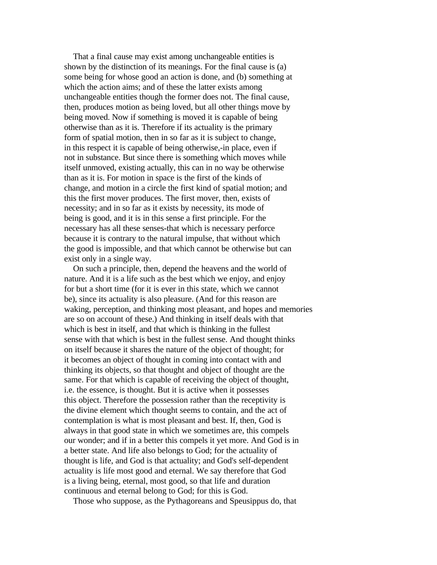That a final cause may exist among unchangeable entities is shown by the distinction of its meanings. For the final cause is (a) some being for whose good an action is done, and (b) something at which the action aims; and of these the latter exists among unchangeable entities though the former does not. The final cause, then, produces motion as being loved, but all other things move by being moved. Now if something is moved it is capable of being otherwise than as it is. Therefore if its actuality is the primary form of spatial motion, then in so far as it is subject to change, in this respect it is capable of being otherwise,-in place, even if not in substance. But since there is something which moves while itself unmoved, existing actually, this can in no way be otherwise than as it is. For motion in space is the first of the kinds of change, and motion in a circle the first kind of spatial motion; and this the first mover produces. The first mover, then, exists of necessity; and in so far as it exists by necessity, its mode of being is good, and it is in this sense a first principle. For the necessary has all these senses-that which is necessary perforce because it is contrary to the natural impulse, that without which the good is impossible, and that which cannot be otherwise but can exist only in a single way.

 On such a principle, then, depend the heavens and the world of nature. And it is a life such as the best which we enjoy, and enjoy for but a short time (for it is ever in this state, which we cannot be), since its actuality is also pleasure. (And for this reason are waking, perception, and thinking most pleasant, and hopes and memories are so on account of these.) And thinking in itself deals with that which is best in itself, and that which is thinking in the fullest sense with that which is best in the fullest sense. And thought thinks on itself because it shares the nature of the object of thought; for it becomes an object of thought in coming into contact with and thinking its objects, so that thought and object of thought are the same. For that which is capable of receiving the object of thought, i.e. the essence, is thought. But it is active when it possesses this object. Therefore the possession rather than the receptivity is the divine element which thought seems to contain, and the act of contemplation is what is most pleasant and best. If, then, God is always in that good state in which we sometimes are, this compels our wonder; and if in a better this compels it yet more. And God is in a better state. And life also belongs to God; for the actuality of thought is life, and God is that actuality; and God's self-dependent actuality is life most good and eternal. We say therefore that God is a living being, eternal, most good, so that life and duration continuous and eternal belong to God; for this is God.

Those who suppose, as the Pythagoreans and Speusippus do, that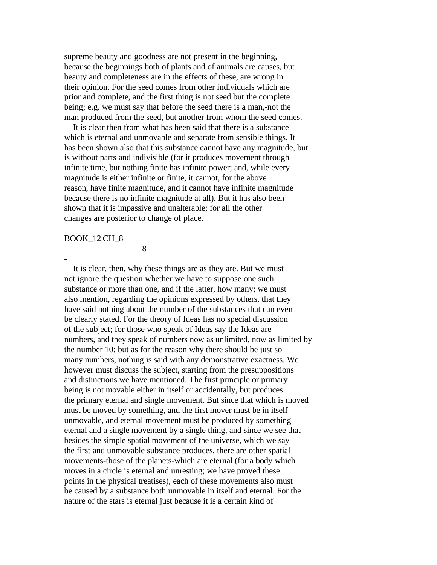supreme beauty and goodness are not present in the beginning, because the beginnings both of plants and of animals are causes, but beauty and completeness are in the effects of these, are wrong in their opinion. For the seed comes from other individuals which are prior and complete, and the first thing is not seed but the complete being; e.g. we must say that before the seed there is a man,-not the man produced from the seed, but another from whom the seed comes.

 It is clear then from what has been said that there is a substance which is eternal and unmovable and separate from sensible things. It has been shown also that this substance cannot have any magnitude, but is without parts and indivisible (for it produces movement through infinite time, but nothing finite has infinite power; and, while every magnitude is either infinite or finite, it cannot, for the above reason, have finite magnitude, and it cannot have infinite magnitude because there is no infinite magnitude at all). But it has also been shown that it is impassive and unalterable; for all the other changes are posterior to change of place.

### BOOK\_12|CH\_8

-

8

 It is clear, then, why these things are as they are. But we must not ignore the question whether we have to suppose one such substance or more than one, and if the latter, how many; we must also mention, regarding the opinions expressed by others, that they have said nothing about the number of the substances that can even be clearly stated. For the theory of Ideas has no special discussion of the subject; for those who speak of Ideas say the Ideas are numbers, and they speak of numbers now as unlimited, now as limited by the number 10; but as for the reason why there should be just so many numbers, nothing is said with any demonstrative exactness. We however must discuss the subject, starting from the presuppositions and distinctions we have mentioned. The first principle or primary being is not movable either in itself or accidentally, but produces the primary eternal and single movement. But since that which is moved must be moved by something, and the first mover must be in itself unmovable, and eternal movement must be produced by something eternal and a single movement by a single thing, and since we see that besides the simple spatial movement of the universe, which we say the first and unmovable substance produces, there are other spatial movements-those of the planets-which are eternal (for a body which moves in a circle is eternal and unresting; we have proved these points in the physical treatises), each of these movements also must be caused by a substance both unmovable in itself and eternal. For the nature of the stars is eternal just because it is a certain kind of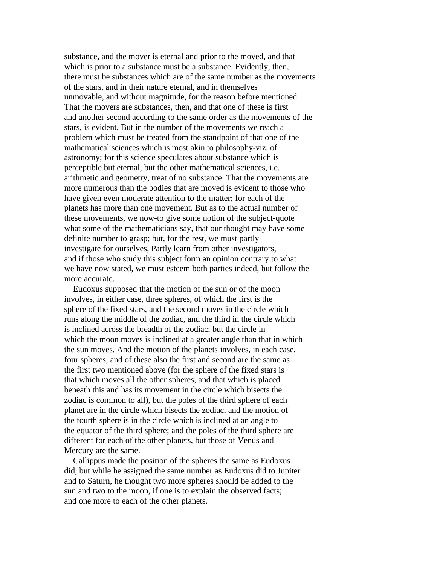substance, and the mover is eternal and prior to the moved, and that which is prior to a substance must be a substance. Evidently, then, there must be substances which are of the same number as the movements of the stars, and in their nature eternal, and in themselves unmovable, and without magnitude, for the reason before mentioned. That the movers are substances, then, and that one of these is first and another second according to the same order as the movements of the stars, is evident. But in the number of the movements we reach a problem which must be treated from the standpoint of that one of the mathematical sciences which is most akin to philosophy-viz. of astronomy; for this science speculates about substance which is perceptible but eternal, but the other mathematical sciences, i.e. arithmetic and geometry, treat of no substance. That the movements are more numerous than the bodies that are moved is evident to those who have given even moderate attention to the matter; for each of the planets has more than one movement. But as to the actual number of these movements, we now-to give some notion of the subject-quote what some of the mathematicians say, that our thought may have some definite number to grasp; but, for the rest, we must partly investigate for ourselves, Partly learn from other investigators, and if those who study this subject form an opinion contrary to what we have now stated, we must esteem both parties indeed, but follow the more accurate.

 Eudoxus supposed that the motion of the sun or of the moon involves, in either case, three spheres, of which the first is the sphere of the fixed stars, and the second moves in the circle which runs along the middle of the zodiac, and the third in the circle which is inclined across the breadth of the zodiac; but the circle in which the moon moves is inclined at a greater angle than that in which the sun moves. And the motion of the planets involves, in each case, four spheres, and of these also the first and second are the same as the first two mentioned above (for the sphere of the fixed stars is that which moves all the other spheres, and that which is placed beneath this and has its movement in the circle which bisects the zodiac is common to all), but the poles of the third sphere of each planet are in the circle which bisects the zodiac, and the motion of the fourth sphere is in the circle which is inclined at an angle to the equator of the third sphere; and the poles of the third sphere are different for each of the other planets, but those of Venus and Mercury are the same.

 Callippus made the position of the spheres the same as Eudoxus did, but while he assigned the same number as Eudoxus did to Jupiter and to Saturn, he thought two more spheres should be added to the sun and two to the moon, if one is to explain the observed facts; and one more to each of the other planets.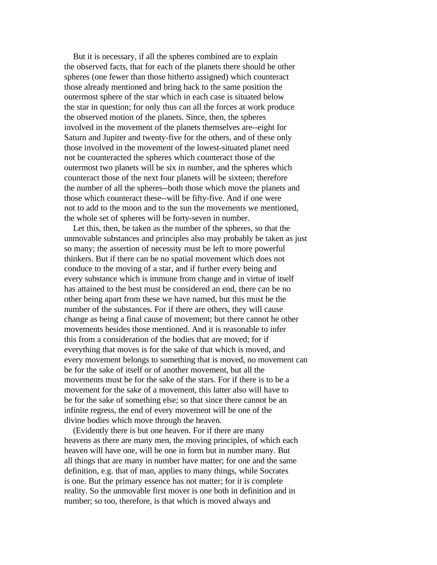But it is necessary, if all the spheres combined are to explain the observed facts, that for each of the planets there should be other spheres (one fewer than those hitherto assigned) which counteract those already mentioned and bring back to the same position the outermost sphere of the star which in each case is situated below the star in question; for only thus can all the forces at work produce the observed motion of the planets. Since, then, the spheres involved in the movement of the planets themselves are--eight for Saturn and Jupiter and twenty-five for the others, and of these only those involved in the movement of the lowest-situated planet need not be counteracted the spheres which counteract those of the outermost two planets will be six in number, and the spheres which counteract those of the next four planets will be sixteen; therefore the number of all the spheres--both those which move the planets and those which counteract these--will be fifty-five. And if one were not to add to the moon and to the sun the movements we mentioned, the whole set of spheres will be forty-seven in number.

 Let this, then, be taken as the number of the spheres, so that the unmovable substances and principles also may probably be taken as just so many; the assertion of necessity must be left to more powerful thinkers. But if there can be no spatial movement which does not conduce to the moving of a star, and if further every being and every substance which is immune from change and in virtue of itself has attained to the best must be considered an end, there can be no other being apart from these we have named, but this must be the number of the substances. For if there are others, they will cause change as being a final cause of movement; but there cannot he other movements besides those mentioned. And it is reasonable to infer this from a consideration of the bodies that are moved; for if everything that moves is for the sake of that which is moved, and every movement belongs to something that is moved, no movement can be for the sake of itself or of another movement, but all the movements must be for the sake of the stars. For if there is to be a movement for the sake of a movement, this latter also will have to be for the sake of something else; so that since there cannot be an infinite regress, the end of every movement will be one of the divine bodies which move through the heaven.

 (Evidently there is but one heaven. For if there are many heavens as there are many men, the moving principles, of which each heaven will have one, will be one in form but in number many. But all things that are many in number have matter; for one and the same definition, e.g. that of man, applies to many things, while Socrates is one. But the primary essence has not matter; for it is complete reality. So the unmovable first mover is one both in definition and in number; so too, therefore, is that which is moved always and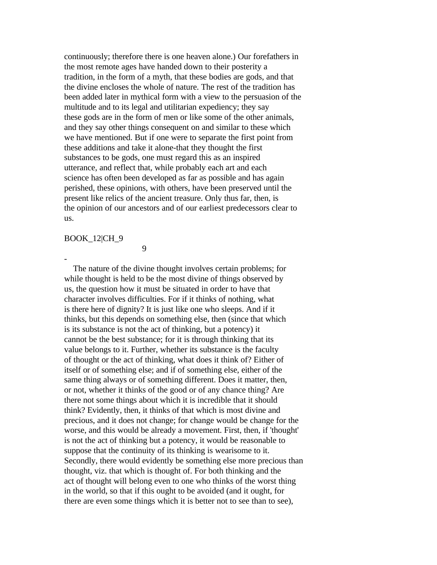continuously; therefore there is one heaven alone.) Our forefathers in the most remote ages have handed down to their posterity a tradition, in the form of a myth, that these bodies are gods, and that the divine encloses the whole of nature. The rest of the tradition has been added later in mythical form with a view to the persuasion of the multitude and to its legal and utilitarian expediency; they say these gods are in the form of men or like some of the other animals, and they say other things consequent on and similar to these which we have mentioned. But if one were to separate the first point from these additions and take it alone-that they thought the first substances to be gods, one must regard this as an inspired utterance, and reflect that, while probably each art and each science has often been developed as far as possible and has again perished, these opinions, with others, have been preserved until the present like relics of the ancient treasure. Only thus far, then, is the opinion of our ancestors and of our earliest predecessors clear to us.

BOOK\_12|CH\_9

9

- The nature of the divine thought involves certain problems; for while thought is held to be the most divine of things observed by us, the question how it must be situated in order to have that character involves difficulties. For if it thinks of nothing, what is there here of dignity? It is just like one who sleeps. And if it thinks, but this depends on something else, then (since that which is its substance is not the act of thinking, but a potency) it cannot be the best substance; for it is through thinking that its value belongs to it. Further, whether its substance is the faculty of thought or the act of thinking, what does it think of? Either of itself or of something else; and if of something else, either of the same thing always or of something different. Does it matter, then, or not, whether it thinks of the good or of any chance thing? Are there not some things about which it is incredible that it should think? Evidently, then, it thinks of that which is most divine and precious, and it does not change; for change would be change for the worse, and this would be already a movement. First, then, if 'thought' is not the act of thinking but a potency, it would be reasonable to suppose that the continuity of its thinking is wearisome to it. Secondly, there would evidently be something else more precious than thought, viz. that which is thought of. For both thinking and the act of thought will belong even to one who thinks of the worst thing in the world, so that if this ought to be avoided (and it ought, for there are even some things which it is better not to see than to see),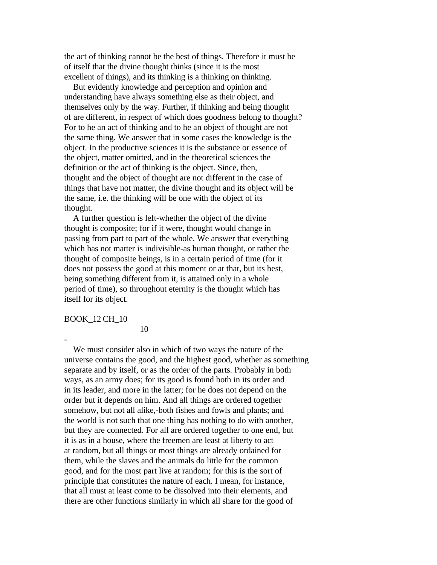the act of thinking cannot be the best of things. Therefore it must be of itself that the divine thought thinks (since it is the most excellent of things), and its thinking is a thinking on thinking.

 But evidently knowledge and perception and opinion and understanding have always something else as their object, and themselves only by the way. Further, if thinking and being thought of are different, in respect of which does goodness belong to thought? For to he an act of thinking and to he an object of thought are not the same thing. We answer that in some cases the knowledge is the object. In the productive sciences it is the substance or essence of the object, matter omitted, and in the theoretical sciences the definition or the act of thinking is the object. Since, then, thought and the object of thought are not different in the case of things that have not matter, the divine thought and its object will be the same, i.e. the thinking will be one with the object of its thought.

 A further question is left-whether the object of the divine thought is composite; for if it were, thought would change in passing from part to part of the whole. We answer that everything which has not matter is indivisible-as human thought, or rather the thought of composite beings, is in a certain period of time (for it does not possess the good at this moment or at that, but its best, being something different from it, is attained only in a whole period of time), so throughout eternity is the thought which has itself for its object.

### BOOK\_12|CH\_10

-

10

 We must consider also in which of two ways the nature of the universe contains the good, and the highest good, whether as something separate and by itself, or as the order of the parts. Probably in both ways, as an army does; for its good is found both in its order and in its leader, and more in the latter; for he does not depend on the order but it depends on him. And all things are ordered together somehow, but not all alike,-both fishes and fowls and plants; and the world is not such that one thing has nothing to do with another, but they are connected. For all are ordered together to one end, but it is as in a house, where the freemen are least at liberty to act at random, but all things or most things are already ordained for them, while the slaves and the animals do little for the common good, and for the most part live at random; for this is the sort of principle that constitutes the nature of each. I mean, for instance, that all must at least come to be dissolved into their elements, and there are other functions similarly in which all share for the good of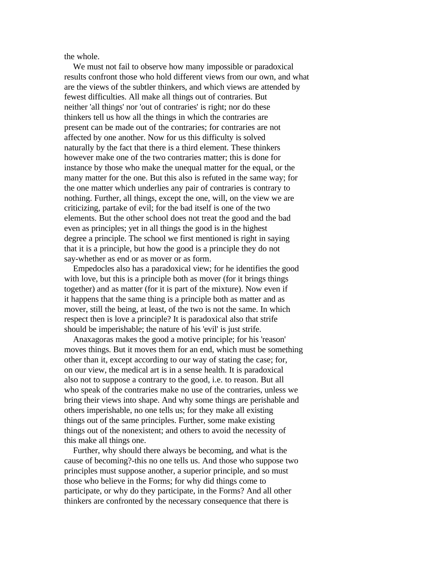the whole.

 We must not fail to observe how many impossible or paradoxical results confront those who hold different views from our own, and what are the views of the subtler thinkers, and which views are attended by fewest difficulties. All make all things out of contraries. But neither 'all things' nor 'out of contraries' is right; nor do these thinkers tell us how all the things in which the contraries are present can be made out of the contraries; for contraries are not affected by one another. Now for us this difficulty is solved naturally by the fact that there is a third element. These thinkers however make one of the two contraries matter; this is done for instance by those who make the unequal matter for the equal, or the many matter for the one. But this also is refuted in the same way; for the one matter which underlies any pair of contraries is contrary to nothing. Further, all things, except the one, will, on the view we are criticizing, partake of evil; for the bad itself is one of the two elements. But the other school does not treat the good and the bad even as principles; yet in all things the good is in the highest degree a principle. The school we first mentioned is right in saying that it is a principle, but how the good is a principle they do not say-whether as end or as mover or as form.

 Empedocles also has a paradoxical view; for he identifies the good with love, but this is a principle both as mover (for it brings things together) and as matter (for it is part of the mixture). Now even if it happens that the same thing is a principle both as matter and as mover, still the being, at least, of the two is not the same. In which respect then is love a principle? It is paradoxical also that strife should be imperishable; the nature of his 'evil' is just strife.

 Anaxagoras makes the good a motive principle; for his 'reason' moves things. But it moves them for an end, which must be something other than it, except according to our way of stating the case; for, on our view, the medical art is in a sense health. It is paradoxical also not to suppose a contrary to the good, i.e. to reason. But all who speak of the contraries make no use of the contraries, unless we bring their views into shape. And why some things are perishable and others imperishable, no one tells us; for they make all existing things out of the same principles. Further, some make existing things out of the nonexistent; and others to avoid the necessity of this make all things one.

 Further, why should there always be becoming, and what is the cause of becoming?-this no one tells us. And those who suppose two principles must suppose another, a superior principle, and so must those who believe in the Forms; for why did things come to participate, or why do they participate, in the Forms? And all other thinkers are confronted by the necessary consequence that there is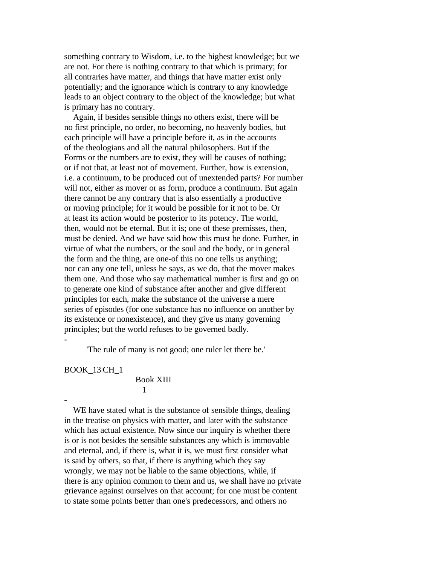something contrary to Wisdom, i.e. to the highest knowledge; but we are not. For there is nothing contrary to that which is primary; for all contraries have matter, and things that have matter exist only potentially; and the ignorance which is contrary to any knowledge leads to an object contrary to the object of the knowledge; but what is primary has no contrary.

 Again, if besides sensible things no others exist, there will be no first principle, no order, no becoming, no heavenly bodies, but each principle will have a principle before it, as in the accounts of the theologians and all the natural philosophers. But if the Forms or the numbers are to exist, they will be causes of nothing; or if not that, at least not of movement. Further, how is extension, i.e. a continuum, to be produced out of unextended parts? For number will not, either as mover or as form, produce a continuum. But again there cannot be any contrary that is also essentially a productive or moving principle; for it would be possible for it not to be. Or at least its action would be posterior to its potency. The world, then, would not be eternal. But it is; one of these premisses, then, must be denied. And we have said how this must be done. Further, in virtue of what the numbers, or the soul and the body, or in general the form and the thing, are one-of this no one tells us anything; nor can any one tell, unless he says, as we do, that the mover makes them one. And those who say mathematical number is first and go on to generate one kind of substance after another and give different principles for each, make the substance of the universe a mere series of episodes (for one substance has no influence on another by its existence or nonexistence), and they give us many governing principles; but the world refuses to be governed badly.

'The rule of many is not good; one ruler let there be.'

BOOK\_13|CH\_1

-

-

 Book XIII 1

 WE have stated what is the substance of sensible things, dealing in the treatise on physics with matter, and later with the substance which has actual existence. Now since our inquiry is whether there is or is not besides the sensible substances any which is immovable and eternal, and, if there is, what it is, we must first consider what is said by others, so that, if there is anything which they say wrongly, we may not be liable to the same objections, while, if there is any opinion common to them and us, we shall have no private grievance against ourselves on that account; for one must be content to state some points better than one's predecessors, and others no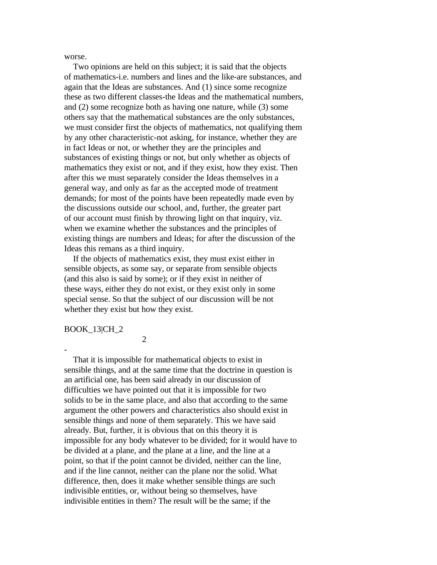worse.

 Two opinions are held on this subject; it is said that the objects of mathematics-i.e. numbers and lines and the like-are substances, and again that the Ideas are substances. And (1) since some recognize these as two different classes-the Ideas and the mathematical numbers, and (2) some recognize both as having one nature, while (3) some others say that the mathematical substances are the only substances, we must consider first the objects of mathematics, not qualifying them by any other characteristic-not asking, for instance, whether they are in fact Ideas or not, or whether they are the principles and substances of existing things or not, but only whether as objects of mathematics they exist or not, and if they exist, how they exist. Then after this we must separately consider the Ideas themselves in a general way, and only as far as the accepted mode of treatment demands; for most of the points have been repeatedly made even by the discussions outside our school, and, further, the greater part of our account must finish by throwing light on that inquiry, viz. when we examine whether the substances and the principles of existing things are numbers and Ideas; for after the discussion of the Ideas this remans as a third inquiry.

 If the objects of mathematics exist, they must exist either in sensible objects, as some say, or separate from sensible objects (and this also is said by some); or if they exist in neither of these ways, either they do not exist, or they exist only in some special sense. So that the subject of our discussion will be not whether they exist but how they exist.

#### BOOK\_13|CH\_2

-

2

 That it is impossible for mathematical objects to exist in sensible things, and at the same time that the doctrine in question is an artificial one, has been said already in our discussion of difficulties we have pointed out that it is impossible for two solids to be in the same place, and also that according to the same argument the other powers and characteristics also should exist in sensible things and none of them separately. This we have said already. But, further, it is obvious that on this theory it is impossible for any body whatever to be divided; for it would have to be divided at a plane, and the plane at a line, and the line at a point, so that if the point cannot be divided, neither can the line, and if the line cannot, neither can the plane nor the solid. What difference, then, does it make whether sensible things are such indivisible entities, or, without being so themselves, have indivisible entities in them? The result will be the same; if the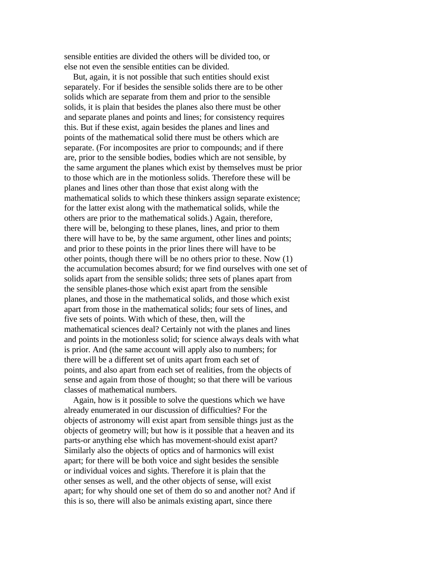sensible entities are divided the others will be divided too, or else not even the sensible entities can be divided.

 But, again, it is not possible that such entities should exist separately. For if besides the sensible solids there are to be other solids which are separate from them and prior to the sensible solids, it is plain that besides the planes also there must be other and separate planes and points and lines; for consistency requires this. But if these exist, again besides the planes and lines and points of the mathematical solid there must be others which are separate. (For incomposites are prior to compounds; and if there are, prior to the sensible bodies, bodies which are not sensible, by the same argument the planes which exist by themselves must be prior to those which are in the motionless solids. Therefore these will be planes and lines other than those that exist along with the mathematical solids to which these thinkers assign separate existence; for the latter exist along with the mathematical solids, while the others are prior to the mathematical solids.) Again, therefore, there will be, belonging to these planes, lines, and prior to them there will have to be, by the same argument, other lines and points; and prior to these points in the prior lines there will have to be other points, though there will be no others prior to these. Now (1) the accumulation becomes absurd; for we find ourselves with one set of solids apart from the sensible solids; three sets of planes apart from the sensible planes-those which exist apart from the sensible planes, and those in the mathematical solids, and those which exist apart from those in the mathematical solids; four sets of lines, and five sets of points. With which of these, then, will the mathematical sciences deal? Certainly not with the planes and lines and points in the motionless solid; for science always deals with what is prior. And (the same account will apply also to numbers; for there will be a different set of units apart from each set of points, and also apart from each set of realities, from the objects of sense and again from those of thought; so that there will be various classes of mathematical numbers.

 Again, how is it possible to solve the questions which we have already enumerated in our discussion of difficulties? For the objects of astronomy will exist apart from sensible things just as the objects of geometry will; but how is it possible that a heaven and its parts-or anything else which has movement-should exist apart? Similarly also the objects of optics and of harmonics will exist apart; for there will be both voice and sight besides the sensible or individual voices and sights. Therefore it is plain that the other senses as well, and the other objects of sense, will exist apart; for why should one set of them do so and another not? And if this is so, there will also be animals existing apart, since there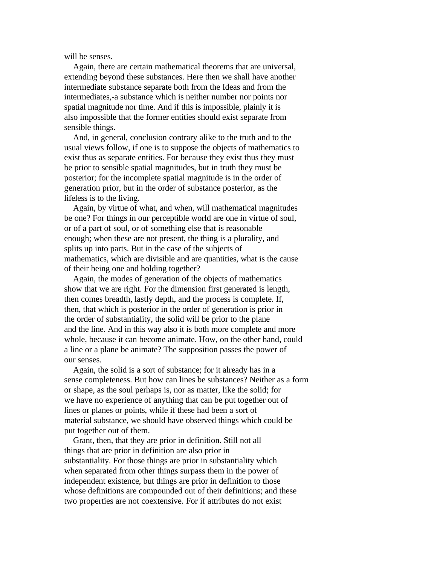will be senses.

 Again, there are certain mathematical theorems that are universal, extending beyond these substances. Here then we shall have another intermediate substance separate both from the Ideas and from the intermediates,-a substance which is neither number nor points nor spatial magnitude nor time. And if this is impossible, plainly it is also impossible that the former entities should exist separate from sensible things.

 And, in general, conclusion contrary alike to the truth and to the usual views follow, if one is to suppose the objects of mathematics to exist thus as separate entities. For because they exist thus they must be prior to sensible spatial magnitudes, but in truth they must be posterior; for the incomplete spatial magnitude is in the order of generation prior, but in the order of substance posterior, as the lifeless is to the living.

 Again, by virtue of what, and when, will mathematical magnitudes be one? For things in our perceptible world are one in virtue of soul, or of a part of soul, or of something else that is reasonable enough; when these are not present, the thing is a plurality, and splits up into parts. But in the case of the subjects of mathematics, which are divisible and are quantities, what is the cause of their being one and holding together?

 Again, the modes of generation of the objects of mathematics show that we are right. For the dimension first generated is length, then comes breadth, lastly depth, and the process is complete. If, then, that which is posterior in the order of generation is prior in the order of substantiality, the solid will be prior to the plane and the line. And in this way also it is both more complete and more whole, because it can become animate. How, on the other hand, could a line or a plane be animate? The supposition passes the power of our senses.

 Again, the solid is a sort of substance; for it already has in a sense completeness. But how can lines be substances? Neither as a form or shape, as the soul perhaps is, nor as matter, like the solid; for we have no experience of anything that can be put together out of lines or planes or points, while if these had been a sort of material substance, we should have observed things which could be put together out of them.

 Grant, then, that they are prior in definition. Still not all things that are prior in definition are also prior in substantiality. For those things are prior in substantiality which when separated from other things surpass them in the power of independent existence, but things are prior in definition to those whose definitions are compounded out of their definitions; and these two properties are not coextensive. For if attributes do not exist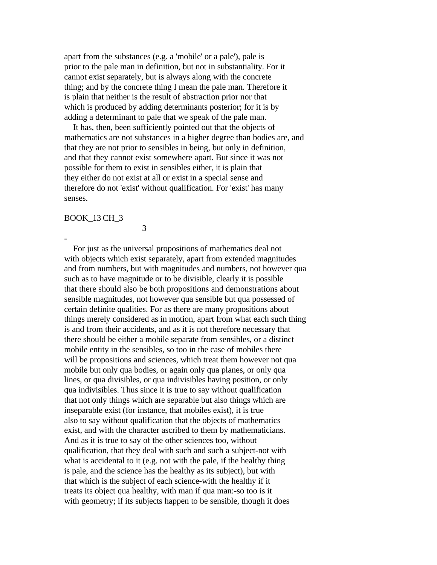apart from the substances (e.g. a 'mobile' or a pale'), pale is prior to the pale man in definition, but not in substantiality. For it cannot exist separately, but is always along with the concrete thing; and by the concrete thing I mean the pale man. Therefore it is plain that neither is the result of abstraction prior nor that which is produced by adding determinants posterior; for it is by adding a determinant to pale that we speak of the pale man.

 It has, then, been sufficiently pointed out that the objects of mathematics are not substances in a higher degree than bodies are, and that they are not prior to sensibles in being, but only in definition, and that they cannot exist somewhere apart. But since it was not possible for them to exist in sensibles either, it is plain that they either do not exist at all or exist in a special sense and therefore do not 'exist' without qualification. For 'exist' has many senses.

# BOOK\_13|CH\_3

3

- For just as the universal propositions of mathematics deal not with objects which exist separately, apart from extended magnitudes and from numbers, but with magnitudes and numbers, not however qua such as to have magnitude or to be divisible, clearly it is possible that there should also be both propositions and demonstrations about sensible magnitudes, not however qua sensible but qua possessed of certain definite qualities. For as there are many propositions about things merely considered as in motion, apart from what each such thing is and from their accidents, and as it is not therefore necessary that there should be either a mobile separate from sensibles, or a distinct mobile entity in the sensibles, so too in the case of mobiles there will be propositions and sciences, which treat them however not qua mobile but only qua bodies, or again only qua planes, or only qua lines, or qua divisibles, or qua indivisibles having position, or only qua indivisibles. Thus since it is true to say without qualification that not only things which are separable but also things which are inseparable exist (for instance, that mobiles exist), it is true also to say without qualification that the objects of mathematics exist, and with the character ascribed to them by mathematicians. And as it is true to say of the other sciences too, without qualification, that they deal with such and such a subject-not with what is accidental to it (e.g. not with the pale, if the healthy thing is pale, and the science has the healthy as its subject), but with that which is the subject of each science-with the healthy if it treats its object qua healthy, with man if qua man:-so too is it with geometry; if its subjects happen to be sensible, though it does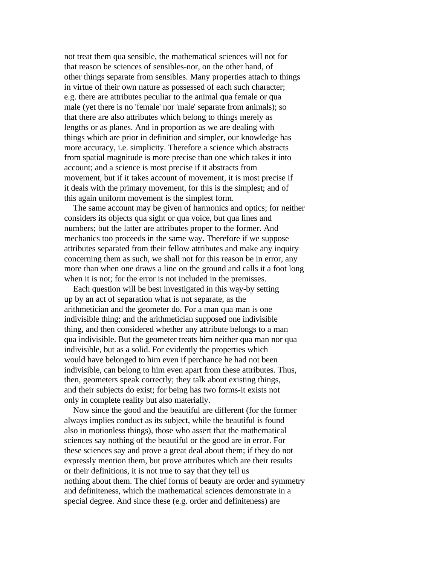not treat them qua sensible, the mathematical sciences will not for that reason be sciences of sensibles-nor, on the other hand, of other things separate from sensibles. Many properties attach to things in virtue of their own nature as possessed of each such character; e.g. there are attributes peculiar to the animal qua female or qua male (yet there is no 'female' nor 'male' separate from animals); so that there are also attributes which belong to things merely as lengths or as planes. And in proportion as we are dealing with things which are prior in definition and simpler, our knowledge has more accuracy, i.e. simplicity. Therefore a science which abstracts from spatial magnitude is more precise than one which takes it into account; and a science is most precise if it abstracts from movement, but if it takes account of movement, it is most precise if it deals with the primary movement, for this is the simplest; and of this again uniform movement is the simplest form.

 The same account may be given of harmonics and optics; for neither considers its objects qua sight or qua voice, but qua lines and numbers; but the latter are attributes proper to the former. And mechanics too proceeds in the same way. Therefore if we suppose attributes separated from their fellow attributes and make any inquiry concerning them as such, we shall not for this reason be in error, any more than when one draws a line on the ground and calls it a foot long when it is not; for the error is not included in the premisses.

 Each question will be best investigated in this way-by setting up by an act of separation what is not separate, as the arithmetician and the geometer do. For a man qua man is one indivisible thing; and the arithmetician supposed one indivisible thing, and then considered whether any attribute belongs to a man qua indivisible. But the geometer treats him neither qua man nor qua indivisible, but as a solid. For evidently the properties which would have belonged to him even if perchance he had not been indivisible, can belong to him even apart from these attributes. Thus, then, geometers speak correctly; they talk about existing things, and their subjects do exist; for being has two forms-it exists not only in complete reality but also materially.

 Now since the good and the beautiful are different (for the former always implies conduct as its subject, while the beautiful is found also in motionless things), those who assert that the mathematical sciences say nothing of the beautiful or the good are in error. For these sciences say and prove a great deal about them; if they do not expressly mention them, but prove attributes which are their results or their definitions, it is not true to say that they tell us nothing about them. The chief forms of beauty are order and symmetry and definiteness, which the mathematical sciences demonstrate in a special degree. And since these (e.g. order and definiteness) are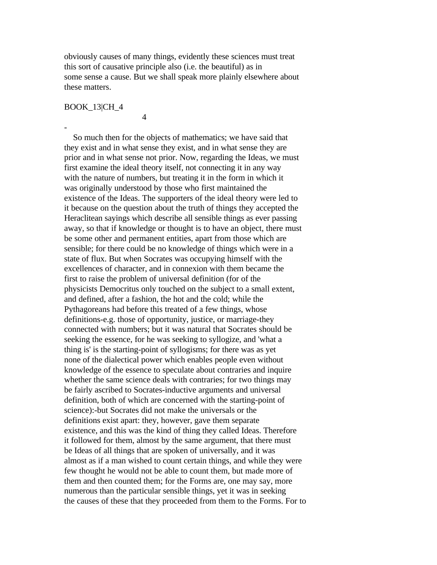obviously causes of many things, evidently these sciences must treat this sort of causative principle also (i.e. the beautiful) as in some sense a cause. But we shall speak more plainly elsewhere about these matters.

# BOOK\_13|CH\_4

-

4

 So much then for the objects of mathematics; we have said that they exist and in what sense they exist, and in what sense they are prior and in what sense not prior. Now, regarding the Ideas, we must first examine the ideal theory itself, not connecting it in any way with the nature of numbers, but treating it in the form in which it was originally understood by those who first maintained the existence of the Ideas. The supporters of the ideal theory were led to it because on the question about the truth of things they accepted the Heraclitean sayings which describe all sensible things as ever passing away, so that if knowledge or thought is to have an object, there must be some other and permanent entities, apart from those which are sensible; for there could be no knowledge of things which were in a state of flux. But when Socrates was occupying himself with the excellences of character, and in connexion with them became the first to raise the problem of universal definition (for of the physicists Democritus only touched on the subject to a small extent, and defined, after a fashion, the hot and the cold; while the Pythagoreans had before this treated of a few things, whose definitions-e.g. those of opportunity, justice, or marriage-they connected with numbers; but it was natural that Socrates should be seeking the essence, for he was seeking to syllogize, and 'what a thing is' is the starting-point of syllogisms; for there was as yet none of the dialectical power which enables people even without knowledge of the essence to speculate about contraries and inquire whether the same science deals with contraries; for two things may be fairly ascribed to Socrates-inductive arguments and universal definition, both of which are concerned with the starting-point of science):-but Socrates did not make the universals or the definitions exist apart: they, however, gave them separate existence, and this was the kind of thing they called Ideas. Therefore it followed for them, almost by the same argument, that there must be Ideas of all things that are spoken of universally, and it was almost as if a man wished to count certain things, and while they were few thought he would not be able to count them, but made more of them and then counted them; for the Forms are, one may say, more numerous than the particular sensible things, yet it was in seeking the causes of these that they proceeded from them to the Forms. For to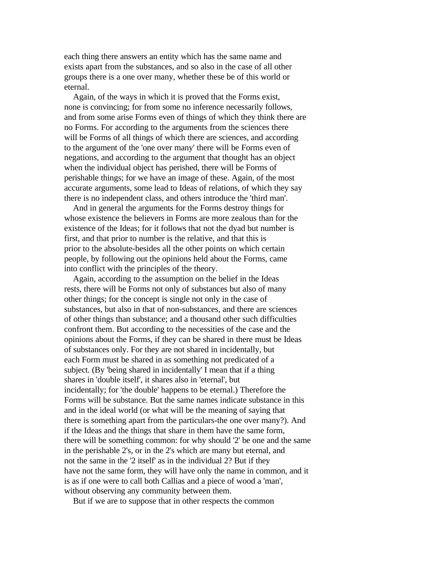each thing there answers an entity which has the same name and exists apart from the substances, and so also in the case of all other groups there is a one over many, whether these be of this world or eternal.

 Again, of the ways in which it is proved that the Forms exist, none is convincing; for from some no inference necessarily follows, and from some arise Forms even of things of which they think there are no Forms. For according to the arguments from the sciences there will be Forms of all things of which there are sciences, and according to the argument of the 'one over many' there will be Forms even of negations, and according to the argument that thought has an object when the individual object has perished, there will be Forms of perishable things; for we have an image of these. Again, of the most accurate arguments, some lead to Ideas of relations, of which they say there is no independent class, and others introduce the 'third man'.

 And in general the arguments for the Forms destroy things for whose existence the believers in Forms are more zealous than for the existence of the Ideas; for it follows that not the dyad but number is first, and that prior to number is the relative, and that this is prior to the absolute-besides all the other points on which certain people, by following out the opinions held about the Forms, came into conflict with the principles of the theory.

 Again, according to the assumption on the belief in the Ideas rests, there will be Forms not only of substances but also of many other things; for the concept is single not only in the case of substances, but also in that of non-substances, and there are sciences of other things than substance; and a thousand other such difficulties confront them. But according to the necessities of the case and the opinions about the Forms, if they can be shared in there must be Ideas of substances only. For they are not shared in incidentally, but each Form must be shared in as something not predicated of a subject. (By 'being shared in incidentally' I mean that if a thing shares in 'double itself', it shares also in 'eternal', but incidentally; for 'the double' happens to be eternal.) Therefore the Forms will be substance. But the same names indicate substance in this and in the ideal world (or what will be the meaning of saying that there is something apart from the particulars-the one over many?). And if the Ideas and the things that share in them have the same form, there will be something common: for why should '2' be one and the same in the perishable 2's, or in the 2's which are many but eternal, and not the same in the '2 itself' as in the individual 2? But if they have not the same form, they will have only the name in common, and it is as if one were to call both Callias and a piece of wood a 'man', without observing any community between them.

But if we are to suppose that in other respects the common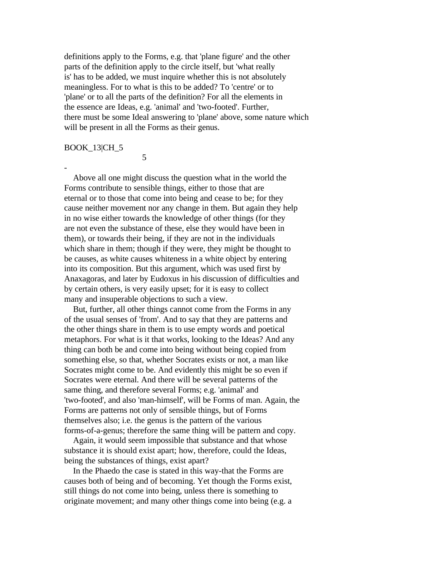definitions apply to the Forms, e.g. that 'plane figure' and the other parts of the definition apply to the circle itself, but 'what really is' has to be added, we must inquire whether this is not absolutely meaningless. For to what is this to be added? To 'centre' or to 'plane' or to all the parts of the definition? For all the elements in the essence are Ideas, e.g. 'animal' and 'two-footed'. Further, there must be some Ideal answering to 'plane' above, some nature which will be present in all the Forms as their genus.

# BOOK\_13|CH\_5

5

- Above all one might discuss the question what in the world the Forms contribute to sensible things, either to those that are eternal or to those that come into being and cease to be; for they cause neither movement nor any change in them. But again they help in no wise either towards the knowledge of other things (for they are not even the substance of these, else they would have been in them), or towards their being, if they are not in the individuals which share in them; though if they were, they might be thought to be causes, as white causes whiteness in a white object by entering into its composition. But this argument, which was used first by Anaxagoras, and later by Eudoxus in his discussion of difficulties and by certain others, is very easily upset; for it is easy to collect many and insuperable objections to such a view.

 But, further, all other things cannot come from the Forms in any of the usual senses of 'from'. And to say that they are patterns and the other things share in them is to use empty words and poetical metaphors. For what is it that works, looking to the Ideas? And any thing can both be and come into being without being copied from something else, so that, whether Socrates exists or not, a man like Socrates might come to be. And evidently this might be so even if Socrates were eternal. And there will be several patterns of the same thing, and therefore several Forms; e.g. 'animal' and 'two-footed', and also 'man-himself', will be Forms of man. Again, the Forms are patterns not only of sensible things, but of Forms themselves also; i.e. the genus is the pattern of the various forms-of-a-genus; therefore the same thing will be pattern and copy.

 Again, it would seem impossible that substance and that whose substance it is should exist apart; how, therefore, could the Ideas, being the substances of things, exist apart?

 In the Phaedo the case is stated in this way-that the Forms are causes both of being and of becoming. Yet though the Forms exist, still things do not come into being, unless there is something to originate movement; and many other things come into being (e.g. a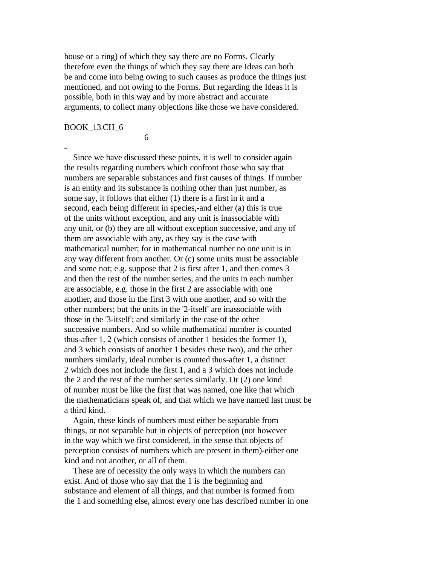house or a ring) of which they say there are no Forms. Clearly therefore even the things of which they say there are Ideas can both be and come into being owing to such causes as produce the things just mentioned, and not owing to the Forms. But regarding the Ideas it is possible, both in this way and by more abstract and accurate arguments, to collect many objections like those we have considered.

## BOOK 13|CH 6

6

- Since we have discussed these points, it is well to consider again the results regarding numbers which confront those who say that numbers are separable substances and first causes of things. If number is an entity and its substance is nothing other than just number, as some say, it follows that either (1) there is a first in it and a second, each being different in species,-and either (a) this is true of the units without exception, and any unit is inassociable with any unit, or (b) they are all without exception successive, and any of them are associable with any, as they say is the case with mathematical number; for in mathematical number no one unit is in any way different from another. Or (c) some units must be associable and some not; e.g. suppose that 2 is first after 1, and then comes 3 and then the rest of the number series, and the units in each number are associable, e.g. those in the first 2 are associable with one another, and those in the first 3 with one another, and so with the other numbers; but the units in the '2-itself' are inassociable with those in the '3-itself'; and similarly in the case of the other successive numbers. And so while mathematical number is counted thus-after 1, 2 (which consists of another 1 besides the former 1), and 3 which consists of another 1 besides these two), and the other numbers similarly, ideal number is counted thus-after 1, a distinct 2 which does not include the first 1, and a 3 which does not include the 2 and the rest of the number series similarly. Or (2) one kind of number must be like the first that was named, one like that which the mathematicians speak of, and that which we have named last must be a third kind.

 Again, these kinds of numbers must either be separable from things, or not separable but in objects of perception (not however in the way which we first considered, in the sense that objects of perception consists of numbers which are present in them)-either one kind and not another, or all of them.

 These are of necessity the only ways in which the numbers can exist. And of those who say that the 1 is the beginning and substance and element of all things, and that number is formed from the 1 and something else, almost every one has described number in one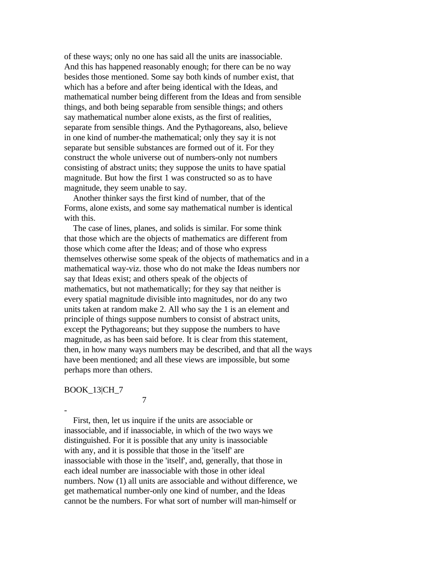of these ways; only no one has said all the units are inassociable. And this has happened reasonably enough; for there can be no way besides those mentioned. Some say both kinds of number exist, that which has a before and after being identical with the Ideas, and mathematical number being different from the Ideas and from sensible things, and both being separable from sensible things; and others say mathematical number alone exists, as the first of realities, separate from sensible things. And the Pythagoreans, also, believe in one kind of number-the mathematical; only they say it is not separate but sensible substances are formed out of it. For they construct the whole universe out of numbers-only not numbers consisting of abstract units; they suppose the units to have spatial magnitude. But how the first 1 was constructed so as to have magnitude, they seem unable to say.

 Another thinker says the first kind of number, that of the Forms, alone exists, and some say mathematical number is identical with this.

 The case of lines, planes, and solids is similar. For some think that those which are the objects of mathematics are different from those which come after the Ideas; and of those who express themselves otherwise some speak of the objects of mathematics and in a mathematical way-viz. those who do not make the Ideas numbers nor say that Ideas exist; and others speak of the objects of mathematics, but not mathematically; for they say that neither is every spatial magnitude divisible into magnitudes, nor do any two units taken at random make 2. All who say the 1 is an element and principle of things suppose numbers to consist of abstract units, except the Pythagoreans; but they suppose the numbers to have magnitude, as has been said before. It is clear from this statement, then, in how many ways numbers may be described, and that all the ways have been mentioned; and all these views are impossible, but some perhaps more than others.

# BOOK 13|CH\_7

-

7

 First, then, let us inquire if the units are associable or inassociable, and if inassociable, in which of the two ways we distinguished. For it is possible that any unity is inassociable with any, and it is possible that those in the 'itself' are inassociable with those in the 'itself', and, generally, that those in each ideal number are inassociable with those in other ideal numbers. Now (1) all units are associable and without difference, we get mathematical number-only one kind of number, and the Ideas cannot be the numbers. For what sort of number will man-himself or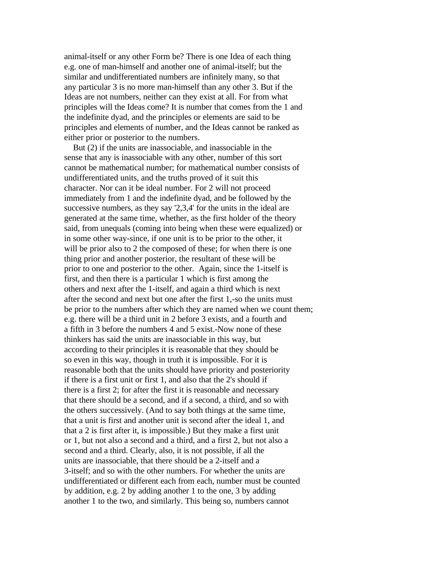animal-itself or any other Form be? There is one Idea of each thing e.g. one of man-himself and another one of animal-itself; but the similar and undifferentiated numbers are infinitely many, so that any particular 3 is no more man-himself than any other 3. But if the Ideas are not numbers, neither can they exist at all. For from what principles will the Ideas come? It is number that comes from the 1 and the indefinite dyad, and the principles or elements are said to be principles and elements of number, and the Ideas cannot be ranked as either prior or posterior to the numbers.

 But (2) if the units are inassociable, and inassociable in the sense that any is inassociable with any other, number of this sort cannot be mathematical number; for mathematical number consists of undifferentiated units, and the truths proved of it suit this character. Nor can it be ideal number. For 2 will not proceed immediately from 1 and the indefinite dyad, and be followed by the successive numbers, as they say '2,3,4' for the units in the ideal are generated at the same time, whether, as the first holder of the theory said, from unequals (coming into being when these were equalized) or in some other way-since, if one unit is to be prior to the other, it will be prior also to 2 the composed of these; for when there is one thing prior and another posterior, the resultant of these will be prior to one and posterior to the other. Again, since the 1-itself is first, and then there is a particular 1 which is first among the others and next after the 1-itself, and again a third which is next after the second and next but one after the first 1,-so the units must be prior to the numbers after which they are named when we count them; e.g. there will be a third unit in 2 before 3 exists, and a fourth and a fifth in 3 before the numbers 4 and 5 exist.-Now none of these thinkers has said the units are inassociable in this way, but according to their principles it is reasonable that they should be so even in this way, though in truth it is impossible. For it is reasonable both that the units should have priority and posteriority if there is a first unit or first 1, and also that the 2's should if there is a first 2; for after the first it is reasonable and necessary that there should be a second, and if a second, a third, and so with the others successively. (And to say both things at the same time, that a unit is first and another unit is second after the ideal 1, and that a 2 is first after it, is impossible.) But they make a first unit or 1, but not also a second and a third, and a first 2, but not also a second and a third. Clearly, also, it is not possible, if all the units are inassociable, that there should be a 2-itself and a 3-itself; and so with the other numbers. For whether the units are undifferentiated or different each from each, number must be counted by addition, e.g. 2 by adding another 1 to the one, 3 by adding another 1 to the two, and similarly. This being so, numbers cannot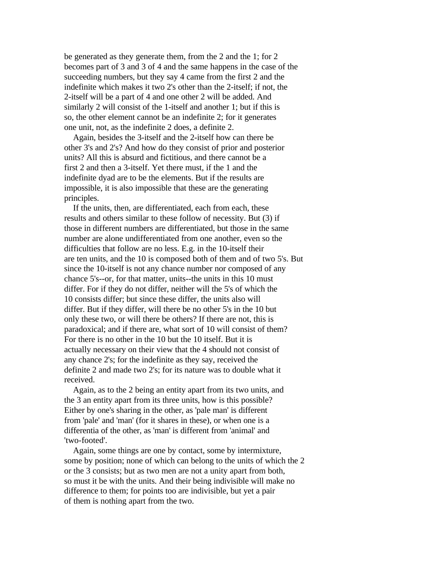be generated as they generate them, from the 2 and the 1; for 2 becomes part of 3 and 3 of 4 and the same happens in the case of the succeeding numbers, but they say 4 came from the first 2 and the indefinite which makes it two 2's other than the 2-itself; if not, the 2-itself will be a part of 4 and one other 2 will be added. And similarly 2 will consist of the 1-itself and another 1; but if this is so, the other element cannot be an indefinite 2; for it generates one unit, not, as the indefinite 2 does, a definite 2.

 Again, besides the 3-itself and the 2-itself how can there be other 3's and 2's? And how do they consist of prior and posterior units? All this is absurd and fictitious, and there cannot be a first 2 and then a 3-itself. Yet there must, if the 1 and the indefinite dyad are to be the elements. But if the results are impossible, it is also impossible that these are the generating principles.

 If the units, then, are differentiated, each from each, these results and others similar to these follow of necessity. But (3) if those in different numbers are differentiated, but those in the same number are alone undifferentiated from one another, even so the difficulties that follow are no less. E.g. in the 10-itself their are ten units, and the 10 is composed both of them and of two 5's. But since the 10-itself is not any chance number nor composed of any chance 5's--or, for that matter, units--the units in this 10 must differ. For if they do not differ, neither will the 5's of which the 10 consists differ; but since these differ, the units also will differ. But if they differ, will there be no other 5's in the 10 but only these two, or will there be others? If there are not, this is paradoxical; and if there are, what sort of 10 will consist of them? For there is no other in the 10 but the 10 itself. But it is actually necessary on their view that the 4 should not consist of any chance 2's; for the indefinite as they say, received the definite 2 and made two 2's; for its nature was to double what it received.

 Again, as to the 2 being an entity apart from its two units, and the 3 an entity apart from its three units, how is this possible? Either by one's sharing in the other, as 'pale man' is different from 'pale' and 'man' (for it shares in these), or when one is a differentia of the other, as 'man' is different from 'animal' and 'two-footed'.

 Again, some things are one by contact, some by intermixture, some by position; none of which can belong to the units of which the 2 or the 3 consists; but as two men are not a unity apart from both, so must it be with the units. And their being indivisible will make no difference to them; for points too are indivisible, but yet a pair of them is nothing apart from the two.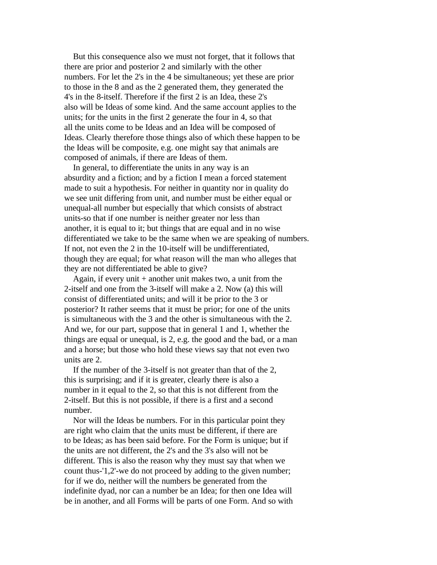But this consequence also we must not forget, that it follows that there are prior and posterior 2 and similarly with the other numbers. For let the 2's in the 4 be simultaneous; yet these are prior to those in the 8 and as the 2 generated them, they generated the 4's in the 8-itself. Therefore if the first 2 is an Idea, these 2's also will be Ideas of some kind. And the same account applies to the units; for the units in the first 2 generate the four in 4, so that all the units come to be Ideas and an Idea will be composed of Ideas. Clearly therefore those things also of which these happen to be the Ideas will be composite, e.g. one might say that animals are composed of animals, if there are Ideas of them.

 In general, to differentiate the units in any way is an absurdity and a fiction; and by a fiction I mean a forced statement made to suit a hypothesis. For neither in quantity nor in quality do we see unit differing from unit, and number must be either equal or unequal-all number but especially that which consists of abstract units-so that if one number is neither greater nor less than another, it is equal to it; but things that are equal and in no wise differentiated we take to be the same when we are speaking of numbers. If not, not even the 2 in the 10-itself will be undifferentiated, though they are equal; for what reason will the man who alleges that they are not differentiated be able to give?

Again, if every unit  $+$  another unit makes two, a unit from the 2-itself and one from the 3-itself will make a 2. Now (a) this will consist of differentiated units; and will it be prior to the 3 or posterior? It rather seems that it must be prior; for one of the units is simultaneous with the 3 and the other is simultaneous with the 2. And we, for our part, suppose that in general 1 and 1, whether the things are equal or unequal, is 2, e.g. the good and the bad, or a man and a horse; but those who hold these views say that not even two units are 2.

 If the number of the 3-itself is not greater than that of the 2, this is surprising; and if it is greater, clearly there is also a number in it equal to the 2, so that this is not different from the 2-itself. But this is not possible, if there is a first and a second number.

 Nor will the Ideas be numbers. For in this particular point they are right who claim that the units must be different, if there are to be Ideas; as has been said before. For the Form is unique; but if the units are not different, the 2's and the 3's also will not be different. This is also the reason why they must say that when we count thus-'1,2'-we do not proceed by adding to the given number; for if we do, neither will the numbers be generated from the indefinite dyad, nor can a number be an Idea; for then one Idea will be in another, and all Forms will be parts of one Form. And so with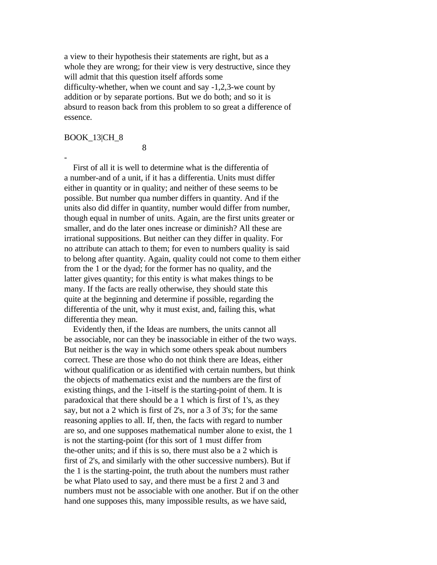a view to their hypothesis their statements are right, but as a whole they are wrong; for their view is very destructive, since they will admit that this question itself affords some difficulty-whether, when we count and say -1,2,3-we count by addition or by separate portions. But we do both; and so it is absurd to reason back from this problem to so great a difference of essence.

BOOK\_13|CH\_8

-

8

 First of all it is well to determine what is the differentia of a number-and of a unit, if it has a differentia. Units must differ either in quantity or in quality; and neither of these seems to be possible. But number qua number differs in quantity. And if the units also did differ in quantity, number would differ from number, though equal in number of units. Again, are the first units greater or smaller, and do the later ones increase or diminish? All these are irrational suppositions. But neither can they differ in quality. For no attribute can attach to them; for even to numbers quality is said to belong after quantity. Again, quality could not come to them either from the 1 or the dyad; for the former has no quality, and the latter gives quantity; for this entity is what makes things to be many. If the facts are really otherwise, they should state this quite at the beginning and determine if possible, regarding the differentia of the unit, why it must exist, and, failing this, what differentia they mean.

 Evidently then, if the Ideas are numbers, the units cannot all be associable, nor can they be inassociable in either of the two ways. But neither is the way in which some others speak about numbers correct. These are those who do not think there are Ideas, either without qualification or as identified with certain numbers, but think the objects of mathematics exist and the numbers are the first of existing things, and the 1-itself is the starting-point of them. It is paradoxical that there should be a 1 which is first of 1's, as they say, but not a 2 which is first of 2's, nor a 3 of 3's; for the same reasoning applies to all. If, then, the facts with regard to number are so, and one supposes mathematical number alone to exist, the 1 is not the starting-point (for this sort of 1 must differ from the-other units; and if this is so, there must also be a 2 which is first of 2's, and similarly with the other successive numbers). But if the 1 is the starting-point, the truth about the numbers must rather be what Plato used to say, and there must be a first 2 and 3 and numbers must not be associable with one another. But if on the other hand one supposes this, many impossible results, as we have said,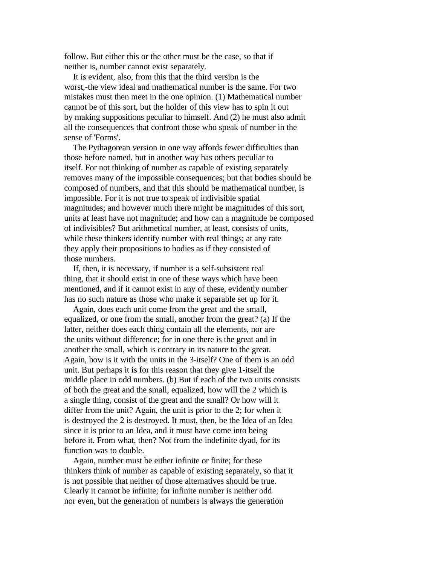follow. But either this or the other must be the case, so that if neither is, number cannot exist separately.

 It is evident, also, from this that the third version is the worst,-the view ideal and mathematical number is the same. For two mistakes must then meet in the one opinion. (1) Mathematical number cannot be of this sort, but the holder of this view has to spin it out by making suppositions peculiar to himself. And (2) he must also admit all the consequences that confront those who speak of number in the sense of 'Forms'.

 The Pythagorean version in one way affords fewer difficulties than those before named, but in another way has others peculiar to itself. For not thinking of number as capable of existing separately removes many of the impossible consequences; but that bodies should be composed of numbers, and that this should be mathematical number, is impossible. For it is not true to speak of indivisible spatial magnitudes; and however much there might be magnitudes of this sort, units at least have not magnitude; and how can a magnitude be composed of indivisibles? But arithmetical number, at least, consists of units, while these thinkers identify number with real things; at any rate they apply their propositions to bodies as if they consisted of those numbers.

 If, then, it is necessary, if number is a self-subsistent real thing, that it should exist in one of these ways which have been mentioned, and if it cannot exist in any of these, evidently number has no such nature as those who make it separable set up for it.

 Again, does each unit come from the great and the small, equalized, or one from the small, another from the great? (a) If the latter, neither does each thing contain all the elements, nor are the units without difference; for in one there is the great and in another the small, which is contrary in its nature to the great. Again, how is it with the units in the 3-itself? One of them is an odd unit. But perhaps it is for this reason that they give 1-itself the middle place in odd numbers. (b) But if each of the two units consists of both the great and the small, equalized, how will the 2 which is a single thing, consist of the great and the small? Or how will it differ from the unit? Again, the unit is prior to the 2; for when it is destroyed the 2 is destroyed. It must, then, be the Idea of an Idea since it is prior to an Idea, and it must have come into being before it. From what, then? Not from the indefinite dyad, for its function was to double.

 Again, number must be either infinite or finite; for these thinkers think of number as capable of existing separately, so that it is not possible that neither of those alternatives should be true. Clearly it cannot be infinite; for infinite number is neither odd nor even, but the generation of numbers is always the generation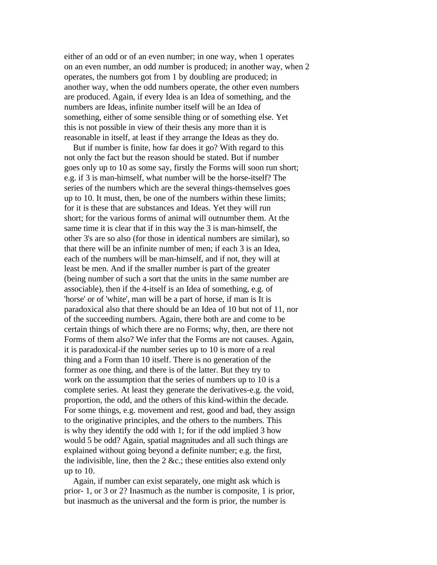either of an odd or of an even number; in one way, when 1 operates on an even number, an odd number is produced; in another way, when 2 operates, the numbers got from 1 by doubling are produced; in another way, when the odd numbers operate, the other even numbers are produced. Again, if every Idea is an Idea of something, and the numbers are Ideas, infinite number itself will be an Idea of something, either of some sensible thing or of something else. Yet this is not possible in view of their thesis any more than it is reasonable in itself, at least if they arrange the Ideas as they do.

 But if number is finite, how far does it go? With regard to this not only the fact but the reason should be stated. But if number goes only up to 10 as some say, firstly the Forms will soon run short; e.g. if 3 is man-himself, what number will be the horse-itself? The series of the numbers which are the several things-themselves goes up to 10. It must, then, be one of the numbers within these limits; for it is these that are substances and Ideas. Yet they will run short; for the various forms of animal will outnumber them. At the same time it is clear that if in this way the 3 is man-himself, the other 3's are so also (for those in identical numbers are similar), so that there will be an infinite number of men; if each 3 is an Idea, each of the numbers will be man-himself, and if not, they will at least be men. And if the smaller number is part of the greater (being number of such a sort that the units in the same number are associable), then if the 4-itself is an Idea of something, e.g. of 'horse' or of 'white', man will be a part of horse, if man is It is paradoxical also that there should be an Idea of 10 but not of 11, nor of the succeeding numbers. Again, there both are and come to be certain things of which there are no Forms; why, then, are there not Forms of them also? We infer that the Forms are not causes. Again, it is paradoxical-if the number series up to 10 is more of a real thing and a Form than 10 itself. There is no generation of the former as one thing, and there is of the latter. But they try to work on the assumption that the series of numbers up to 10 is a complete series. At least they generate the derivatives-e.g. the void, proportion, the odd, and the others of this kind-within the decade. For some things, e.g. movement and rest, good and bad, they assign to the originative principles, and the others to the numbers. This is why they identify the odd with 1; for if the odd implied 3 how would 5 be odd? Again, spatial magnitudes and all such things are explained without going beyond a definite number; e.g. the first, the indivisible, line, then the  $2 \&c$ ; these entities also extend only up to 10.

 Again, if number can exist separately, one might ask which is prior- 1, or 3 or 2? Inasmuch as the number is composite, 1 is prior, but inasmuch as the universal and the form is prior, the number is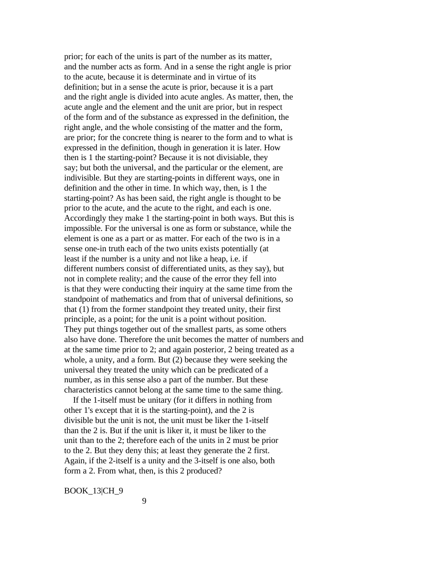prior; for each of the units is part of the number as its matter, and the number acts as form. And in a sense the right angle is prior to the acute, because it is determinate and in virtue of its definition; but in a sense the acute is prior, because it is a part and the right angle is divided into acute angles. As matter, then, the acute angle and the element and the unit are prior, but in respect of the form and of the substance as expressed in the definition, the right angle, and the whole consisting of the matter and the form, are prior; for the concrete thing is nearer to the form and to what is expressed in the definition, though in generation it is later. How then is 1 the starting-point? Because it is not divisiable, they say; but both the universal, and the particular or the element, are indivisible. But they are starting-points in different ways, one in definition and the other in time. In which way, then, is 1 the starting-point? As has been said, the right angle is thought to be prior to the acute, and the acute to the right, and each is one. Accordingly they make 1 the starting-point in both ways. But this is impossible. For the universal is one as form or substance, while the element is one as a part or as matter. For each of the two is in a sense one-in truth each of the two units exists potentially (at least if the number is a unity and not like a heap, i.e. if different numbers consist of differentiated units, as they say), but not in complete reality; and the cause of the error they fell into is that they were conducting their inquiry at the same time from the standpoint of mathematics and from that of universal definitions, so that (1) from the former standpoint they treated unity, their first principle, as a point; for the unit is a point without position. They put things together out of the smallest parts, as some others also have done. Therefore the unit becomes the matter of numbers and at the same time prior to 2; and again posterior, 2 being treated as a whole, a unity, and a form. But (2) because they were seeking the universal they treated the unity which can be predicated of a number, as in this sense also a part of the number. But these characteristics cannot belong at the same time to the same thing.

 If the 1-itself must be unitary (for it differs in nothing from other 1's except that it is the starting-point), and the 2 is divisible but the unit is not, the unit must be liker the 1-itself than the 2 is. But if the unit is liker it, it must be liker to the unit than to the 2; therefore each of the units in 2 must be prior to the 2. But they deny this; at least they generate the 2 first. Again, if the 2-itself is a unity and the 3-itself is one also, both form a 2. From what, then, is this 2 produced?

BOOK\_13|CH\_9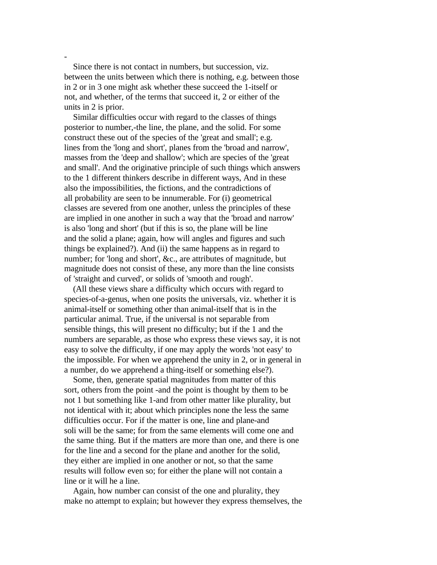Since there is not contact in numbers, but succession, viz. between the units between which there is nothing, e.g. between those in 2 or in 3 one might ask whether these succeed the 1-itself or not, and whether, of the terms that succeed it, 2 or either of the units in 2 is prior.

-

 Similar difficulties occur with regard to the classes of things posterior to number,-the line, the plane, and the solid. For some construct these out of the species of the 'great and small'; e.g. lines from the 'long and short', planes from the 'broad and narrow', masses from the 'deep and shallow'; which are species of the 'great and small'. And the originative principle of such things which answers to the 1 different thinkers describe in different ways, And in these also the impossibilities, the fictions, and the contradictions of all probability are seen to be innumerable. For (i) geometrical classes are severed from one another, unless the principles of these are implied in one another in such a way that the 'broad and narrow' is also 'long and short' (but if this is so, the plane will be line and the solid a plane; again, how will angles and figures and such things be explained?). And (ii) the same happens as in regard to number; for 'long and short', &c., are attributes of magnitude, but magnitude does not consist of these, any more than the line consists of 'straight and curved', or solids of 'smooth and rough'.

 (All these views share a difficulty which occurs with regard to species-of-a-genus, when one posits the universals, viz. whether it is animal-itself or something other than animal-itself that is in the particular animal. True, if the universal is not separable from sensible things, this will present no difficulty; but if the 1 and the numbers are separable, as those who express these views say, it is not easy to solve the difficulty, if one may apply the words 'not easy' to the impossible. For when we apprehend the unity in 2, or in general in a number, do we apprehend a thing-itself or something else?).

 Some, then, generate spatial magnitudes from matter of this sort, others from the point -and the point is thought by them to be not 1 but something like 1-and from other matter like plurality, but not identical with it; about which principles none the less the same difficulties occur. For if the matter is one, line and plane-and soli will be the same; for from the same elements will come one and the same thing. But if the matters are more than one, and there is one for the line and a second for the plane and another for the solid, they either are implied in one another or not, so that the same results will follow even so; for either the plane will not contain a line or it will he a line.

 Again, how number can consist of the one and plurality, they make no attempt to explain; but however they express themselves, the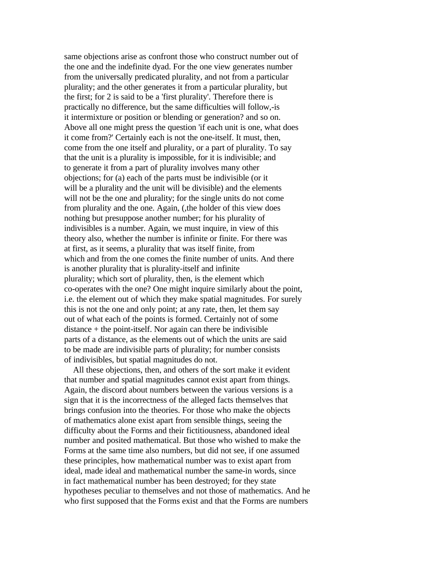same objections arise as confront those who construct number out of the one and the indefinite dyad. For the one view generates number from the universally predicated plurality, and not from a particular plurality; and the other generates it from a particular plurality, but the first; for 2 is said to be a 'first plurality'. Therefore there is practically no difference, but the same difficulties will follow,-is it intermixture or position or blending or generation? and so on. Above all one might press the question 'if each unit is one, what does it come from?' Certainly each is not the one-itself. It must, then, come from the one itself and plurality, or a part of plurality. To say that the unit is a plurality is impossible, for it is indivisible; and to generate it from a part of plurality involves many other objections; for (a) each of the parts must be indivisible (or it will be a plurality and the unit will be divisible) and the elements will not be the one and plurality; for the single units do not come from plurality and the one. Again, (,the holder of this view does nothing but presuppose another number; for his plurality of indivisibles is a number. Again, we must inquire, in view of this theory also, whether the number is infinite or finite. For there was at first, as it seems, a plurality that was itself finite, from which and from the one comes the finite number of units. And there is another plurality that is plurality-itself and infinite plurality; which sort of plurality, then, is the element which co-operates with the one? One might inquire similarly about the point, i.e. the element out of which they make spatial magnitudes. For surely this is not the one and only point; at any rate, then, let them say out of what each of the points is formed. Certainly not of some distance + the point-itself. Nor again can there be indivisible parts of a distance, as the elements out of which the units are said to be made are indivisible parts of plurality; for number consists of indivisibles, but spatial magnitudes do not.

 All these objections, then, and others of the sort make it evident that number and spatial magnitudes cannot exist apart from things. Again, the discord about numbers between the various versions is a sign that it is the incorrectness of the alleged facts themselves that brings confusion into the theories. For those who make the objects of mathematics alone exist apart from sensible things, seeing the difficulty about the Forms and their fictitiousness, abandoned ideal number and posited mathematical. But those who wished to make the Forms at the same time also numbers, but did not see, if one assumed these principles, how mathematical number was to exist apart from ideal, made ideal and mathematical number the same-in words, since in fact mathematical number has been destroyed; for they state hypotheses peculiar to themselves and not those of mathematics. And he who first supposed that the Forms exist and that the Forms are numbers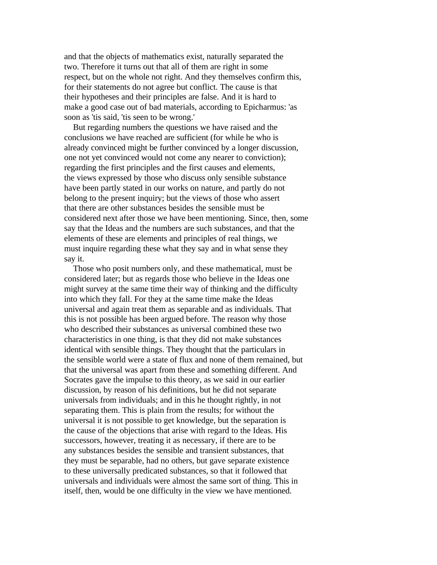and that the objects of mathematics exist, naturally separated the two. Therefore it turns out that all of them are right in some respect, but on the whole not right. And they themselves confirm this, for their statements do not agree but conflict. The cause is that their hypotheses and their principles are false. And it is hard to make a good case out of bad materials, according to Epicharmus: 'as soon as 'tis said, 'tis seen to be wrong.'

 But regarding numbers the questions we have raised and the conclusions we have reached are sufficient (for while he who is already convinced might be further convinced by a longer discussion, one not yet convinced would not come any nearer to conviction); regarding the first principles and the first causes and elements, the views expressed by those who discuss only sensible substance have been partly stated in our works on nature, and partly do not belong to the present inquiry; but the views of those who assert that there are other substances besides the sensible must be considered next after those we have been mentioning. Since, then, some say that the Ideas and the numbers are such substances, and that the elements of these are elements and principles of real things, we must inquire regarding these what they say and in what sense they say it.

 Those who posit numbers only, and these mathematical, must be considered later; but as regards those who believe in the Ideas one might survey at the same time their way of thinking and the difficulty into which they fall. For they at the same time make the Ideas universal and again treat them as separable and as individuals. That this is not possible has been argued before. The reason why those who described their substances as universal combined these two characteristics in one thing, is that they did not make substances identical with sensible things. They thought that the particulars in the sensible world were a state of flux and none of them remained, but that the universal was apart from these and something different. And Socrates gave the impulse to this theory, as we said in our earlier discussion, by reason of his definitions, but he did not separate universals from individuals; and in this he thought rightly, in not separating them. This is plain from the results; for without the universal it is not possible to get knowledge, but the separation is the cause of the objections that arise with regard to the Ideas. His successors, however, treating it as necessary, if there are to be any substances besides the sensible and transient substances, that they must be separable, had no others, but gave separate existence to these universally predicated substances, so that it followed that universals and individuals were almost the same sort of thing. This in itself, then, would be one difficulty in the view we have mentioned.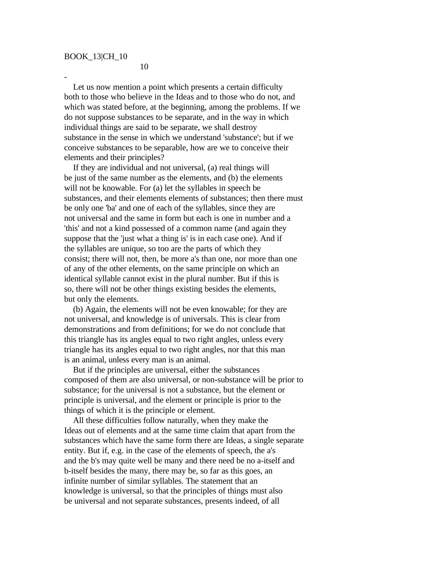-

10

 Let us now mention a point which presents a certain difficulty both to those who believe in the Ideas and to those who do not, and which was stated before, at the beginning, among the problems. If we do not suppose substances to be separate, and in the way in which individual things are said to be separate, we shall destroy substance in the sense in which we understand 'substance'; but if we conceive substances to be separable, how are we to conceive their elements and their principles?

 If they are individual and not universal, (a) real things will be just of the same number as the elements, and (b) the elements will not be knowable. For (a) let the syllables in speech be substances, and their elements elements of substances; then there must be only one 'ba' and one of each of the syllables, since they are not universal and the same in form but each is one in number and a 'this' and not a kind possessed of a common name (and again they suppose that the 'just what a thing is' is in each case one). And if the syllables are unique, so too are the parts of which they consist; there will not, then, be more a's than one, nor more than one of any of the other elements, on the same principle on which an identical syllable cannot exist in the plural number. But if this is so, there will not be other things existing besides the elements, but only the elements.

 (b) Again, the elements will not be even knowable; for they are not universal, and knowledge is of universals. This is clear from demonstrations and from definitions; for we do not conclude that this triangle has its angles equal to two right angles, unless every triangle has its angles equal to two right angles, nor that this man is an animal, unless every man is an animal.

 But if the principles are universal, either the substances composed of them are also universal, or non-substance will be prior to substance; for the universal is not a substance, but the element or principle is universal, and the element or principle is prior to the things of which it is the principle or element.

 All these difficulties follow naturally, when they make the Ideas out of elements and at the same time claim that apart from the substances which have the same form there are Ideas, a single separate entity. But if, e.g. in the case of the elements of speech, the a's and the b's may quite well be many and there need be no a-itself and b-itself besides the many, there may be, so far as this goes, an infinite number of similar syllables. The statement that an knowledge is universal, so that the principles of things must also be universal and not separate substances, presents indeed, of all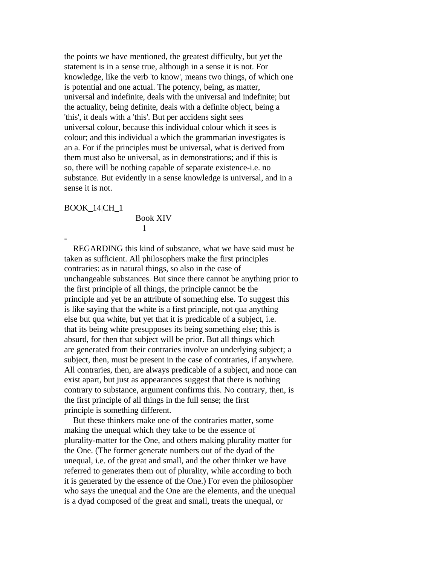the points we have mentioned, the greatest difficulty, but yet the statement is in a sense true, although in a sense it is not. For knowledge, like the verb 'to know', means two things, of which one is potential and one actual. The potency, being, as matter, universal and indefinite, deals with the universal and indefinite; but the actuality, being definite, deals with a definite object, being a 'this', it deals with a 'this'. But per accidens sight sees universal colour, because this individual colour which it sees is colour; and this individual a which the grammarian investigates is an a. For if the principles must be universal, what is derived from them must also be universal, as in demonstrations; and if this is so, there will be nothing capable of separate existence-i.e. no substance. But evidently in a sense knowledge is universal, and in a sense it is not.

### BOOK\_14|CH\_1

-

# Book XIV 1

 REGARDING this kind of substance, what we have said must be taken as sufficient. All philosophers make the first principles contraries: as in natural things, so also in the case of unchangeable substances. But since there cannot be anything prior to the first principle of all things, the principle cannot be the principle and yet be an attribute of something else. To suggest this is like saying that the white is a first principle, not qua anything else but qua white, but yet that it is predicable of a subject, i.e. that its being white presupposes its being something else; this is absurd, for then that subject will be prior. But all things which are generated from their contraries involve an underlying subject; a subject, then, must be present in the case of contraries, if anywhere. All contraries, then, are always predicable of a subject, and none can exist apart, but just as appearances suggest that there is nothing contrary to substance, argument confirms this. No contrary, then, is the first principle of all things in the full sense; the first principle is something different.

 But these thinkers make one of the contraries matter, some making the unequal which they take to be the essence of plurality-matter for the One, and others making plurality matter for the One. (The former generate numbers out of the dyad of the unequal, i.e. of the great and small, and the other thinker we have referred to generates them out of plurality, while according to both it is generated by the essence of the One.) For even the philosopher who says the unequal and the One are the elements, and the unequal is a dyad composed of the great and small, treats the unequal, or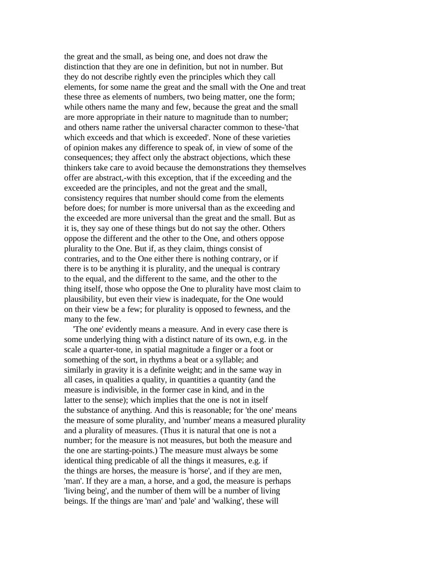the great and the small, as being one, and does not draw the distinction that they are one in definition, but not in number. But they do not describe rightly even the principles which they call elements, for some name the great and the small with the One and treat these three as elements of numbers, two being matter, one the form; while others name the many and few, because the great and the small are more appropriate in their nature to magnitude than to number; and others name rather the universal character common to these-'that which exceeds and that which is exceeded'. None of these varieties of opinion makes any difference to speak of, in view of some of the consequences; they affect only the abstract objections, which these thinkers take care to avoid because the demonstrations they themselves offer are abstract,-with this exception, that if the exceeding and the exceeded are the principles, and not the great and the small, consistency requires that number should come from the elements before does; for number is more universal than as the exceeding and the exceeded are more universal than the great and the small. But as it is, they say one of these things but do not say the other. Others oppose the different and the other to the One, and others oppose plurality to the One. But if, as they claim, things consist of contraries, and to the One either there is nothing contrary, or if there is to be anything it is plurality, and the unequal is contrary to the equal, and the different to the same, and the other to the thing itself, those who oppose the One to plurality have most claim to plausibility, but even their view is inadequate, for the One would on their view be a few; for plurality is opposed to fewness, and the many to the few.

 'The one' evidently means a measure. And in every case there is some underlying thing with a distinct nature of its own, e.g. in the scale a quarter-tone, in spatial magnitude a finger or a foot or something of the sort, in rhythms a beat or a syllable; and similarly in gravity it is a definite weight; and in the same way in all cases, in qualities a quality, in quantities a quantity (and the measure is indivisible, in the former case in kind, and in the latter to the sense); which implies that the one is not in itself the substance of anything. And this is reasonable; for 'the one' means the measure of some plurality, and 'number' means a measured plurality and a plurality of measures. (Thus it is natural that one is not a number; for the measure is not measures, but both the measure and the one are starting-points.) The measure must always be some identical thing predicable of all the things it measures, e.g. if the things are horses, the measure is 'horse', and if they are men, 'man'. If they are a man, a horse, and a god, the measure is perhaps 'living being', and the number of them will be a number of living beings. If the things are 'man' and 'pale' and 'walking', these will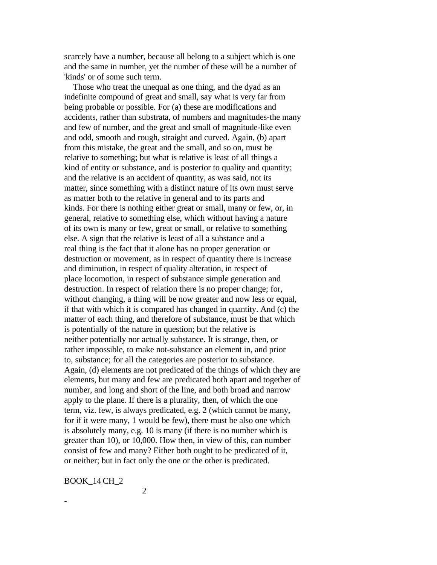scarcely have a number, because all belong to a subject which is one and the same in number, yet the number of these will be a number of 'kinds' or of some such term.

 Those who treat the unequal as one thing, and the dyad as an indefinite compound of great and small, say what is very far from being probable or possible. For (a) these are modifications and accidents, rather than substrata, of numbers and magnitudes-the many and few of number, and the great and small of magnitude-like even and odd, smooth and rough, straight and curved. Again, (b) apart from this mistake, the great and the small, and so on, must be relative to something; but what is relative is least of all things a kind of entity or substance, and is posterior to quality and quantity; and the relative is an accident of quantity, as was said, not its matter, since something with a distinct nature of its own must serve as matter both to the relative in general and to its parts and kinds. For there is nothing either great or small, many or few, or, in general, relative to something else, which without having a nature of its own is many or few, great or small, or relative to something else. A sign that the relative is least of all a substance and a real thing is the fact that it alone has no proper generation or destruction or movement, as in respect of quantity there is increase and diminution, in respect of quality alteration, in respect of place locomotion, in respect of substance simple generation and destruction. In respect of relation there is no proper change; for, without changing, a thing will be now greater and now less or equal, if that with which it is compared has changed in quantity. And (c) the matter of each thing, and therefore of substance, must be that which is potentially of the nature in question; but the relative is neither potentially nor actually substance. It is strange, then, or rather impossible, to make not-substance an element in, and prior to, substance; for all the categories are posterior to substance. Again, (d) elements are not predicated of the things of which they are elements, but many and few are predicated both apart and together of number, and long and short of the line, and both broad and narrow apply to the plane. If there is a plurality, then, of which the one term, viz. few, is always predicated, e.g. 2 (which cannot be many, for if it were many, 1 would be few), there must be also one which is absolutely many, e.g. 10 is many (if there is no number which is greater than 10), or 10,000. How then, in view of this, can number consist of few and many? Either both ought to be predicated of it, or neither; but in fact only the one or the other is predicated.

BOOK\_14|CH\_2

-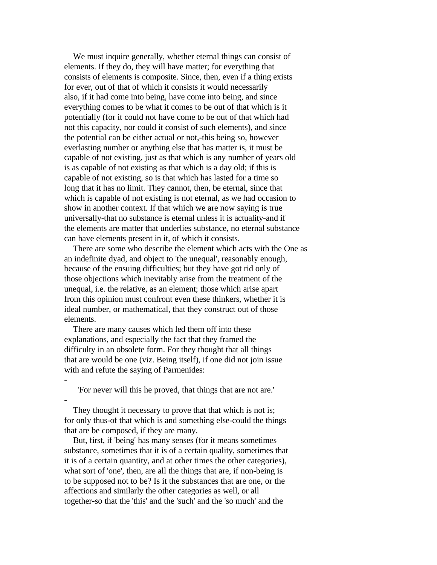We must inquire generally, whether eternal things can consist of elements. If they do, they will have matter; for everything that consists of elements is composite. Since, then, even if a thing exists for ever, out of that of which it consists it would necessarily also, if it had come into being, have come into being, and since everything comes to be what it comes to be out of that which is it potentially (for it could not have come to be out of that which had not this capacity, nor could it consist of such elements), and since the potential can be either actual or not,-this being so, however everlasting number or anything else that has matter is, it must be capable of not existing, just as that which is any number of years old is as capable of not existing as that which is a day old; if this is capable of not existing, so is that which has lasted for a time so long that it has no limit. They cannot, then, be eternal, since that which is capable of not existing is not eternal, as we had occasion to show in another context. If that which we are now saying is true universally-that no substance is eternal unless it is actuality-and if the elements are matter that underlies substance, no eternal substance can have elements present in it, of which it consists.

 There are some who describe the element which acts with the One as an indefinite dyad, and object to 'the unequal', reasonably enough, because of the ensuing difficulties; but they have got rid only of those objections which inevitably arise from the treatment of the unequal, i.e. the relative, as an element; those which arise apart from this opinion must confront even these thinkers, whether it is ideal number, or mathematical, that they construct out of those elements.

 There are many causes which led them off into these explanations, and especially the fact that they framed the difficulty in an obsolete form. For they thought that all things that are would be one (viz. Being itself), if one did not join issue with and refute the saying of Parmenides:

'For never will this he proved, that things that are not are.'

-

-

They thought it necessary to prove that that which is not is; for only thus-of that which is and something else-could the things that are be composed, if they are many.

 But, first, if 'being' has many senses (for it means sometimes substance, sometimes that it is of a certain quality, sometimes that it is of a certain quantity, and at other times the other categories), what sort of 'one', then, are all the things that are, if non-being is to be supposed not to be? Is it the substances that are one, or the affections and similarly the other categories as well, or all together-so that the 'this' and the 'such' and the 'so much' and the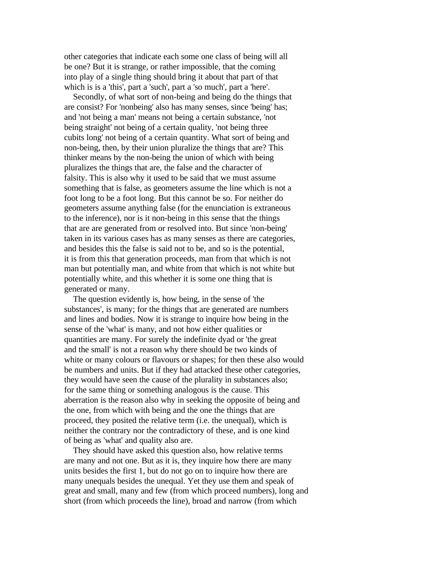other categories that indicate each some one class of being will all be one? But it is strange, or rather impossible, that the coming into play of a single thing should bring it about that part of that which is is a 'this', part a 'such', part a 'so much', part a 'here'.

 Secondly, of what sort of non-being and being do the things that are consist? For 'nonbeing' also has many senses, since 'being' has; and 'not being a man' means not being a certain substance, 'not being straight' not being of a certain quality, 'not being three cubits long' not being of a certain quantity. What sort of being and non-being, then, by their union pluralize the things that are? This thinker means by the non-being the union of which with being pluralizes the things that are, the false and the character of falsity. This is also why it used to be said that we must assume something that is false, as geometers assume the line which is not a foot long to be a foot long. But this cannot be so. For neither do geometers assume anything false (for the enunciation is extraneous to the inference), nor is it non-being in this sense that the things that are are generated from or resolved into. But since 'non-being' taken in its various cases has as many senses as there are categories, and besides this the false is said not to be, and so is the potential, it is from this that generation proceeds, man from that which is not man but potentially man, and white from that which is not white but potentially white, and this whether it is some one thing that is generated or many.

 The question evidently is, how being, in the sense of 'the substances', is many; for the things that are generated are numbers and lines and bodies. Now it is strange to inquire how being in the sense of the 'what' is many, and not how either qualities or quantities are many. For surely the indefinite dyad or 'the great and the small' is not a reason why there should be two kinds of white or many colours or flavours or shapes; for then these also would be numbers and units. But if they had attacked these other categories, they would have seen the cause of the plurality in substances also; for the same thing or something analogous is the cause. This aberration is the reason also why in seeking the opposite of being and the one, from which with being and the one the things that are proceed, they posited the relative term (i.e. the unequal), which is neither the contrary nor the contradictory of these, and is one kind of being as 'what' and quality also are.

 They should have asked this question also, how relative terms are many and not one. But as it is, they inquire how there are many units besides the first 1, but do not go on to inquire how there are many unequals besides the unequal. Yet they use them and speak of great and small, many and few (from which proceed numbers), long and short (from which proceeds the line), broad and narrow (from which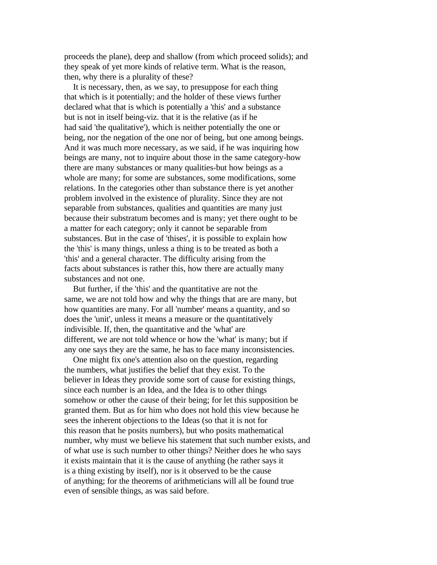proceeds the plane), deep and shallow (from which proceed solids); and they speak of yet more kinds of relative term. What is the reason, then, why there is a plurality of these?

 It is necessary, then, as we say, to presuppose for each thing that which is it potentially; and the holder of these views further declared what that is which is potentially a 'this' and a substance but is not in itself being-viz. that it is the relative (as if he had said 'the qualitative'), which is neither potentially the one or being, nor the negation of the one nor of being, but one among beings. And it was much more necessary, as we said, if he was inquiring how beings are many, not to inquire about those in the same category-how there are many substances or many qualities-but how beings as a whole are many; for some are substances, some modifications, some relations. In the categories other than substance there is yet another problem involved in the existence of plurality. Since they are not separable from substances, qualities and quantities are many just because their substratum becomes and is many; yet there ought to be a matter for each category; only it cannot be separable from substances. But in the case of 'thises', it is possible to explain how the 'this' is many things, unless a thing is to be treated as both a 'this' and a general character. The difficulty arising from the facts about substances is rather this, how there are actually many substances and not one.

 But further, if the 'this' and the quantitative are not the same, we are not told how and why the things that are are many, but how quantities are many. For all 'number' means a quantity, and so does the 'unit', unless it means a measure or the quantitatively indivisible. If, then, the quantitative and the 'what' are different, we are not told whence or how the 'what' is many; but if any one says they are the same, he has to face many inconsistencies.

 One might fix one's attention also on the question, regarding the numbers, what justifies the belief that they exist. To the believer in Ideas they provide some sort of cause for existing things, since each number is an Idea, and the Idea is to other things somehow or other the cause of their being; for let this supposition be granted them. But as for him who does not hold this view because he sees the inherent objections to the Ideas (so that it is not for this reason that he posits numbers), but who posits mathematical number, why must we believe his statement that such number exists, and of what use is such number to other things? Neither does he who says it exists maintain that it is the cause of anything (he rather says it is a thing existing by itself), nor is it observed to be the cause of anything; for the theorems of arithmeticians will all be found true even of sensible things, as was said before.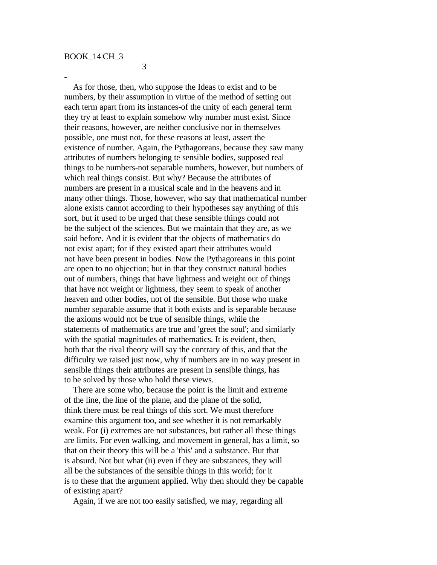-

3

 As for those, then, who suppose the Ideas to exist and to be numbers, by their assumption in virtue of the method of setting out each term apart from its instances-of the unity of each general term they try at least to explain somehow why number must exist. Since their reasons, however, are neither conclusive nor in themselves possible, one must not, for these reasons at least, assert the existence of number. Again, the Pythagoreans, because they saw many attributes of numbers belonging te sensible bodies, supposed real things to be numbers-not separable numbers, however, but numbers of which real things consist. But why? Because the attributes of numbers are present in a musical scale and in the heavens and in many other things. Those, however, who say that mathematical number alone exists cannot according to their hypotheses say anything of this sort, but it used to be urged that these sensible things could not be the subject of the sciences. But we maintain that they are, as we said before. And it is evident that the objects of mathematics do not exist apart; for if they existed apart their attributes would not have been present in bodies. Now the Pythagoreans in this point are open to no objection; but in that they construct natural bodies out of numbers, things that have lightness and weight out of things that have not weight or lightness, they seem to speak of another heaven and other bodies, not of the sensible. But those who make number separable assume that it both exists and is separable because the axioms would not be true of sensible things, while the statements of mathematics are true and 'greet the soul'; and similarly with the spatial magnitudes of mathematics. It is evident, then, both that the rival theory will say the contrary of this, and that the difficulty we raised just now, why if numbers are in no way present in sensible things their attributes are present in sensible things, has to be solved by those who hold these views.

 There are some who, because the point is the limit and extreme of the line, the line of the plane, and the plane of the solid, think there must be real things of this sort. We must therefore examine this argument too, and see whether it is not remarkably weak. For (i) extremes are not substances, but rather all these things are limits. For even walking, and movement in general, has a limit, so that on their theory this will be a 'this' and a substance. But that is absurd. Not but what (ii) even if they are substances, they will all be the substances of the sensible things in this world; for it is to these that the argument applied. Why then should they be capable of existing apart?

Again, if we are not too easily satisfied, we may, regarding all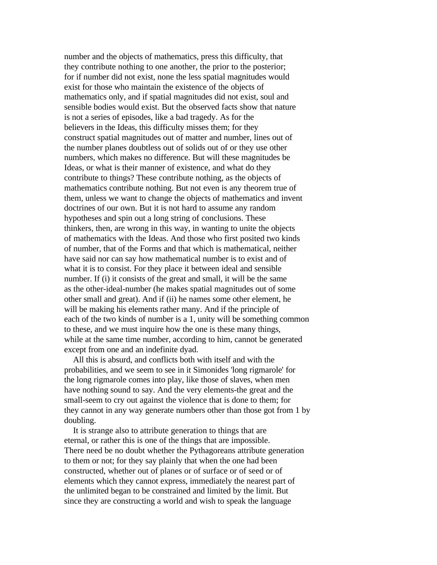number and the objects of mathematics, press this difficulty, that they contribute nothing to one another, the prior to the posterior; for if number did not exist, none the less spatial magnitudes would exist for those who maintain the existence of the objects of mathematics only, and if spatial magnitudes did not exist, soul and sensible bodies would exist. But the observed facts show that nature is not a series of episodes, like a bad tragedy. As for the believers in the Ideas, this difficulty misses them; for they construct spatial magnitudes out of matter and number, lines out of the number planes doubtless out of solids out of or they use other numbers, which makes no difference. But will these magnitudes be Ideas, or what is their manner of existence, and what do they contribute to things? These contribute nothing, as the objects of mathematics contribute nothing. But not even is any theorem true of them, unless we want to change the objects of mathematics and invent doctrines of our own. But it is not hard to assume any random hypotheses and spin out a long string of conclusions. These thinkers, then, are wrong in this way, in wanting to unite the objects of mathematics with the Ideas. And those who first posited two kinds of number, that of the Forms and that which is mathematical, neither have said nor can say how mathematical number is to exist and of what it is to consist. For they place it between ideal and sensible number. If (i) it consists of the great and small, it will be the same as the other-ideal-number (he makes spatial magnitudes out of some other small and great). And if (ii) he names some other element, he will be making his elements rather many. And if the principle of each of the two kinds of number is a 1, unity will be something common to these, and we must inquire how the one is these many things, while at the same time number, according to him, cannot be generated except from one and an indefinite dyad.

 All this is absurd, and conflicts both with itself and with the probabilities, and we seem to see in it Simonides 'long rigmarole' for the long rigmarole comes into play, like those of slaves, when men have nothing sound to say. And the very elements-the great and the small-seem to cry out against the violence that is done to them; for they cannot in any way generate numbers other than those got from 1 by doubling.

 It is strange also to attribute generation to things that are eternal, or rather this is one of the things that are impossible. There need be no doubt whether the Pythagoreans attribute generation to them or not; for they say plainly that when the one had been constructed, whether out of planes or of surface or of seed or of elements which they cannot express, immediately the nearest part of the unlimited began to be constrained and limited by the limit. But since they are constructing a world and wish to speak the language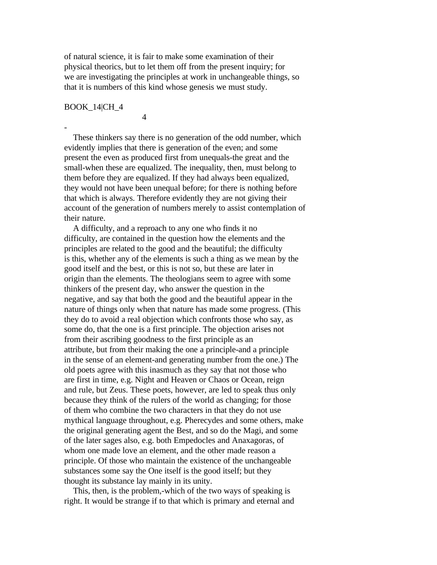of natural science, it is fair to make some examination of their physical theorics, but to let them off from the present inquiry; for we are investigating the principles at work in unchangeable things, so that it is numbers of this kind whose genesis we must study.

## BOOK\_14|CH\_4

-

4

 These thinkers say there is no generation of the odd number, which evidently implies that there is generation of the even; and some present the even as produced first from unequals-the great and the small-when these are equalized. The inequality, then, must belong to them before they are equalized. If they had always been equalized, they would not have been unequal before; for there is nothing before that which is always. Therefore evidently they are not giving their account of the generation of numbers merely to assist contemplation of their nature.

 A difficulty, and a reproach to any one who finds it no difficulty, are contained in the question how the elements and the principles are related to the good and the beautiful; the difficulty is this, whether any of the elements is such a thing as we mean by the good itself and the best, or this is not so, but these are later in origin than the elements. The theologians seem to agree with some thinkers of the present day, who answer the question in the negative, and say that both the good and the beautiful appear in the nature of things only when that nature has made some progress. (This they do to avoid a real objection which confronts those who say, as some do, that the one is a first principle. The objection arises not from their ascribing goodness to the first principle as an attribute, but from their making the one a principle-and a principle in the sense of an element-and generating number from the one.) The old poets agree with this inasmuch as they say that not those who are first in time, e.g. Night and Heaven or Chaos or Ocean, reign and rule, but Zeus. These poets, however, are led to speak thus only because they think of the rulers of the world as changing; for those of them who combine the two characters in that they do not use mythical language throughout, e.g. Pherecydes and some others, make the original generating agent the Best, and so do the Magi, and some of the later sages also, e.g. both Empedocles and Anaxagoras, of whom one made love an element, and the other made reason a principle. Of those who maintain the existence of the unchangeable substances some say the One itself is the good itself; but they thought its substance lay mainly in its unity.

 This, then, is the problem,-which of the two ways of speaking is right. It would be strange if to that which is primary and eternal and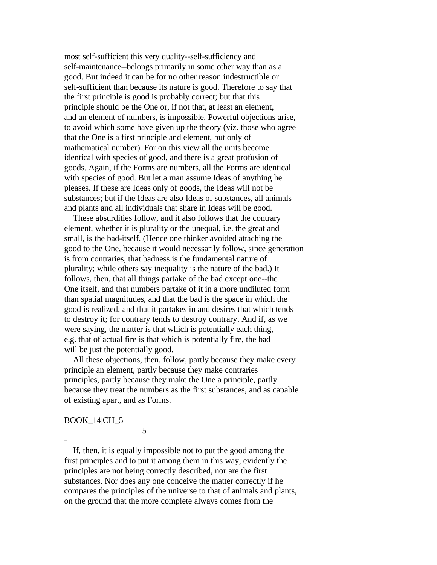most self-sufficient this very quality--self-sufficiency and self-maintenance--belongs primarily in some other way than as a good. But indeed it can be for no other reason indestructible or self-sufficient than because its nature is good. Therefore to say that the first principle is good is probably correct; but that this principle should be the One or, if not that, at least an element, and an element of numbers, is impossible. Powerful objections arise, to avoid which some have given up the theory (viz. those who agree that the One is a first principle and element, but only of mathematical number). For on this view all the units become identical with species of good, and there is a great profusion of goods. Again, if the Forms are numbers, all the Forms are identical with species of good. But let a man assume Ideas of anything he pleases. If these are Ideas only of goods, the Ideas will not be substances; but if the Ideas are also Ideas of substances, all animals and plants and all individuals that share in Ideas will be good.

 These absurdities follow, and it also follows that the contrary element, whether it is plurality or the unequal, i.e. the great and small, is the bad-itself. (Hence one thinker avoided attaching the good to the One, because it would necessarily follow, since generation is from contraries, that badness is the fundamental nature of plurality; while others say inequality is the nature of the bad.) It follows, then, that all things partake of the bad except one--the One itself, and that numbers partake of it in a more undiluted form than spatial magnitudes, and that the bad is the space in which the good is realized, and that it partakes in and desires that which tends to destroy it; for contrary tends to destroy contrary. And if, as we were saying, the matter is that which is potentially each thing, e.g. that of actual fire is that which is potentially fire, the bad will be just the potentially good.

 All these objections, then, follow, partly because they make every principle an element, partly because they make contraries principles, partly because they make the One a principle, partly because they treat the numbers as the first substances, and as capable of existing apart, and as Forms.

BOOK\_14|CH\_5

-

5

 If, then, it is equally impossible not to put the good among the first principles and to put it among them in this way, evidently the principles are not being correctly described, nor are the first substances. Nor does any one conceive the matter correctly if he compares the principles of the universe to that of animals and plants, on the ground that the more complete always comes from the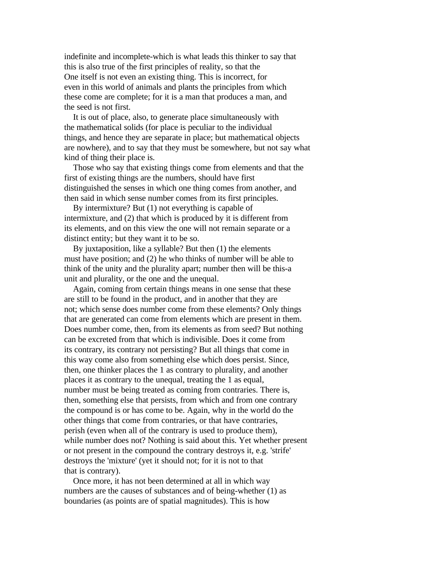indefinite and incomplete-which is what leads this thinker to say that this is also true of the first principles of reality, so that the One itself is not even an existing thing. This is incorrect, for even in this world of animals and plants the principles from which these come are complete; for it is a man that produces a man, and the seed is not first.

 It is out of place, also, to generate place simultaneously with the mathematical solids (for place is peculiar to the individual things, and hence they are separate in place; but mathematical objects are nowhere), and to say that they must be somewhere, but not say what kind of thing their place is.

 Those who say that existing things come from elements and that the first of existing things are the numbers, should have first distinguished the senses in which one thing comes from another, and then said in which sense number comes from its first principles.

 By intermixture? But (1) not everything is capable of intermixture, and (2) that which is produced by it is different from its elements, and on this view the one will not remain separate or a distinct entity; but they want it to be so.

 By juxtaposition, like a syllable? But then (1) the elements must have position; and (2) he who thinks of number will be able to think of the unity and the plurality apart; number then will be this-a unit and plurality, or the one and the unequal.

 Again, coming from certain things means in one sense that these are still to be found in the product, and in another that they are not; which sense does number come from these elements? Only things that are generated can come from elements which are present in them. Does number come, then, from its elements as from seed? But nothing can be excreted from that which is indivisible. Does it come from its contrary, its contrary not persisting? But all things that come in this way come also from something else which does persist. Since, then, one thinker places the 1 as contrary to plurality, and another places it as contrary to the unequal, treating the 1 as equal, number must be being treated as coming from contraries. There is, then, something else that persists, from which and from one contrary the compound is or has come to be. Again, why in the world do the other things that come from contraries, or that have contraries, perish (even when all of the contrary is used to produce them), while number does not? Nothing is said about this. Yet whether present or not present in the compound the contrary destroys it, e.g. 'strife' destroys the 'mixture' (yet it should not; for it is not to that that is contrary).

 Once more, it has not been determined at all in which way numbers are the causes of substances and of being-whether (1) as boundaries (as points are of spatial magnitudes). This is how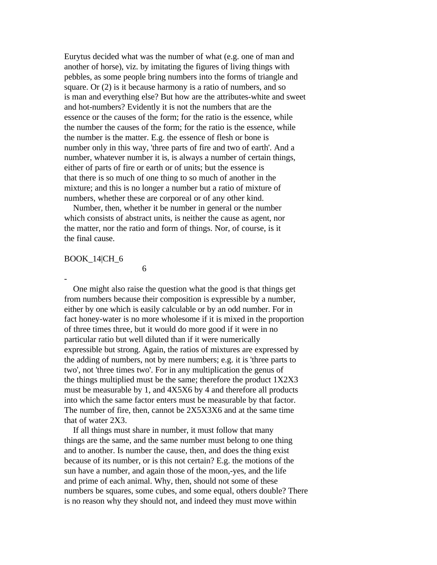Eurytus decided what was the number of what (e.g. one of man and another of horse), viz. by imitating the figures of living things with pebbles, as some people bring numbers into the forms of triangle and square. Or (2) is it because harmony is a ratio of numbers, and so is man and everything else? But how are the attributes-white and sweet and hot-numbers? Evidently it is not the numbers that are the essence or the causes of the form; for the ratio is the essence, while the number the causes of the form; for the ratio is the essence, while the number is the matter. E.g. the essence of flesh or bone is number only in this way, 'three parts of fire and two of earth'. And a number, whatever number it is, is always a number of certain things, either of parts of fire or earth or of units; but the essence is that there is so much of one thing to so much of another in the mixture; and this is no longer a number but a ratio of mixture of numbers, whether these are corporeal or of any other kind.

 Number, then, whether it be number in general or the number which consists of abstract units, is neither the cause as agent, nor the matter, nor the ratio and form of things. Nor, of course, is it the final cause.

## BOOK\_14|CH\_6

-

6

 One might also raise the question what the good is that things get from numbers because their composition is expressible by a number, either by one which is easily calculable or by an odd number. For in fact honey-water is no more wholesome if it is mixed in the proportion of three times three, but it would do more good if it were in no particular ratio but well diluted than if it were numerically expressible but strong. Again, the ratios of mixtures are expressed by the adding of numbers, not by mere numbers; e.g. it is 'three parts to two', not 'three times two'. For in any multiplication the genus of the things multiplied must be the same; therefore the product 1X2X3 must be measurable by 1, and 4X5X6 by 4 and therefore all products into which the same factor enters must be measurable by that factor. The number of fire, then, cannot be 2X5X3X6 and at the same time that of water 2X3.

 If all things must share in number, it must follow that many things are the same, and the same number must belong to one thing and to another. Is number the cause, then, and does the thing exist because of its number, or is this not certain? E.g. the motions of the sun have a number, and again those of the moon,-yes, and the life and prime of each animal. Why, then, should not some of these numbers be squares, some cubes, and some equal, others double? There is no reason why they should not, and indeed they must move within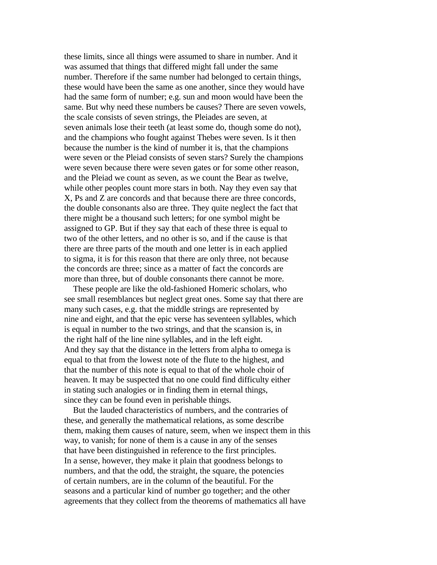these limits, since all things were assumed to share in number. And it was assumed that things that differed might fall under the same number. Therefore if the same number had belonged to certain things, these would have been the same as one another, since they would have had the same form of number; e.g. sun and moon would have been the same. But why need these numbers be causes? There are seven vowels, the scale consists of seven strings, the Pleiades are seven, at seven animals lose their teeth (at least some do, though some do not), and the champions who fought against Thebes were seven. Is it then because the number is the kind of number it is, that the champions were seven or the Pleiad consists of seven stars? Surely the champions were seven because there were seven gates or for some other reason, and the Pleiad we count as seven, as we count the Bear as twelve, while other peoples count more stars in both. Nay they even say that X, Ps and Z are concords and that because there are three concords, the double consonants also are three. They quite neglect the fact that there might be a thousand such letters; for one symbol might be assigned to GP. But if they say that each of these three is equal to two of the other letters, and no other is so, and if the cause is that there are three parts of the mouth and one letter is in each applied to sigma, it is for this reason that there are only three, not because the concords are three; since as a matter of fact the concords are more than three, but of double consonants there cannot be more.

 These people are like the old-fashioned Homeric scholars, who see small resemblances but neglect great ones. Some say that there are many such cases, e.g. that the middle strings are represented by nine and eight, and that the epic verse has seventeen syllables, which is equal in number to the two strings, and that the scansion is, in the right half of the line nine syllables, and in the left eight. And they say that the distance in the letters from alpha to omega is equal to that from the lowest note of the flute to the highest, and that the number of this note is equal to that of the whole choir of heaven. It may be suspected that no one could find difficulty either in stating such analogies or in finding them in eternal things, since they can be found even in perishable things.

 But the lauded characteristics of numbers, and the contraries of these, and generally the mathematical relations, as some describe them, making them causes of nature, seem, when we inspect them in this way, to vanish; for none of them is a cause in any of the senses that have been distinguished in reference to the first principles. In a sense, however, they make it plain that goodness belongs to numbers, and that the odd, the straight, the square, the potencies of certain numbers, are in the column of the beautiful. For the seasons and a particular kind of number go together; and the other agreements that they collect from the theorems of mathematics all have